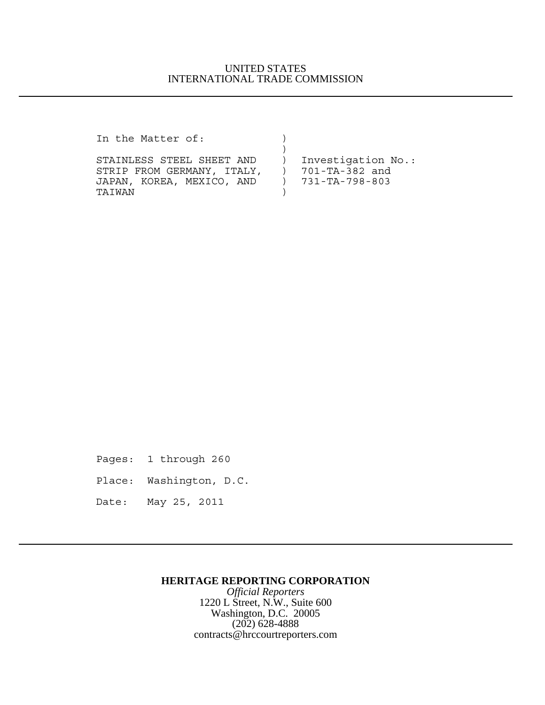# UNITED STATES INTERNATIONAL TRADE COMMISSION

In the Matter of:  $)$ 

STAINLESS STEEL SHEET AND ) Investigation No.:<br>STRIP FROM GERMANY, ITALY, ) 701-TA-382 and STRIP FROM GERMANY, ITALY, JAPAN, KOREA, MEXICO, AND ) 731-TA-798-803 TAIWAN )

 $)$ 

Pages: 1 through 260

Place: Washington, D.C.

Date: May 25, 2011

### **HERITAGE REPORTING CORPORATION**

*Official Reporters* 1220 L Street, N.W., Suite 600 Washington, D.C. 20005 (202) 628-4888 contracts@hrccourtreporters.com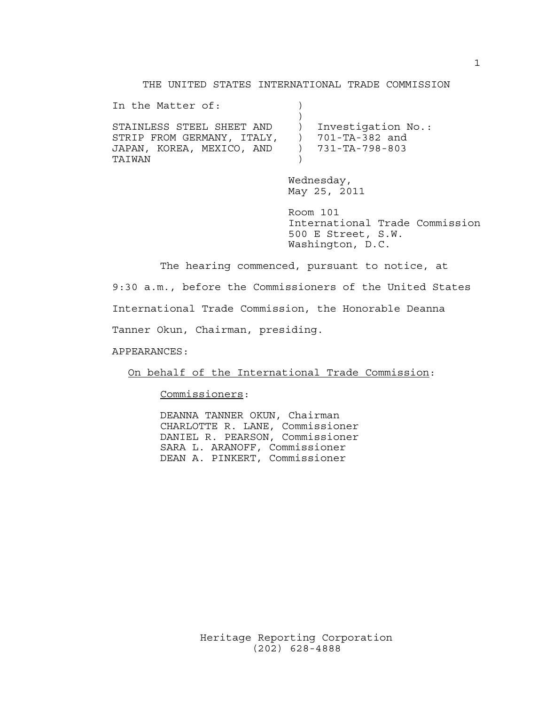### THE UNITED STATES INTERNATIONAL TRADE COMMISSION

| In the Matter of:                                                                              |                                                        |
|------------------------------------------------------------------------------------------------|--------------------------------------------------------|
| STAINLESS STEEL SHEET AND<br>STRIP FROM GERMANY, ITALY,<br>JAPAN, KOREA, MEXICO, AND<br>TATWAN | Investigation No.:<br>701-TA-382 and<br>731-TA-798-803 |

Wednesday, May 25, 2011

Room 101 International Trade Commission 500 E Street, S.W. Washington, D.C.

The hearing commenced, pursuant to notice, at 9:30 a.m., before the Commissioners of the United States International Trade Commission, the Honorable Deanna

Tanner Okun, Chairman, presiding.

APPEARANCES:

On behalf of the International Trade Commission:

Commissioners:

DEANNA TANNER OKUN, Chairman CHARLOTTE R. LANE, Commissioner DANIEL R. PEARSON, Commissioner SARA L. ARANOFF, Commissioner DEAN A. PINKERT, Commissioner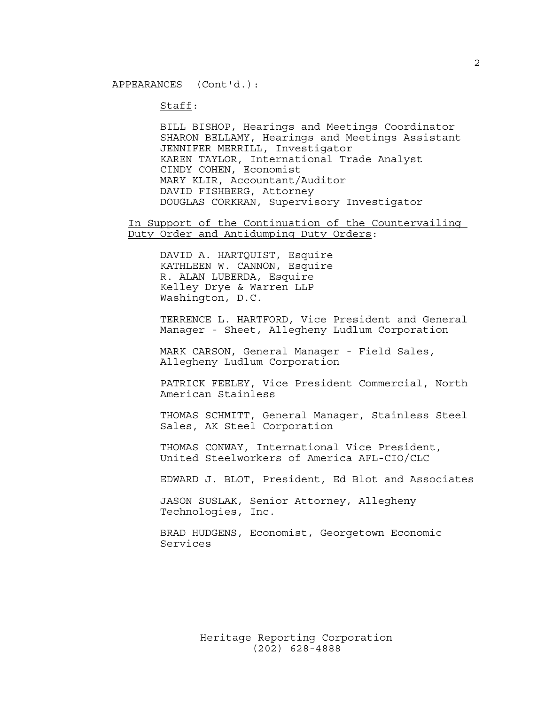Staff:

BILL BISHOP, Hearings and Meetings Coordinator SHARON BELLAMY, Hearings and Meetings Assistant JENNIFER MERRILL, Investigator KAREN TAYLOR, International Trade Analyst CINDY COHEN, Economist MARY KLIR, Accountant/Auditor DAVID FISHBERG, Attorney DOUGLAS CORKRAN, Supervisory Investigator

In Support of the Continuation of the Countervailing Duty Order and Antidumping Duty Orders:

DAVID A. HARTQUIST, Esquire KATHLEEN W. CANNON, Esquire R. ALAN LUBERDA, Esquire Kelley Drye & Warren LLP Washington, D.C.

TERRENCE L. HARTFORD, Vice President and General Manager - Sheet, Allegheny Ludlum Corporation

MARK CARSON, General Manager - Field Sales, Allegheny Ludlum Corporation

PATRICK FEELEY, Vice President Commercial, North American Stainless

THOMAS SCHMITT, General Manager, Stainless Steel Sales, AK Steel Corporation

THOMAS CONWAY, International Vice President, United Steelworkers of America AFL-CIO/CLC

EDWARD J. BLOT, President, Ed Blot and Associates

JASON SUSLAK, Senior Attorney, Allegheny Technologies, Inc.

BRAD HUDGENS, Economist, Georgetown Economic Services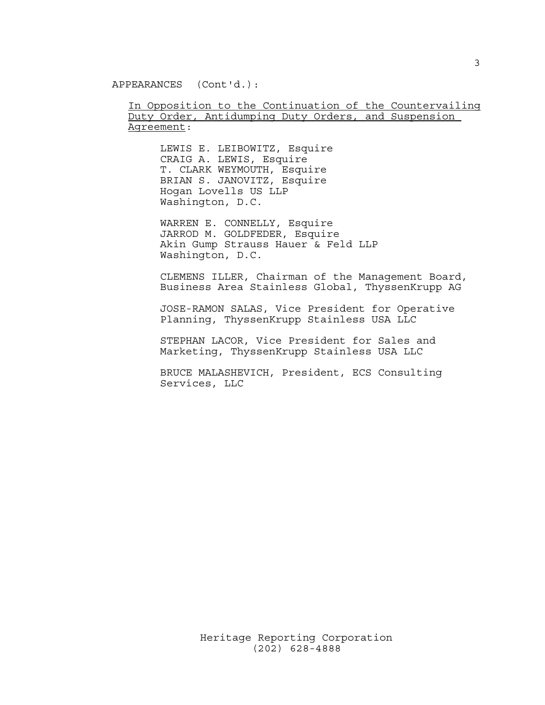APPEARANCES (Cont'd.):

In Opposition to the Continuation of the Countervailing Duty Order, Antidumping Duty Orders, and Suspension Agreement:

LEWIS E. LEIBOWITZ, Esquire CRAIG A. LEWIS, Esquire T. CLARK WEYMOUTH, Esquire BRIAN S. JANOVITZ, Esquire Hogan Lovells US LLP Washington, D.C.

WARREN E. CONNELLY, Esquire JARROD M. GOLDFEDER, Esquire Akin Gump Strauss Hauer & Feld LLP Washington, D.C.

CLEMENS ILLER, Chairman of the Management Board, Business Area Stainless Global, ThyssenKrupp AG

JOSE-RAMON SALAS, Vice President for Operative Planning, ThyssenKrupp Stainless USA LLC

STEPHAN LACOR, Vice President for Sales and Marketing, ThyssenKrupp Stainless USA LLC

BRUCE MALASHEVICH, President, ECS Consulting Services, LLC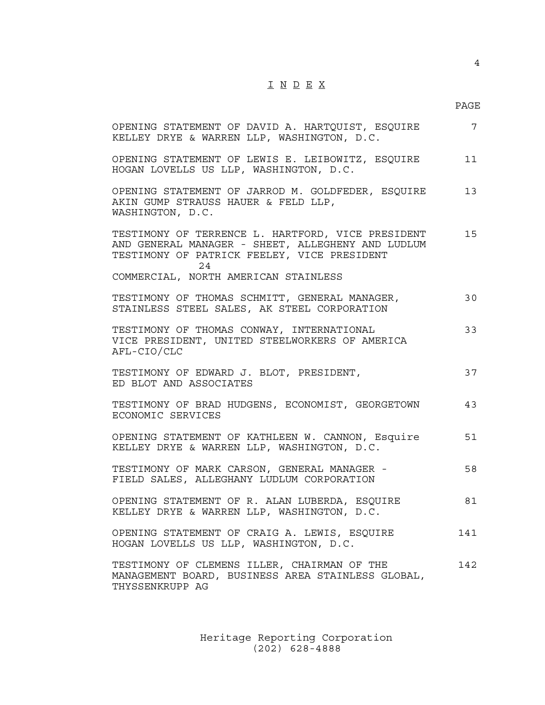# I N D E X

## PAGE

| OPENING STATEMENT OF DAVID A. HARTQUIST, ESQUIRE<br>KELLEY DRYE & WARREN LLP, WASHINGTON, D.C.                                                                                                       | 7   |
|------------------------------------------------------------------------------------------------------------------------------------------------------------------------------------------------------|-----|
| OPENING STATEMENT OF LEWIS E. LEIBOWITZ, ESQUIRE<br>HOGAN LOVELLS US LLP, WASHINGTON, D.C.                                                                                                           | 11  |
| OPENING STATEMENT OF JARROD M. GOLDFEDER, ESQUIRE<br>AKIN GUMP STRAUSS HAUER & FELD LLP,<br>WASHINGTON, D.C.                                                                                         | 13  |
| TESTIMONY OF TERRENCE L. HARTFORD, VICE PRESIDENT<br>AND GENERAL MANAGER - SHEET, ALLEGHENY AND LUDLUM<br>TESTIMONY OF PATRICK FEELEY, VICE PRESIDENT<br>2.4<br>COMMERCIAL, NORTH AMERICAN STAINLESS | 15  |
| TESTIMONY OF THOMAS SCHMITT, GENERAL MANAGER,<br>STAINLESS STEEL SALES, AK STEEL CORPORATION                                                                                                         | 30  |
| TESTIMONY OF THOMAS CONWAY, INTERNATIONAL<br>VICE PRESIDENT, UNITED STEELWORKERS OF AMERICA<br>AFL-CIO/CLC                                                                                           | 33  |
| TESTIMONY OF EDWARD J. BLOT, PRESIDENT,<br>ED BLOT AND ASSOCIATES                                                                                                                                    | 37  |
| TESTIMONY OF BRAD HUDGENS, ECONOMIST, GEORGETOWN<br>ECONOMIC SERVICES                                                                                                                                | 43  |
| OPENING STATEMENT OF KATHLEEN W. CANNON, Esquire<br>KELLEY DRYE & WARREN LLP, WASHINGTON, D.C.                                                                                                       | 51  |
| TESTIMONY OF MARK CARSON, GENERAL MANAGER -<br>FIELD SALES, ALLEGHANY LUDLUM CORPORATION                                                                                                             | 58  |
| OPENING STATEMENT OF R. ALAN LUBERDA, ESQUIRE<br>KELLEY DRYE & WARREN LLP, WASHINGTON, D.C.                                                                                                          | 81  |
| OPENING STATEMENT OF CRAIG A. LEWIS, ESQUIRE<br>HOGAN LOVELLS US LLP, WASHINGTON, D.C.                                                                                                               | 141 |
| TESTIMONY OF CLEMENS ILLER, CHAIRMAN OF THE<br>MANAGEMENT BOARD, BUSINESS AREA STAINLESS GLOBAL,<br>THYSSENKRUPP AG                                                                                  | 142 |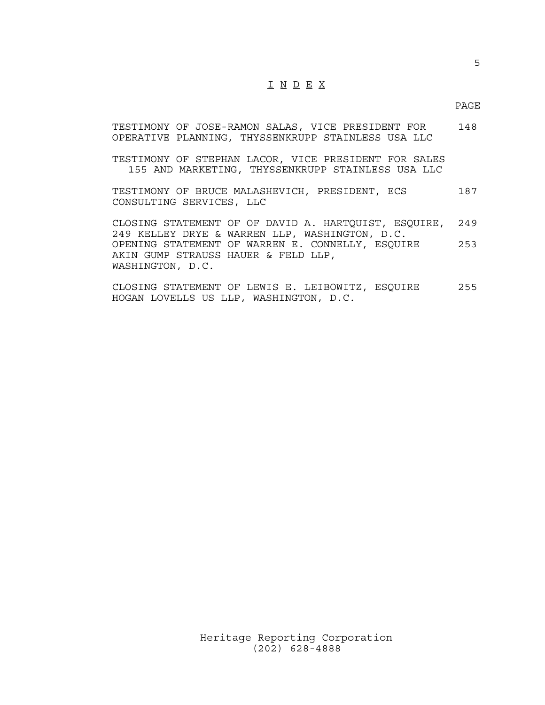## I N D E X

#### PAGE

|  | TESTIMONY OF JOSE-RAMON SALAS, VICE PRESIDENT FOR  | 148 |
|--|----------------------------------------------------|-----|
|  | OPERATIVE PLANNING, THYSSENKRUPP STAINLESS USA LLC |     |

TESTIMONY OF STEPHAN LACOR, VICE PRESIDENT FOR SALES 155 AND MARKETING, THYSSENKRUPP STAINLESS USA LLC

TESTIMONY OF BRUCE MALASHEVICH, PRESIDENT, ECS 187 CONSULTING SERVICES, LLC

CLOSING STATEMENT OF OF DAVID A. HARTQUIST, ESQUIRE, 249 249 KELLEY DRYE & WARREN LLP, WASHINGTON, D.C. OPENING STATEMENT OF WARREN E. CONNELLY, ESQUIRE 253 AKIN GUMP STRAUSS HAUER & FELD LLP, WASHINGTON, D.C.

CLOSING STATEMENT OF LEWIS E. LEIBOWITZ, ESQUIRE 255 HOGAN LOVELLS US LLP, WASHINGTON, D.C.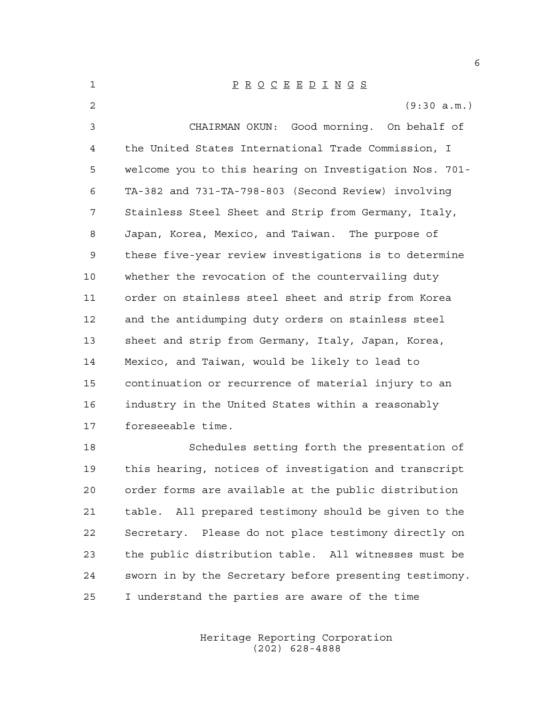| $\mathbf{1}$   | $\underline{P} \underline{R} \underline{O} \underline{C} \underline{E} \underline{E} \underline{D} \underline{I} \underline{N} \underline{G} \underline{S}$ |
|----------------|-------------------------------------------------------------------------------------------------------------------------------------------------------------|
| $\overline{2}$ | (9:30 a.m.)                                                                                                                                                 |
| 3              | CHAIRMAN OKUN: Good morning. On behalf of                                                                                                                   |
| 4              | the United States International Trade Commission, I                                                                                                         |
| 5              | welcome you to this hearing on Investigation Nos. 701-                                                                                                      |
| 6              | TA-382 and 731-TA-798-803 (Second Review) involving                                                                                                         |
| 7              | Stainless Steel Sheet and Strip from Germany, Italy,                                                                                                        |
| 8              | Japan, Korea, Mexico, and Taiwan. The purpose of                                                                                                            |
| 9              | these five-year review investigations is to determine                                                                                                       |
| 10             | whether the revocation of the countervailing duty                                                                                                           |
| 11             | order on stainless steel sheet and strip from Korea                                                                                                         |
| 12             | and the antidumping duty orders on stainless steel                                                                                                          |
| 13             | sheet and strip from Germany, Italy, Japan, Korea,                                                                                                          |
| 14             | Mexico, and Taiwan, would be likely to lead to                                                                                                              |
| 15             | continuation or recurrence of material injury to an                                                                                                         |
| 16             | industry in the United States within a reasonably                                                                                                           |
| 17             | foreseeable time.                                                                                                                                           |
| 18             | Schedules setting forth the presentation of                                                                                                                 |
| 19             | this hearing, notices of investigation and transcript                                                                                                       |

 this hearing, notices of investigation and transcript order forms are available at the public distribution table. All prepared testimony should be given to the Secretary. Please do not place testimony directly on the public distribution table. All witnesses must be sworn in by the Secretary before presenting testimony. I understand the parties are aware of the time

> Heritage Reporting Corporation (202) 628-4888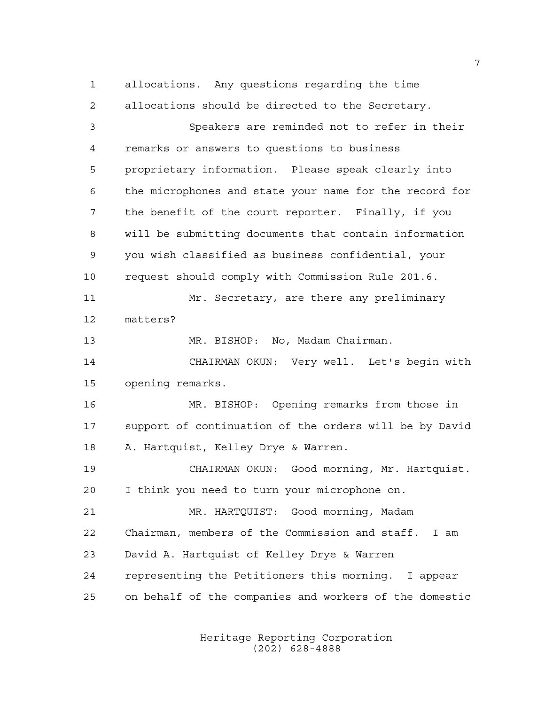allocations. Any questions regarding the time allocations should be directed to the Secretary. Speakers are reminded not to refer in their remarks or answers to questions to business proprietary information. Please speak clearly into the microphones and state your name for the record for the benefit of the court reporter. Finally, if you will be submitting documents that contain information you wish classified as business confidential, your request should comply with Commission Rule 201.6. Mr. Secretary, are there any preliminary matters? MR. BISHOP: No, Madam Chairman. CHAIRMAN OKUN: Very well. Let's begin with opening remarks. MR. BISHOP: Opening remarks from those in support of continuation of the orders will be by David A. Hartquist, Kelley Drye & Warren. CHAIRMAN OKUN: Good morning, Mr. Hartquist. I think you need to turn your microphone on. MR. HARTQUIST: Good morning, Madam Chairman, members of the Commission and staff. I am David A. Hartquist of Kelley Drye & Warren representing the Petitioners this morning. I appear on behalf of the companies and workers of the domestic

> Heritage Reporting Corporation (202) 628-4888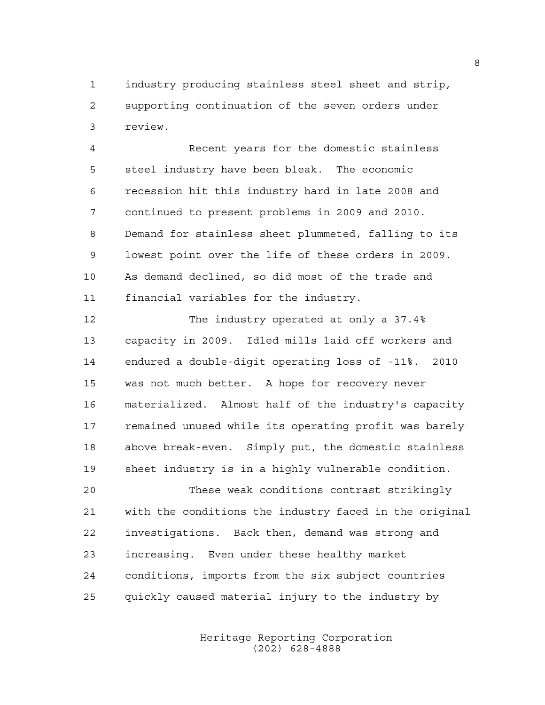industry producing stainless steel sheet and strip, supporting continuation of the seven orders under review.

 Recent years for the domestic stainless steel industry have been bleak. The economic recession hit this industry hard in late 2008 and continued to present problems in 2009 and 2010. Demand for stainless sheet plummeted, falling to its lowest point over the life of these orders in 2009. As demand declined, so did most of the trade and financial variables for the industry.

 The industry operated at only a 37.4% capacity in 2009. Idled mills laid off workers and endured a double-digit operating loss of -11%. 2010 was not much better. A hope for recovery never materialized. Almost half of the industry's capacity remained unused while its operating profit was barely above break-even. Simply put, the domestic stainless sheet industry is in a highly vulnerable condition.

 These weak conditions contrast strikingly with the conditions the industry faced in the original investigations. Back then, demand was strong and increasing. Even under these healthy market conditions, imports from the six subject countries quickly caused material injury to the industry by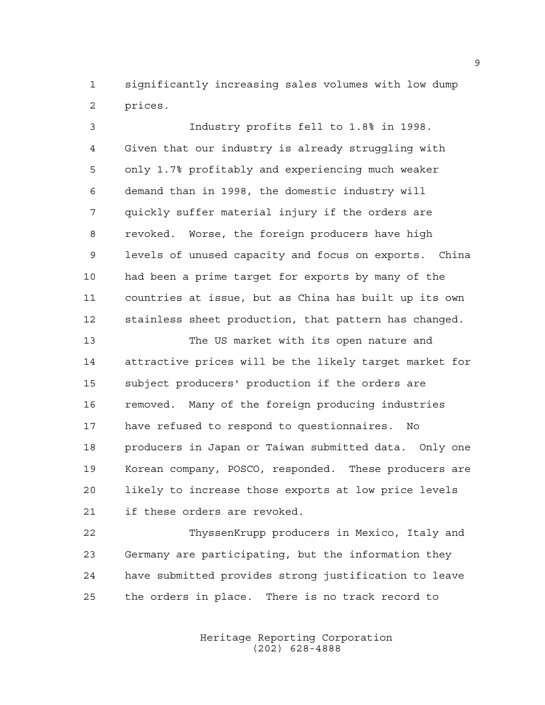significantly increasing sales volumes with low dump prices.

 Industry profits fell to 1.8% in 1998. Given that our industry is already struggling with only 1.7% profitably and experiencing much weaker demand than in 1998, the domestic industry will quickly suffer material injury if the orders are revoked. Worse, the foreign producers have high levels of unused capacity and focus on exports. China had been a prime target for exports by many of the countries at issue, but as China has built up its own stainless sheet production, that pattern has changed.

 The US market with its open nature and attractive prices will be the likely target market for subject producers' production if the orders are removed. Many of the foreign producing industries have refused to respond to questionnaires. No producers in Japan or Taiwan submitted data. Only one Korean company, POSCO, responded. These producers are likely to increase those exports at low price levels if these orders are revoked.

 ThyssenKrupp producers in Mexico, Italy and Germany are participating, but the information they have submitted provides strong justification to leave the orders in place. There is no track record to

> Heritage Reporting Corporation (202) 628-4888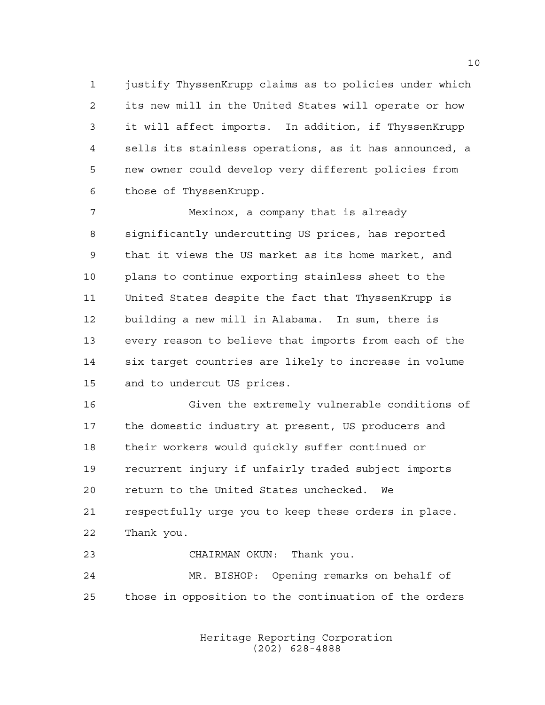justify ThyssenKrupp claims as to policies under which its new mill in the United States will operate or how it will affect imports. In addition, if ThyssenKrupp sells its stainless operations, as it has announced, a new owner could develop very different policies from those of ThyssenKrupp.

 Mexinox, a company that is already significantly undercutting US prices, has reported that it views the US market as its home market, and plans to continue exporting stainless sheet to the United States despite the fact that ThyssenKrupp is building a new mill in Alabama. In sum, there is every reason to believe that imports from each of the six target countries are likely to increase in volume and to undercut US prices.

 Given the extremely vulnerable conditions of the domestic industry at present, US producers and their workers would quickly suffer continued or recurrent injury if unfairly traded subject imports return to the United States unchecked. We respectfully urge you to keep these orders in place. Thank you.

CHAIRMAN OKUN: Thank you.

 MR. BISHOP: Opening remarks on behalf of those in opposition to the continuation of the orders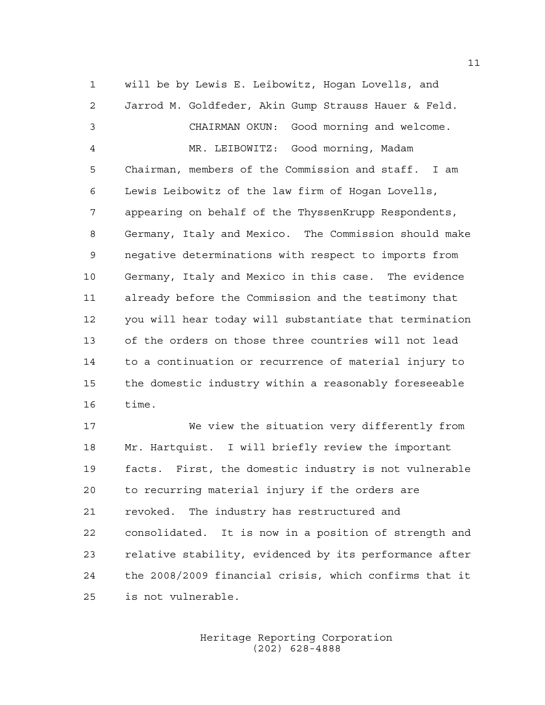will be by Lewis E. Leibowitz, Hogan Lovells, and Jarrod M. Goldfeder, Akin Gump Strauss Hauer & Feld. CHAIRMAN OKUN: Good morning and welcome. MR. LEIBOWITZ: Good morning, Madam Chairman, members of the Commission and staff. I am Lewis Leibowitz of the law firm of Hogan Lovells, appearing on behalf of the ThyssenKrupp Respondents, Germany, Italy and Mexico. The Commission should make negative determinations with respect to imports from Germany, Italy and Mexico in this case. The evidence already before the Commission and the testimony that you will hear today will substantiate that termination of the orders on those three countries will not lead to a continuation or recurrence of material injury to the domestic industry within a reasonably foreseeable time.

 We view the situation very differently from Mr. Hartquist. I will briefly review the important facts. First, the domestic industry is not vulnerable to recurring material injury if the orders are revoked. The industry has restructured and consolidated. It is now in a position of strength and relative stability, evidenced by its performance after the 2008/2009 financial crisis, which confirms that it is not vulnerable.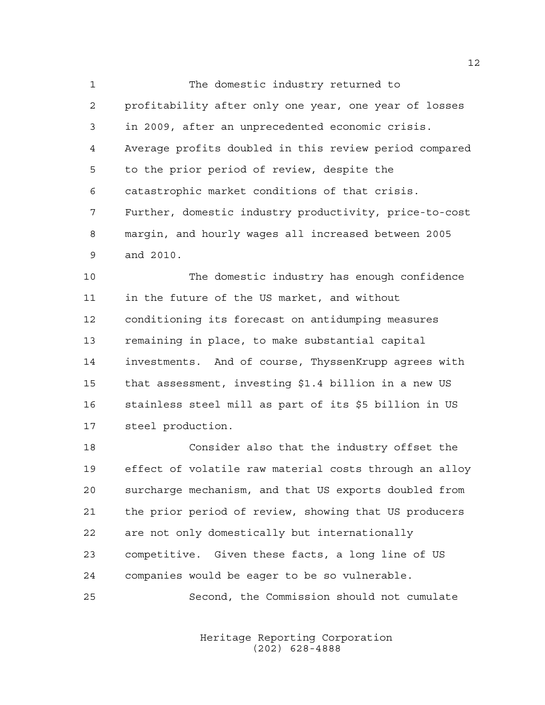The domestic industry returned to profitability after only one year, one year of losses in 2009, after an unprecedented economic crisis. Average profits doubled in this review period compared to the prior period of review, despite the catastrophic market conditions of that crisis. Further, domestic industry productivity, price-to-cost margin, and hourly wages all increased between 2005 and 2010.

 The domestic industry has enough confidence in the future of the US market, and without conditioning its forecast on antidumping measures remaining in place, to make substantial capital investments. And of course, ThyssenKrupp agrees with that assessment, investing \$1.4 billion in a new US stainless steel mill as part of its \$5 billion in US steel production.

 Consider also that the industry offset the effect of volatile raw material costs through an alloy surcharge mechanism, and that US exports doubled from the prior period of review, showing that US producers are not only domestically but internationally competitive. Given these facts, a long line of US companies would be eager to be so vulnerable.

Second, the Commission should not cumulate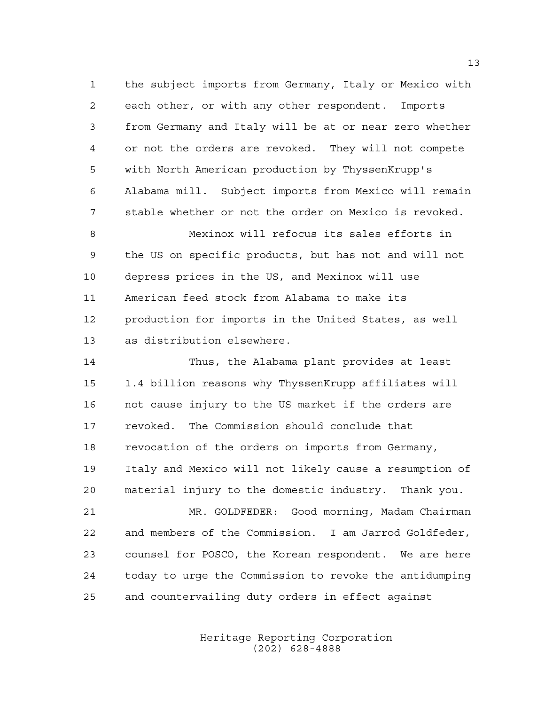the subject imports from Germany, Italy or Mexico with each other, or with any other respondent. Imports from Germany and Italy will be at or near zero whether or not the orders are revoked. They will not compete with North American production by ThyssenKrupp's Alabama mill. Subject imports from Mexico will remain stable whether or not the order on Mexico is revoked.

 Mexinox will refocus its sales efforts in the US on specific products, but has not and will not depress prices in the US, and Mexinox will use American feed stock from Alabama to make its production for imports in the United States, as well as distribution elsewhere.

 Thus, the Alabama plant provides at least 1.4 billion reasons why ThyssenKrupp affiliates will not cause injury to the US market if the orders are revoked. The Commission should conclude that revocation of the orders on imports from Germany, Italy and Mexico will not likely cause a resumption of material injury to the domestic industry. Thank you.

 MR. GOLDFEDER: Good morning, Madam Chairman and members of the Commission. I am Jarrod Goldfeder, counsel for POSCO, the Korean respondent. We are here today to urge the Commission to revoke the antidumping and countervailing duty orders in effect against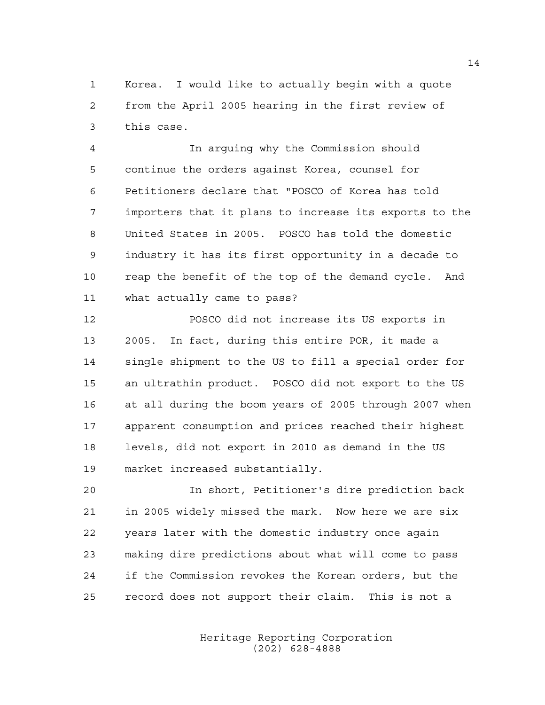Korea. I would like to actually begin with a quote from the April 2005 hearing in the first review of this case.

 In arguing why the Commission should continue the orders against Korea, counsel for Petitioners declare that "POSCO of Korea has told importers that it plans to increase its exports to the United States in 2005. POSCO has told the domestic industry it has its first opportunity in a decade to reap the benefit of the top of the demand cycle. And what actually came to pass?

 POSCO did not increase its US exports in 2005. In fact, during this entire POR, it made a single shipment to the US to fill a special order for an ultrathin product. POSCO did not export to the US at all during the boom years of 2005 through 2007 when apparent consumption and prices reached their highest levels, did not export in 2010 as demand in the US market increased substantially.

 In short, Petitioner's dire prediction back in 2005 widely missed the mark. Now here we are six years later with the domestic industry once again making dire predictions about what will come to pass if the Commission revokes the Korean orders, but the record does not support their claim. This is not a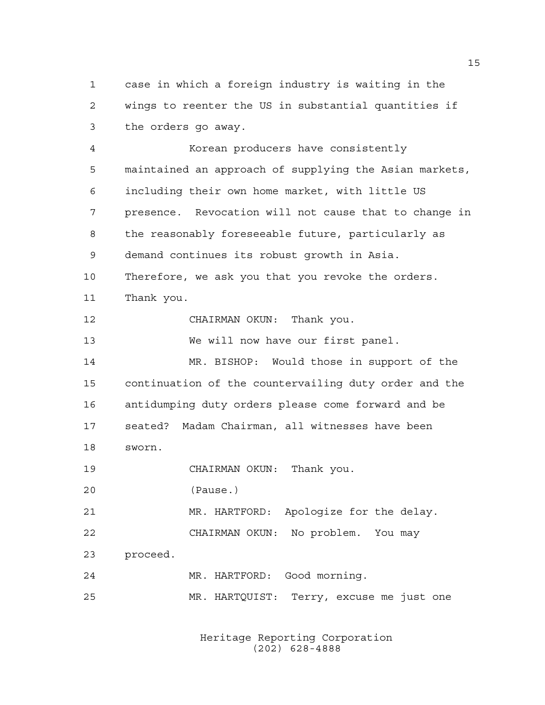case in which a foreign industry is waiting in the wings to reenter the US in substantial quantities if the orders go away.

 Korean producers have consistently maintained an approach of supplying the Asian markets, including their own home market, with little US presence. Revocation will not cause that to change in the reasonably foreseeable future, particularly as demand continues its robust growth in Asia. Therefore, we ask you that you revoke the orders. Thank you. CHAIRMAN OKUN: Thank you. We will now have our first panel. MR. BISHOP: Would those in support of the continuation of the countervailing duty order and the antidumping duty orders please come forward and be seated? Madam Chairman, all witnesses have been sworn. CHAIRMAN OKUN: Thank you. (Pause.) MR. HARTFORD: Apologize for the delay. CHAIRMAN OKUN: No problem. You may proceed. MR. HARTFORD: Good morning. MR. HARTQUIST: Terry, excuse me just one

> Heritage Reporting Corporation (202) 628-4888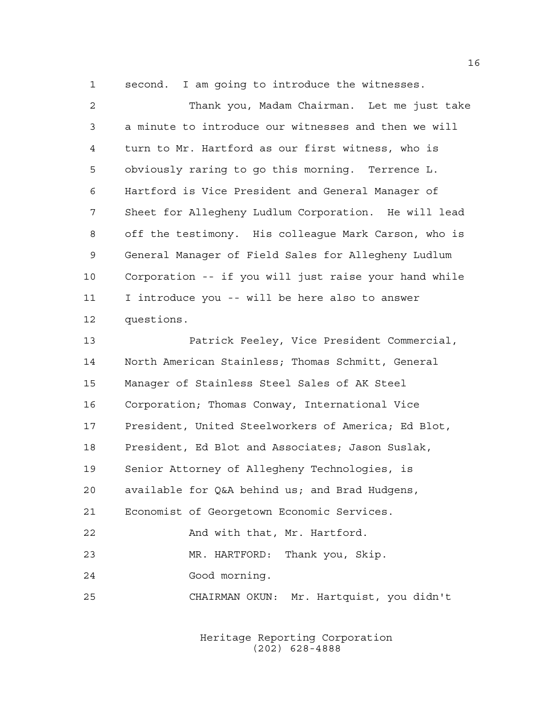second. I am going to introduce the witnesses.

 Thank you, Madam Chairman. Let me just take a minute to introduce our witnesses and then we will turn to Mr. Hartford as our first witness, who is obviously raring to go this morning. Terrence L. Hartford is Vice President and General Manager of Sheet for Allegheny Ludlum Corporation. He will lead off the testimony. His colleague Mark Carson, who is General Manager of Field Sales for Allegheny Ludlum Corporation -- if you will just raise your hand while I introduce you -- will be here also to answer questions. Patrick Feeley, Vice President Commercial, North American Stainless; Thomas Schmitt, General Manager of Stainless Steel Sales of AK Steel Corporation; Thomas Conway, International Vice President, United Steelworkers of America; Ed Blot, President, Ed Blot and Associates; Jason Suslak, Senior Attorney of Allegheny Technologies, is available for Q&A behind us; and Brad Hudgens, Economist of Georgetown Economic Services. 22 And with that, Mr. Hartford. MR. HARTFORD: Thank you, Skip. Good morning. CHAIRMAN OKUN: Mr. Hartquist, you didn't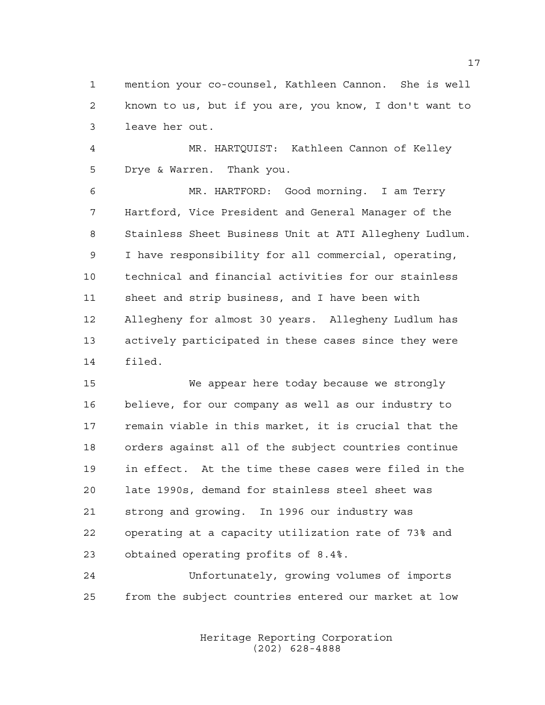mention your co-counsel, Kathleen Cannon. She is well known to us, but if you are, you know, I don't want to leave her out.

 MR. HARTQUIST: Kathleen Cannon of Kelley Drye & Warren. Thank you.

 MR. HARTFORD: Good morning. I am Terry Hartford, Vice President and General Manager of the Stainless Sheet Business Unit at ATI Allegheny Ludlum. I have responsibility for all commercial, operating, technical and financial activities for our stainless sheet and strip business, and I have been with Allegheny for almost 30 years. Allegheny Ludlum has actively participated in these cases since they were filed.

 We appear here today because we strongly believe, for our company as well as our industry to remain viable in this market, it is crucial that the orders against all of the subject countries continue in effect. At the time these cases were filed in the late 1990s, demand for stainless steel sheet was strong and growing. In 1996 our industry was operating at a capacity utilization rate of 73% and obtained operating profits of 8.4%.

 Unfortunately, growing volumes of imports from the subject countries entered our market at low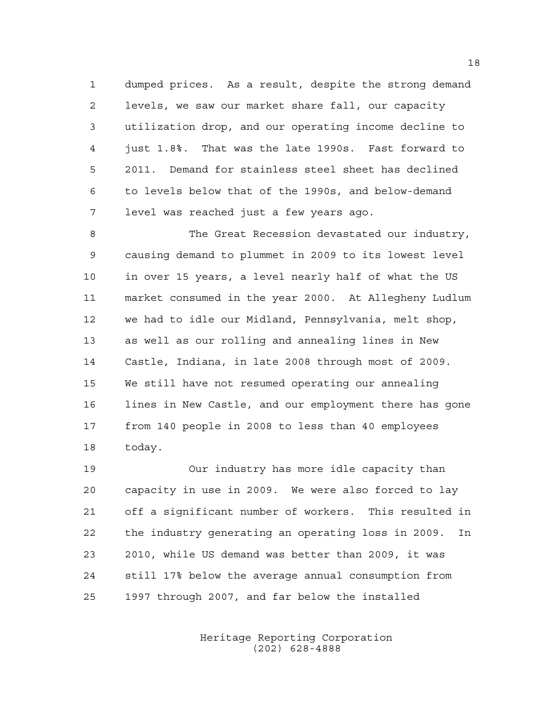dumped prices. As a result, despite the strong demand levels, we saw our market share fall, our capacity utilization drop, and our operating income decline to just 1.8%. That was the late 1990s. Fast forward to 2011. Demand for stainless steel sheet has declined to levels below that of the 1990s, and below-demand level was reached just a few years ago.

 The Great Recession devastated our industry, causing demand to plummet in 2009 to its lowest level in over 15 years, a level nearly half of what the US market consumed in the year 2000. At Allegheny Ludlum we had to idle our Midland, Pennsylvania, melt shop, as well as our rolling and annealing lines in New Castle, Indiana, in late 2008 through most of 2009. We still have not resumed operating our annealing lines in New Castle, and our employment there has gone from 140 people in 2008 to less than 40 employees today.

 Our industry has more idle capacity than capacity in use in 2009. We were also forced to lay off a significant number of workers. This resulted in the industry generating an operating loss in 2009. In 2010, while US demand was better than 2009, it was still 17% below the average annual consumption from 1997 through 2007, and far below the installed

> Heritage Reporting Corporation (202) 628-4888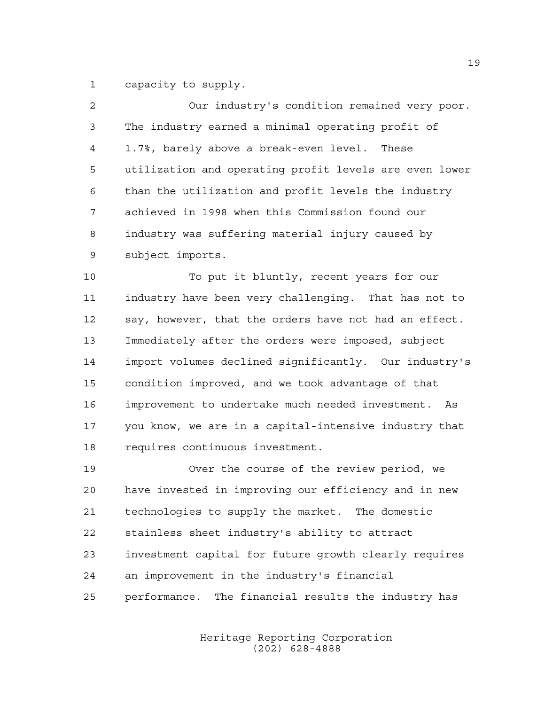capacity to supply.

| $\overline{2}$ | Our industry's condition remained very poor.           |
|----------------|--------------------------------------------------------|
| 3              | The industry earned a minimal operating profit of      |
| 4              | 1.7%, barely above a break-even level. These           |
| 5              | utilization and operating profit levels are even lower |
| 6              | than the utilization and profit levels the industry    |
| 7              | achieved in 1998 when this Commission found our        |
| 8              | industry was suffering material injury caused by       |
| 9              | subject imports.                                       |
| 10             | To put it bluntly, recent years for our                |
| 11             | industry have been very challenging. That has not to   |
| 12             | say, however, that the orders have not had an effect.  |
| 13             | Immediately after the orders were imposed, subject     |
| 14             | import volumes declined significantly. Our industry's  |
| 15             | condition improved, and we took advantage of that      |
| 16             | improvement to undertake much needed investment.<br>As |

 you know, we are in a capital-intensive industry that requires continuous investment.

 Over the course of the review period, we have invested in improving our efficiency and in new technologies to supply the market. The domestic stainless sheet industry's ability to attract investment capital for future growth clearly requires an improvement in the industry's financial performance. The financial results the industry has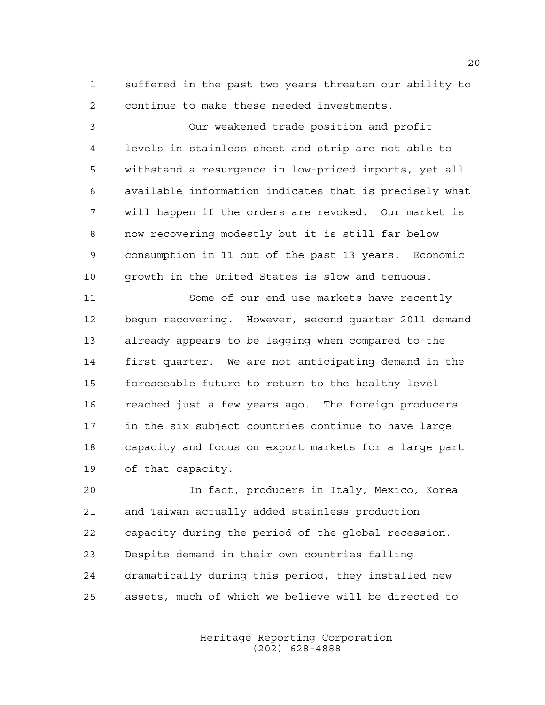suffered in the past two years threaten our ability to continue to make these needed investments.

 Our weakened trade position and profit levels in stainless sheet and strip are not able to withstand a resurgence in low-priced imports, yet all available information indicates that is precisely what will happen if the orders are revoked. Our market is now recovering modestly but it is still far below consumption in 11 out of the past 13 years. Economic growth in the United States is slow and tenuous.

 Some of our end use markets have recently begun recovering. However, second quarter 2011 demand already appears to be lagging when compared to the first quarter. We are not anticipating demand in the foreseeable future to return to the healthy level reached just a few years ago. The foreign producers in the six subject countries continue to have large capacity and focus on export markets for a large part of that capacity.

 In fact, producers in Italy, Mexico, Korea and Taiwan actually added stainless production capacity during the period of the global recession. Despite demand in their own countries falling dramatically during this period, they installed new assets, much of which we believe will be directed to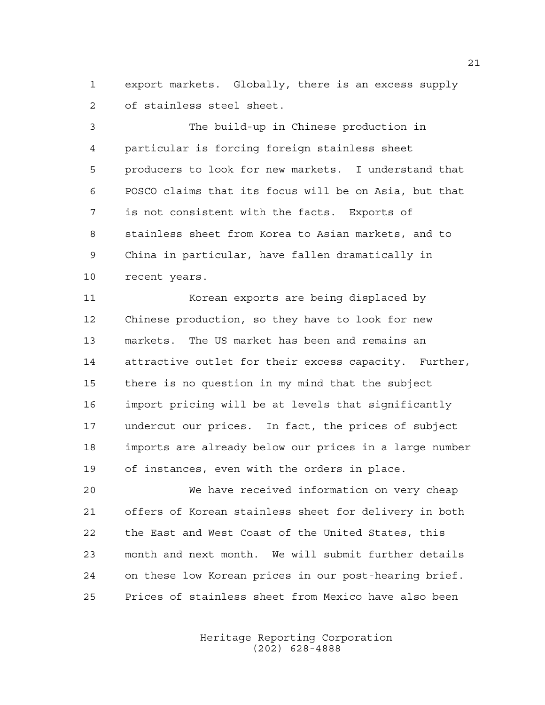export markets. Globally, there is an excess supply of stainless steel sheet.

 The build-up in Chinese production in particular is forcing foreign stainless sheet producers to look for new markets. I understand that POSCO claims that its focus will be on Asia, but that is not consistent with the facts. Exports of stainless sheet from Korea to Asian markets, and to China in particular, have fallen dramatically in recent years.

 Korean exports are being displaced by Chinese production, so they have to look for new markets. The US market has been and remains an attractive outlet for their excess capacity. Further, there is no question in my mind that the subject import pricing will be at levels that significantly undercut our prices. In fact, the prices of subject imports are already below our prices in a large number of instances, even with the orders in place.

 We have received information on very cheap offers of Korean stainless sheet for delivery in both the East and West Coast of the United States, this month and next month. We will submit further details on these low Korean prices in our post-hearing brief. Prices of stainless sheet from Mexico have also been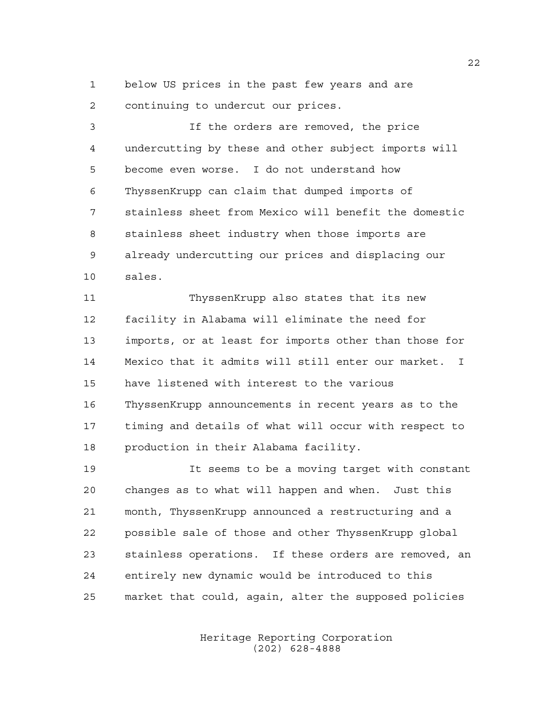below US prices in the past few years and are continuing to undercut our prices.

 If the orders are removed, the price undercutting by these and other subject imports will become even worse. I do not understand how ThyssenKrupp can claim that dumped imports of stainless sheet from Mexico will benefit the domestic stainless sheet industry when those imports are already undercutting our prices and displacing our sales.

 ThyssenKrupp also states that its new facility in Alabama will eliminate the need for imports, or at least for imports other than those for Mexico that it admits will still enter our market. I have listened with interest to the various ThyssenKrupp announcements in recent years as to the timing and details of what will occur with respect to production in their Alabama facility.

 It seems to be a moving target with constant changes as to what will happen and when. Just this month, ThyssenKrupp announced a restructuring and a possible sale of those and other ThyssenKrupp global stainless operations. If these orders are removed, an entirely new dynamic would be introduced to this market that could, again, alter the supposed policies

> Heritage Reporting Corporation (202) 628-4888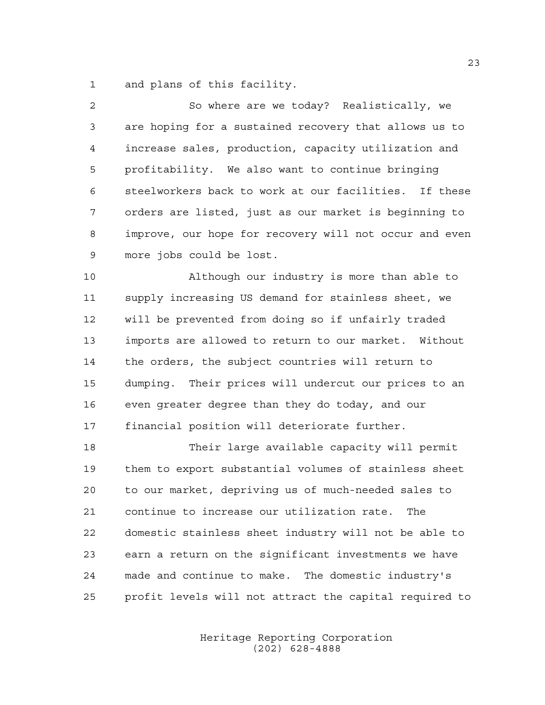and plans of this facility.

| 2  | So where are we today? Realistically, we               |
|----|--------------------------------------------------------|
| 3  | are hoping for a sustained recovery that allows us to  |
| 4  | increase sales, production, capacity utilization and   |
| 5  | profitability. We also want to continue bringing       |
| 6  | steelworkers back to work at our facilities. If these  |
| 7  | orders are listed, just as our market is beginning to  |
| 8  | improve, our hope for recovery will not occur and even |
| 9  | more jobs could be lost.                               |
| 10 | Although our industry is more than able to             |
| 11 | supply increasing US demand for stainless sheet, we    |
| 12 | will be prevented from doing so if unfairly traded     |
| 13 | imports are allowed to return to our market. Without   |
| 14 | the orders, the subject countries will return to       |
| 15 | dumping. Their prices will undercut our prices to an   |
| 16 | even greater degree than they do today, and our        |

financial position will deteriorate further.

 Their large available capacity will permit them to export substantial volumes of stainless sheet to our market, depriving us of much-needed sales to continue to increase our utilization rate. The domestic stainless sheet industry will not be able to earn a return on the significant investments we have made and continue to make. The domestic industry's profit levels will not attract the capital required to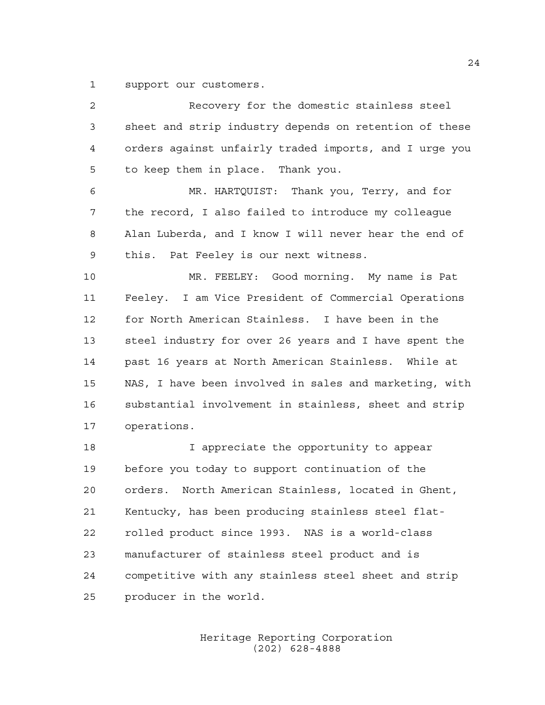support our customers.

| 2  | Recovery for the domestic stainless steel              |
|----|--------------------------------------------------------|
| 3  | sheet and strip industry depends on retention of these |
| 4  | orders against unfairly traded imports, and I urge you |
| 5  | to keep them in place. Thank you.                      |
| 6  | MR. HARTQUIST: Thank you, Terry, and for               |
| 7  | the record, I also failed to introduce my colleague    |
| 8  | Alan Luberda, and I know I will never hear the end of  |
| 9  | this. Pat Feeley is our next witness.                  |
| 10 | MR. FEELEY: Good morning. My name is Pat               |
| 11 | Feeley. I am Vice President of Commercial Operations   |
| 12 | for North American Stainless. I have been in the       |
| 13 | steel industry for over 26 years and I have spent the  |
| 14 | past 16 years at North American Stainless. While at    |
| 15 | NAS, I have been involved in sales and marketing, with |
| 16 | substantial involvement in stainless, sheet and strip  |
| 17 | operations.                                            |
| 18 | I appreciate the opportunity to appear                 |
| 19 | before you today to support continuation of the        |
| 20 | North American Stainless, located in Ghent,<br>orders. |
| 21 | Kentucky, has been producing stainless steel flat-     |
| 22 | rolled product since 1993. NAS is a world-class        |
| 23 | manufacturer of stainless steel product and is         |
| 24 | competitive with any stainless steel sheet and strip   |
| 25 | producer in the world.                                 |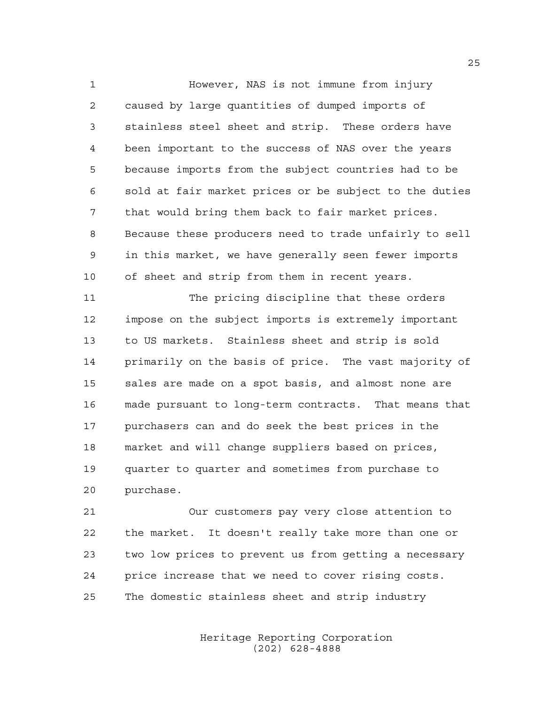However, NAS is not immune from injury caused by large quantities of dumped imports of stainless steel sheet and strip. These orders have been important to the success of NAS over the years because imports from the subject countries had to be sold at fair market prices or be subject to the duties that would bring them back to fair market prices. Because these producers need to trade unfairly to sell in this market, we have generally seen fewer imports of sheet and strip from them in recent years.

 The pricing discipline that these orders impose on the subject imports is extremely important to US markets. Stainless sheet and strip is sold primarily on the basis of price. The vast majority of sales are made on a spot basis, and almost none are made pursuant to long-term contracts. That means that purchasers can and do seek the best prices in the market and will change suppliers based on prices, quarter to quarter and sometimes from purchase to purchase.

 Our customers pay very close attention to the market. It doesn't really take more than one or two low prices to prevent us from getting a necessary price increase that we need to cover rising costs. The domestic stainless sheet and strip industry

> Heritage Reporting Corporation (202) 628-4888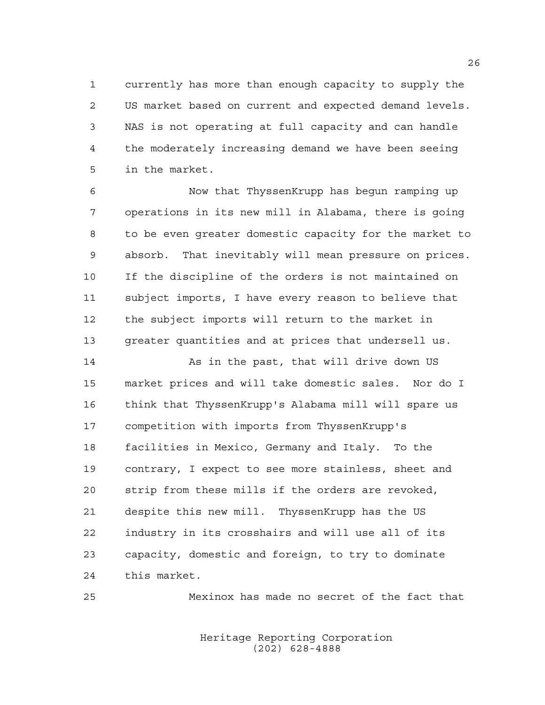currently has more than enough capacity to supply the US market based on current and expected demand levels. NAS is not operating at full capacity and can handle the moderately increasing demand we have been seeing in the market.

 Now that ThyssenKrupp has begun ramping up operations in its new mill in Alabama, there is going to be even greater domestic capacity for the market to absorb. That inevitably will mean pressure on prices. If the discipline of the orders is not maintained on subject imports, I have every reason to believe that the subject imports will return to the market in greater quantities and at prices that undersell us.

14 As in the past, that will drive down US market prices and will take domestic sales. Nor do I think that ThyssenKrupp's Alabama mill will spare us competition with imports from ThyssenKrupp's facilities in Mexico, Germany and Italy. To the contrary, I expect to see more stainless, sheet and strip from these mills if the orders are revoked, despite this new mill. ThyssenKrupp has the US industry in its crosshairs and will use all of its capacity, domestic and foreign, to try to dominate this market.

Mexinox has made no secret of the fact that

Heritage Reporting Corporation (202) 628-4888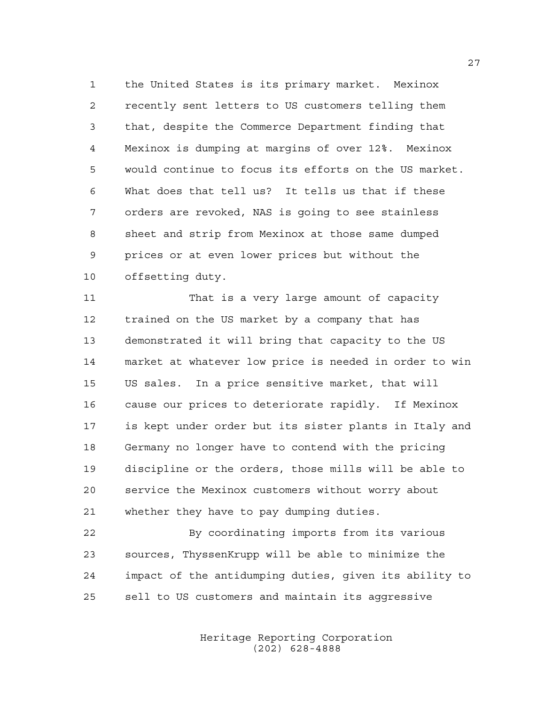the United States is its primary market. Mexinox recently sent letters to US customers telling them that, despite the Commerce Department finding that Mexinox is dumping at margins of over 12%. Mexinox would continue to focus its efforts on the US market. What does that tell us? It tells us that if these orders are revoked, NAS is going to see stainless sheet and strip from Mexinox at those same dumped prices or at even lower prices but without the offsetting duty.

11 That is a very large amount of capacity trained on the US market by a company that has demonstrated it will bring that capacity to the US market at whatever low price is needed in order to win US sales. In a price sensitive market, that will cause our prices to deteriorate rapidly. If Mexinox is kept under order but its sister plants in Italy and Germany no longer have to contend with the pricing discipline or the orders, those mills will be able to service the Mexinox customers without worry about whether they have to pay dumping duties.

 By coordinating imports from its various sources, ThyssenKrupp will be able to minimize the impact of the antidumping duties, given its ability to sell to US customers and maintain its aggressive

> Heritage Reporting Corporation (202) 628-4888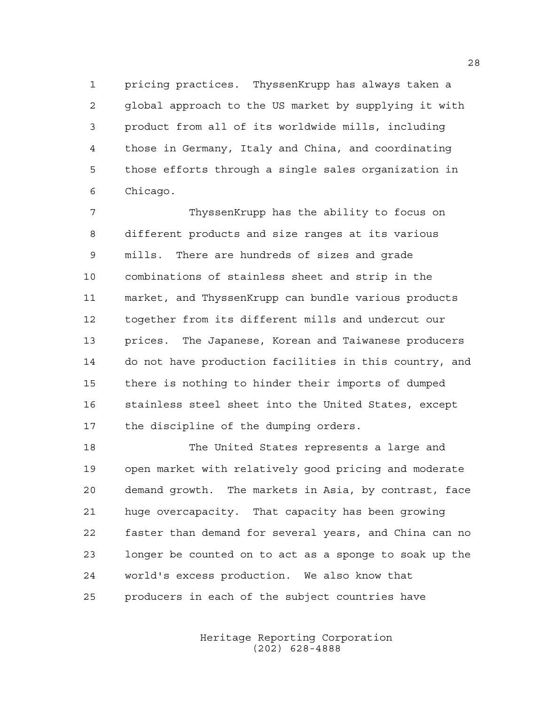pricing practices. ThyssenKrupp has always taken a global approach to the US market by supplying it with product from all of its worldwide mills, including those in Germany, Italy and China, and coordinating those efforts through a single sales organization in Chicago.

 ThyssenKrupp has the ability to focus on different products and size ranges at its various mills. There are hundreds of sizes and grade combinations of stainless sheet and strip in the market, and ThyssenKrupp can bundle various products together from its different mills and undercut our prices. The Japanese, Korean and Taiwanese producers do not have production facilities in this country, and there is nothing to hinder their imports of dumped stainless steel sheet into the United States, except the discipline of the dumping orders.

 The United States represents a large and open market with relatively good pricing and moderate demand growth. The markets in Asia, by contrast, face huge overcapacity. That capacity has been growing faster than demand for several years, and China can no longer be counted on to act as a sponge to soak up the world's excess production. We also know that producers in each of the subject countries have

> Heritage Reporting Corporation (202) 628-4888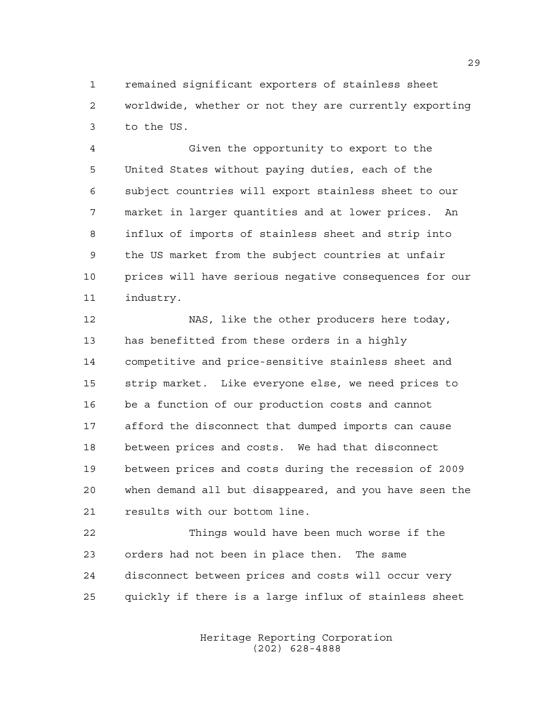remained significant exporters of stainless sheet worldwide, whether or not they are currently exporting to the US.

 Given the opportunity to export to the United States without paying duties, each of the subject countries will export stainless sheet to our market in larger quantities and at lower prices. An influx of imports of stainless sheet and strip into the US market from the subject countries at unfair prices will have serious negative consequences for our industry.

 NAS, like the other producers here today, has benefitted from these orders in a highly competitive and price-sensitive stainless sheet and strip market. Like everyone else, we need prices to be a function of our production costs and cannot afford the disconnect that dumped imports can cause between prices and costs. We had that disconnect between prices and costs during the recession of 2009 when demand all but disappeared, and you have seen the results with our bottom line.

 Things would have been much worse if the orders had not been in place then. The same disconnect between prices and costs will occur very quickly if there is a large influx of stainless sheet

> Heritage Reporting Corporation (202) 628-4888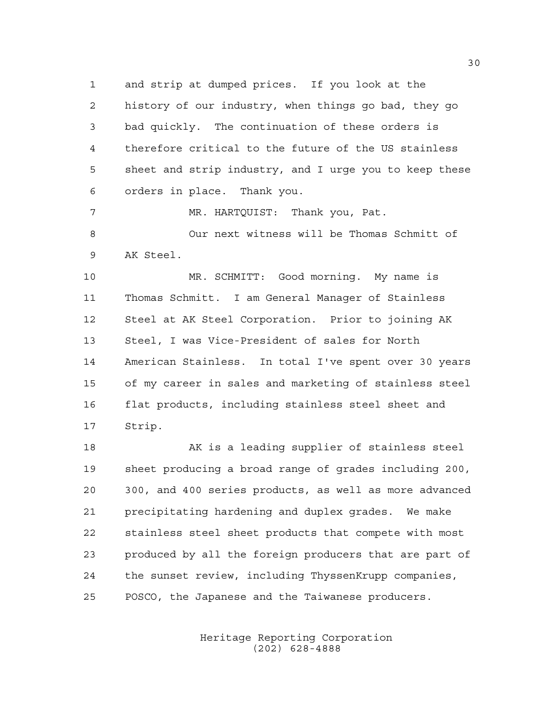and strip at dumped prices. If you look at the history of our industry, when things go bad, they go bad quickly. The continuation of these orders is therefore critical to the future of the US stainless sheet and strip industry, and I urge you to keep these orders in place. Thank you.

 MR. HARTQUIST: Thank you, Pat. Our next witness will be Thomas Schmitt of AK Steel.

 MR. SCHMITT: Good morning. My name is Thomas Schmitt. I am General Manager of Stainless Steel at AK Steel Corporation. Prior to joining AK Steel, I was Vice-President of sales for North American Stainless. In total I've spent over 30 years of my career in sales and marketing of stainless steel flat products, including stainless steel sheet and Strip.

18 AK is a leading supplier of stainless steel sheet producing a broad range of grades including 200, 300, and 400 series products, as well as more advanced precipitating hardening and duplex grades. We make stainless steel sheet products that compete with most produced by all the foreign producers that are part of the sunset review, including ThyssenKrupp companies, POSCO, the Japanese and the Taiwanese producers.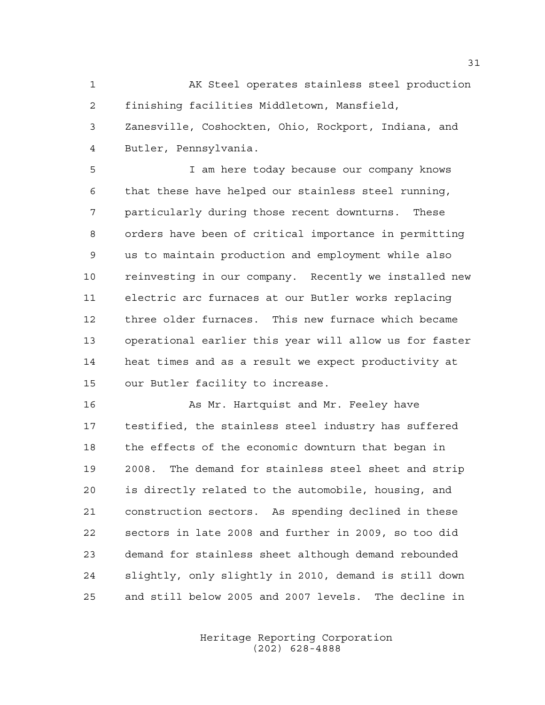AK Steel operates stainless steel production finishing facilities Middletown, Mansfield, Zanesville, Coshockten, Ohio, Rockport, Indiana, and Butler, Pennsylvania.

 I am here today because our company knows that these have helped our stainless steel running, particularly during those recent downturns. These orders have been of critical importance in permitting us to maintain production and employment while also reinvesting in our company. Recently we installed new electric arc furnaces at our Butler works replacing three older furnaces. This new furnace which became operational earlier this year will allow us for faster heat times and as a result we expect productivity at our Butler facility to increase.

16 As Mr. Hartquist and Mr. Feeley have testified, the stainless steel industry has suffered the effects of the economic downturn that began in 2008. The demand for stainless steel sheet and strip is directly related to the automobile, housing, and construction sectors. As spending declined in these sectors in late 2008 and further in 2009, so too did demand for stainless sheet although demand rebounded slightly, only slightly in 2010, demand is still down and still below 2005 and 2007 levels. The decline in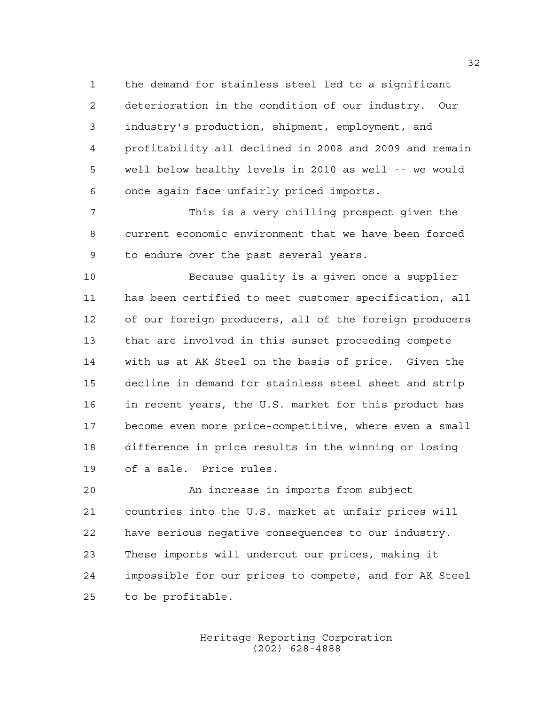the demand for stainless steel led to a significant deterioration in the condition of our industry. Our industry's production, shipment, employment, and profitability all declined in 2008 and 2009 and remain well below healthy levels in 2010 as well -- we would once again face unfairly priced imports.

 This is a very chilling prospect given the current economic environment that we have been forced to endure over the past several years.

 Because quality is a given once a supplier has been certified to meet customer specification, all of our foreign producers, all of the foreign producers that are involved in this sunset proceeding compete with us at AK Steel on the basis of price. Given the decline in demand for stainless steel sheet and strip in recent years, the U.S. market for this product has become even more price-competitive, where even a small difference in price results in the winning or losing of a sale. Price rules.

 An increase in imports from subject countries into the U.S. market at unfair prices will have serious negative consequences to our industry. These imports will undercut our prices, making it impossible for our prices to compete, and for AK Steel to be profitable.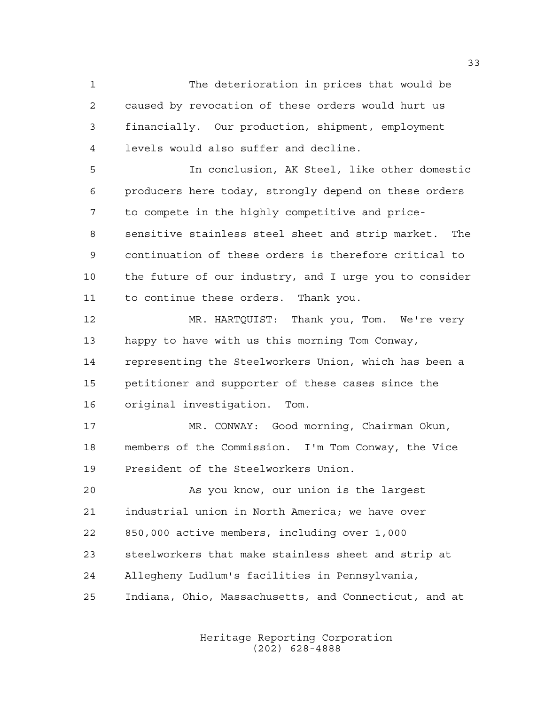The deterioration in prices that would be caused by revocation of these orders would hurt us financially. Our production, shipment, employment levels would also suffer and decline.

 In conclusion, AK Steel, like other domestic producers here today, strongly depend on these orders to compete in the highly competitive and price- sensitive stainless steel sheet and strip market. The continuation of these orders is therefore critical to the future of our industry, and I urge you to consider to continue these orders. Thank you.

 MR. HARTQUIST: Thank you, Tom. We're very happy to have with us this morning Tom Conway, representing the Steelworkers Union, which has been a petitioner and supporter of these cases since the original investigation. Tom.

 MR. CONWAY: Good morning, Chairman Okun, members of the Commission. I'm Tom Conway, the Vice President of the Steelworkers Union.

 As you know, our union is the largest industrial union in North America; we have over 850,000 active members, including over 1,000 steelworkers that make stainless sheet and strip at Allegheny Ludlum's facilities in Pennsylvania, Indiana, Ohio, Massachusetts, and Connecticut, and at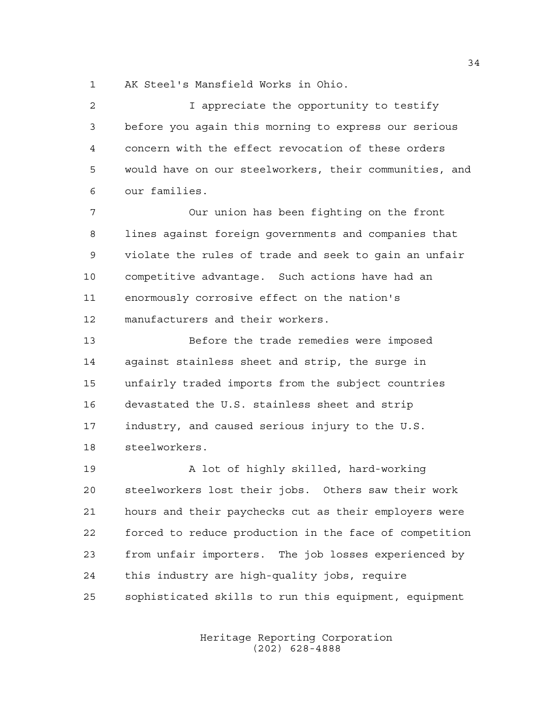AK Steel's Mansfield Works in Ohio.

| 2  | I appreciate the opportunity to testify                |
|----|--------------------------------------------------------|
| 3  | before you again this morning to express our serious   |
| 4  | concern with the effect revocation of these orders     |
| 5  | would have on our steelworkers, their communities, and |
| 6  | our families.                                          |
| 7  | Our union has been fighting on the front               |
| 8  | lines against foreign governments and companies that   |
| 9  | violate the rules of trade and seek to gain an unfair  |
| 10 | competitive advantage. Such actions have had an        |
| 11 | enormously corrosive effect on the nation's            |
| 12 | manufacturers and their workers.                       |
| 13 | Before the trade remedies were imposed                 |
| 14 | against stainless sheet and strip, the surge in        |
| 15 | unfairly traded imports from the subject countries     |
| 16 | devastated the U.S. stainless sheet and strip          |
| 17 | industry, and caused serious injury to the U.S.        |
| 18 | steelworkers.                                          |
| 19 | A lot of highly skilled, hard-working                  |
| 20 | steelworkers lost their jobs. Others saw their work    |
| 21 | hours and their paychecks cut as their employers were  |
| 22 | forced to reduce production in the face of competition |
| 23 | from unfair importers. The job losses experienced by   |
| 24 | this industry are high-quality jobs, require           |
| 25 | sophisticated skills to run this equipment, equipment  |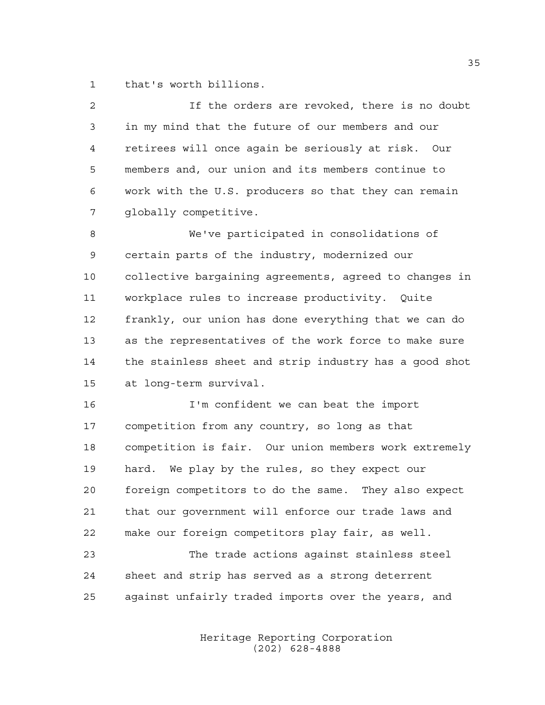that's worth billions.

| $\overline{a}$ | If the orders are revoked, there is no doubt           |
|----------------|--------------------------------------------------------|
| 3              | in my mind that the future of our members and our      |
| 4              | retirees will once again be seriously at risk. Our     |
| 5              | members and, our union and its members continue to     |
| 6              | work with the U.S. producers so that they can remain   |
| 7              | globally competitive.                                  |
| 8              | We've participated in consolidations of                |
| 9              | certain parts of the industry, modernized our          |
| 10             | collective bargaining agreements, agreed to changes in |
| 11             | workplace rules to increase productivity. Quite        |
| 12             | frankly, our union has done everything that we can do  |
| 13             | as the representatives of the work force to make sure  |
| 14             | the stainless sheet and strip industry has a good shot |
| 15             | at long-term survival.                                 |
| 16             | I'm confident we can beat the import                   |
| 17             | competition from any country, so long as that          |
| 18             | competition is fair. Our union members work extremely  |
| 19             | hard. We play by the rules, so they expect our         |
| 20             | foreign competitors to do the same. They also expect   |
| 21             | that our government will enforce our trade laws and    |
| 22             | make our foreign competitors play fair, as well.       |
| 23             | The trade actions against stainless steel              |
| 24             | sheet and strip has served as a strong deterrent       |
| 25             | against unfairly traded imports over the years, and    |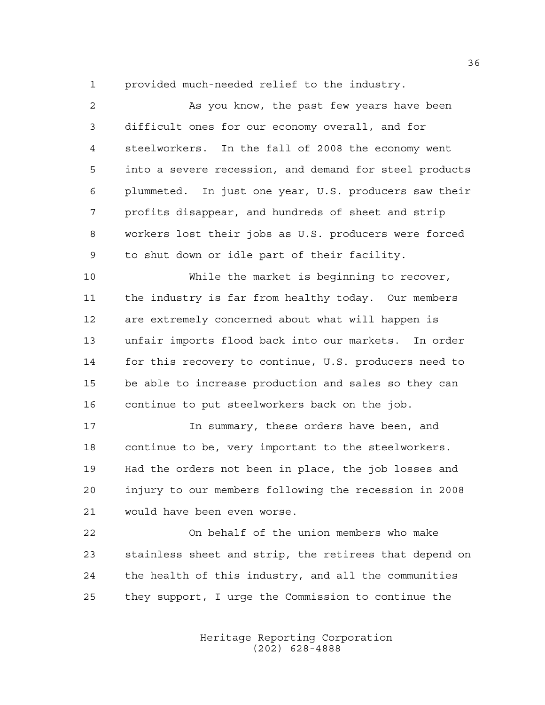provided much-needed relief to the industry.

 As you know, the past few years have been difficult ones for our economy overall, and for steelworkers. In the fall of 2008 the economy went into a severe recession, and demand for steel products plummeted. In just one year, U.S. producers saw their profits disappear, and hundreds of sheet and strip workers lost their jobs as U.S. producers were forced to shut down or idle part of their facility. While the market is beginning to recover,

 the industry is far from healthy today. Our members are extremely concerned about what will happen is unfair imports flood back into our markets. In order for this recovery to continue, U.S. producers need to be able to increase production and sales so they can continue to put steelworkers back on the job.

17 17 In summary, these orders have been, and continue to be, very important to the steelworkers. Had the orders not been in place, the job losses and injury to our members following the recession in 2008 would have been even worse.

 On behalf of the union members who make stainless sheet and strip, the retirees that depend on the health of this industry, and all the communities they support, I urge the Commission to continue the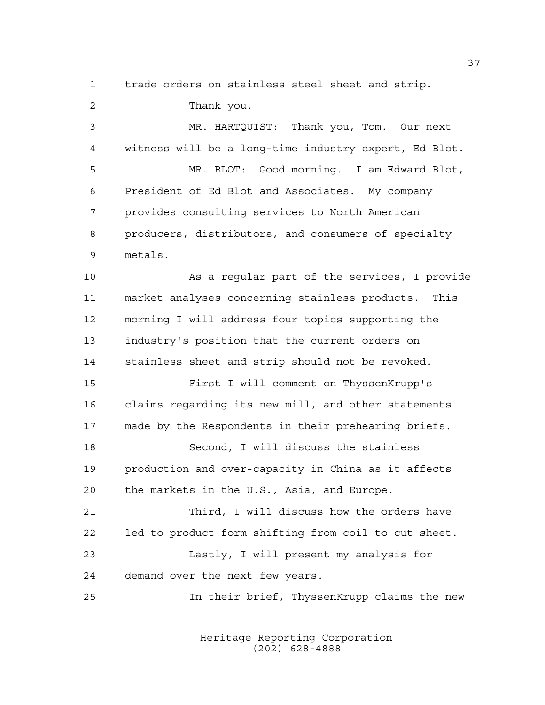trade orders on stainless steel sheet and strip.

 Thank you. MR. HARTQUIST: Thank you, Tom. Our next witness will be a long-time industry expert, Ed Blot. MR. BLOT: Good morning. I am Edward Blot, President of Ed Blot and Associates. My company provides consulting services to North American producers, distributors, and consumers of specialty metals. As a regular part of the services, I provide market analyses concerning stainless products. This morning I will address four topics supporting the industry's position that the current orders on stainless sheet and strip should not be revoked. First I will comment on ThyssenKrupp's claims regarding its new mill, and other statements made by the Respondents in their prehearing briefs. Second, I will discuss the stainless production and over-capacity in China as it affects the markets in the U.S., Asia, and Europe. Third, I will discuss how the orders have led to product form shifting from coil to cut sheet. Lastly, I will present my analysis for demand over the next few years. In their brief, ThyssenKrupp claims the new

> Heritage Reporting Corporation (202) 628-4888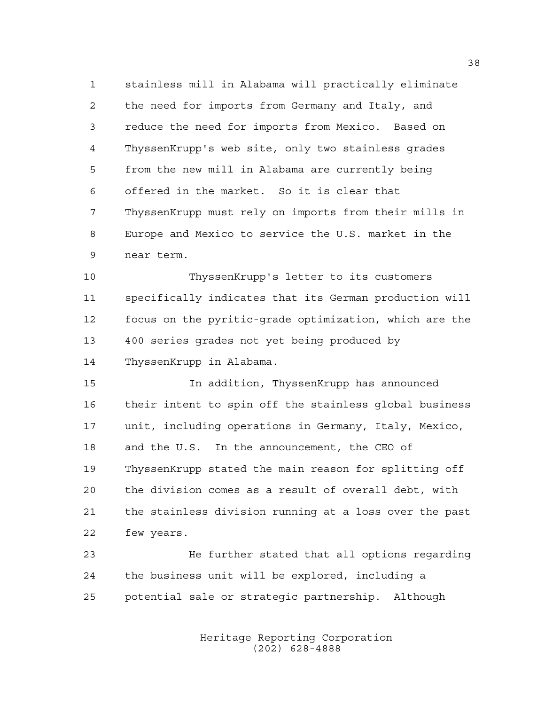stainless mill in Alabama will practically eliminate the need for imports from Germany and Italy, and reduce the need for imports from Mexico. Based on ThyssenKrupp's web site, only two stainless grades from the new mill in Alabama are currently being offered in the market. So it is clear that ThyssenKrupp must rely on imports from their mills in Europe and Mexico to service the U.S. market in the near term.

 ThyssenKrupp's letter to its customers specifically indicates that its German production will focus on the pyritic-grade optimization, which are the 400 series grades not yet being produced by ThyssenKrupp in Alabama.

 In addition, ThyssenKrupp has announced their intent to spin off the stainless global business unit, including operations in Germany, Italy, Mexico, and the U.S. In the announcement, the CEO of ThyssenKrupp stated the main reason for splitting off the division comes as a result of overall debt, with the stainless division running at a loss over the past few years.

 He further stated that all options regarding the business unit will be explored, including a potential sale or strategic partnership. Although

> Heritage Reporting Corporation (202) 628-4888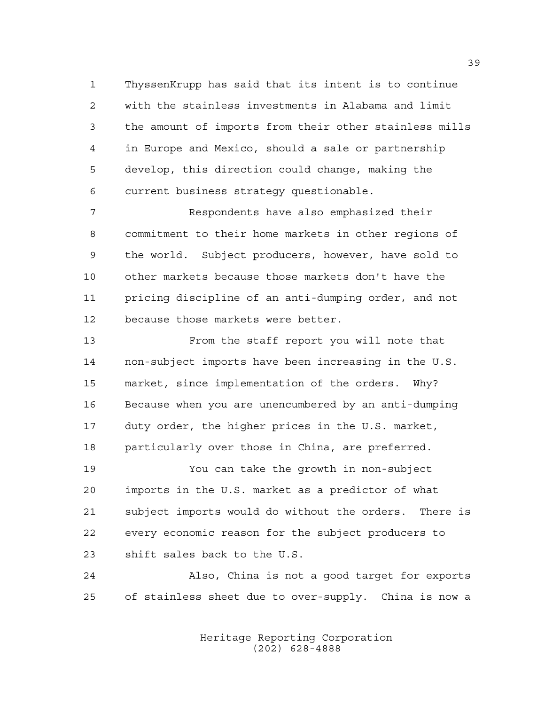ThyssenKrupp has said that its intent is to continue with the stainless investments in Alabama and limit the amount of imports from their other stainless mills in Europe and Mexico, should a sale or partnership develop, this direction could change, making the current business strategy questionable.

 Respondents have also emphasized their commitment to their home markets in other regions of the world. Subject producers, however, have sold to other markets because those markets don't have the pricing discipline of an anti-dumping order, and not because those markets were better.

 From the staff report you will note that non-subject imports have been increasing in the U.S. market, since implementation of the orders. Why? Because when you are unencumbered by an anti-dumping duty order, the higher prices in the U.S. market, particularly over those in China, are preferred.

 You can take the growth in non-subject imports in the U.S. market as a predictor of what subject imports would do without the orders. There is every economic reason for the subject producers to shift sales back to the U.S.

 Also, China is not a good target for exports of stainless sheet due to over-supply. China is now a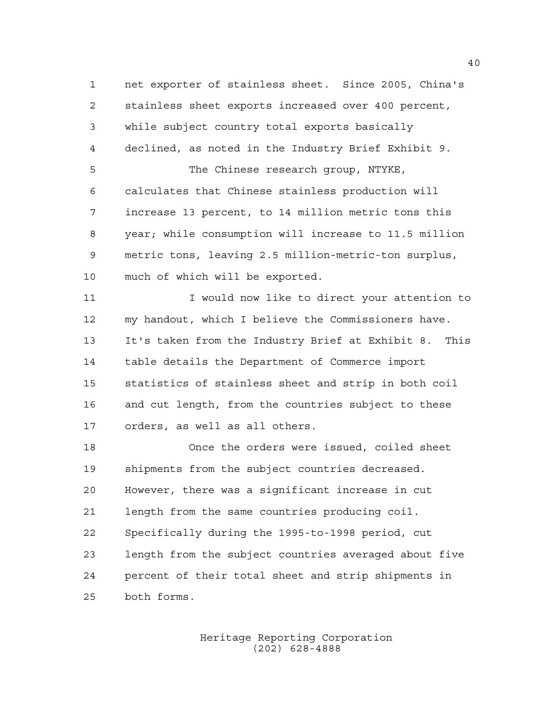net exporter of stainless sheet. Since 2005, China's stainless sheet exports increased over 400 percent, while subject country total exports basically declined, as noted in the Industry Brief Exhibit 9. The Chinese research group, NTYKE, calculates that Chinese stainless production will increase 13 percent, to 14 million metric tons this year; while consumption will increase to 11.5 million metric tons, leaving 2.5 million-metric-ton surplus, much of which will be exported.

 I would now like to direct your attention to my handout, which I believe the Commissioners have. It's taken from the Industry Brief at Exhibit 8. This table details the Department of Commerce import statistics of stainless sheet and strip in both coil and cut length, from the countries subject to these orders, as well as all others.

 Once the orders were issued, coiled sheet shipments from the subject countries decreased. However, there was a significant increase in cut length from the same countries producing coil. Specifically during the 1995-to-1998 period, cut length from the subject countries averaged about five percent of their total sheet and strip shipments in both forms.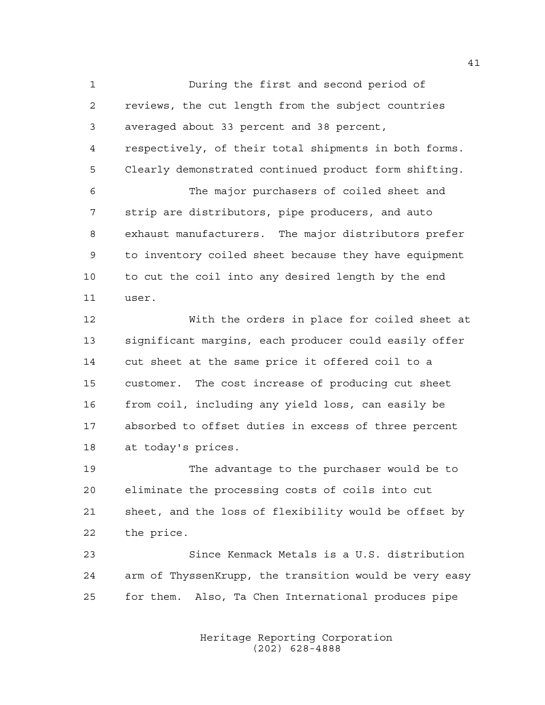During the first and second period of reviews, the cut length from the subject countries averaged about 33 percent and 38 percent, respectively, of their total shipments in both forms. Clearly demonstrated continued product form shifting. The major purchasers of coiled sheet and strip are distributors, pipe producers, and auto exhaust manufacturers. The major distributors prefer to inventory coiled sheet because they have equipment to cut the coil into any desired length by the end

user.

 With the orders in place for coiled sheet at significant margins, each producer could easily offer cut sheet at the same price it offered coil to a customer. The cost increase of producing cut sheet from coil, including any yield loss, can easily be absorbed to offset duties in excess of three percent at today's prices.

 The advantage to the purchaser would be to eliminate the processing costs of coils into cut sheet, and the loss of flexibility would be offset by the price.

 Since Kenmack Metals is a U.S. distribution arm of ThyssenKrupp, the transition would be very easy for them. Also, Ta Chen International produces pipe

> Heritage Reporting Corporation (202) 628-4888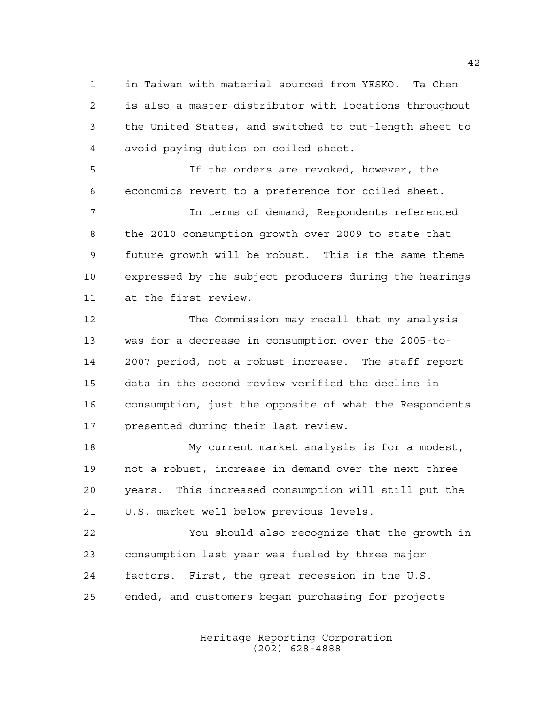in Taiwan with material sourced from YESKO. Ta Chen is also a master distributor with locations throughout the United States, and switched to cut-length sheet to avoid paying duties on coiled sheet.

 If the orders are revoked, however, the economics revert to a preference for coiled sheet.

 In terms of demand, Respondents referenced the 2010 consumption growth over 2009 to state that future growth will be robust. This is the same theme expressed by the subject producers during the hearings at the first review.

 The Commission may recall that my analysis was for a decrease in consumption over the 2005-to- 2007 period, not a robust increase. The staff report data in the second review verified the decline in consumption, just the opposite of what the Respondents presented during their last review.

 My current market analysis is for a modest, not a robust, increase in demand over the next three years. This increased consumption will still put the U.S. market well below previous levels.

 You should also recognize that the growth in consumption last year was fueled by three major factors. First, the great recession in the U.S. ended, and customers began purchasing for projects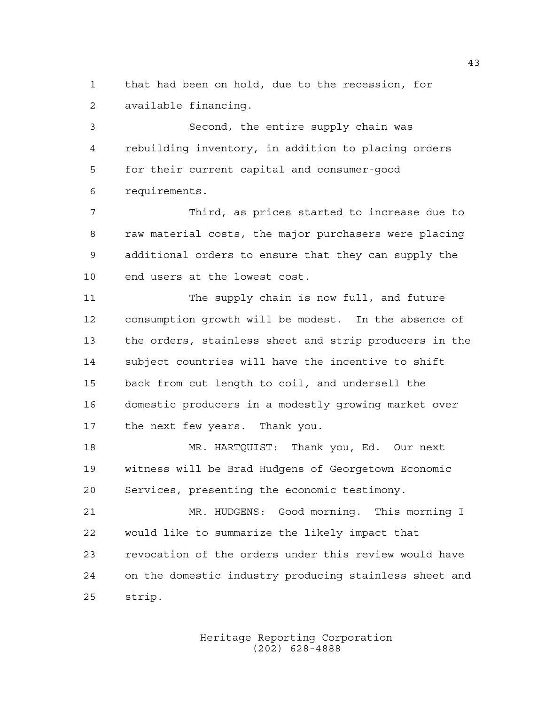that had been on hold, due to the recession, for available financing.

 Second, the entire supply chain was rebuilding inventory, in addition to placing orders for their current capital and consumer-good requirements.

 Third, as prices started to increase due to raw material costs, the major purchasers were placing additional orders to ensure that they can supply the end users at the lowest cost.

 The supply chain is now full, and future consumption growth will be modest. In the absence of the orders, stainless sheet and strip producers in the subject countries will have the incentive to shift back from cut length to coil, and undersell the domestic producers in a modestly growing market over the next few years. Thank you.

 MR. HARTQUIST: Thank you, Ed. Our next witness will be Brad Hudgens of Georgetown Economic Services, presenting the economic testimony.

 MR. HUDGENS: Good morning. This morning I would like to summarize the likely impact that revocation of the orders under this review would have on the domestic industry producing stainless sheet and strip.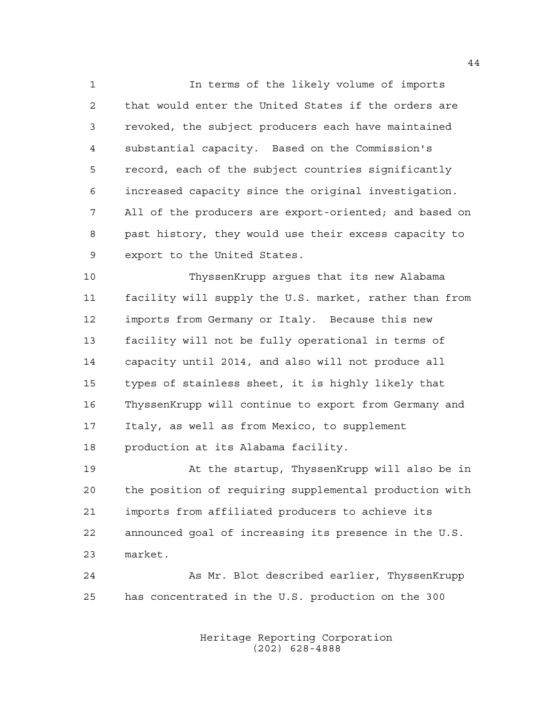In terms of the likely volume of imports that would enter the United States if the orders are revoked, the subject producers each have maintained substantial capacity. Based on the Commission's record, each of the subject countries significantly increased capacity since the original investigation. All of the producers are export-oriented; and based on past history, they would use their excess capacity to export to the United States.

 ThyssenKrupp argues that its new Alabama facility will supply the U.S. market, rather than from imports from Germany or Italy. Because this new facility will not be fully operational in terms of capacity until 2014, and also will not produce all types of stainless sheet, it is highly likely that ThyssenKrupp will continue to export from Germany and Italy, as well as from Mexico, to supplement production at its Alabama facility.

 At the startup, ThyssenKrupp will also be in the position of requiring supplemental production with imports from affiliated producers to achieve its announced goal of increasing its presence in the U.S. market.

 As Mr. Blot described earlier, ThyssenKrupp has concentrated in the U.S. production on the 300

> Heritage Reporting Corporation (202) 628-4888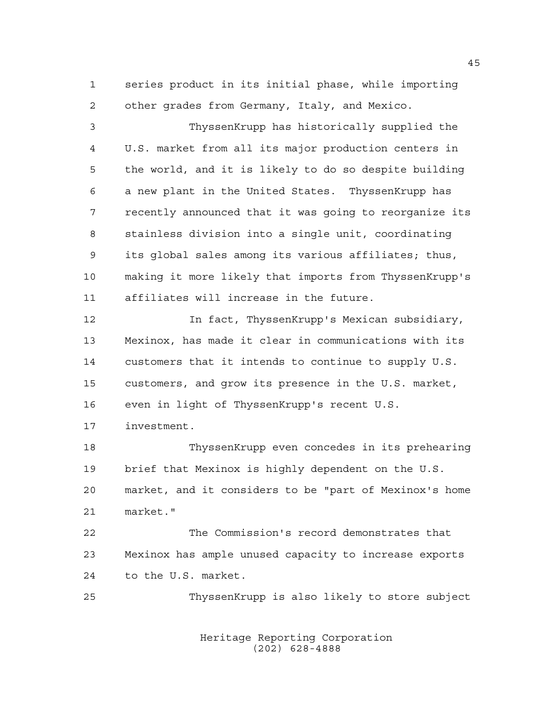series product in its initial phase, while importing other grades from Germany, Italy, and Mexico.

 ThyssenKrupp has historically supplied the U.S. market from all its major production centers in the world, and it is likely to do so despite building a new plant in the United States. ThyssenKrupp has recently announced that it was going to reorganize its stainless division into a single unit, coordinating its global sales among its various affiliates; thus, making it more likely that imports from ThyssenKrupp's affiliates will increase in the future.

 In fact, ThyssenKrupp's Mexican subsidiary, Mexinox, has made it clear in communications with its customers that it intends to continue to supply U.S. customers, and grow its presence in the U.S. market, even in light of ThyssenKrupp's recent U.S.

investment.

 ThyssenKrupp even concedes in its prehearing brief that Mexinox is highly dependent on the U.S. market, and it considers to be "part of Mexinox's home market."

 The Commission's record demonstrates that Mexinox has ample unused capacity to increase exports to the U.S. market.

ThyssenKrupp is also likely to store subject

Heritage Reporting Corporation (202) 628-4888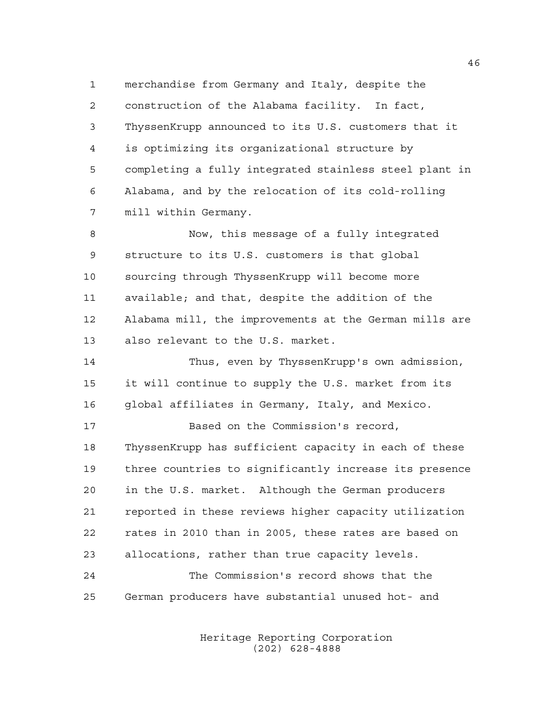merchandise from Germany and Italy, despite the construction of the Alabama facility. In fact, ThyssenKrupp announced to its U.S. customers that it is optimizing its organizational structure by completing a fully integrated stainless steel plant in Alabama, and by the relocation of its cold-rolling mill within Germany.

 Now, this message of a fully integrated structure to its U.S. customers is that global sourcing through ThyssenKrupp will become more available; and that, despite the addition of the Alabama mill, the improvements at the German mills are also relevant to the U.S. market.

 Thus, even by ThyssenKrupp's own admission, it will continue to supply the U.S. market from its global affiliates in Germany, Italy, and Mexico.

 Based on the Commission's record, ThyssenKrupp has sufficient capacity in each of these three countries to significantly increase its presence in the U.S. market. Although the German producers reported in these reviews higher capacity utilization rates in 2010 than in 2005, these rates are based on allocations, rather than true capacity levels.

 The Commission's record shows that the German producers have substantial unused hot- and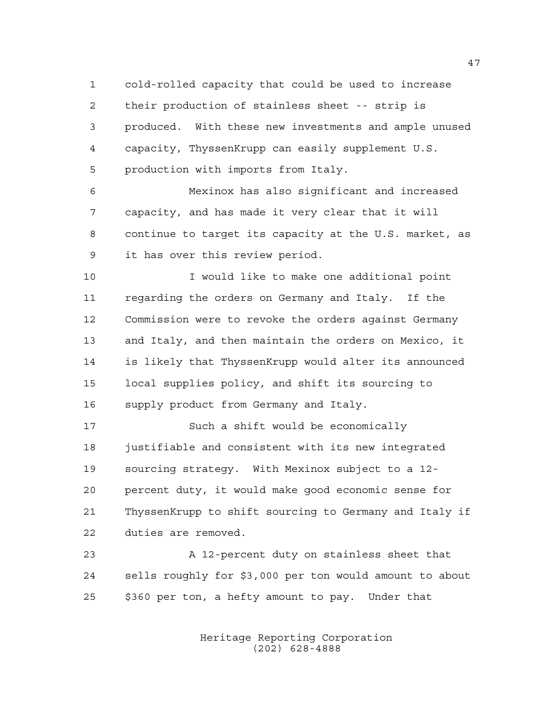cold-rolled capacity that could be used to increase their production of stainless sheet -- strip is produced. With these new investments and ample unused capacity, ThyssenKrupp can easily supplement U.S. production with imports from Italy.

 Mexinox has also significant and increased capacity, and has made it very clear that it will continue to target its capacity at the U.S. market, as it has over this review period.

 I would like to make one additional point regarding the orders on Germany and Italy. If the Commission were to revoke the orders against Germany and Italy, and then maintain the orders on Mexico, it is likely that ThyssenKrupp would alter its announced local supplies policy, and shift its sourcing to supply product from Germany and Italy.

 Such a shift would be economically 18 justifiable and consistent with its new integrated sourcing strategy. With Mexinox subject to a 12- percent duty, it would make good economic sense for ThyssenKrupp to shift sourcing to Germany and Italy if duties are removed.

 A 12-percent duty on stainless sheet that sells roughly for \$3,000 per ton would amount to about \$360 per ton, a hefty amount to pay. Under that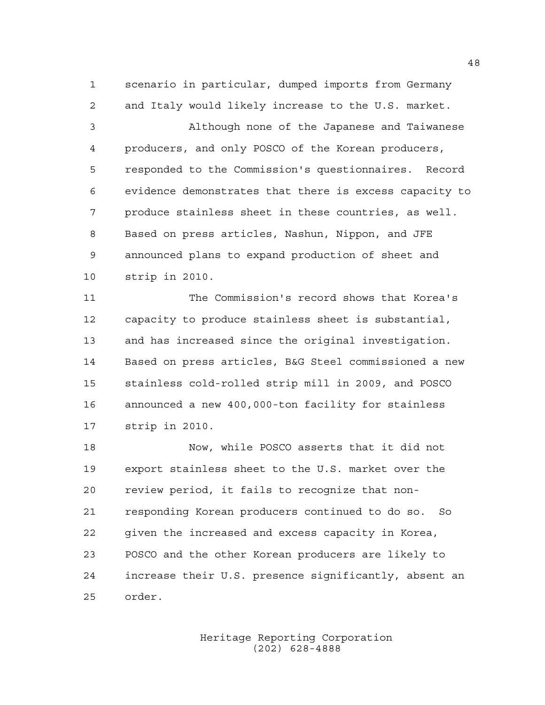scenario in particular, dumped imports from Germany and Italy would likely increase to the U.S. market.

 Although none of the Japanese and Taiwanese producers, and only POSCO of the Korean producers, responded to the Commission's questionnaires. Record evidence demonstrates that there is excess capacity to produce stainless sheet in these countries, as well. Based on press articles, Nashun, Nippon, and JFE announced plans to expand production of sheet and strip in 2010.

 The Commission's record shows that Korea's capacity to produce stainless sheet is substantial, and has increased since the original investigation. Based on press articles, B&G Steel commissioned a new stainless cold-rolled strip mill in 2009, and POSCO announced a new 400,000-ton facility for stainless strip in 2010.

 Now, while POSCO asserts that it did not export stainless sheet to the U.S. market over the review period, it fails to recognize that non- responding Korean producers continued to do so. So given the increased and excess capacity in Korea, POSCO and the other Korean producers are likely to increase their U.S. presence significantly, absent an order.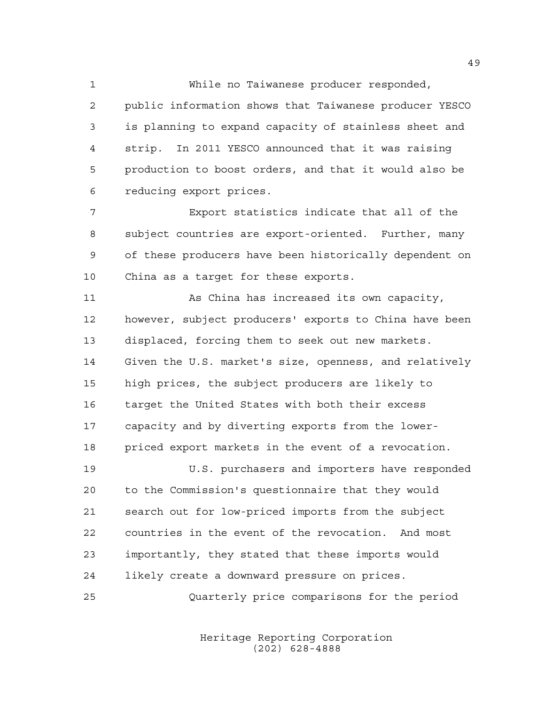While no Taiwanese producer responded, public information shows that Taiwanese producer YESCO is planning to expand capacity of stainless sheet and strip. In 2011 YESCO announced that it was raising production to boost orders, and that it would also be reducing export prices.

 Export statistics indicate that all of the subject countries are export-oriented. Further, many of these producers have been historically dependent on China as a target for these exports.

 As China has increased its own capacity, however, subject producers' exports to China have been displaced, forcing them to seek out new markets. Given the U.S. market's size, openness, and relatively high prices, the subject producers are likely to target the United States with both their excess capacity and by diverting exports from the lower-priced export markets in the event of a revocation.

 U.S. purchasers and importers have responded to the Commission's questionnaire that they would search out for low-priced imports from the subject countries in the event of the revocation. And most importantly, they stated that these imports would likely create a downward pressure on prices.

Quarterly price comparisons for the period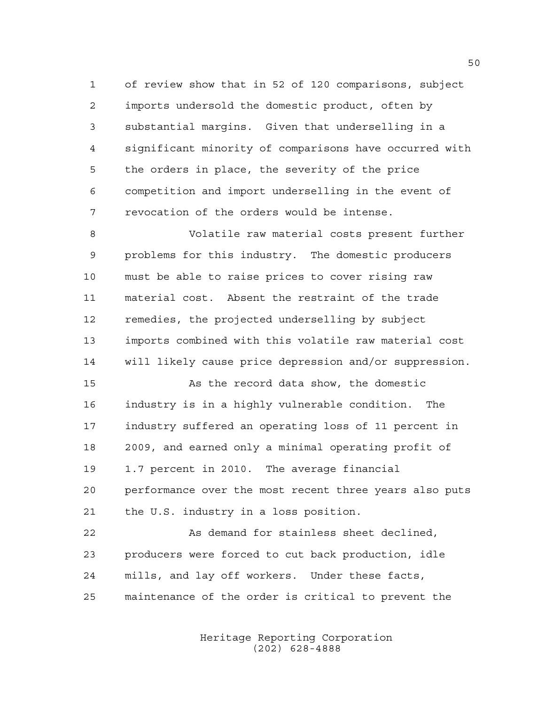of review show that in 52 of 120 comparisons, subject imports undersold the domestic product, often by substantial margins. Given that underselling in a significant minority of comparisons have occurred with the orders in place, the severity of the price competition and import underselling in the event of revocation of the orders would be intense.

 Volatile raw material costs present further problems for this industry. The domestic producers must be able to raise prices to cover rising raw material cost. Absent the restraint of the trade remedies, the projected underselling by subject imports combined with this volatile raw material cost will likely cause price depression and/or suppression.

 As the record data show, the domestic industry is in a highly vulnerable condition. The industry suffered an operating loss of 11 percent in 2009, and earned only a minimal operating profit of 1.7 percent in 2010. The average financial performance over the most recent three years also puts the U.S. industry in a loss position.

 As demand for stainless sheet declined, producers were forced to cut back production, idle mills, and lay off workers. Under these facts, maintenance of the order is critical to prevent the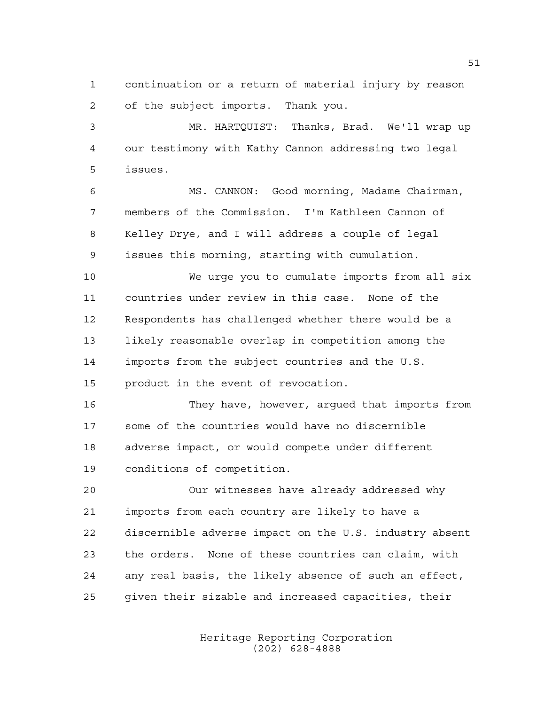continuation or a return of material injury by reason of the subject imports. Thank you.

 MR. HARTQUIST: Thanks, Brad. We'll wrap up our testimony with Kathy Cannon addressing two legal issues.

 MS. CANNON: Good morning, Madame Chairman, members of the Commission. I'm Kathleen Cannon of Kelley Drye, and I will address a couple of legal issues this morning, starting with cumulation.

 We urge you to cumulate imports from all six countries under review in this case. None of the Respondents has challenged whether there would be a likely reasonable overlap in competition among the imports from the subject countries and the U.S. 15 product in the event of revocation.

 They have, however, argued that imports from some of the countries would have no discernible adverse impact, or would compete under different conditions of competition.

 Our witnesses have already addressed why imports from each country are likely to have a discernible adverse impact on the U.S. industry absent the orders. None of these countries can claim, with any real basis, the likely absence of such an effect, given their sizable and increased capacities, their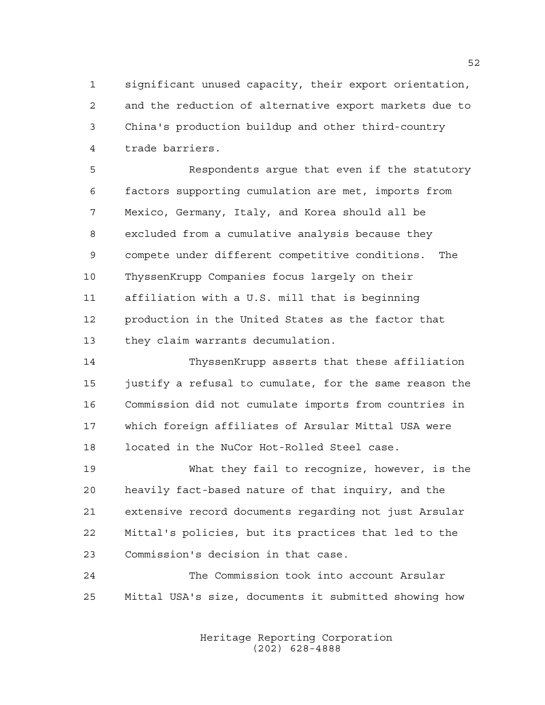significant unused capacity, their export orientation, and the reduction of alternative export markets due to China's production buildup and other third-country trade barriers.

 Respondents argue that even if the statutory factors supporting cumulation are met, imports from Mexico, Germany, Italy, and Korea should all be excluded from a cumulative analysis because they compete under different competitive conditions. The ThyssenKrupp Companies focus largely on their affiliation with a U.S. mill that is beginning production in the United States as the factor that they claim warrants decumulation.

 ThyssenKrupp asserts that these affiliation justify a refusal to cumulate, for the same reason the Commission did not cumulate imports from countries in which foreign affiliates of Arsular Mittal USA were located in the NuCor Hot-Rolled Steel case.

 What they fail to recognize, however, is the heavily fact-based nature of that inquiry, and the extensive record documents regarding not just Arsular Mittal's policies, but its practices that led to the Commission's decision in that case.

 The Commission took into account Arsular Mittal USA's size, documents it submitted showing how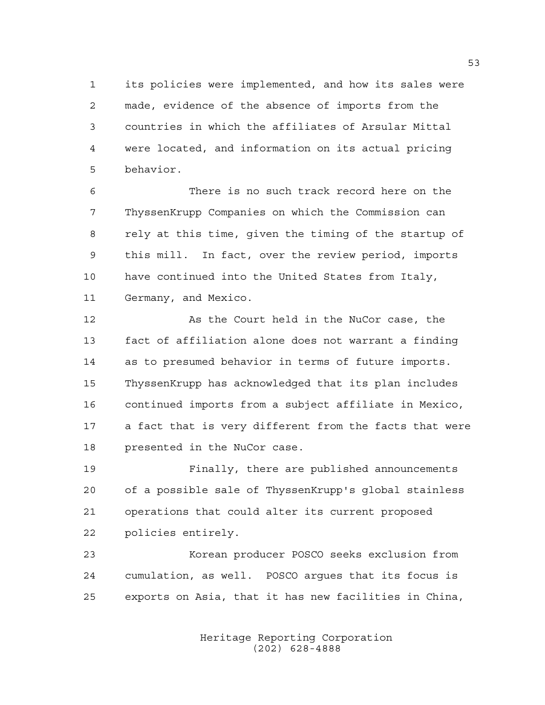its policies were implemented, and how its sales were made, evidence of the absence of imports from the countries in which the affiliates of Arsular Mittal were located, and information on its actual pricing behavior.

 There is no such track record here on the ThyssenKrupp Companies on which the Commission can rely at this time, given the timing of the startup of this mill. In fact, over the review period, imports have continued into the United States from Italy, Germany, and Mexico.

 As the Court held in the NuCor case, the fact of affiliation alone does not warrant a finding as to presumed behavior in terms of future imports. ThyssenKrupp has acknowledged that its plan includes continued imports from a subject affiliate in Mexico, a fact that is very different from the facts that were presented in the NuCor case.

 Finally, there are published announcements of a possible sale of ThyssenKrupp's global stainless operations that could alter its current proposed policies entirely.

 Korean producer POSCO seeks exclusion from cumulation, as well. POSCO argues that its focus is exports on Asia, that it has new facilities in China,

> Heritage Reporting Corporation (202) 628-4888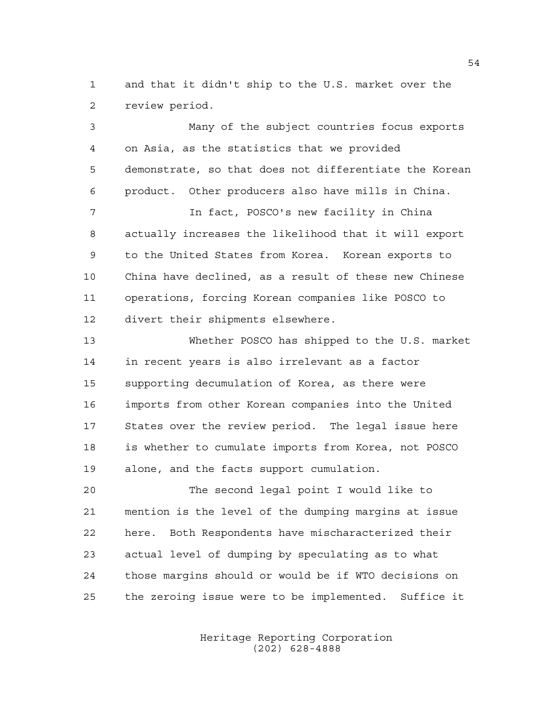and that it didn't ship to the U.S. market over the review period.

 Many of the subject countries focus exports on Asia, as the statistics that we provided demonstrate, so that does not differentiate the Korean product. Other producers also have mills in China. In fact, POSCO's new facility in China actually increases the likelihood that it will export to the United States from Korea. Korean exports to China have declined, as a result of these new Chinese operations, forcing Korean companies like POSCO to divert their shipments elsewhere. Whether POSCO has shipped to the U.S. market in recent years is also irrelevant as a factor supporting decumulation of Korea, as there were imports from other Korean companies into the United States over the review period. The legal issue here is whether to cumulate imports from Korea, not POSCO alone, and the facts support cumulation.

 The second legal point I would like to mention is the level of the dumping margins at issue here. Both Respondents have mischaracterized their actual level of dumping by speculating as to what those margins should or would be if WTO decisions on the zeroing issue were to be implemented. Suffice it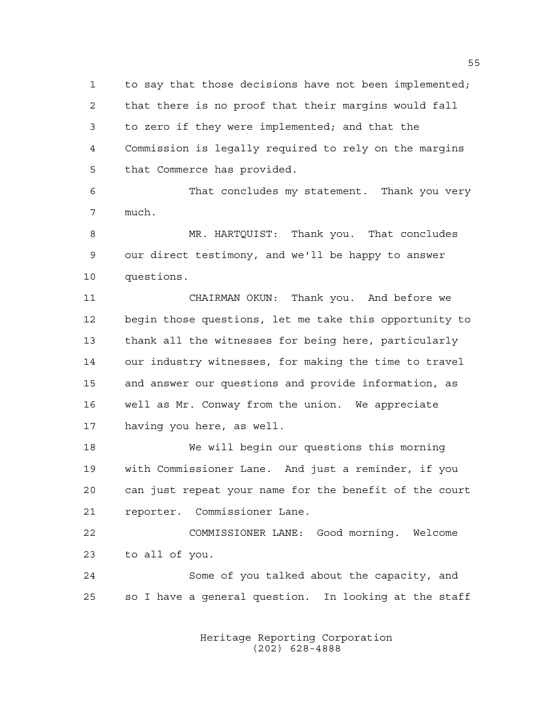to say that those decisions have not been implemented; that there is no proof that their margins would fall to zero if they were implemented; and that the Commission is legally required to rely on the margins that Commerce has provided.

 That concludes my statement. Thank you very much.

 MR. HARTQUIST: Thank you. That concludes our direct testimony, and we'll be happy to answer questions.

 CHAIRMAN OKUN: Thank you. And before we begin those questions, let me take this opportunity to thank all the witnesses for being here, particularly our industry witnesses, for making the time to travel and answer our questions and provide information, as well as Mr. Conway from the union. We appreciate having you here, as well.

 We will begin our questions this morning with Commissioner Lane. And just a reminder, if you can just repeat your name for the benefit of the court reporter. Commissioner Lane.

 COMMISSIONER LANE: Good morning. Welcome to all of you.

 Some of you talked about the capacity, and so I have a general question. In looking at the staff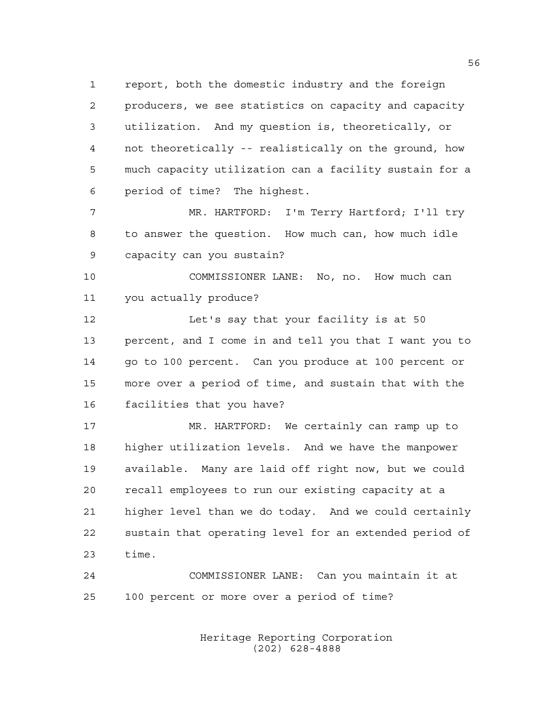report, both the domestic industry and the foreign producers, we see statistics on capacity and capacity utilization. And my question is, theoretically, or not theoretically -- realistically on the ground, how much capacity utilization can a facility sustain for a period of time? The highest.

 MR. HARTFORD: I'm Terry Hartford; I'll try to answer the question. How much can, how much idle capacity can you sustain?

 COMMISSIONER LANE: No, no. How much can you actually produce?

 Let's say that your facility is at 50 percent, and I come in and tell you that I want you to go to 100 percent. Can you produce at 100 percent or more over a period of time, and sustain that with the facilities that you have?

 MR. HARTFORD: We certainly can ramp up to higher utilization levels. And we have the manpower available. Many are laid off right now, but we could recall employees to run our existing capacity at a higher level than we do today. And we could certainly sustain that operating level for an extended period of time.

 COMMISSIONER LANE: Can you maintain it at 100 percent or more over a period of time?

> Heritage Reporting Corporation (202) 628-4888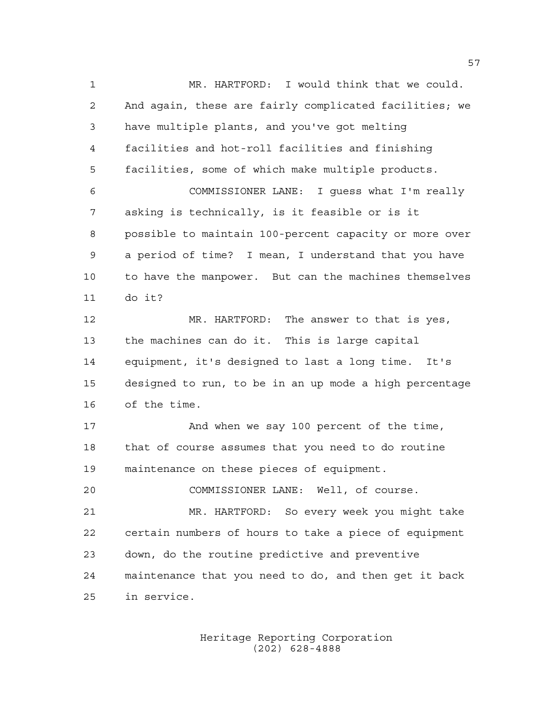MR. HARTFORD: I would think that we could. And again, these are fairly complicated facilities; we have multiple plants, and you've got melting facilities and hot-roll facilities and finishing facilities, some of which make multiple products. COMMISSIONER LANE: I guess what I'm really asking is technically, is it feasible or is it possible to maintain 100-percent capacity or more over a period of time? I mean, I understand that you have to have the manpower. But can the machines themselves do it? MR. HARTFORD: The answer to that is yes, the machines can do it. This is large capital equipment, it's designed to last a long time. It's designed to run, to be in an up mode a high percentage of the time. 17 And when we say 100 percent of the time, that of course assumes that you need to do routine maintenance on these pieces of equipment. COMMISSIONER LANE: Well, of course. MR. HARTFORD: So every week you might take certain numbers of hours to take a piece of equipment down, do the routine predictive and preventive maintenance that you need to do, and then get it back in service.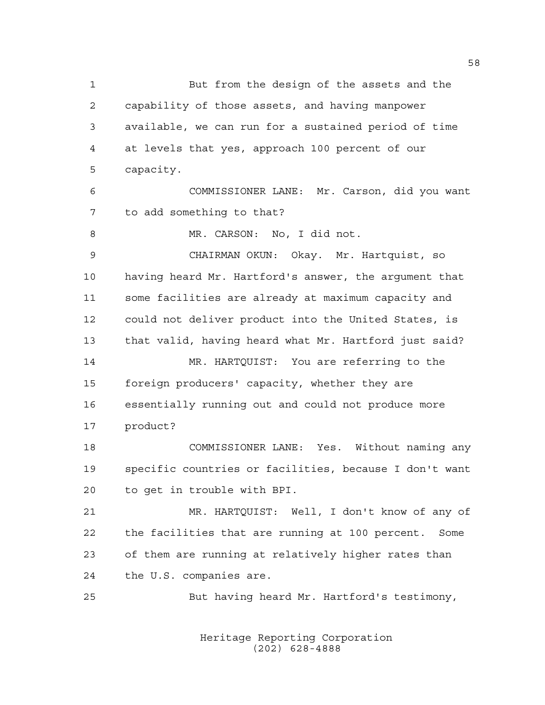But from the design of the assets and the capability of those assets, and having manpower available, we can run for a sustained period of time at levels that yes, approach 100 percent of our capacity. COMMISSIONER LANE: Mr. Carson, did you want to add something to that? 8 MR. CARSON: No, I did not. CHAIRMAN OKUN: Okay. Mr. Hartquist, so having heard Mr. Hartford's answer, the argument that some facilities are already at maximum capacity and could not deliver product into the United States, is that valid, having heard what Mr. Hartford just said? MR. HARTQUIST: You are referring to the foreign producers' capacity, whether they are essentially running out and could not produce more product? COMMISSIONER LANE: Yes. Without naming any specific countries or facilities, because I don't want to get in trouble with BPI. MR. HARTQUIST: Well, I don't know of any of the facilities that are running at 100 percent. Some of them are running at relatively higher rates than the U.S. companies are. But having heard Mr. Hartford's testimony,

> Heritage Reporting Corporation (202) 628-4888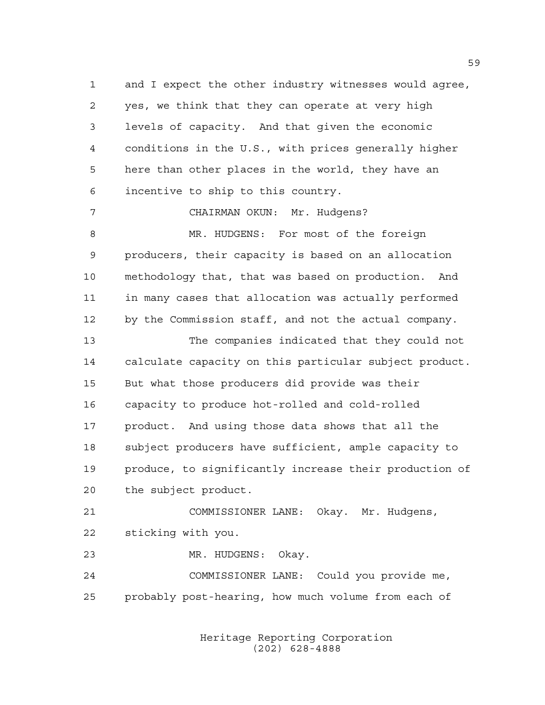and I expect the other industry witnesses would agree, yes, we think that they can operate at very high levels of capacity. And that given the economic conditions in the U.S., with prices generally higher here than other places in the world, they have an incentive to ship to this country.

 MR. HUDGENS: For most of the foreign producers, their capacity is based on an allocation methodology that, that was based on production. And in many cases that allocation was actually performed by the Commission staff, and not the actual company.

CHAIRMAN OKUN: Mr. Hudgens?

 The companies indicated that they could not calculate capacity on this particular subject product. But what those producers did provide was their capacity to produce hot-rolled and cold-rolled product. And using those data shows that all the subject producers have sufficient, ample capacity to produce, to significantly increase their production of the subject product.

 COMMISSIONER LANE: Okay. Mr. Hudgens, sticking with you.

MR. HUDGENS: Okay.

 COMMISSIONER LANE: Could you provide me, probably post-hearing, how much volume from each of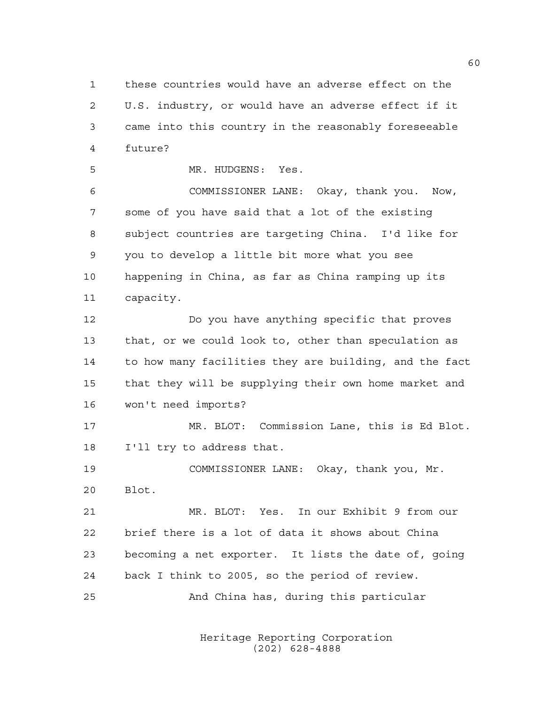these countries would have an adverse effect on the U.S. industry, or would have an adverse effect if it came into this country in the reasonably foreseeable future?

MR. HUDGENS: Yes.

 COMMISSIONER LANE: Okay, thank you. Now, some of you have said that a lot of the existing subject countries are targeting China. I'd like for you to develop a little bit more what you see happening in China, as far as China ramping up its capacity.

 Do you have anything specific that proves that, or we could look to, other than speculation as to how many facilities they are building, and the fact that they will be supplying their own home market and won't need imports?

 MR. BLOT: Commission Lane, this is Ed Blot. I'll try to address that.

 COMMISSIONER LANE: Okay, thank you, Mr. Blot.

 MR. BLOT: Yes. In our Exhibit 9 from our brief there is a lot of data it shows about China becoming a net exporter. It lists the date of, going back I think to 2005, so the period of review.

And China has, during this particular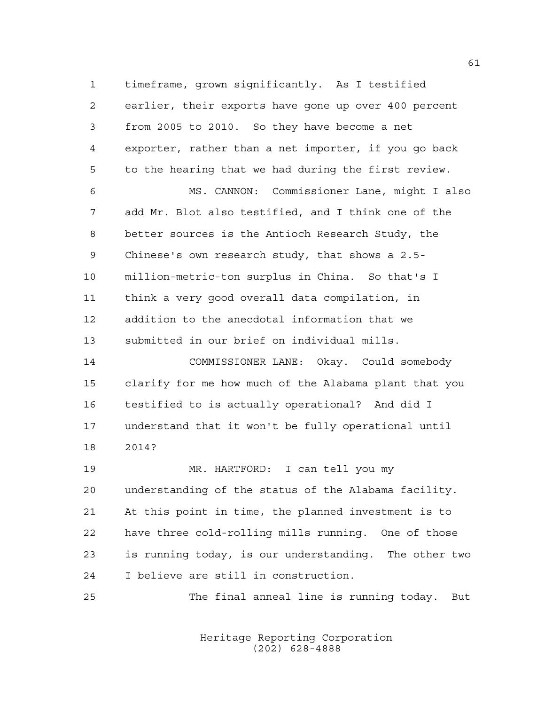timeframe, grown significantly. As I testified earlier, their exports have gone up over 400 percent from 2005 to 2010. So they have become a net exporter, rather than a net importer, if you go back to the hearing that we had during the first review.

 MS. CANNON: Commissioner Lane, might I also add Mr. Blot also testified, and I think one of the better sources is the Antioch Research Study, the Chinese's own research study, that shows a 2.5- million-metric-ton surplus in China. So that's I think a very good overall data compilation, in addition to the anecdotal information that we submitted in our brief on individual mills.

 COMMISSIONER LANE: Okay. Could somebody clarify for me how much of the Alabama plant that you testified to is actually operational? And did I understand that it won't be fully operational until 2014?

 MR. HARTFORD: I can tell you my understanding of the status of the Alabama facility. At this point in time, the planned investment is to have three cold-rolling mills running. One of those is running today, is our understanding. The other two I believe are still in construction.

The final anneal line is running today. But

Heritage Reporting Corporation (202) 628-4888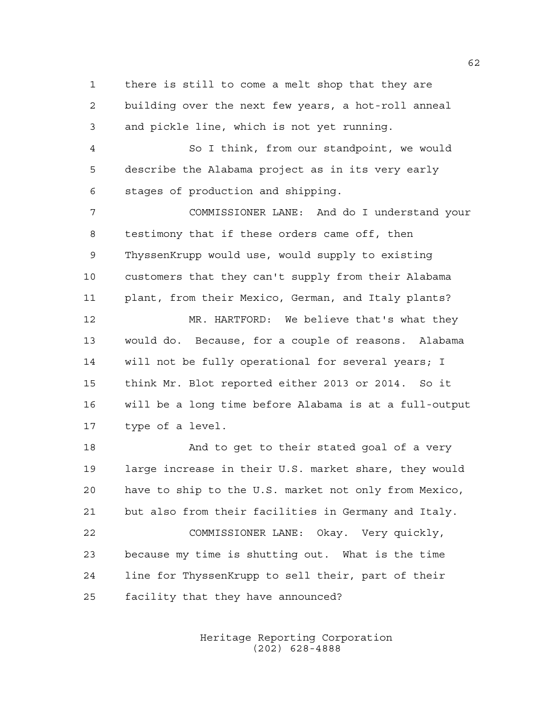there is still to come a melt shop that they are building over the next few years, a hot-roll anneal and pickle line, which is not yet running.

 So I think, from our standpoint, we would describe the Alabama project as in its very early stages of production and shipping.

 COMMISSIONER LANE: And do I understand your testimony that if these orders came off, then ThyssenKrupp would use, would supply to existing customers that they can't supply from their Alabama plant, from their Mexico, German, and Italy plants? MR. HARTFORD: We believe that's what they

 would do. Because, for a couple of reasons. Alabama will not be fully operational for several years; I think Mr. Blot reported either 2013 or 2014. So it will be a long time before Alabama is at a full-output type of a level.

18 And to get to their stated goal of a very large increase in their U.S. market share, they would have to ship to the U.S. market not only from Mexico, but also from their facilities in Germany and Italy. COMMISSIONER LANE: Okay. Very quickly, because my time is shutting out. What is the time line for ThyssenKrupp to sell their, part of their facility that they have announced?

> Heritage Reporting Corporation (202) 628-4888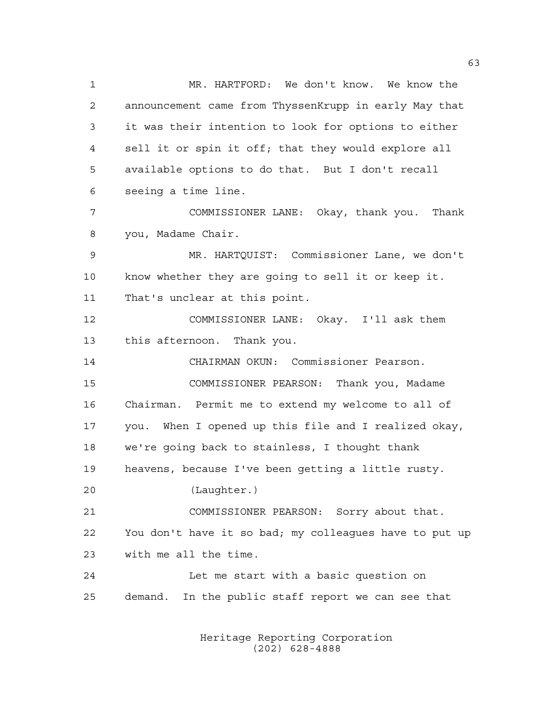MR. HARTFORD: We don't know. We know the announcement came from ThyssenKrupp in early May that it was their intention to look for options to either sell it or spin it off; that they would explore all available options to do that. But I don't recall seeing a time line. COMMISSIONER LANE: Okay, thank you. Thank you, Madame Chair. MR. HARTQUIST: Commissioner Lane, we don't know whether they are going to sell it or keep it. That's unclear at this point. COMMISSIONER LANE: Okay. I'll ask them this afternoon. Thank you. CHAIRMAN OKUN: Commissioner Pearson. COMMISSIONER PEARSON: Thank you, Madame Chairman. Permit me to extend my welcome to all of you. When I opened up this file and I realized okay, we're going back to stainless, I thought thank heavens, because I've been getting a little rusty. (Laughter.) COMMISSIONER PEARSON: Sorry about that. You don't have it so bad; my colleagues have to put up with me all the time. Let me start with a basic question on demand. In the public staff report we can see that

> Heritage Reporting Corporation (202) 628-4888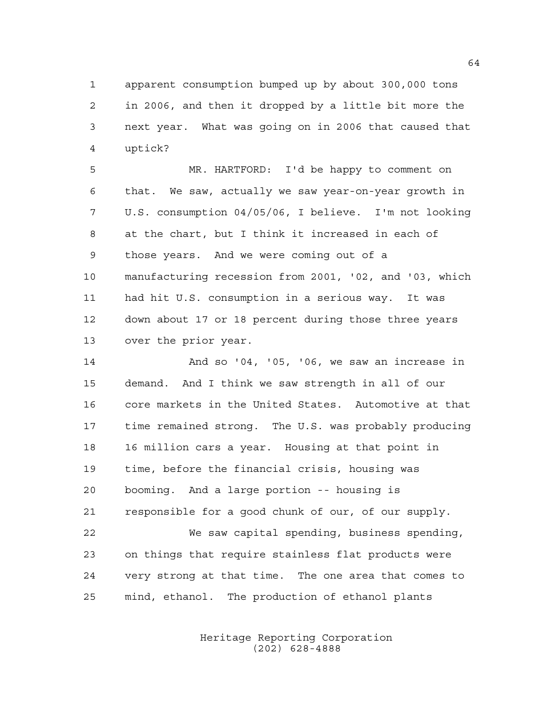apparent consumption bumped up by about 300,000 tons in 2006, and then it dropped by a little bit more the next year. What was going on in 2006 that caused that uptick?

 MR. HARTFORD: I'd be happy to comment on that. We saw, actually we saw year-on-year growth in U.S. consumption 04/05/06, I believe. I'm not looking at the chart, but I think it increased in each of those years. And we were coming out of a manufacturing recession from 2001, '02, and '03, which had hit U.S. consumption in a serious way. It was down about 17 or 18 percent during those three years over the prior year.

 And so '04, '05, '06, we saw an increase in demand. And I think we saw strength in all of our core markets in the United States. Automotive at that time remained strong. The U.S. was probably producing 16 million cars a year. Housing at that point in time, before the financial crisis, housing was booming. And a large portion -- housing is responsible for a good chunk of our, of our supply. We saw capital spending, business spending, on things that require stainless flat products were very strong at that time. The one area that comes to

mind, ethanol. The production of ethanol plants

Heritage Reporting Corporation (202) 628-4888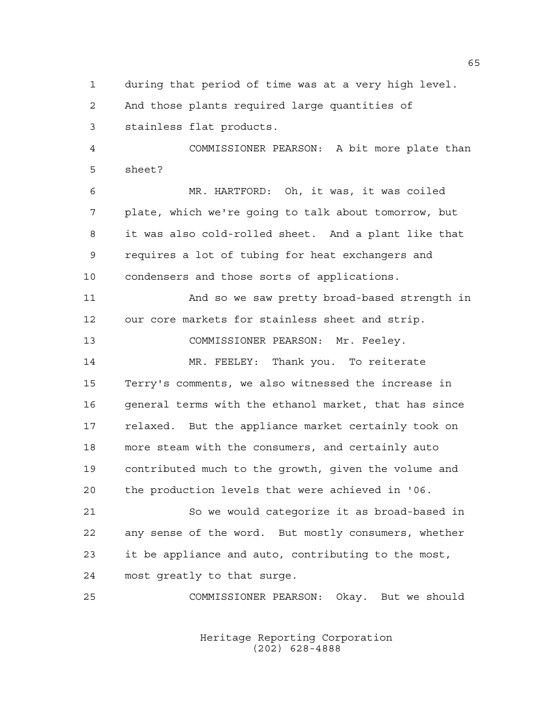during that period of time was at a very high level.

And those plants required large quantities of

stainless flat products.

 COMMISSIONER PEARSON: A bit more plate than sheet?

 MR. HARTFORD: Oh, it was, it was coiled plate, which we're going to talk about tomorrow, but it was also cold-rolled sheet. And a plant like that requires a lot of tubing for heat exchangers and condensers and those sorts of applications.

 And so we saw pretty broad-based strength in our core markets for stainless sheet and strip.

COMMISSIONER PEARSON: Mr. Feeley.

 MR. FEELEY: Thank you. To reiterate Terry's comments, we also witnessed the increase in general terms with the ethanol market, that has since relaxed. But the appliance market certainly took on more steam with the consumers, and certainly auto contributed much to the growth, given the volume and the production levels that were achieved in '06.

 So we would categorize it as broad-based in any sense of the word. But mostly consumers, whether it be appliance and auto, contributing to the most, most greatly to that surge.

COMMISSIONER PEARSON: Okay. But we should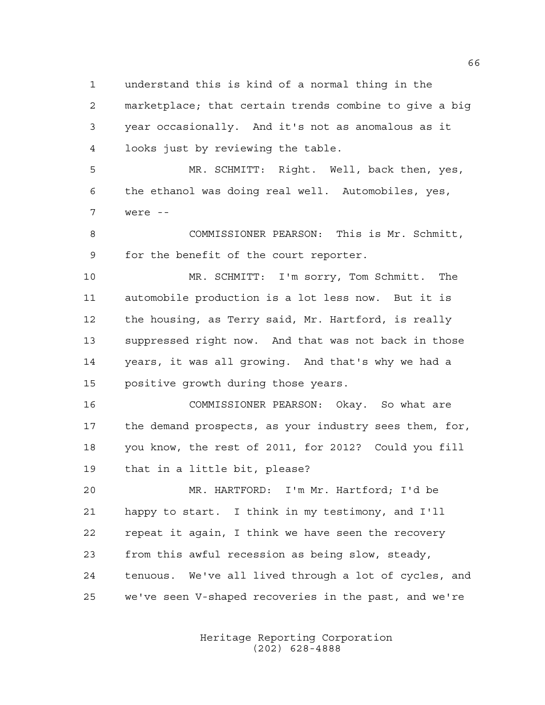understand this is kind of a normal thing in the

 marketplace; that certain trends combine to give a big year occasionally. And it's not as anomalous as it looks just by reviewing the table.

 MR. SCHMITT: Right. Well, back then, yes, the ethanol was doing real well. Automobiles, yes, were --

 COMMISSIONER PEARSON: This is Mr. Schmitt, for the benefit of the court reporter.

 MR. SCHMITT: I'm sorry, Tom Schmitt. The automobile production is a lot less now. But it is the housing, as Terry said, Mr. Hartford, is really suppressed right now. And that was not back in those years, it was all growing. And that's why we had a positive growth during those years.

 COMMISSIONER PEARSON: Okay. So what are the demand prospects, as your industry sees them, for, you know, the rest of 2011, for 2012? Could you fill that in a little bit, please?

 MR. HARTFORD: I'm Mr. Hartford; I'd be happy to start. I think in my testimony, and I'll repeat it again, I think we have seen the recovery from this awful recession as being slow, steady, tenuous. We've all lived through a lot of cycles, and we've seen V-shaped recoveries in the past, and we're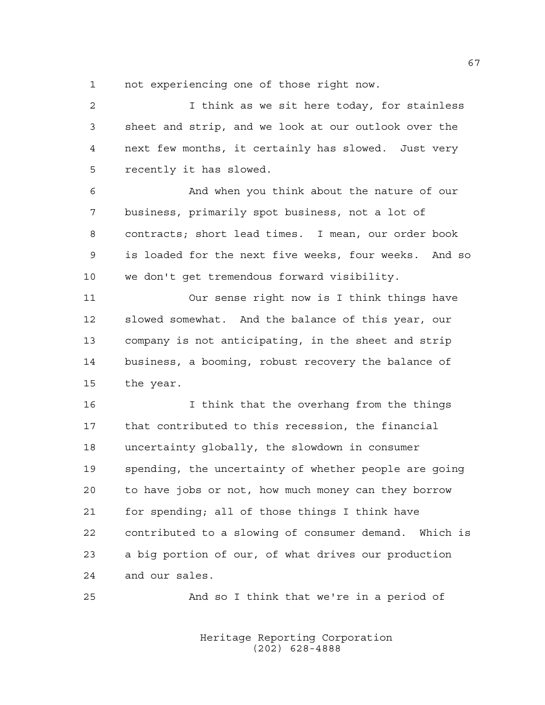not experiencing one of those right now.

 I think as we sit here today, for stainless sheet and strip, and we look at our outlook over the next few months, it certainly has slowed. Just very recently it has slowed. And when you think about the nature of our business, primarily spot business, not a lot of contracts; short lead times. I mean, our order book is loaded for the next five weeks, four weeks. And so we don't get tremendous forward visibility. Our sense right now is I think things have

 slowed somewhat. And the balance of this year, our company is not anticipating, in the sheet and strip business, a booming, robust recovery the balance of the year.

 I think that the overhang from the things that contributed to this recession, the financial uncertainty globally, the slowdown in consumer spending, the uncertainty of whether people are going to have jobs or not, how much money can they borrow for spending; all of those things I think have contributed to a slowing of consumer demand. Which is a big portion of our, of what drives our production and our sales.

And so I think that we're in a period of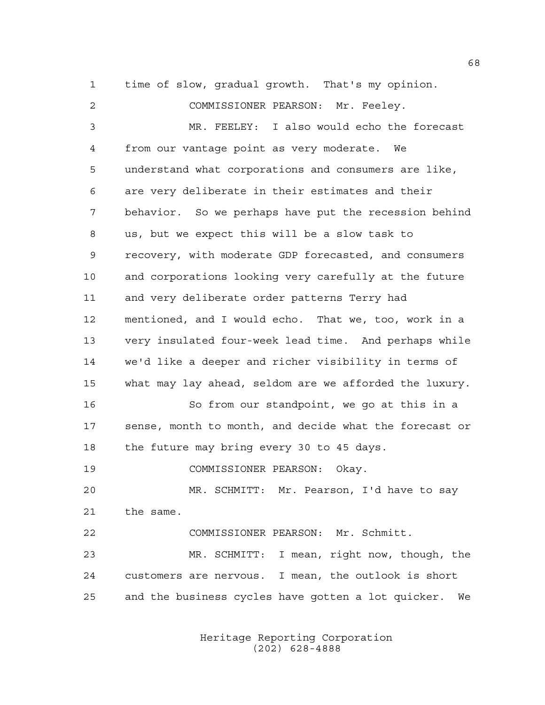time of slow, gradual growth. That's my opinion.

 COMMISSIONER PEARSON: Mr. Feeley. MR. FEELEY: I also would echo the forecast from our vantage point as very moderate. We understand what corporations and consumers are like, are very deliberate in their estimates and their behavior. So we perhaps have put the recession behind us, but we expect this will be a slow task to recovery, with moderate GDP forecasted, and consumers and corporations looking very carefully at the future and very deliberate order patterns Terry had mentioned, and I would echo. That we, too, work in a very insulated four-week lead time. And perhaps while we'd like a deeper and richer visibility in terms of what may lay ahead, seldom are we afforded the luxury. So from our standpoint, we go at this in a sense, month to month, and decide what the forecast or 18 the future may bring every 30 to 45 days. COMMISSIONER PEARSON: Okay. MR. SCHMITT: Mr. Pearson, I'd have to say the same. COMMISSIONER PEARSON: Mr. Schmitt. MR. SCHMITT: I mean, right now, though, the customers are nervous. I mean, the outlook is short and the business cycles have gotten a lot quicker. We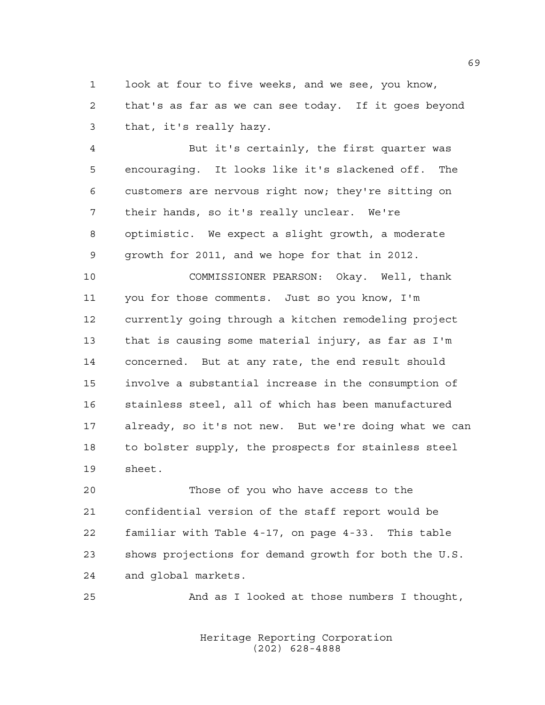look at four to five weeks, and we see, you know, that's as far as we can see today. If it goes beyond that, it's really hazy.

 But it's certainly, the first quarter was encouraging. It looks like it's slackened off. The customers are nervous right now; they're sitting on their hands, so it's really unclear. We're optimistic. We expect a slight growth, a moderate growth for 2011, and we hope for that in 2012.

 COMMISSIONER PEARSON: Okay. Well, thank you for those comments. Just so you know, I'm currently going through a kitchen remodeling project that is causing some material injury, as far as I'm concerned. But at any rate, the end result should involve a substantial increase in the consumption of stainless steel, all of which has been manufactured already, so it's not new. But we're doing what we can to bolster supply, the prospects for stainless steel sheet.

 Those of you who have access to the confidential version of the staff report would be familiar with Table 4-17, on page 4-33. This table shows projections for demand growth for both the U.S. and global markets.

And as I looked at those numbers I thought,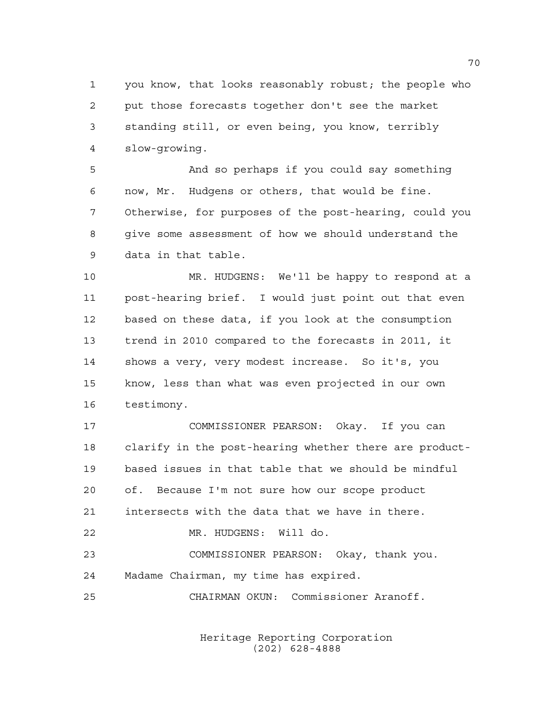you know, that looks reasonably robust; the people who put those forecasts together don't see the market standing still, or even being, you know, terribly slow-growing.

 And so perhaps if you could say something now, Mr. Hudgens or others, that would be fine. Otherwise, for purposes of the post-hearing, could you give some assessment of how we should understand the data in that table.

 MR. HUDGENS: We'll be happy to respond at a post-hearing brief. I would just point out that even based on these data, if you look at the consumption trend in 2010 compared to the forecasts in 2011, it shows a very, very modest increase. So it's, you know, less than what was even projected in our own testimony.

 COMMISSIONER PEARSON: Okay. If you can clarify in the post-hearing whether there are product- based issues in that table that we should be mindful of. Because I'm not sure how our scope product intersects with the data that we have in there. MR. HUDGENS: Will do. COMMISSIONER PEARSON: Okay, thank you. Madame Chairman, my time has expired. CHAIRMAN OKUN: Commissioner Aranoff.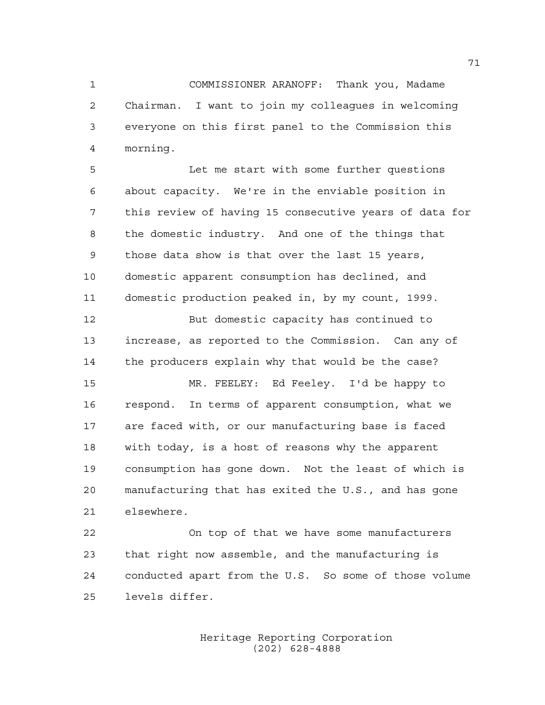COMMISSIONER ARANOFF: Thank you, Madame Chairman. I want to join my colleagues in welcoming everyone on this first panel to the Commission this morning.

 Let me start with some further questions about capacity. We're in the enviable position in this review of having 15 consecutive years of data for the domestic industry. And one of the things that those data show is that over the last 15 years, domestic apparent consumption has declined, and domestic production peaked in, by my count, 1999.

 But domestic capacity has continued to increase, as reported to the Commission. Can any of the producers explain why that would be the case?

 MR. FEELEY: Ed Feeley. I'd be happy to respond. In terms of apparent consumption, what we are faced with, or our manufacturing base is faced with today, is a host of reasons why the apparent consumption has gone down. Not the least of which is manufacturing that has exited the U.S., and has gone elsewhere.

 On top of that we have some manufacturers that right now assemble, and the manufacturing is conducted apart from the U.S. So some of those volume levels differ.

> Heritage Reporting Corporation (202) 628-4888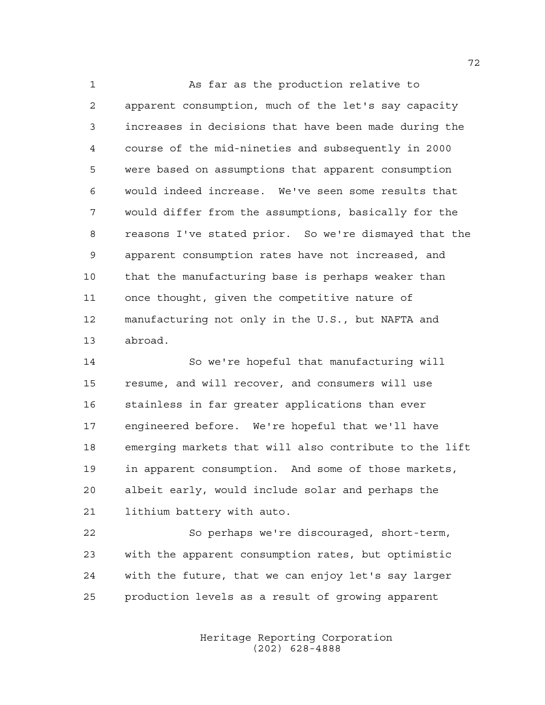As far as the production relative to apparent consumption, much of the let's say capacity increases in decisions that have been made during the course of the mid-nineties and subsequently in 2000 were based on assumptions that apparent consumption would indeed increase. We've seen some results that would differ from the assumptions, basically for the reasons I've stated prior. So we're dismayed that the apparent consumption rates have not increased, and that the manufacturing base is perhaps weaker than once thought, given the competitive nature of manufacturing not only in the U.S., but NAFTA and abroad.

 So we're hopeful that manufacturing will resume, and will recover, and consumers will use stainless in far greater applications than ever engineered before. We're hopeful that we'll have emerging markets that will also contribute to the lift in apparent consumption. And some of those markets, albeit early, would include solar and perhaps the lithium battery with auto.

 So perhaps we're discouraged, short-term, with the apparent consumption rates, but optimistic with the future, that we can enjoy let's say larger production levels as a result of growing apparent

> Heritage Reporting Corporation (202) 628-4888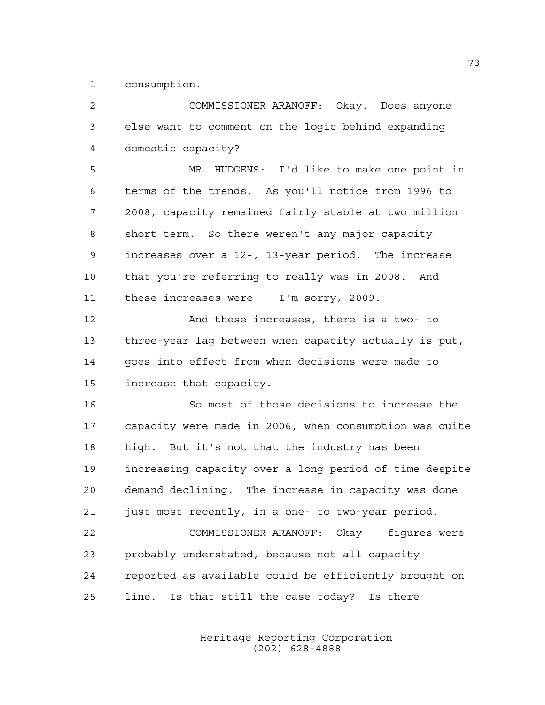consumption.

| 2  | COMMISSIONER ARANOFF: Okay. Does anyone                |
|----|--------------------------------------------------------|
| 3  | else want to comment on the logic behind expanding     |
| 4  | domestic capacity?                                     |
| 5  | MR. HUDGENS: I'd like to make one point in             |
| 6  | terms of the trends. As you'll notice from 1996 to     |
| 7  | 2008, capacity remained fairly stable at two million   |
| 8  | short term. So there weren't any major capacity        |
| 9  | increases over a 12-, 13-year period. The increase     |
| 10 | that you're referring to really was in 2008. And       |
| 11 | these increases were -- I'm sorry, 2009.               |
| 12 | And these increases, there is a two- to                |
| 13 | three-year lag between when capacity actually is put,  |
| 14 | goes into effect from when decisions were made to      |
| 15 | increase that capacity.                                |
| 16 | So most of those decisions to increase the             |
| 17 | capacity were made in 2006, when consumption was quite |
| 18 | high. But it's not that the industry has been          |
| 19 | increasing capacity over a long period of time despite |
| 20 | demand declining. The increase in capacity was done    |
| 21 | just most recently, in a one- to two-year period.      |
| 22 | COMMISSIONER ARANOFF: Okay -- figures were             |
| 23 | probably understated, because not all capacity         |
| 24 | reported as available could be efficiently brought on  |
| 25 | Is that still the case today? Is there<br>line.        |
|    |                                                        |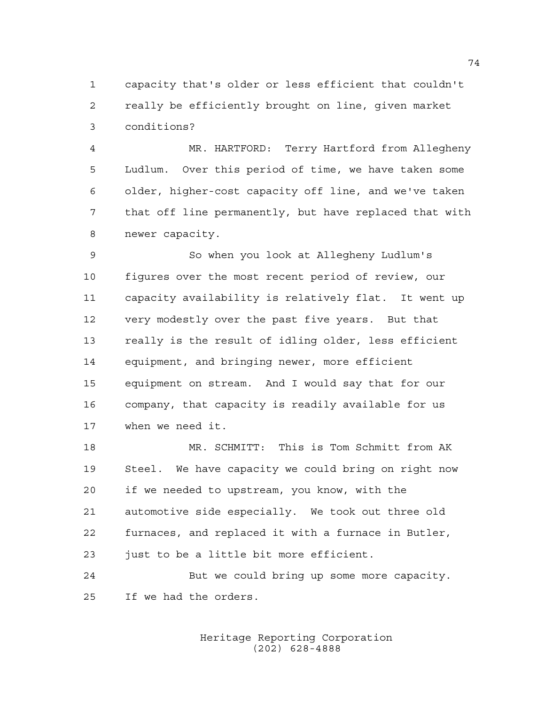capacity that's older or less efficient that couldn't really be efficiently brought on line, given market conditions?

 MR. HARTFORD: Terry Hartford from Allegheny Ludlum. Over this period of time, we have taken some older, higher-cost capacity off line, and we've taken that off line permanently, but have replaced that with newer capacity.

 So when you look at Allegheny Ludlum's figures over the most recent period of review, our capacity availability is relatively flat. It went up very modestly over the past five years. But that really is the result of idling older, less efficient equipment, and bringing newer, more efficient equipment on stream. And I would say that for our company, that capacity is readily available for us when we need it.

 MR. SCHMITT: This is Tom Schmitt from AK Steel. We have capacity we could bring on right now if we needed to upstream, you know, with the automotive side especially. We took out three old furnaces, and replaced it with a furnace in Butler, 23 just to be a little bit more efficient.

 But we could bring up some more capacity. If we had the orders.

> Heritage Reporting Corporation (202) 628-4888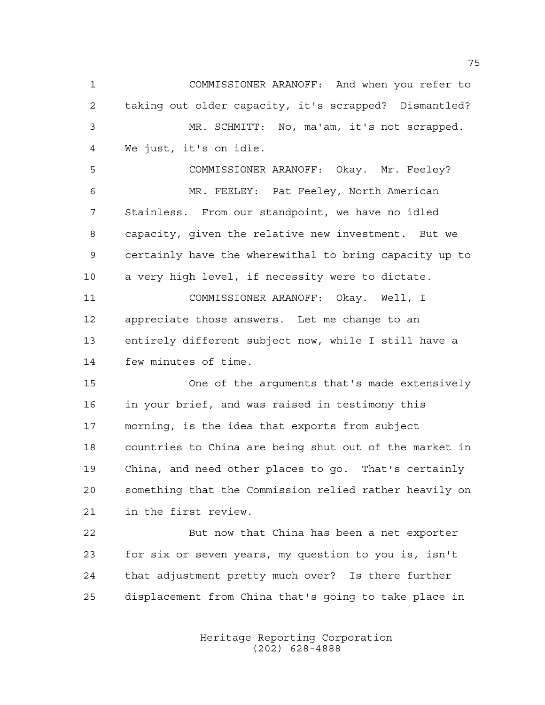COMMISSIONER ARANOFF: And when you refer to taking out older capacity, it's scrapped? Dismantled? MR. SCHMITT: No, ma'am, it's not scrapped. We just, it's on idle. COMMISSIONER ARANOFF: Okay. Mr. Feeley? MR. FEELEY: Pat Feeley, North American Stainless. From our standpoint, we have no idled capacity, given the relative new investment. But we certainly have the wherewithal to bring capacity up to a very high level, if necessity were to dictate. COMMISSIONER ARANOFF: Okay. Well, I appreciate those answers. Let me change to an entirely different subject now, while I still have a few minutes of time. One of the arguments that's made extensively in your brief, and was raised in testimony this morning, is the idea that exports from subject countries to China are being shut out of the market in China, and need other places to go. That's certainly something that the Commission relied rather heavily on in the first review. But now that China has been a net exporter for six or seven years, my question to you is, isn't that adjustment pretty much over? Is there further

> Heritage Reporting Corporation (202) 628-4888

displacement from China that's going to take place in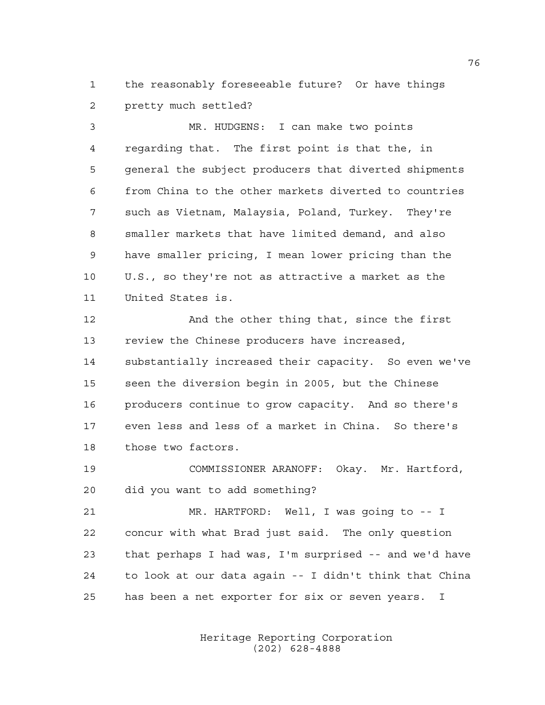the reasonably foreseeable future? Or have things pretty much settled?

 MR. HUDGENS: I can make two points regarding that. The first point is that the, in general the subject producers that diverted shipments from China to the other markets diverted to countries such as Vietnam, Malaysia, Poland, Turkey. They're smaller markets that have limited demand, and also have smaller pricing, I mean lower pricing than the U.S., so they're not as attractive a market as the United States is.

12 And the other thing that, since the first review the Chinese producers have increased, substantially increased their capacity. So even we've seen the diversion begin in 2005, but the Chinese producers continue to grow capacity. And so there's even less and less of a market in China. So there's those two factors.

 COMMISSIONER ARANOFF: Okay. Mr. Hartford, did you want to add something?

 MR. HARTFORD: Well, I was going to -- I concur with what Brad just said. The only question that perhaps I had was, I'm surprised -- and we'd have to look at our data again -- I didn't think that China has been a net exporter for six or seven years. I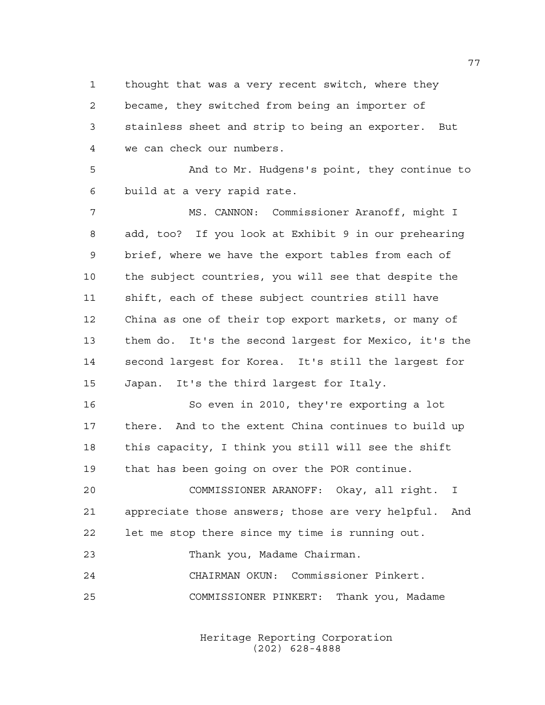thought that was a very recent switch, where they became, they switched from being an importer of stainless sheet and strip to being an exporter. But we can check our numbers.

 And to Mr. Hudgens's point, they continue to build at a very rapid rate.

 MS. CANNON: Commissioner Aranoff, might I add, too? If you look at Exhibit 9 in our prehearing brief, where we have the export tables from each of the subject countries, you will see that despite the shift, each of these subject countries still have China as one of their top export markets, or many of them do. It's the second largest for Mexico, it's the second largest for Korea. It's still the largest for Japan. It's the third largest for Italy.

 So even in 2010, they're exporting a lot there. And to the extent China continues to build up this capacity, I think you still will see the shift that has been going on over the POR continue.

 COMMISSIONER ARANOFF: Okay, all right. I appreciate those answers; those are very helpful. And let me stop there since my time is running out.

Thank you, Madame Chairman.

CHAIRMAN OKUN: Commissioner Pinkert.

COMMISSIONER PINKERT: Thank you, Madame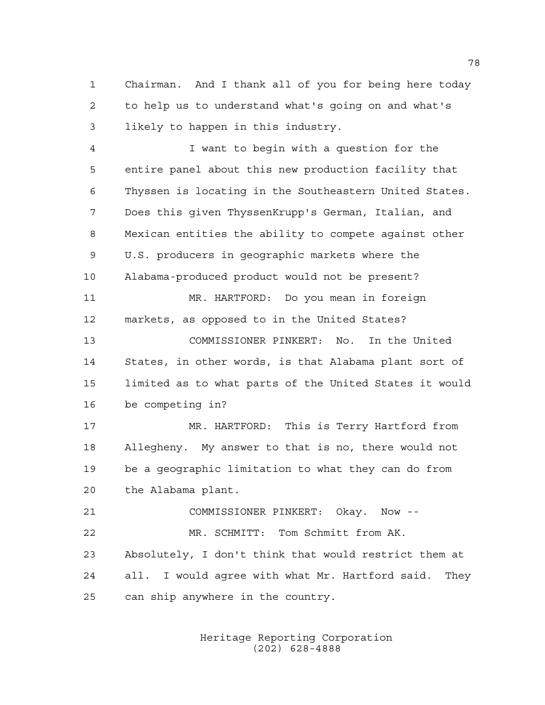Chairman. And I thank all of you for being here today to help us to understand what's going on and what's likely to happen in this industry.

 I want to begin with a question for the entire panel about this new production facility that Thyssen is locating in the Southeastern United States. Does this given ThyssenKrupp's German, Italian, and Mexican entities the ability to compete against other U.S. producers in geographic markets where the Alabama-produced product would not be present? MR. HARTFORD: Do you mean in foreign markets, as opposed to in the United States? COMMISSIONER PINKERT: No. In the United States, in other words, is that Alabama plant sort of limited as to what parts of the United States it would be competing in? MR. HARTFORD: This is Terry Hartford from Allegheny. My answer to that is no, there would not be a geographic limitation to what they can do from the Alabama plant. COMMISSIONER PINKERT: Okay. Now --

 MR. SCHMITT: Tom Schmitt from AK. Absolutely, I don't think that would restrict them at all. I would agree with what Mr. Hartford said. They can ship anywhere in the country.

> Heritage Reporting Corporation (202) 628-4888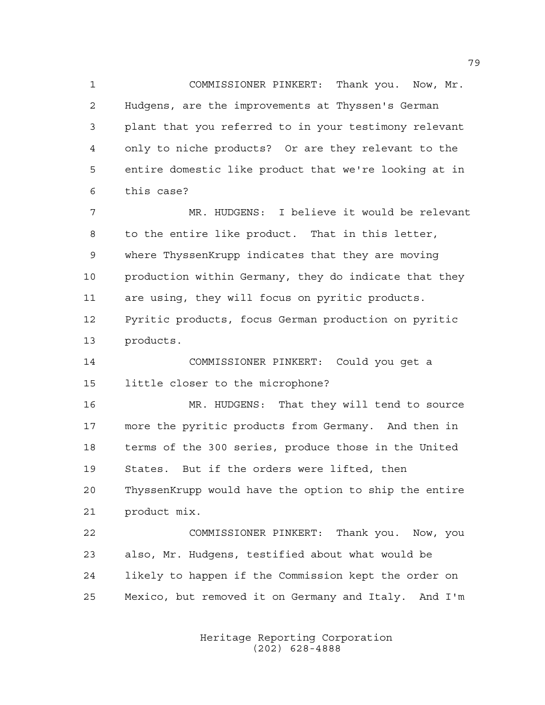COMMISSIONER PINKERT: Thank you. Now, Mr. Hudgens, are the improvements at Thyssen's German plant that you referred to in your testimony relevant only to niche products? Or are they relevant to the entire domestic like product that we're looking at in this case?

 MR. HUDGENS: I believe it would be relevant to the entire like product. That in this letter, where ThyssenKrupp indicates that they are moving production within Germany, they do indicate that they are using, they will focus on pyritic products. Pyritic products, focus German production on pyritic products.

 COMMISSIONER PINKERT: Could you get a little closer to the microphone?

 MR. HUDGENS: That they will tend to source more the pyritic products from Germany. And then in terms of the 300 series, produce those in the United States. But if the orders were lifted, then ThyssenKrupp would have the option to ship the entire product mix.

 COMMISSIONER PINKERT: Thank you. Now, you also, Mr. Hudgens, testified about what would be likely to happen if the Commission kept the order on Mexico, but removed it on Germany and Italy. And I'm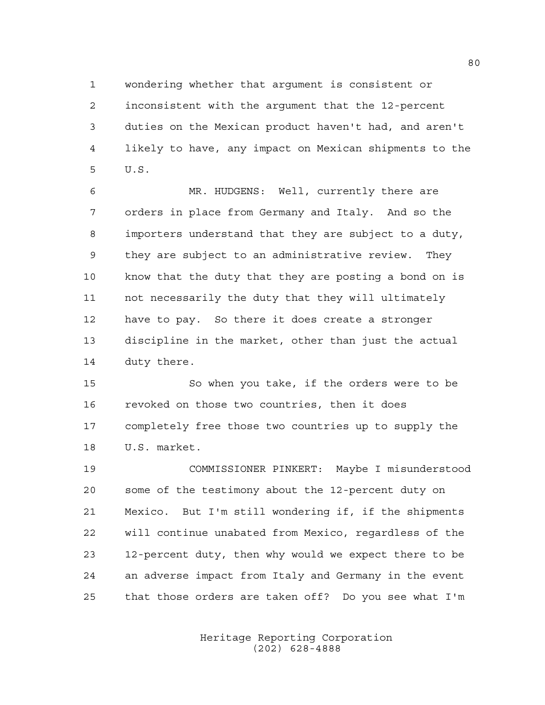wondering whether that argument is consistent or

 inconsistent with the argument that the 12-percent duties on the Mexican product haven't had, and aren't likely to have, any impact on Mexican shipments to the U.S.

 MR. HUDGENS: Well, currently there are orders in place from Germany and Italy. And so the importers understand that they are subject to a duty, they are subject to an administrative review. They know that the duty that they are posting a bond on is not necessarily the duty that they will ultimately have to pay. So there it does create a stronger discipline in the market, other than just the actual duty there.

 So when you take, if the orders were to be revoked on those two countries, then it does completely free those two countries up to supply the U.S. market.

 COMMISSIONER PINKERT: Maybe I misunderstood some of the testimony about the 12-percent duty on Mexico. But I'm still wondering if, if the shipments will continue unabated from Mexico, regardless of the 12-percent duty, then why would we expect there to be an adverse impact from Italy and Germany in the event that those orders are taken off? Do you see what I'm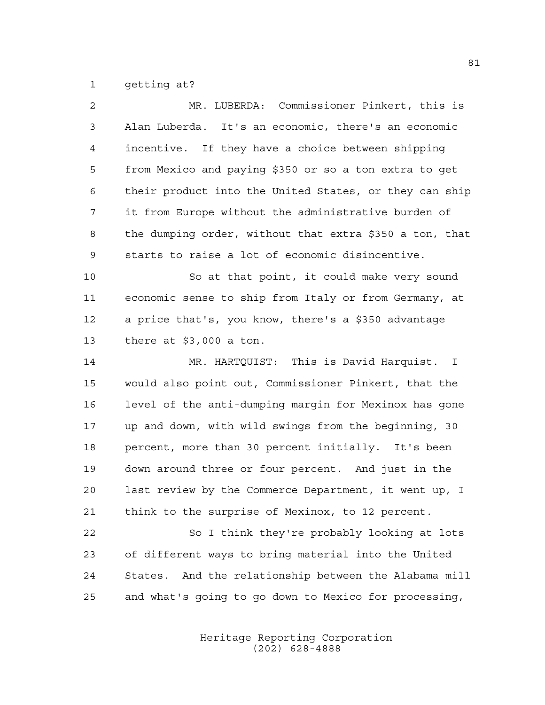getting at?

| 2  | MR. LUBERDA: Commissioner Pinkert, this is              |
|----|---------------------------------------------------------|
| 3  | Alan Luberda. It's an economic, there's an economic     |
| 4  | incentive. If they have a choice between shipping       |
| 5  | from Mexico and paying \$350 or so a ton extra to get   |
| 6  | their product into the United States, or they can ship  |
| 7  | it from Europe without the administrative burden of     |
| 8  | the dumping order, without that extra \$350 a ton, that |
| 9  | starts to raise a lot of economic disincentive.         |
| 10 | So at that point, it could make very sound              |
| 11 | economic sense to ship from Italy or from Germany, at   |
| 12 | a price that's, you know, there's a \$350 advantage     |
| 13 | there at $$3,000$ a ton.                                |
| 14 | MR. HARTQUIST: This is David Harquist. I                |
| 15 | would also point out, Commissioner Pinkert, that the    |
| 16 | level of the anti-dumping margin for Mexinox has gone   |
| 17 | up and down, with wild swings from the beginning, 30    |
| 18 | percent, more than 30 percent initially. It's been      |
| 19 | down around three or four percent. And just in the      |
| 20 | last review by the Commerce Department, it went up, I   |
| 21 | think to the surprise of Mexinox, to 12 percent.        |
| 22 | So I think they're probably looking at lots             |
| 23 | of different ways to bring material into the United     |
| 24 | States. And the relationship between the Alabama mill   |
| 25 | and what's going to go down to Mexico for processing,   |
|    |                                                         |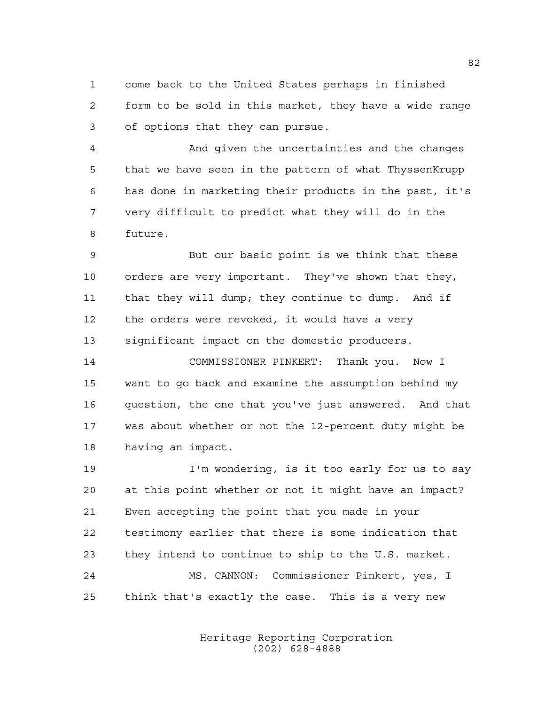come back to the United States perhaps in finished form to be sold in this market, they have a wide range of options that they can pursue.

 And given the uncertainties and the changes that we have seen in the pattern of what ThyssenKrupp has done in marketing their products in the past, it's very difficult to predict what they will do in the future.

 But our basic point is we think that these orders are very important. They've shown that they, that they will dump; they continue to dump. And if the orders were revoked, it would have a very significant impact on the domestic producers.

 COMMISSIONER PINKERT: Thank you. Now I want to go back and examine the assumption behind my question, the one that you've just answered. And that was about whether or not the 12-percent duty might be having an impact.

 I'm wondering, is it too early for us to say at this point whether or not it might have an impact? Even accepting the point that you made in your testimony earlier that there is some indication that they intend to continue to ship to the U.S. market. MS. CANNON: Commissioner Pinkert, yes, I think that's exactly the case. This is a very new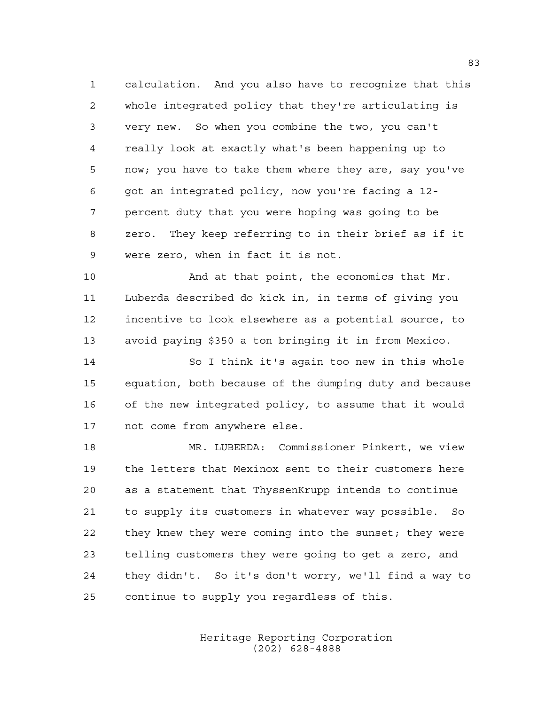calculation. And you also have to recognize that this whole integrated policy that they're articulating is very new. So when you combine the two, you can't really look at exactly what's been happening up to now; you have to take them where they are, say you've got an integrated policy, now you're facing a 12- percent duty that you were hoping was going to be zero. They keep referring to in their brief as if it were zero, when in fact it is not.

 And at that point, the economics that Mr. Luberda described do kick in, in terms of giving you incentive to look elsewhere as a potential source, to avoid paying \$350 a ton bringing it in from Mexico.

 So I think it's again too new in this whole equation, both because of the dumping duty and because of the new integrated policy, to assume that it would not come from anywhere else.

 MR. LUBERDA: Commissioner Pinkert, we view the letters that Mexinox sent to their customers here as a statement that ThyssenKrupp intends to continue to supply its customers in whatever way possible. So they knew they were coming into the sunset; they were telling customers they were going to get a zero, and they didn't. So it's don't worry, we'll find a way to continue to supply you regardless of this.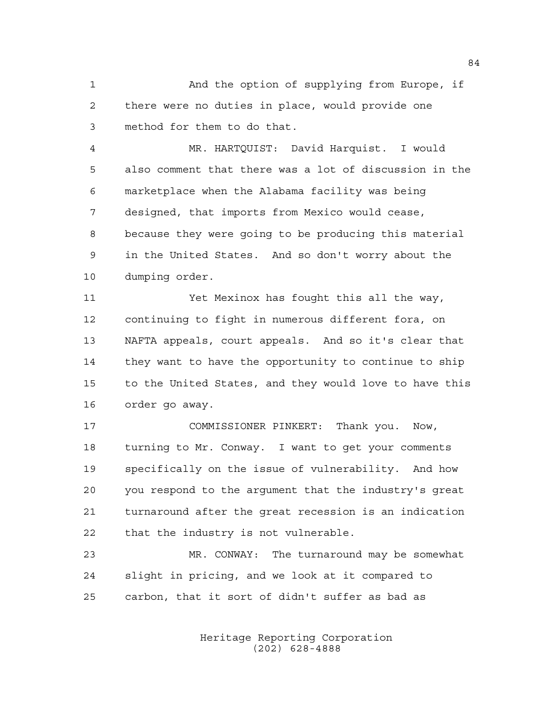And the option of supplying from Europe, if there were no duties in place, would provide one method for them to do that.

 MR. HARTQUIST: David Harquist. I would also comment that there was a lot of discussion in the marketplace when the Alabama facility was being designed, that imports from Mexico would cease, because they were going to be producing this material in the United States. And so don't worry about the dumping order.

 Yet Mexinox has fought this all the way, continuing to fight in numerous different fora, on NAFTA appeals, court appeals. And so it's clear that they want to have the opportunity to continue to ship to the United States, and they would love to have this order go away.

 COMMISSIONER PINKERT: Thank you. Now, turning to Mr. Conway. I want to get your comments specifically on the issue of vulnerability. And how you respond to the argument that the industry's great turnaround after the great recession is an indication that the industry is not vulnerable.

 MR. CONWAY: The turnaround may be somewhat slight in pricing, and we look at it compared to carbon, that it sort of didn't suffer as bad as

> Heritage Reporting Corporation (202) 628-4888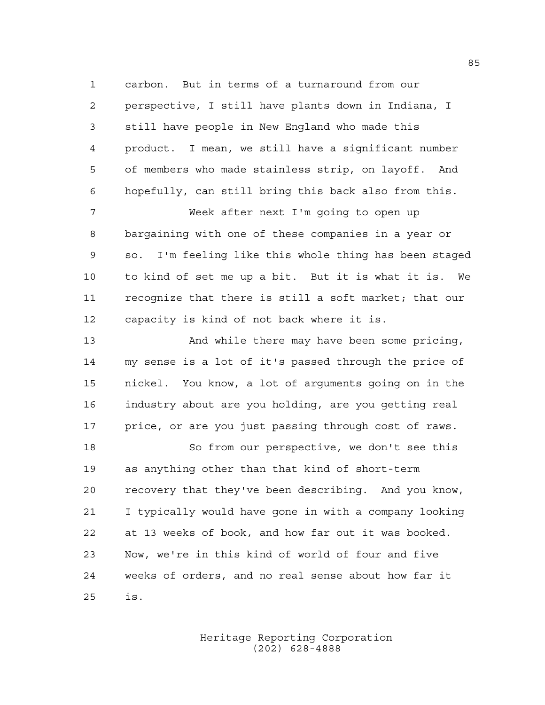carbon. But in terms of a turnaround from our perspective, I still have plants down in Indiana, I still have people in New England who made this product. I mean, we still have a significant number of members who made stainless strip, on layoff. And hopefully, can still bring this back also from this.

 Week after next I'm going to open up bargaining with one of these companies in a year or so. I'm feeling like this whole thing has been staged to kind of set me up a bit. But it is what it is. We recognize that there is still a soft market; that our capacity is kind of not back where it is.

 And while there may have been some pricing, my sense is a lot of it's passed through the price of nickel. You know, a lot of arguments going on in the industry about are you holding, are you getting real price, or are you just passing through cost of raws.

 So from our perspective, we don't see this as anything other than that kind of short-term recovery that they've been describing. And you know, I typically would have gone in with a company looking at 13 weeks of book, and how far out it was booked. Now, we're in this kind of world of four and five weeks of orders, and no real sense about how far it is.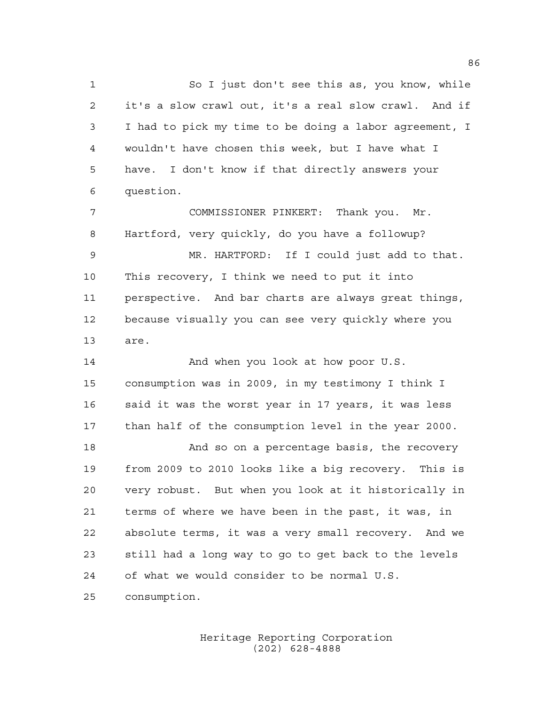So I just don't see this as, you know, while it's a slow crawl out, it's a real slow crawl. And if I had to pick my time to be doing a labor agreement, I wouldn't have chosen this week, but I have what I have. I don't know if that directly answers your question.

 COMMISSIONER PINKERT: Thank you. Mr. Hartford, very quickly, do you have a followup? MR. HARTFORD: If I could just add to that. This recovery, I think we need to put it into perspective. And bar charts are always great things, because visually you can see very quickly where you are.

14 And when you look at how poor U.S. consumption was in 2009, in my testimony I think I 16 said it was the worst year in 17 years, it was less than half of the consumption level in the year 2000. 18 And so on a percentage basis, the recovery from 2009 to 2010 looks like a big recovery. This is very robust. But when you look at it historically in terms of where we have been in the past, it was, in absolute terms, it was a very small recovery. And we still had a long way to go to get back to the levels of what we would consider to be normal U.S. consumption.

> Heritage Reporting Corporation (202) 628-4888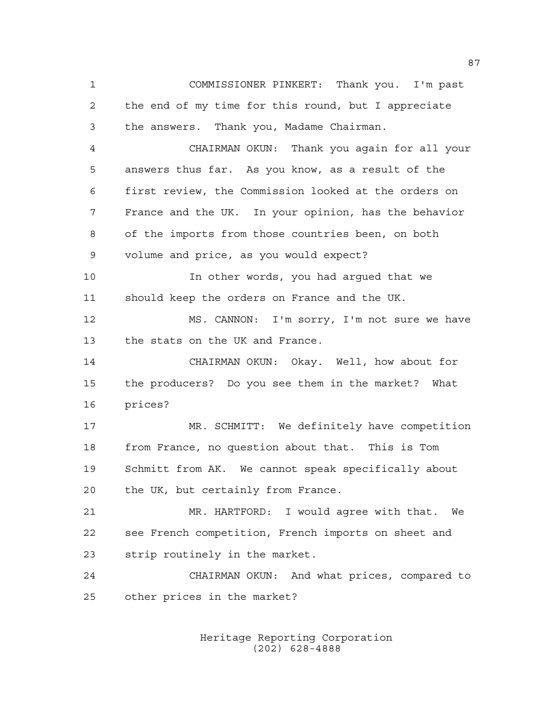COMMISSIONER PINKERT: Thank you. I'm past the end of my time for this round, but I appreciate the answers. Thank you, Madame Chairman. CHAIRMAN OKUN: Thank you again for all your answers thus far. As you know, as a result of the first review, the Commission looked at the orders on France and the UK. In your opinion, has the behavior of the imports from those countries been, on both volume and price, as you would expect? In other words, you had argued that we should keep the orders on France and the UK. MS. CANNON: I'm sorry, I'm not sure we have the stats on the UK and France. CHAIRMAN OKUN: Okay. Well, how about for the producers? Do you see them in the market? What prices? MR. SCHMITT: We definitely have competition from France, no question about that. This is Tom Schmitt from AK. We cannot speak specifically about the UK, but certainly from France. MR. HARTFORD: I would agree with that. We see French competition, French imports on sheet and strip routinely in the market. CHAIRMAN OKUN: And what prices, compared to other prices in the market?

> Heritage Reporting Corporation (202) 628-4888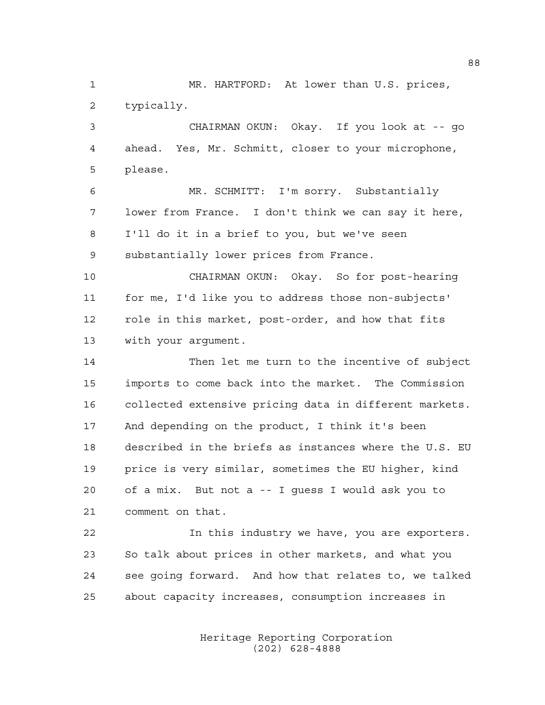MR. HARTFORD: At lower than U.S. prices, typically.

 CHAIRMAN OKUN: Okay. If you look at -- go ahead. Yes, Mr. Schmitt, closer to your microphone, please.

 MR. SCHMITT: I'm sorry. Substantially lower from France. I don't think we can say it here, I'll do it in a brief to you, but we've seen substantially lower prices from France.

 CHAIRMAN OKUN: Okay. So for post-hearing for me, I'd like you to address those non-subjects' role in this market, post-order, and how that fits with your argument.

 Then let me turn to the incentive of subject imports to come back into the market. The Commission collected extensive pricing data in different markets. And depending on the product, I think it's been described in the briefs as instances where the U.S. EU price is very similar, sometimes the EU higher, kind of a mix. But not a -- I guess I would ask you to comment on that.

 In this industry we have, you are exporters. So talk about prices in other markets, and what you see going forward. And how that relates to, we talked about capacity increases, consumption increases in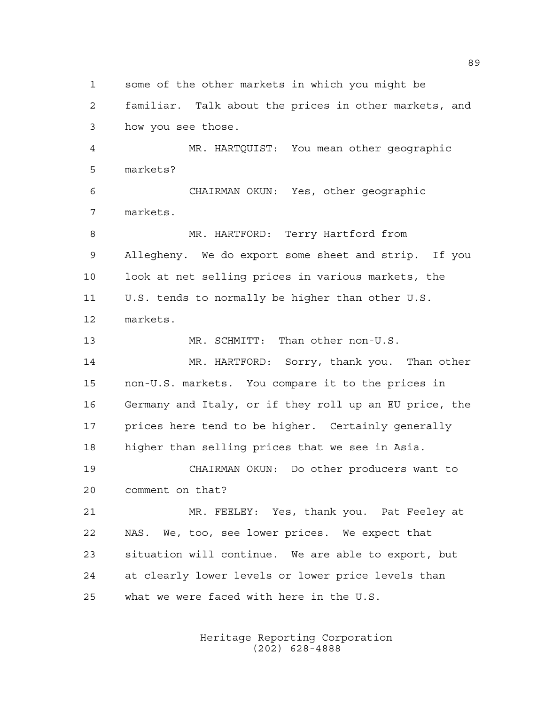some of the other markets in which you might be

 familiar. Talk about the prices in other markets, and how you see those.

 MR. HARTQUIST: You mean other geographic markets?

 CHAIRMAN OKUN: Yes, other geographic markets.

 MR. HARTFORD: Terry Hartford from Allegheny. We do export some sheet and strip. If you look at net selling prices in various markets, the U.S. tends to normally be higher than other U.S. markets.

MR. SCHMITT: Than other non-U.S.

 MR. HARTFORD: Sorry, thank you. Than other non-U.S. markets. You compare it to the prices in Germany and Italy, or if they roll up an EU price, the prices here tend to be higher. Certainly generally higher than selling prices that we see in Asia.

 CHAIRMAN OKUN: Do other producers want to comment on that?

 MR. FEELEY: Yes, thank you. Pat Feeley at NAS. We, too, see lower prices. We expect that situation will continue. We are able to export, but at clearly lower levels or lower price levels than what we were faced with here in the U.S.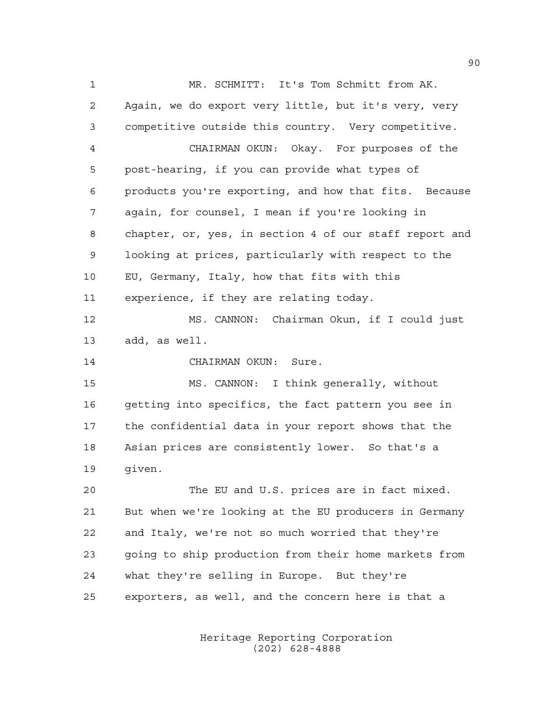MR. SCHMITT: It's Tom Schmitt from AK. Again, we do export very little, but it's very, very competitive outside this country. Very competitive. CHAIRMAN OKUN: Okay. For purposes of the post-hearing, if you can provide what types of products you're exporting, and how that fits. Because again, for counsel, I mean if you're looking in chapter, or, yes, in section 4 of our staff report and looking at prices, particularly with respect to the EU, Germany, Italy, how that fits with this experience, if they are relating today. MS. CANNON: Chairman Okun, if I could just add, as well. CHAIRMAN OKUN: Sure. MS. CANNON: I think generally, without getting into specifics, the fact pattern you see in the confidential data in your report shows that the Asian prices are consistently lower. So that's a

given.

 The EU and U.S. prices are in fact mixed. But when we're looking at the EU producers in Germany and Italy, we're not so much worried that they're going to ship production from their home markets from what they're selling in Europe. But they're exporters, as well, and the concern here is that a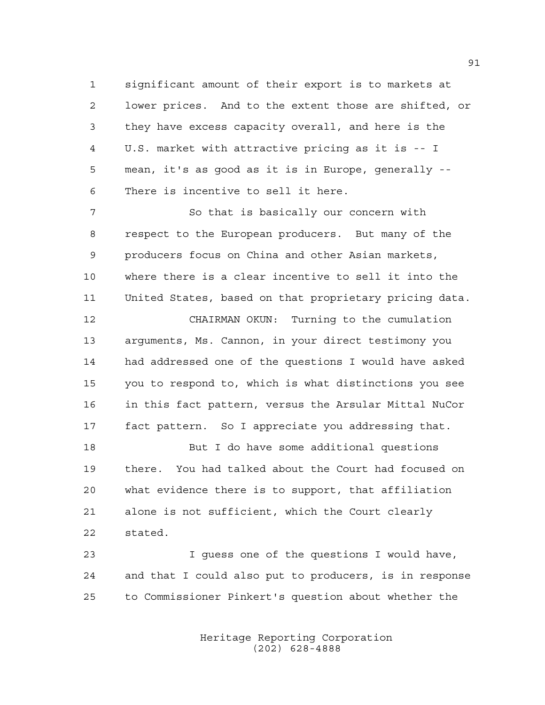significant amount of their export is to markets at lower prices. And to the extent those are shifted, or they have excess capacity overall, and here is the U.S. market with attractive pricing as it is -- I mean, it's as good as it is in Europe, generally -- There is incentive to sell it here.

 So that is basically our concern with respect to the European producers. But many of the producers focus on China and other Asian markets, where there is a clear incentive to sell it into the United States, based on that proprietary pricing data.

 CHAIRMAN OKUN: Turning to the cumulation arguments, Ms. Cannon, in your direct testimony you had addressed one of the questions I would have asked you to respond to, which is what distinctions you see in this fact pattern, versus the Arsular Mittal NuCor fact pattern. So I appreciate you addressing that.

 But I do have some additional questions there. You had talked about the Court had focused on what evidence there is to support, that affiliation alone is not sufficient, which the Court clearly stated.

 I guess one of the questions I would have, and that I could also put to producers, is in response to Commissioner Pinkert's question about whether the

> Heritage Reporting Corporation (202) 628-4888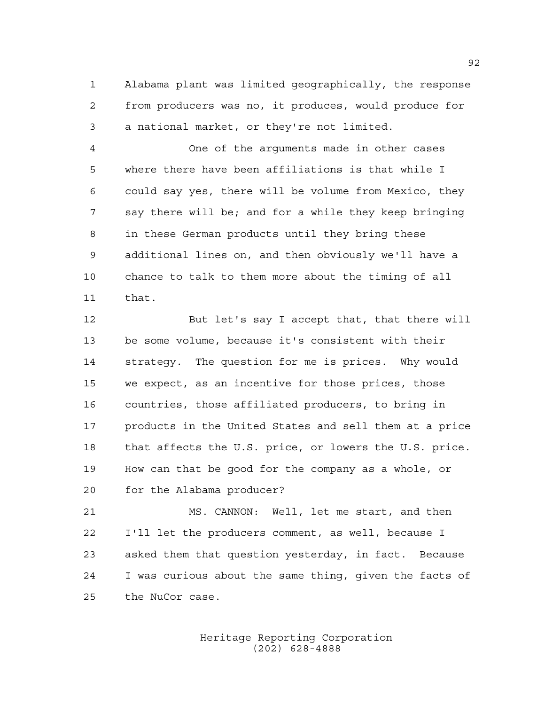Alabama plant was limited geographically, the response from producers was no, it produces, would produce for a national market, or they're not limited.

 One of the arguments made in other cases where there have been affiliations is that while I could say yes, there will be volume from Mexico, they say there will be; and for a while they keep bringing in these German products until they bring these additional lines on, and then obviously we'll have a chance to talk to them more about the timing of all that.

 But let's say I accept that, that there will be some volume, because it's consistent with their strategy. The question for me is prices. Why would we expect, as an incentive for those prices, those countries, those affiliated producers, to bring in products in the United States and sell them at a price that affects the U.S. price, or lowers the U.S. price. How can that be good for the company as a whole, or for the Alabama producer?

 MS. CANNON: Well, let me start, and then I'll let the producers comment, as well, because I asked them that question yesterday, in fact. Because I was curious about the same thing, given the facts of the NuCor case.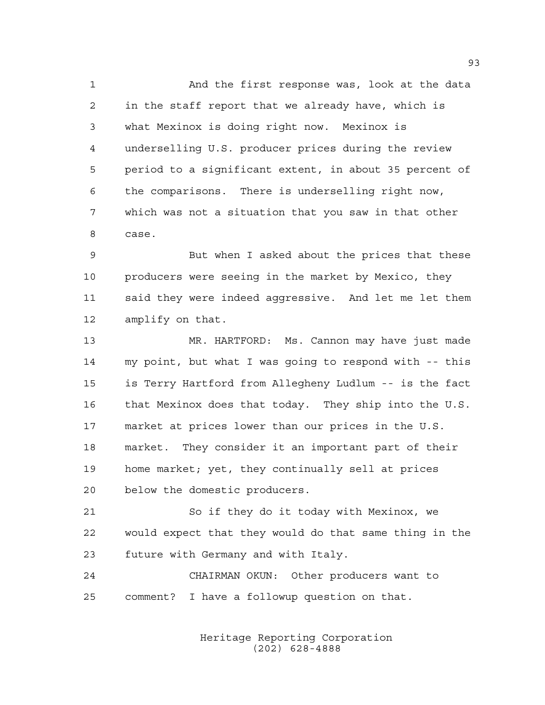And the first response was, look at the data in the staff report that we already have, which is what Mexinox is doing right now. Mexinox is underselling U.S. producer prices during the review period to a significant extent, in about 35 percent of the comparisons. There is underselling right now, which was not a situation that you saw in that other case.

 But when I asked about the prices that these 10 producers were seeing in the market by Mexico, they said they were indeed aggressive. And let me let them amplify on that.

 MR. HARTFORD: Ms. Cannon may have just made my point, but what I was going to respond with -- this is Terry Hartford from Allegheny Ludlum -- is the fact that Mexinox does that today. They ship into the U.S. market at prices lower than our prices in the U.S. market. They consider it an important part of their home market; yet, they continually sell at prices below the domestic producers.

 So if they do it today with Mexinox, we would expect that they would do that same thing in the future with Germany and with Italy.

 CHAIRMAN OKUN: Other producers want to comment? I have a followup question on that.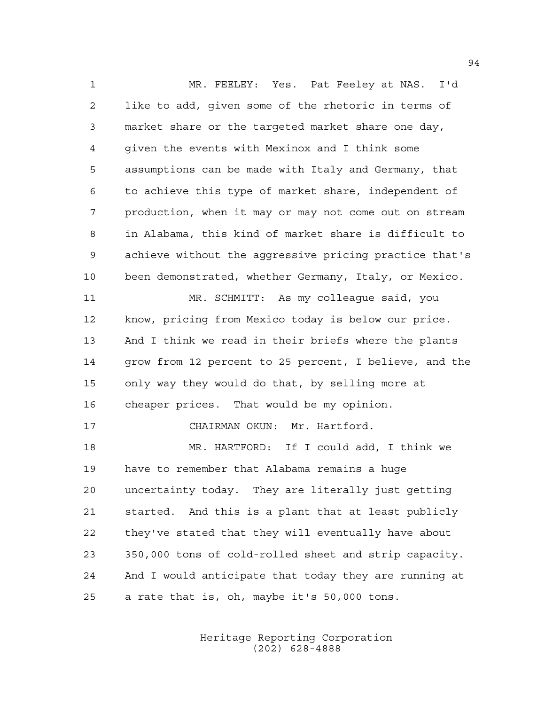MR. FEELEY: Yes. Pat Feeley at NAS. I'd like to add, given some of the rhetoric in terms of market share or the targeted market share one day, given the events with Mexinox and I think some assumptions can be made with Italy and Germany, that to achieve this type of market share, independent of production, when it may or may not come out on stream in Alabama, this kind of market share is difficult to achieve without the aggressive pricing practice that's been demonstrated, whether Germany, Italy, or Mexico. MR. SCHMITT: As my colleague said, you know, pricing from Mexico today is below our price. And I think we read in their briefs where the plants grow from 12 percent to 25 percent, I believe, and the only way they would do that, by selling more at cheaper prices. That would be my opinion. CHAIRMAN OKUN: Mr. Hartford. MR. HARTFORD: If I could add, I think we have to remember that Alabama remains a huge uncertainty today. They are literally just getting started. And this is a plant that at least publicly they've stated that they will eventually have about 350,000 tons of cold-rolled sheet and strip capacity. And I would anticipate that today they are running at a rate that is, oh, maybe it's 50,000 tons.

> Heritage Reporting Corporation (202) 628-4888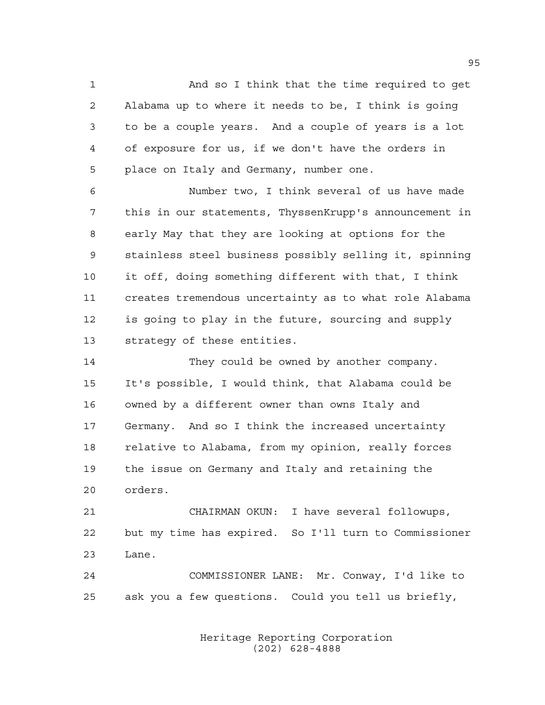And so I think that the time required to get Alabama up to where it needs to be, I think is going to be a couple years. And a couple of years is a lot of exposure for us, if we don't have the orders in place on Italy and Germany, number one.

 Number two, I think several of us have made this in our statements, ThyssenKrupp's announcement in early May that they are looking at options for the stainless steel business possibly selling it, spinning it off, doing something different with that, I think creates tremendous uncertainty as to what role Alabama is going to play in the future, sourcing and supply strategy of these entities.

14 They could be owned by another company. It's possible, I would think, that Alabama could be owned by a different owner than owns Italy and Germany. And so I think the increased uncertainty relative to Alabama, from my opinion, really forces the issue on Germany and Italy and retaining the orders.

 CHAIRMAN OKUN: I have several followups, but my time has expired. So I'll turn to Commissioner Lane.

 COMMISSIONER LANE: Mr. Conway, I'd like to ask you a few questions. Could you tell us briefly,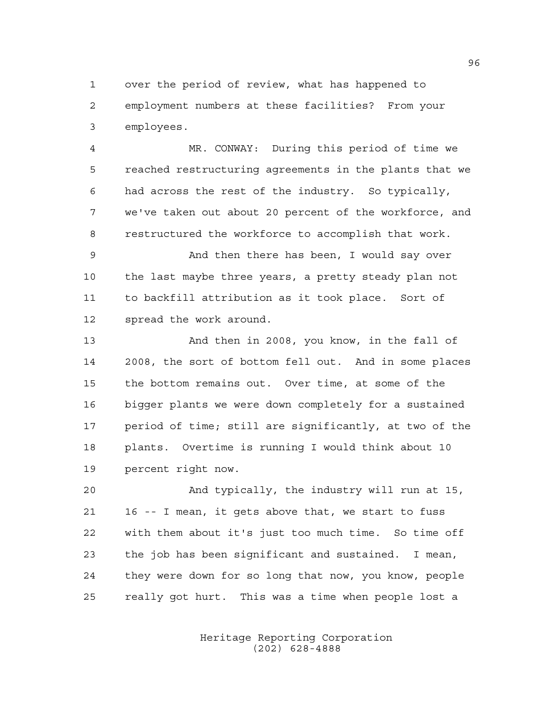over the period of review, what has happened to employment numbers at these facilities? From your employees.

 MR. CONWAY: During this period of time we reached restructuring agreements in the plants that we had across the rest of the industry. So typically, we've taken out about 20 percent of the workforce, and restructured the workforce to accomplish that work.

 And then there has been, I would say over the last maybe three years, a pretty steady plan not to backfill attribution as it took place. Sort of spread the work around.

 And then in 2008, you know, in the fall of 2008, the sort of bottom fell out. And in some places the bottom remains out. Over time, at some of the bigger plants we were down completely for a sustained period of time; still are significantly, at two of the plants. Overtime is running I would think about 10 percent right now.

 And typically, the industry will run at 15, 16 -- I mean, it gets above that, we start to fuss with them about it's just too much time. So time off the job has been significant and sustained. I mean, they were down for so long that now, you know, people really got hurt. This was a time when people lost a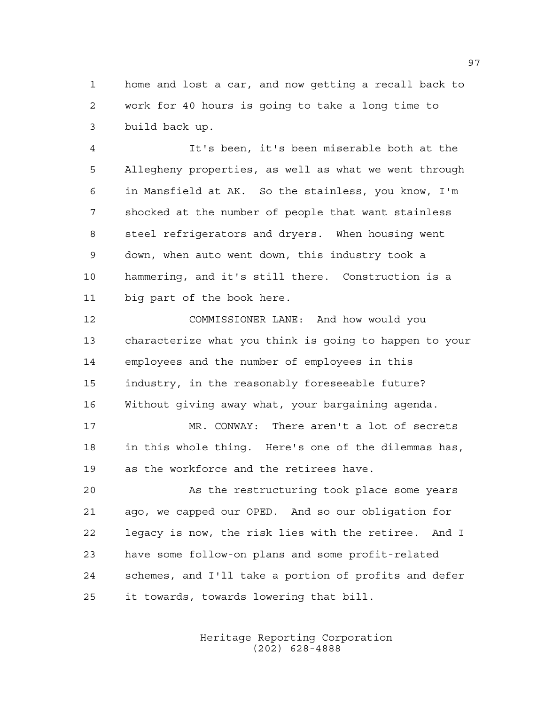home and lost a car, and now getting a recall back to work for 40 hours is going to take a long time to build back up.

 It's been, it's been miserable both at the Allegheny properties, as well as what we went through in Mansfield at AK. So the stainless, you know, I'm shocked at the number of people that want stainless steel refrigerators and dryers. When housing went down, when auto went down, this industry took a hammering, and it's still there. Construction is a big part of the book here.

 COMMISSIONER LANE: And how would you characterize what you think is going to happen to your employees and the number of employees in this industry, in the reasonably foreseeable future? Without giving away what, your bargaining agenda.

 MR. CONWAY: There aren't a lot of secrets in this whole thing. Here's one of the dilemmas has, as the workforce and the retirees have.

 As the restructuring took place some years ago, we capped our OPED. And so our obligation for legacy is now, the risk lies with the retiree. And I have some follow-on plans and some profit-related schemes, and I'll take a portion of profits and defer it towards, towards lowering that bill.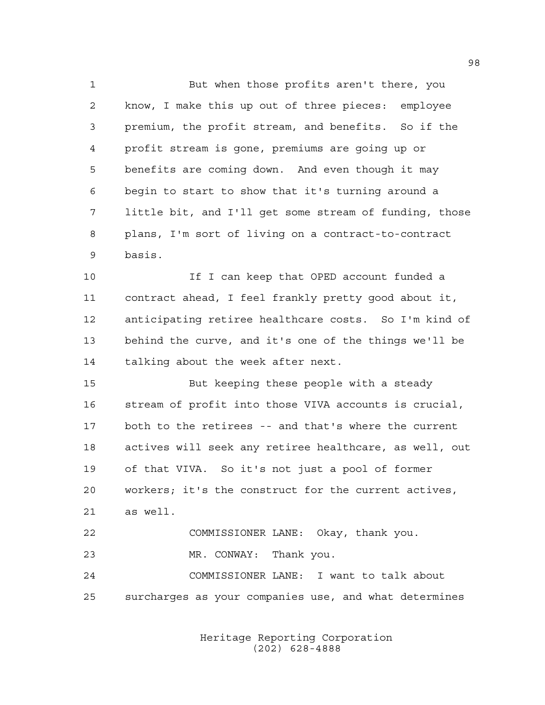But when those profits aren't there, you know, I make this up out of three pieces: employee premium, the profit stream, and benefits. So if the profit stream is gone, premiums are going up or benefits are coming down. And even though it may begin to start to show that it's turning around a little bit, and I'll get some stream of funding, those plans, I'm sort of living on a contract-to-contract basis.

 If I can keep that OPED account funded a contract ahead, I feel frankly pretty good about it, anticipating retiree healthcare costs. So I'm kind of behind the curve, and it's one of the things we'll be talking about the week after next.

 But keeping these people with a steady stream of profit into those VIVA accounts is crucial, both to the retirees -- and that's where the current actives will seek any retiree healthcare, as well, out of that VIVA. So it's not just a pool of former workers; it's the construct for the current actives, as well. COMMISSIONER LANE: Okay, thank you.

 MR. CONWAY: Thank you. COMMISSIONER LANE: I want to talk about surcharges as your companies use, and what determines

> Heritage Reporting Corporation (202) 628-4888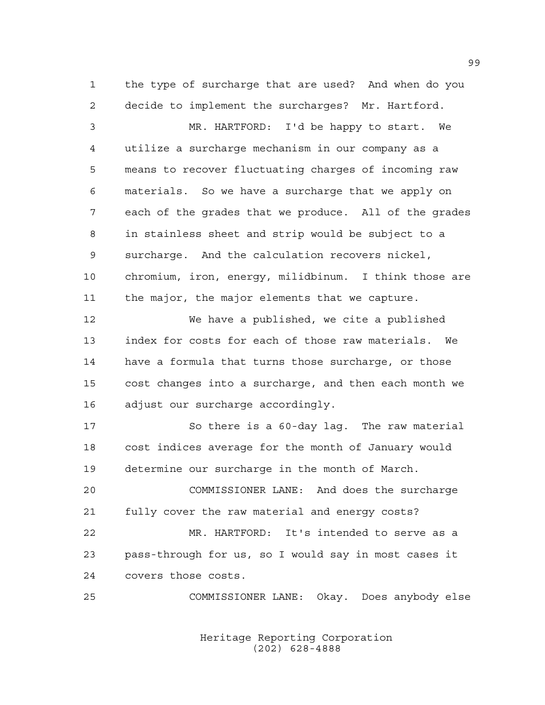the type of surcharge that are used? And when do you decide to implement the surcharges? Mr. Hartford.

 MR. HARTFORD: I'd be happy to start. We utilize a surcharge mechanism in our company as a means to recover fluctuating charges of incoming raw materials. So we have a surcharge that we apply on each of the grades that we produce. All of the grades in stainless sheet and strip would be subject to a surcharge. And the calculation recovers nickel, chromium, iron, energy, milidbinum. I think those are the major, the major elements that we capture.

 We have a published, we cite a published index for costs for each of those raw materials. We have a formula that turns those surcharge, or those cost changes into a surcharge, and then each month we adjust our surcharge accordingly.

 So there is a 60-day lag. The raw material cost indices average for the month of January would determine our surcharge in the month of March.

 COMMISSIONER LANE: And does the surcharge fully cover the raw material and energy costs?

 MR. HARTFORD: It's intended to serve as a pass-through for us, so I would say in most cases it covers those costs.

COMMISSIONER LANE: Okay. Does anybody else

Heritage Reporting Corporation (202) 628-4888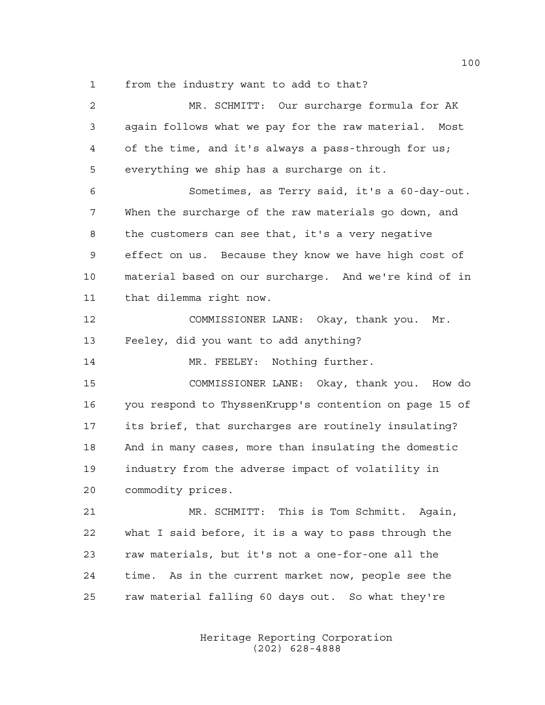from the industry want to add to that?

 MR. SCHMITT: Our surcharge formula for AK again follows what we pay for the raw material. Most of the time, and it's always a pass-through for us; everything we ship has a surcharge on it. Sometimes, as Terry said, it's a 60-day-out. When the surcharge of the raw materials go down, and the customers can see that, it's a very negative effect on us. Because they know we have high cost of material based on our surcharge. And we're kind of in that dilemma right now. COMMISSIONER LANE: Okay, thank you. Mr. Feeley, did you want to add anything? 14 MR. FEELEY: Nothing further. COMMISSIONER LANE: Okay, thank you. How do you respond to ThyssenKrupp's contention on page 15 of its brief, that surcharges are routinely insulating? And in many cases, more than insulating the domestic industry from the adverse impact of volatility in commodity prices. MR. SCHMITT: This is Tom Schmitt. Again, what I said before, it is a way to pass through the raw materials, but it's not a one-for-one all the time. As in the current market now, people see the raw material falling 60 days out. So what they're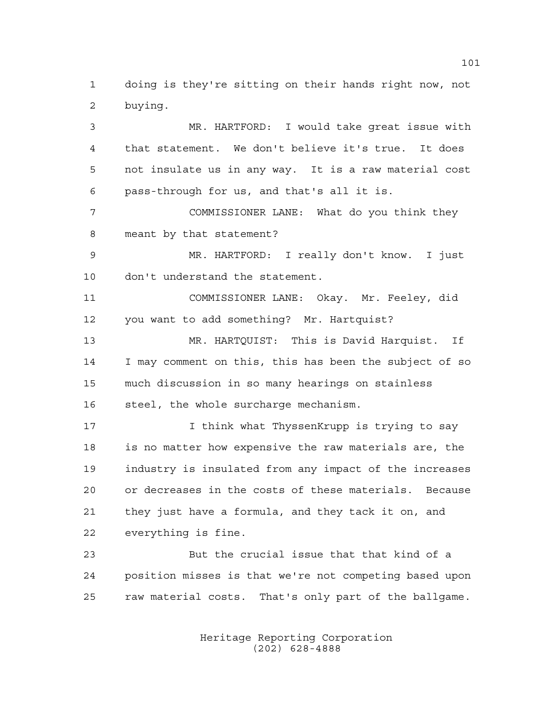doing is they're sitting on their hands right now, not buying.

 MR. HARTFORD: I would take great issue with that statement. We don't believe it's true. It does not insulate us in any way. It is a raw material cost pass-through for us, and that's all it is. COMMISSIONER LANE: What do you think they meant by that statement? MR. HARTFORD: I really don't know. I just don't understand the statement. COMMISSIONER LANE: Okay. Mr. Feeley, did you want to add something? Mr. Hartquist? MR. HARTQUIST: This is David Harquist. If I may comment on this, this has been the subject of so much discussion in so many hearings on stainless steel, the whole surcharge mechanism. 17 17 I think what ThyssenKrupp is trying to say is no matter how expensive the raw materials are, the industry is insulated from any impact of the increases or decreases in the costs of these materials. Because they just have a formula, and they tack it on, and everything is fine. But the crucial issue that that kind of a

 position misses is that we're not competing based upon raw material costs. That's only part of the ballgame.

> Heritage Reporting Corporation (202) 628-4888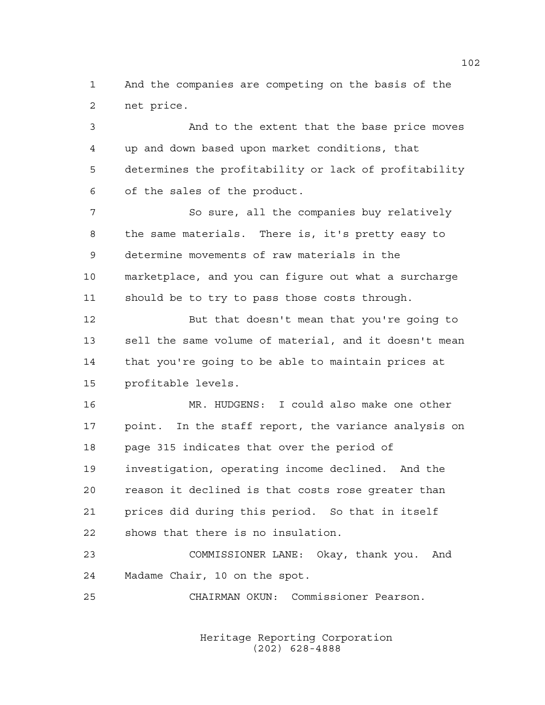And the companies are competing on the basis of the net price.

 And to the extent that the base price moves up and down based upon market conditions, that determines the profitability or lack of profitability of the sales of the product. So sure, all the companies buy relatively the same materials. There is, it's pretty easy to determine movements of raw materials in the marketplace, and you can figure out what a surcharge should be to try to pass those costs through. But that doesn't mean that you're going to sell the same volume of material, and it doesn't mean that you're going to be able to maintain prices at

15 profitable levels.

 MR. HUDGENS: I could also make one other point. In the staff report, the variance analysis on page 315 indicates that over the period of investigation, operating income declined. And the reason it declined is that costs rose greater than prices did during this period. So that in itself shows that there is no insulation.

 COMMISSIONER LANE: Okay, thank you. And Madame Chair, 10 on the spot.

CHAIRMAN OKUN: Commissioner Pearson.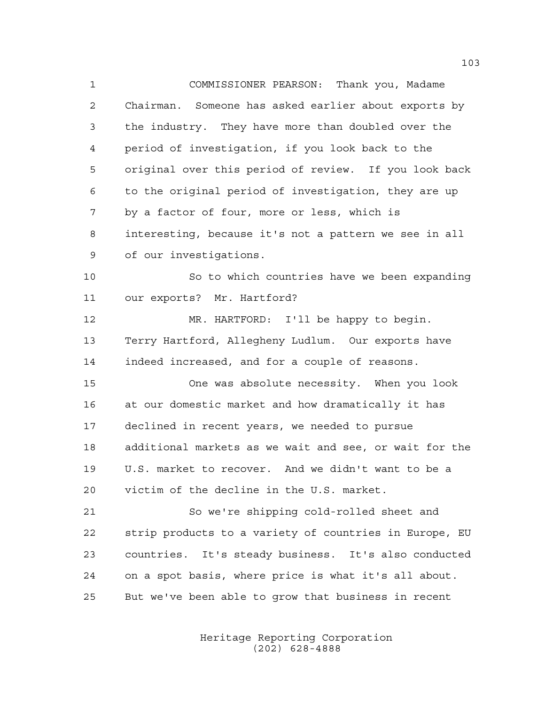COMMISSIONER PEARSON: Thank you, Madame Chairman. Someone has asked earlier about exports by the industry. They have more than doubled over the period of investigation, if you look back to the original over this period of review. If you look back to the original period of investigation, they are up by a factor of four, more or less, which is interesting, because it's not a pattern we see in all of our investigations.

 So to which countries have we been expanding our exports? Mr. Hartford?

 MR. HARTFORD: I'll be happy to begin. Terry Hartford, Allegheny Ludlum. Our exports have indeed increased, and for a couple of reasons.

 One was absolute necessity. When you look at our domestic market and how dramatically it has declined in recent years, we needed to pursue additional markets as we wait and see, or wait for the U.S. market to recover. And we didn't want to be a victim of the decline in the U.S. market.

 So we're shipping cold-rolled sheet and strip products to a variety of countries in Europe, EU countries. It's steady business. It's also conducted on a spot basis, where price is what it's all about. But we've been able to grow that business in recent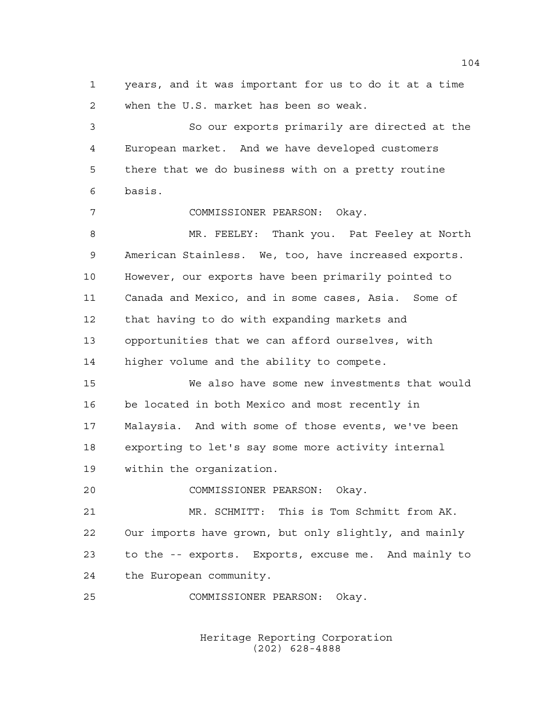years, and it was important for us to do it at a time when the U.S. market has been so weak.

 So our exports primarily are directed at the European market. And we have developed customers there that we do business with on a pretty routine basis.

COMMISSIONER PEARSON: Okay.

 MR. FEELEY: Thank you. Pat Feeley at North American Stainless. We, too, have increased exports. However, our exports have been primarily pointed to Canada and Mexico, and in some cases, Asia. Some of that having to do with expanding markets and opportunities that we can afford ourselves, with higher volume and the ability to compete.

 We also have some new investments that would be located in both Mexico and most recently in Malaysia. And with some of those events, we've been exporting to let's say some more activity internal within the organization.

COMMISSIONER PEARSON: Okay.

 MR. SCHMITT: This is Tom Schmitt from AK. Our imports have grown, but only slightly, and mainly to the -- exports. Exports, excuse me. And mainly to the European community.

COMMISSIONER PEARSON: Okay.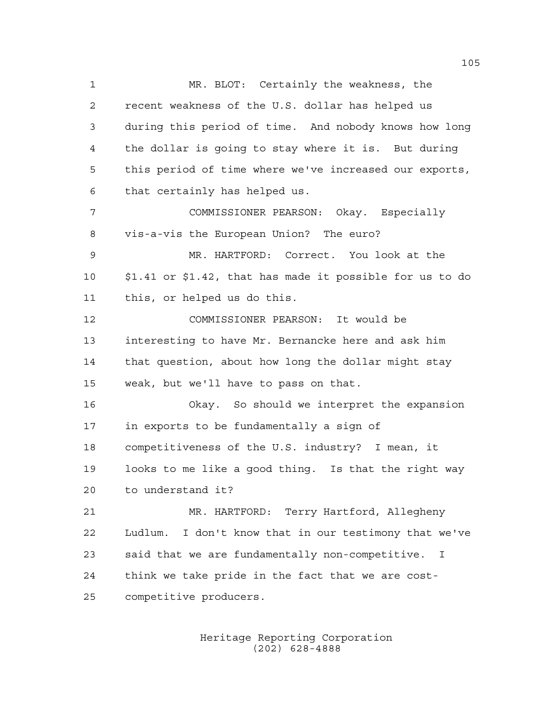MR. BLOT: Certainly the weakness, the recent weakness of the U.S. dollar has helped us during this period of time. And nobody knows how long the dollar is going to stay where it is. But during this period of time where we've increased our exports, that certainly has helped us. COMMISSIONER PEARSON: Okay. Especially vis-a-vis the European Union? The euro? MR. HARTFORD: Correct. You look at the \$1.41 or \$1.42, that has made it possible for us to do this, or helped us do this. COMMISSIONER PEARSON: It would be interesting to have Mr. Bernancke here and ask him that question, about how long the dollar might stay weak, but we'll have to pass on that. Okay. So should we interpret the expansion in exports to be fundamentally a sign of competitiveness of the U.S. industry? I mean, it looks to me like a good thing. Is that the right way to understand it? MR. HARTFORD: Terry Hartford, Allegheny Ludlum. I don't know that in our testimony that we've said that we are fundamentally non-competitive. I think we take pride in the fact that we are cost-competitive producers.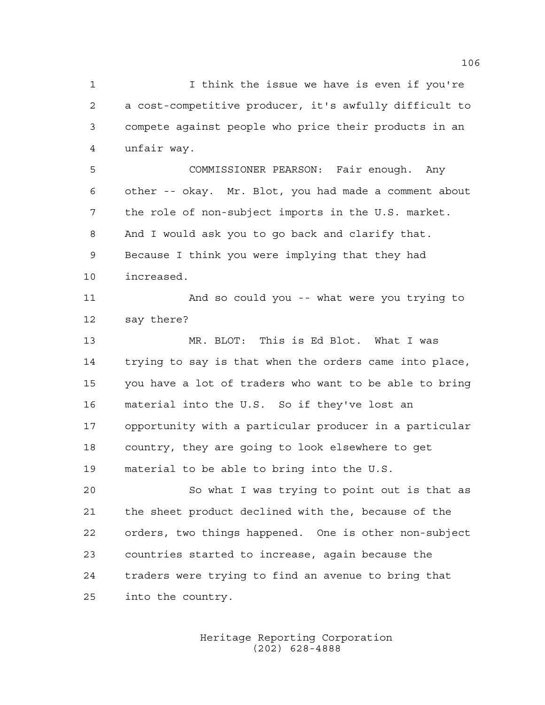I think the issue we have is even if you're a cost-competitive producer, it's awfully difficult to compete against people who price their products in an unfair way. COMMISSIONER PEARSON: Fair enough. Any other -- okay. Mr. Blot, you had made a comment about

 the role of non-subject imports in the U.S. market. And I would ask you to go back and clarify that. Because I think you were implying that they had increased.

 And so could you -- what were you trying to say there?

 MR. BLOT: This is Ed Blot. What I was trying to say is that when the orders came into place, you have a lot of traders who want to be able to bring material into the U.S. So if they've lost an opportunity with a particular producer in a particular country, they are going to look elsewhere to get material to be able to bring into the U.S.

 So what I was trying to point out is that as the sheet product declined with the, because of the orders, two things happened. One is other non-subject countries started to increase, again because the traders were trying to find an avenue to bring that into the country.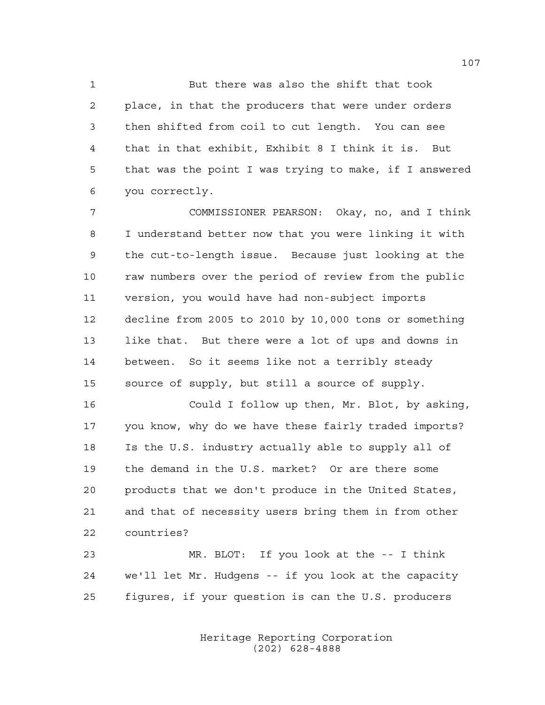But there was also the shift that took place, in that the producers that were under orders then shifted from coil to cut length. You can see that in that exhibit, Exhibit 8 I think it is. But that was the point I was trying to make, if I answered you correctly.

 COMMISSIONER PEARSON: Okay, no, and I think I understand better now that you were linking it with the cut-to-length issue. Because just looking at the raw numbers over the period of review from the public version, you would have had non-subject imports decline from 2005 to 2010 by 10,000 tons or something like that. But there were a lot of ups and downs in between. So it seems like not a terribly steady source of supply, but still a source of supply.

 Could I follow up then, Mr. Blot, by asking, you know, why do we have these fairly traded imports? Is the U.S. industry actually able to supply all of the demand in the U.S. market? Or are there some products that we don't produce in the United States, and that of necessity users bring them in from other countries?

 MR. BLOT: If you look at the -- I think we'll let Mr. Hudgens -- if you look at the capacity figures, if your question is can the U.S. producers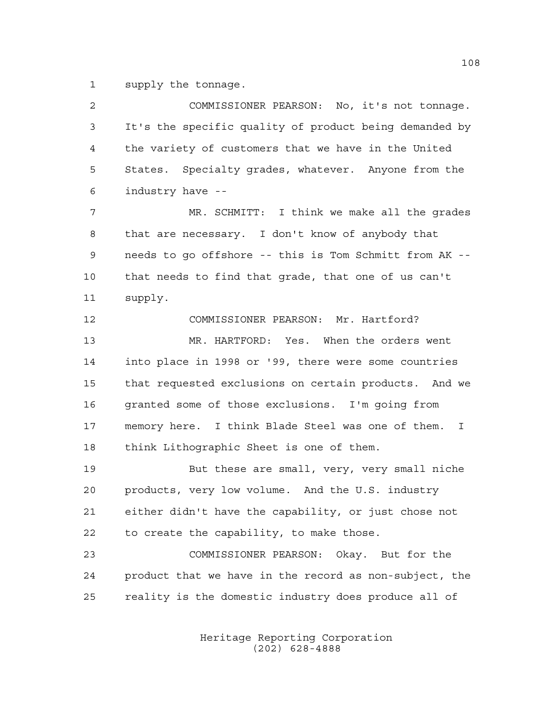supply the tonnage.

| $\overline{2}$ | COMMISSIONER PEARSON: No, it's not tonnage.                       |
|----------------|-------------------------------------------------------------------|
| 3              | It's the specific quality of product being demanded by            |
| 4              | the variety of customers that we have in the United               |
| 5              | States. Specialty grades, whatever. Anyone from the               |
| 6              | industry have --                                                  |
| 7              | MR. SCHMITT: I think we make all the grades                       |
| 8              | that are necessary. I don't know of anybody that                  |
| 9              | needs to go offshore -- this is Tom Schmitt from AK --            |
| 10             | that needs to find that grade, that one of us can't               |
| 11             | supply.                                                           |
| 12             | COMMISSIONER PEARSON: Mr. Hartford?                               |
| 13             | MR. HARTFORD: Yes. When the orders went                           |
| 14             | into place in 1998 or '99, there were some countries              |
| 15             | that requested exclusions on certain products. And we             |
| 16             | granted some of those exclusions. I'm going from                  |
| 17             | memory here. I think Blade Steel was one of them.<br>$\mathbf{I}$ |
| 18             | think Lithographic Sheet is one of them.                          |
| 19             | But these are small, very, very small niche                       |
| 20             | products, very low volume. And the U.S. industry                  |
| 21             | either didn't have the capability, or just chose not              |
| 22             | to create the capability, to make those.                          |
| 23             | COMMISSIONER PEARSON: Okay. But for the                           |
| 24             | product that we have in the record as non-subject, the            |
| 25             | reality is the domestic industry does produce all of              |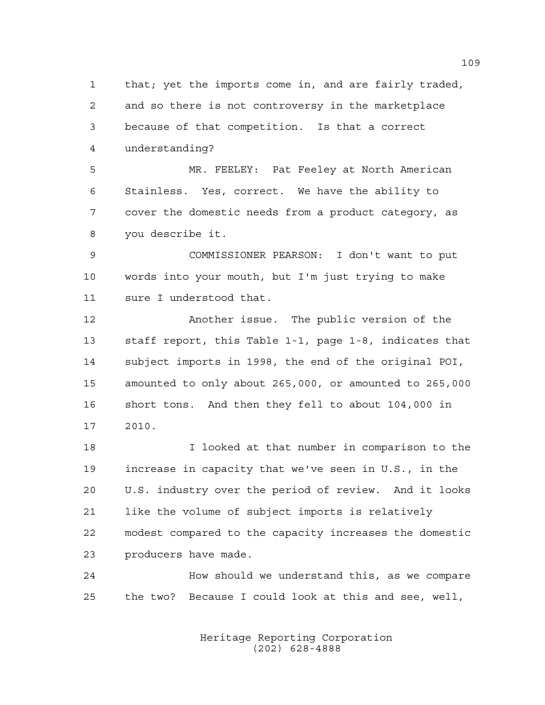that; yet the imports come in, and are fairly traded, and so there is not controversy in the marketplace because of that competition. Is that a correct understanding?

 MR. FEELEY: Pat Feeley at North American Stainless. Yes, correct. We have the ability to cover the domestic needs from a product category, as you describe it.

 COMMISSIONER PEARSON: I don't want to put words into your mouth, but I'm just trying to make sure I understood that.

 Another issue. The public version of the staff report, this Table 1-1, page 1-8, indicates that subject imports in 1998, the end of the original POI, amounted to only about 265,000, or amounted to 265,000 short tons. And then they fell to about 104,000 in 2010.

 I looked at that number in comparison to the increase in capacity that we've seen in U.S., in the U.S. industry over the period of review. And it looks like the volume of subject imports is relatively modest compared to the capacity increases the domestic producers have made.

 How should we understand this, as we compare the two? Because I could look at this and see, well,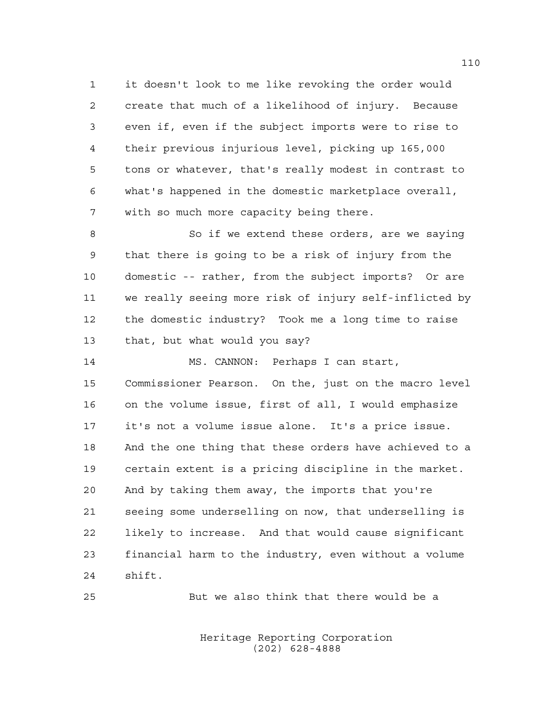it doesn't look to me like revoking the order would create that much of a likelihood of injury. Because even if, even if the subject imports were to rise to their previous injurious level, picking up 165,000 tons or whatever, that's really modest in contrast to what's happened in the domestic marketplace overall, with so much more capacity being there.

8 So if we extend these orders, are we saying that there is going to be a risk of injury from the domestic -- rather, from the subject imports? Or are we really seeing more risk of injury self-inflicted by the domestic industry? Took me a long time to raise that, but what would you say?

 MS. CANNON: Perhaps I can start, Commissioner Pearson. On the, just on the macro level on the volume issue, first of all, I would emphasize it's not a volume issue alone. It's a price issue. And the one thing that these orders have achieved to a certain extent is a pricing discipline in the market. And by taking them away, the imports that you're seeing some underselling on now, that underselling is likely to increase. And that would cause significant financial harm to the industry, even without a volume shift.

But we also think that there would be a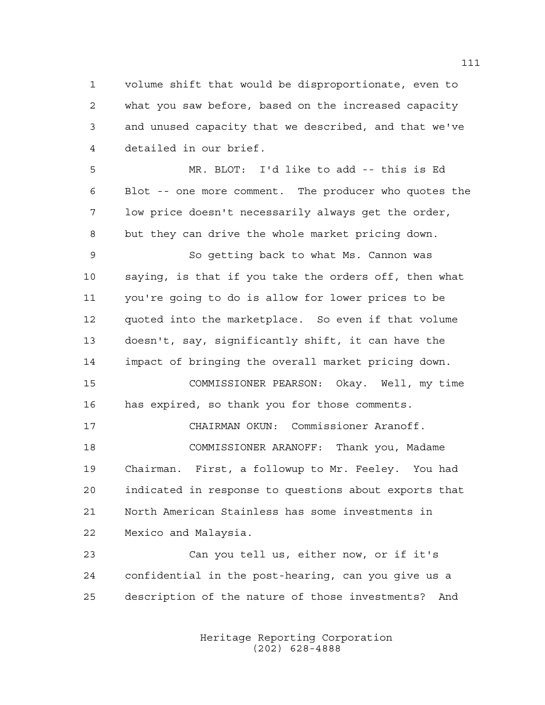volume shift that would be disproportionate, even to what you saw before, based on the increased capacity and unused capacity that we described, and that we've detailed in our brief.

 MR. BLOT: I'd like to add -- this is Ed Blot -- one more comment. The producer who quotes the low price doesn't necessarily always get the order, but they can drive the whole market pricing down.

 So getting back to what Ms. Cannon was saying, is that if you take the orders off, then what you're going to do is allow for lower prices to be quoted into the marketplace. So even if that volume doesn't, say, significantly shift, it can have the impact of bringing the overall market pricing down.

 COMMISSIONER PEARSON: Okay. Well, my time has expired, so thank you for those comments.

 CHAIRMAN OKUN: Commissioner Aranoff. COMMISSIONER ARANOFF: Thank you, Madame Chairman. First, a followup to Mr. Feeley. You had indicated in response to questions about exports that North American Stainless has some investments in Mexico and Malaysia.

 Can you tell us, either now, or if it's confidential in the post-hearing, can you give us a description of the nature of those investments? And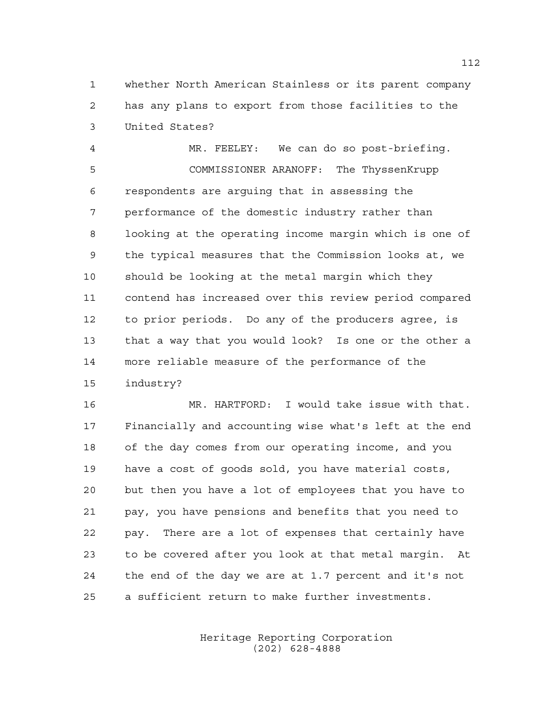whether North American Stainless or its parent company has any plans to export from those facilities to the United States?

 MR. FEELEY: We can do so post-briefing. COMMISSIONER ARANOFF: The ThyssenKrupp respondents are arguing that in assessing the performance of the domestic industry rather than looking at the operating income margin which is one of the typical measures that the Commission looks at, we should be looking at the metal margin which they contend has increased over this review period compared to prior periods. Do any of the producers agree, is that a way that you would look? Is one or the other a more reliable measure of the performance of the industry?

 MR. HARTFORD: I would take issue with that. Financially and accounting wise what's left at the end of the day comes from our operating income, and you have a cost of goods sold, you have material costs, but then you have a lot of employees that you have to pay, you have pensions and benefits that you need to pay. There are a lot of expenses that certainly have to be covered after you look at that metal margin. At the end of the day we are at 1.7 percent and it's not a sufficient return to make further investments.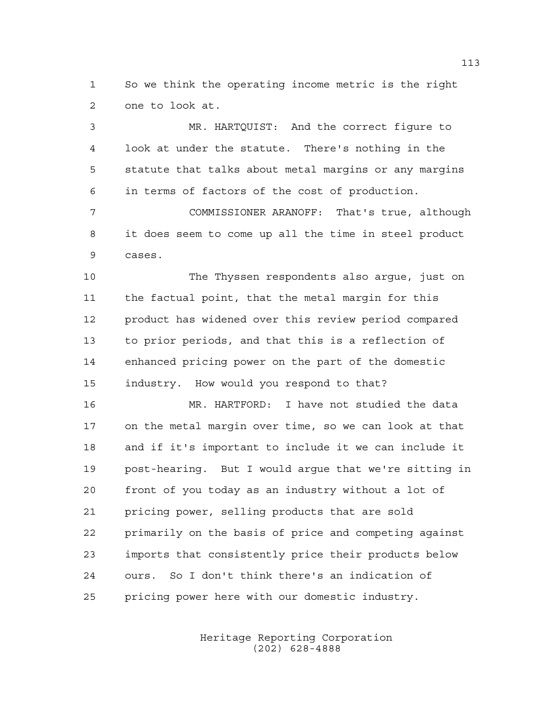So we think the operating income metric is the right one to look at.

 MR. HARTQUIST: And the correct figure to look at under the statute. There's nothing in the statute that talks about metal margins or any margins in terms of factors of the cost of production.

 COMMISSIONER ARANOFF: That's true, although it does seem to come up all the time in steel product cases.

 The Thyssen respondents also argue, just on the factual point, that the metal margin for this product has widened over this review period compared to prior periods, and that this is a reflection of enhanced pricing power on the part of the domestic industry. How would you respond to that?

 MR. HARTFORD: I have not studied the data on the metal margin over time, so we can look at that and if it's important to include it we can include it post-hearing. But I would argue that we're sitting in front of you today as an industry without a lot of pricing power, selling products that are sold primarily on the basis of price and competing against imports that consistently price their products below ours. So I don't think there's an indication of pricing power here with our domestic industry.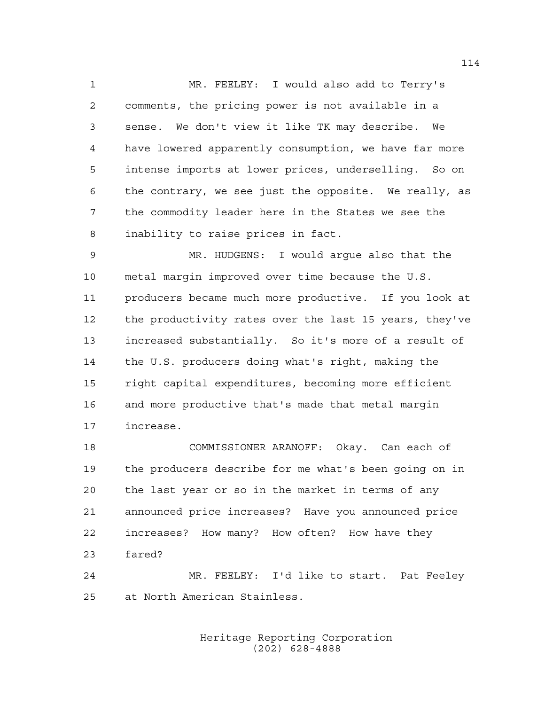MR. FEELEY: I would also add to Terry's comments, the pricing power is not available in a sense. We don't view it like TK may describe. We have lowered apparently consumption, we have far more intense imports at lower prices, underselling. So on the contrary, we see just the opposite. We really, as the commodity leader here in the States we see the inability to raise prices in fact.

 MR. HUDGENS: I would argue also that the metal margin improved over time because the U.S. producers became much more productive. If you look at the productivity rates over the last 15 years, they've increased substantially. So it's more of a result of the U.S. producers doing what's right, making the right capital expenditures, becoming more efficient and more productive that's made that metal margin increase.

 COMMISSIONER ARANOFF: Okay. Can each of the producers describe for me what's been going on in the last year or so in the market in terms of any announced price increases? Have you announced price increases? How many? How often? How have they fared?

 MR. FEELEY: I'd like to start. Pat Feeley at North American Stainless.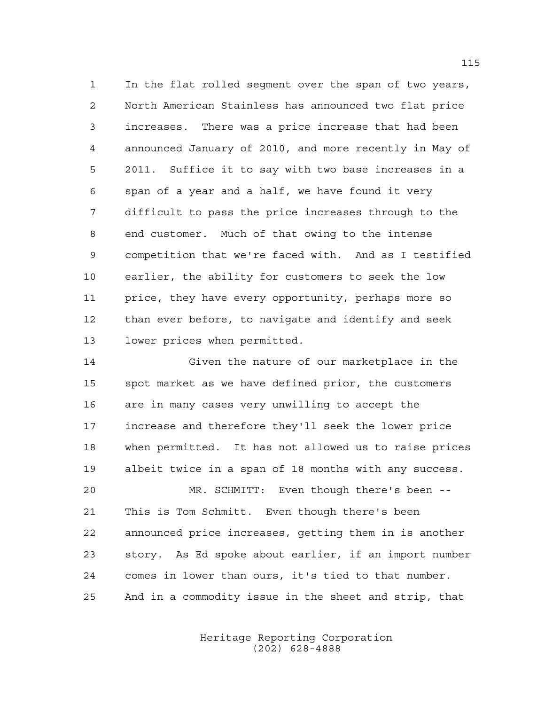In the flat rolled segment over the span of two years, North American Stainless has announced two flat price increases. There was a price increase that had been announced January of 2010, and more recently in May of 2011. Suffice it to say with two base increases in a span of a year and a half, we have found it very difficult to pass the price increases through to the end customer. Much of that owing to the intense competition that we're faced with. And as I testified earlier, the ability for customers to seek the low price, they have every opportunity, perhaps more so than ever before, to navigate and identify and seek lower prices when permitted.

 Given the nature of our marketplace in the spot market as we have defined prior, the customers are in many cases very unwilling to accept the increase and therefore they'll seek the lower price when permitted. It has not allowed us to raise prices albeit twice in a span of 18 months with any success.

 MR. SCHMITT: Even though there's been -- This is Tom Schmitt. Even though there's been announced price increases, getting them in is another story. As Ed spoke about earlier, if an import number comes in lower than ours, it's tied to that number. And in a commodity issue in the sheet and strip, that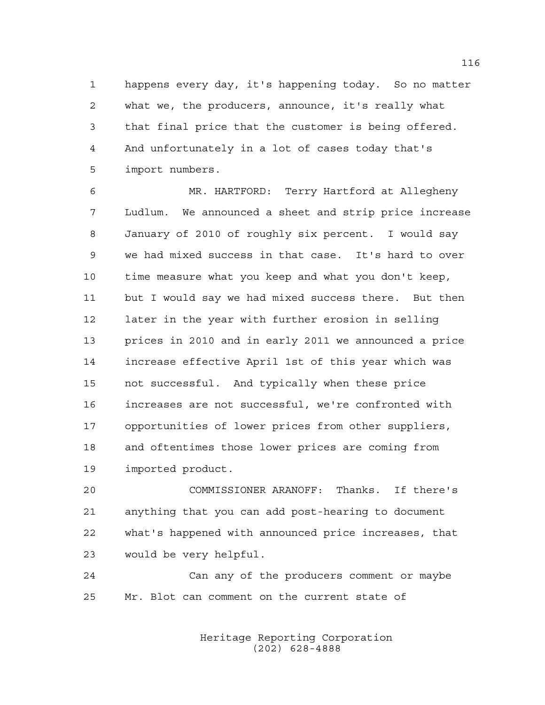happens every day, it's happening today. So no matter what we, the producers, announce, it's really what that final price that the customer is being offered. And unfortunately in a lot of cases today that's import numbers.

 MR. HARTFORD: Terry Hartford at Allegheny Ludlum. We announced a sheet and strip price increase January of 2010 of roughly six percent. I would say we had mixed success in that case. It's hard to over time measure what you keep and what you don't keep, but I would say we had mixed success there. But then later in the year with further erosion in selling prices in 2010 and in early 2011 we announced a price increase effective April 1st of this year which was not successful. And typically when these price increases are not successful, we're confronted with opportunities of lower prices from other suppliers, and oftentimes those lower prices are coming from imported product.

 COMMISSIONER ARANOFF: Thanks. If there's anything that you can add post-hearing to document what's happened with announced price increases, that would be very helpful.

 Can any of the producers comment or maybe Mr. Blot can comment on the current state of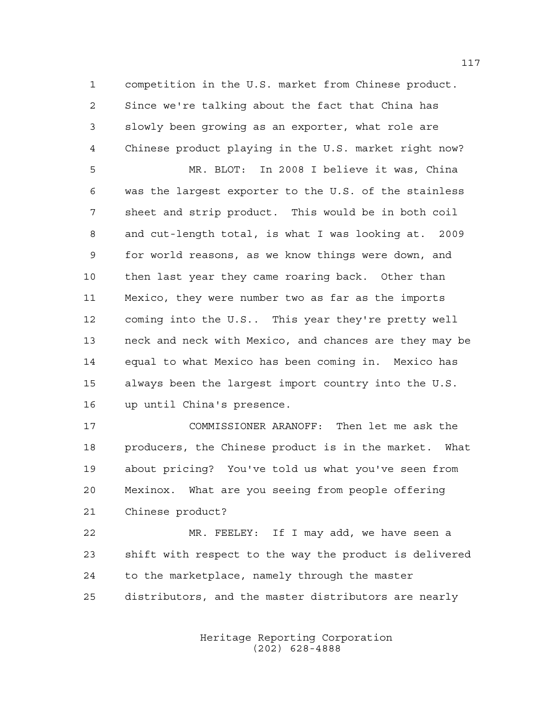competition in the U.S. market from Chinese product. Since we're talking about the fact that China has slowly been growing as an exporter, what role are Chinese product playing in the U.S. market right now?

 MR. BLOT: In 2008 I believe it was, China was the largest exporter to the U.S. of the stainless sheet and strip product. This would be in both coil and cut-length total, is what I was looking at. 2009 for world reasons, as we know things were down, and then last year they came roaring back. Other than Mexico, they were number two as far as the imports coming into the U.S.. This year they're pretty well neck and neck with Mexico, and chances are they may be equal to what Mexico has been coming in. Mexico has always been the largest import country into the U.S. up until China's presence.

 COMMISSIONER ARANOFF: Then let me ask the producers, the Chinese product is in the market. What about pricing? You've told us what you've seen from Mexinox. What are you seeing from people offering Chinese product?

 MR. FEELEY: If I may add, we have seen a shift with respect to the way the product is delivered to the marketplace, namely through the master distributors, and the master distributors are nearly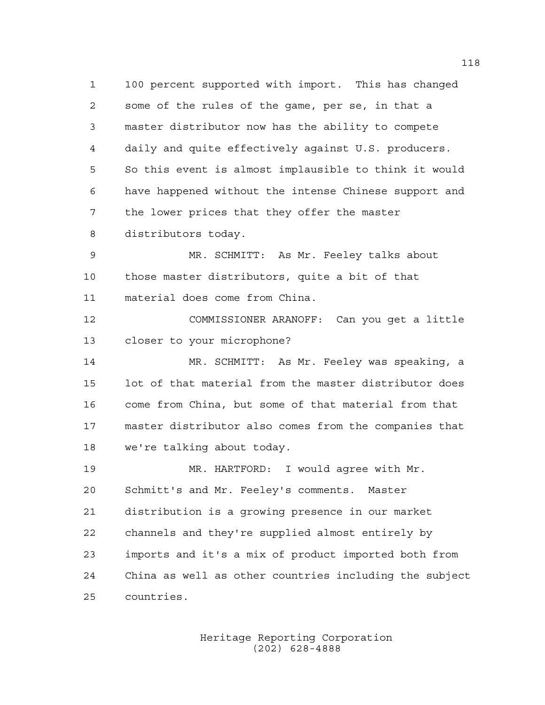100 percent supported with import. This has changed some of the rules of the game, per se, in that a master distributor now has the ability to compete daily and quite effectively against U.S. producers. So this event is almost implausible to think it would have happened without the intense Chinese support and the lower prices that they offer the master distributors today.

 MR. SCHMITT: As Mr. Feeley talks about those master distributors, quite a bit of that material does come from China.

 COMMISSIONER ARANOFF: Can you get a little closer to your microphone?

 MR. SCHMITT: As Mr. Feeley was speaking, a lot of that material from the master distributor does come from China, but some of that material from that master distributor also comes from the companies that we're talking about today.

 MR. HARTFORD: I would agree with Mr. Schmitt's and Mr. Feeley's comments. Master distribution is a growing presence in our market channels and they're supplied almost entirely by imports and it's a mix of product imported both from China as well as other countries including the subject countries.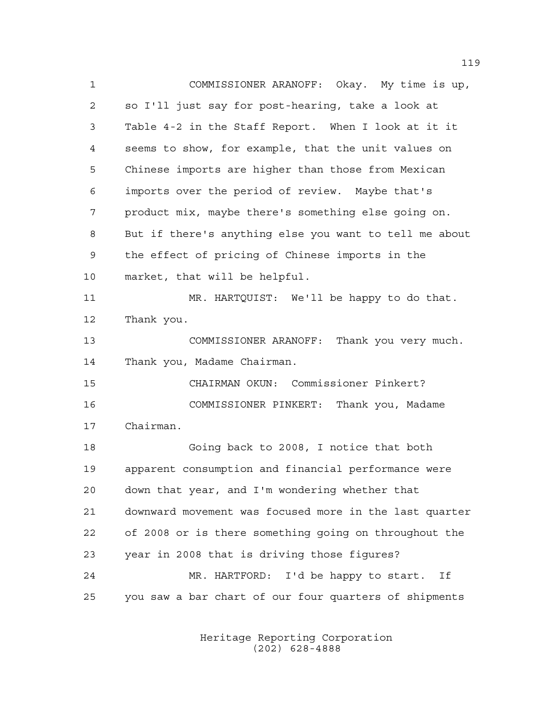COMMISSIONER ARANOFF: Okay. My time is up, so I'll just say for post-hearing, take a look at Table 4-2 in the Staff Report. When I look at it it seems to show, for example, that the unit values on Chinese imports are higher than those from Mexican imports over the period of review. Maybe that's product mix, maybe there's something else going on. But if there's anything else you want to tell me about the effect of pricing of Chinese imports in the market, that will be helpful. MR. HARTQUIST: We'll be happy to do that. Thank you. COMMISSIONER ARANOFF: Thank you very much. Thank you, Madame Chairman. CHAIRMAN OKUN: Commissioner Pinkert? COMMISSIONER PINKERT: Thank you, Madame Chairman. Going back to 2008, I notice that both apparent consumption and financial performance were down that year, and I'm wondering whether that downward movement was focused more in the last quarter of 2008 or is there something going on throughout the year in 2008 that is driving those figures? MR. HARTFORD: I'd be happy to start. If you saw a bar chart of our four quarters of shipments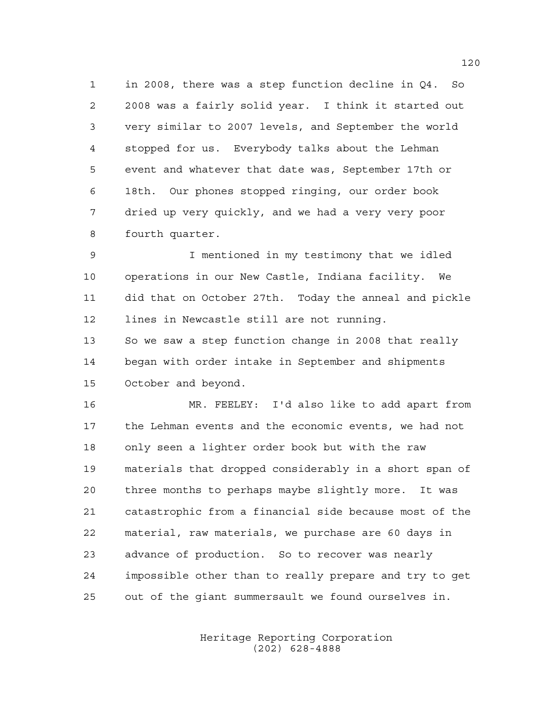in 2008, there was a step function decline in Q4. So 2008 was a fairly solid year. I think it started out very similar to 2007 levels, and September the world stopped for us. Everybody talks about the Lehman event and whatever that date was, September 17th or 18th. Our phones stopped ringing, our order book dried up very quickly, and we had a very very poor fourth quarter.

 I mentioned in my testimony that we idled operations in our New Castle, Indiana facility. We did that on October 27th. Today the anneal and pickle lines in Newcastle still are not running. 13 So we saw a step function change in 2008 that really began with order intake in September and shipments October and beyond.

 MR. FEELEY: I'd also like to add apart from the Lehman events and the economic events, we had not only seen a lighter order book but with the raw materials that dropped considerably in a short span of three months to perhaps maybe slightly more. It was catastrophic from a financial side because most of the material, raw materials, we purchase are 60 days in advance of production. So to recover was nearly impossible other than to really prepare and try to get out of the giant summersault we found ourselves in.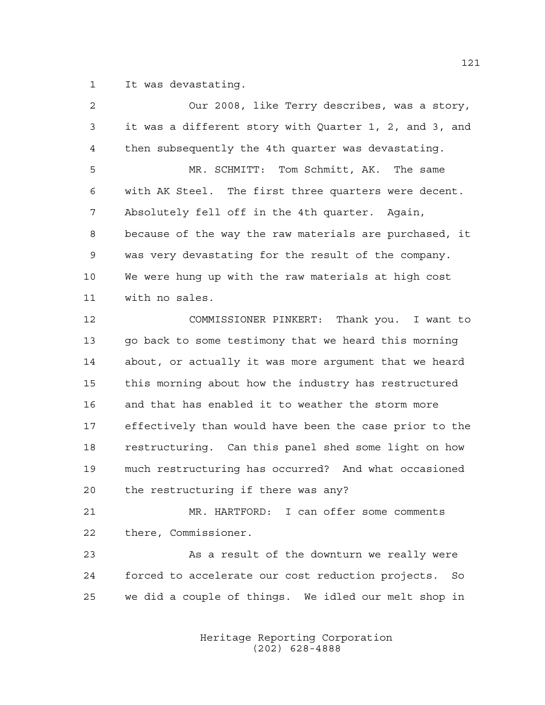It was devastating.

| 2  | Our 2008, like Terry describes, was a story,            |
|----|---------------------------------------------------------|
| 3  | it was a different story with Quarter 1, 2, and 3, and  |
| 4  | then subsequently the 4th quarter was devastating.      |
| 5  | MR. SCHMITT: Tom Schmitt, AK. The same                  |
| 6  | with AK Steel. The first three quarters were decent.    |
| 7  | Absolutely fell off in the 4th quarter. Again,          |
| 8  | because of the way the raw materials are purchased, it  |
| 9  | was very devastating for the result of the company.     |
| 10 | We were hung up with the raw materials at high cost     |
| 11 | with no sales.                                          |
| 12 | COMMISSIONER PINKERT: Thank you. I want to              |
| 13 | go back to some testimony that we heard this morning    |
| 14 | about, or actually it was more argument that we heard   |
| 15 | this morning about how the industry has restructured    |
| 16 | and that has enabled it to weather the storm more       |
| 17 | effectively than would have been the case prior to the  |
| 18 | restructuring. Can this panel shed some light on how    |
| 19 | much restructuring has occurred? And what occasioned    |
| 20 | the restructuring if there was any?                     |
| 21 | MR. HARTFORD: I can offer some comments                 |
| 22 | there, Commissioner.                                    |
| 23 | As a result of the downturn we really were              |
| 24 | forced to accelerate our cost reduction projects.<br>So |
| 25 | we did a couple of things. We idled our melt shop in    |
|    |                                                         |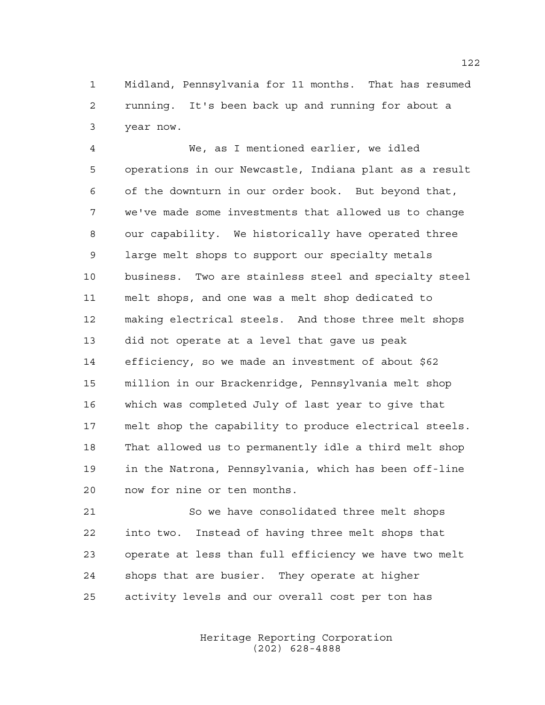Midland, Pennsylvania for 11 months. That has resumed running. It's been back up and running for about a year now.

 We, as I mentioned earlier, we idled operations in our Newcastle, Indiana plant as a result of the downturn in our order book. But beyond that, we've made some investments that allowed us to change our capability. We historically have operated three large melt shops to support our specialty metals business. Two are stainless steel and specialty steel melt shops, and one was a melt shop dedicated to making electrical steels. And those three melt shops did not operate at a level that gave us peak efficiency, so we made an investment of about \$62 million in our Brackenridge, Pennsylvania melt shop which was completed July of last year to give that melt shop the capability to produce electrical steels. That allowed us to permanently idle a third melt shop in the Natrona, Pennsylvania, which has been off-line now for nine or ten months.

 So we have consolidated three melt shops into two. Instead of having three melt shops that operate at less than full efficiency we have two melt shops that are busier. They operate at higher activity levels and our overall cost per ton has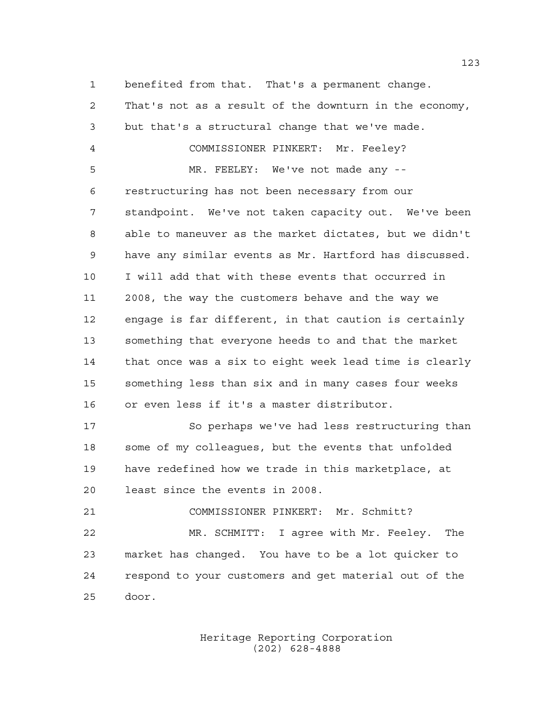benefited from that. That's a permanent change.

 That's not as a result of the downturn in the economy, but that's a structural change that we've made. COMMISSIONER PINKERT: Mr. Feeley? MR. FEELEY: We've not made any -- restructuring has not been necessary from our standpoint. We've not taken capacity out. We've been able to maneuver as the market dictates, but we didn't have any similar events as Mr. Hartford has discussed. I will add that with these events that occurred in 2008, the way the customers behave and the way we engage is far different, in that caution is certainly something that everyone heeds to and that the market that once was a six to eight week lead time is clearly something less than six and in many cases four weeks or even less if it's a master distributor. So perhaps we've had less restructuring than some of my colleagues, but the events that unfolded

 have redefined how we trade in this marketplace, at least since the events in 2008.

COMMISSIONER PINKERT: Mr. Schmitt?

 MR. SCHMITT: I agree with Mr. Feeley. The market has changed. You have to be a lot quicker to respond to your customers and get material out of the door.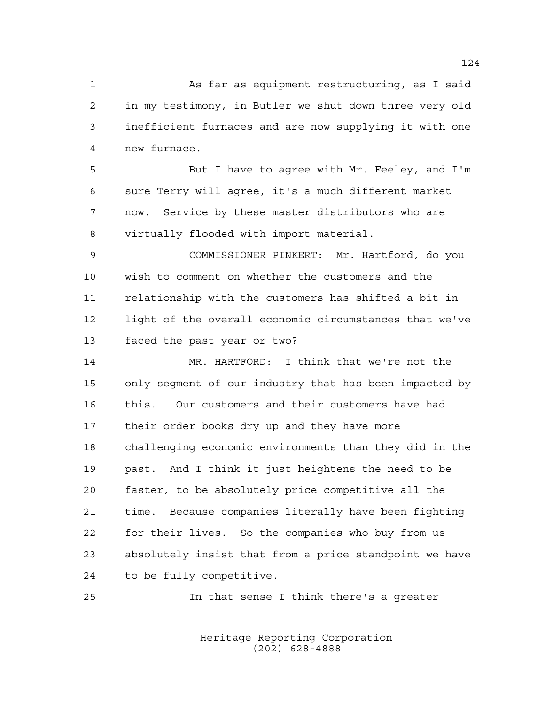As far as equipment restructuring, as I said in my testimony, in Butler we shut down three very old inefficient furnaces and are now supplying it with one new furnace.

 But I have to agree with Mr. Feeley, and I'm sure Terry will agree, it's a much different market now. Service by these master distributors who are virtually flooded with import material.

 COMMISSIONER PINKERT: Mr. Hartford, do you wish to comment on whether the customers and the relationship with the customers has shifted a bit in light of the overall economic circumstances that we've faced the past year or two?

 MR. HARTFORD: I think that we're not the only segment of our industry that has been impacted by this. Our customers and their customers have had their order books dry up and they have more challenging economic environments than they did in the past. And I think it just heightens the need to be faster, to be absolutely price competitive all the time. Because companies literally have been fighting for their lives. So the companies who buy from us absolutely insist that from a price standpoint we have to be fully competitive.

In that sense I think there's a greater

Heritage Reporting Corporation (202) 628-4888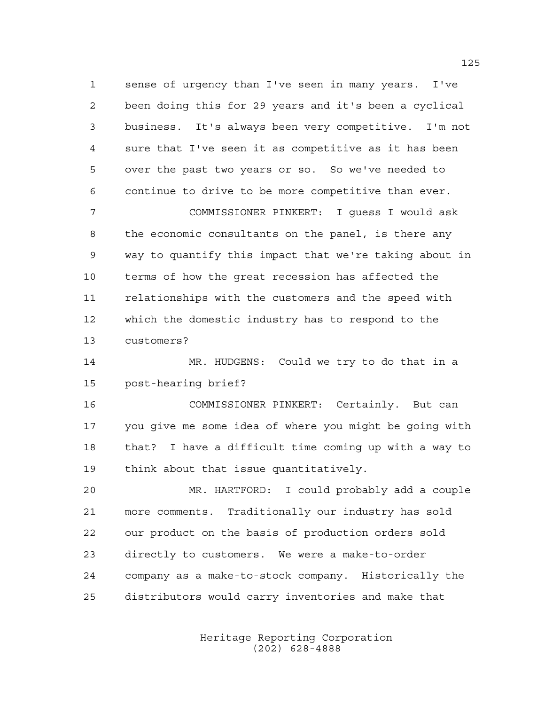sense of urgency than I've seen in many years. I've been doing this for 29 years and it's been a cyclical business. It's always been very competitive. I'm not sure that I've seen it as competitive as it has been over the past two years or so. So we've needed to continue to drive to be more competitive than ever.

 COMMISSIONER PINKERT: I guess I would ask the economic consultants on the panel, is there any way to quantify this impact that we're taking about in terms of how the great recession has affected the relationships with the customers and the speed with which the domestic industry has to respond to the customers?

 MR. HUDGENS: Could we try to do that in a post-hearing brief?

 COMMISSIONER PINKERT: Certainly. But can you give me some idea of where you might be going with that? I have a difficult time coming up with a way to think about that issue quantitatively.

 MR. HARTFORD: I could probably add a couple more comments. Traditionally our industry has sold our product on the basis of production orders sold directly to customers. We were a make-to-order company as a make-to-stock company. Historically the distributors would carry inventories and make that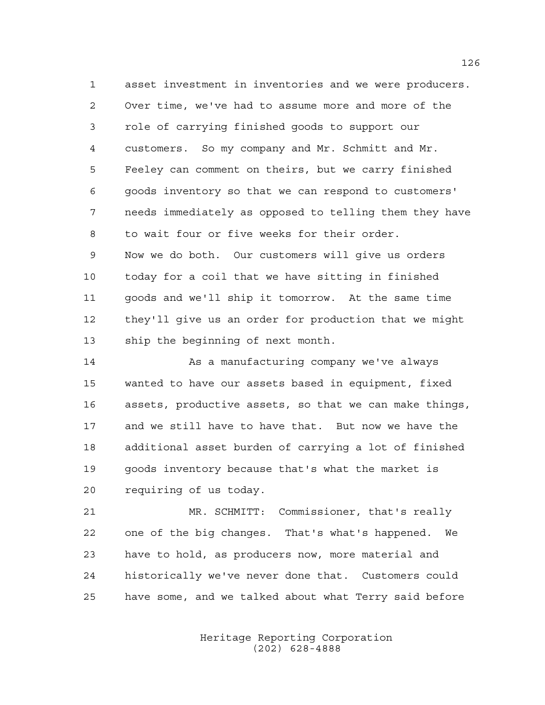asset investment in inventories and we were producers. Over time, we've had to assume more and more of the role of carrying finished goods to support our customers. So my company and Mr. Schmitt and Mr. Feeley can comment on theirs, but we carry finished goods inventory so that we can respond to customers' needs immediately as opposed to telling them they have to wait four or five weeks for their order. Now we do both. Our customers will give us orders today for a coil that we have sitting in finished goods and we'll ship it tomorrow. At the same time they'll give us an order for production that we might ship the beginning of next month.

14 As a manufacturing company we've always wanted to have our assets based in equipment, fixed assets, productive assets, so that we can make things, and we still have to have that. But now we have the additional asset burden of carrying a lot of finished goods inventory because that's what the market is requiring of us today.

 MR. SCHMITT: Commissioner, that's really one of the big changes. That's what's happened. We have to hold, as producers now, more material and historically we've never done that. Customers could have some, and we talked about what Terry said before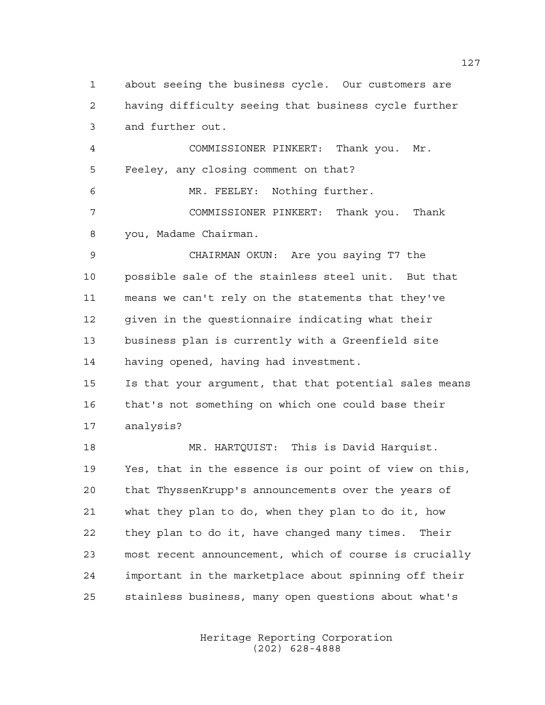about seeing the business cycle. Our customers are having difficulty seeing that business cycle further and further out.

 COMMISSIONER PINKERT: Thank you. Mr. Feeley, any closing comment on that?

 MR. FEELEY: Nothing further. COMMISSIONER PINKERT: Thank you. Thank you, Madame Chairman.

 CHAIRMAN OKUN: Are you saying T7 the possible sale of the stainless steel unit. But that means we can't rely on the statements that they've given in the questionnaire indicating what their business plan is currently with a Greenfield site having opened, having had investment.

 Is that your argument, that that potential sales means that's not something on which one could base their analysis?

 MR. HARTQUIST: This is David Harquist. Yes, that in the essence is our point of view on this, that ThyssenKrupp's announcements over the years of what they plan to do, when they plan to do it, how they plan to do it, have changed many times. Their most recent announcement, which of course is crucially important in the marketplace about spinning off their stainless business, many open questions about what's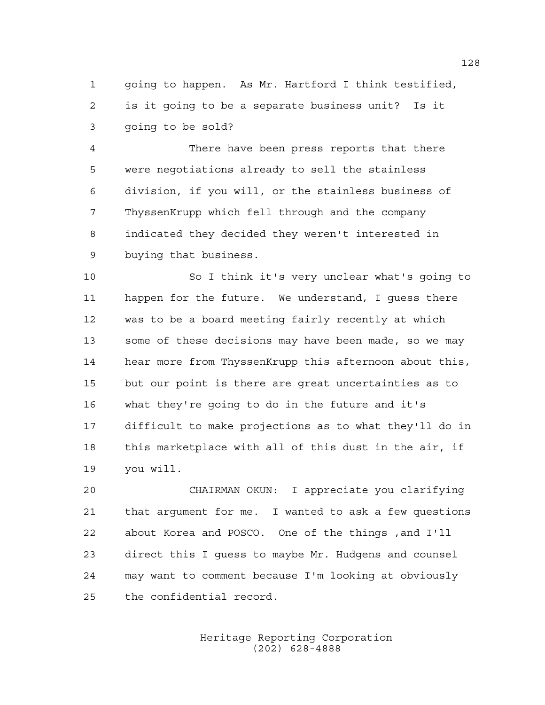going to happen. As Mr. Hartford I think testified, is it going to be a separate business unit? Is it going to be sold?

 There have been press reports that there were negotiations already to sell the stainless division, if you will, or the stainless business of ThyssenKrupp which fell through and the company indicated they decided they weren't interested in buying that business.

 So I think it's very unclear what's going to happen for the future. We understand, I guess there was to be a board meeting fairly recently at which some of these decisions may have been made, so we may hear more from ThyssenKrupp this afternoon about this, but our point is there are great uncertainties as to what they're going to do in the future and it's difficult to make projections as to what they'll do in this marketplace with all of this dust in the air, if you will.

 CHAIRMAN OKUN: I appreciate you clarifying that argument for me. I wanted to ask a few questions about Korea and POSCO. One of the things ,and I'll direct this I guess to maybe Mr. Hudgens and counsel may want to comment because I'm looking at obviously the confidential record.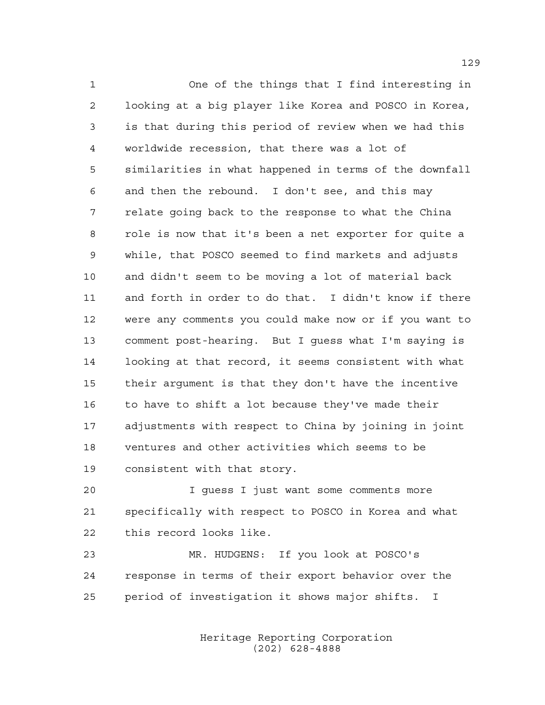One of the things that I find interesting in looking at a big player like Korea and POSCO in Korea, is that during this period of review when we had this worldwide recession, that there was a lot of similarities in what happened in terms of the downfall and then the rebound. I don't see, and this may relate going back to the response to what the China role is now that it's been a net exporter for quite a while, that POSCO seemed to find markets and adjusts and didn't seem to be moving a lot of material back and forth in order to do that. I didn't know if there were any comments you could make now or if you want to comment post-hearing. But I guess what I'm saying is looking at that record, it seems consistent with what their argument is that they don't have the incentive to have to shift a lot because they've made their adjustments with respect to China by joining in joint ventures and other activities which seems to be consistent with that story.

 I guess I just want some comments more specifically with respect to POSCO in Korea and what this record looks like.

 MR. HUDGENS: If you look at POSCO's response in terms of their export behavior over the period of investigation it shows major shifts. I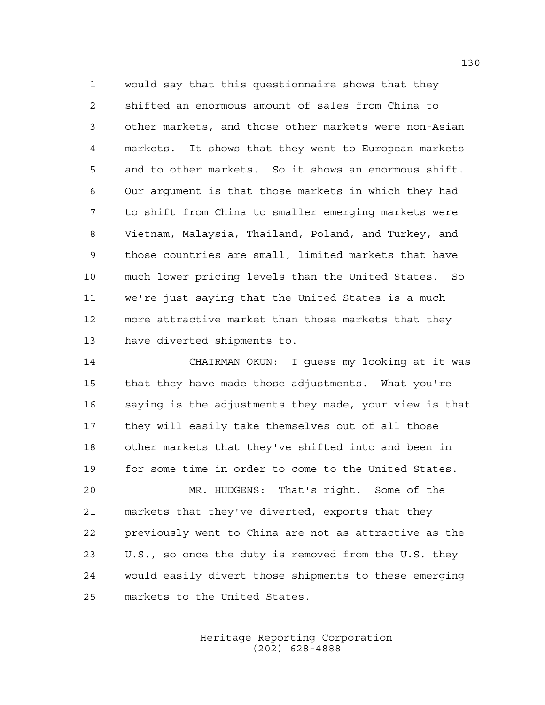would say that this questionnaire shows that they shifted an enormous amount of sales from China to other markets, and those other markets were non-Asian markets. It shows that they went to European markets and to other markets. So it shows an enormous shift. Our argument is that those markets in which they had to shift from China to smaller emerging markets were Vietnam, Malaysia, Thailand, Poland, and Turkey, and those countries are small, limited markets that have much lower pricing levels than the United States. So we're just saying that the United States is a much more attractive market than those markets that they have diverted shipments to.

 CHAIRMAN OKUN: I guess my looking at it was that they have made those adjustments. What you're saying is the adjustments they made, your view is that they will easily take themselves out of all those other markets that they've shifted into and been in for some time in order to come to the United States.

 MR. HUDGENS: That's right. Some of the markets that they've diverted, exports that they previously went to China are not as attractive as the U.S., so once the duty is removed from the U.S. they would easily divert those shipments to these emerging markets to the United States.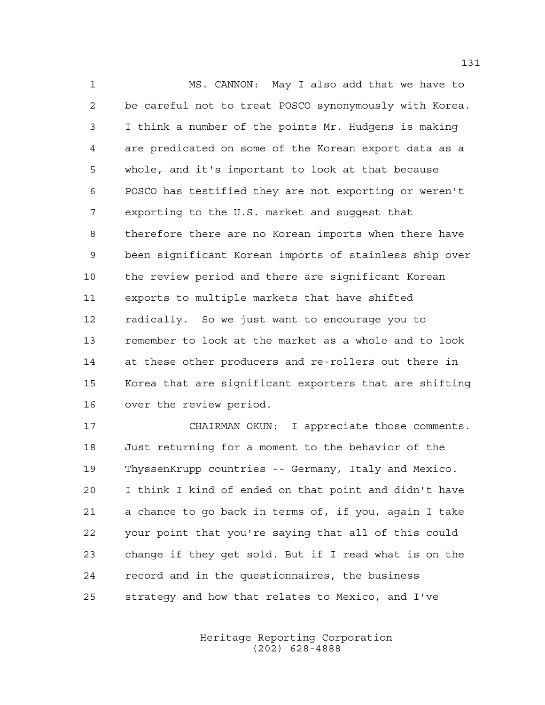MS. CANNON: May I also add that we have to be careful not to treat POSCO synonymously with Korea. I think a number of the points Mr. Hudgens is making are predicated on some of the Korean export data as a whole, and it's important to look at that because POSCO has testified they are not exporting or weren't exporting to the U.S. market and suggest that therefore there are no Korean imports when there have been significant Korean imports of stainless ship over the review period and there are significant Korean exports to multiple markets that have shifted radically. So we just want to encourage you to remember to look at the market as a whole and to look at these other producers and re-rollers out there in Korea that are significant exporters that are shifting over the review period.

 CHAIRMAN OKUN: I appreciate those comments. Just returning for a moment to the behavior of the ThyssenKrupp countries -- Germany, Italy and Mexico. I think I kind of ended on that point and didn't have a chance to go back in terms of, if you, again I take your point that you're saying that all of this could change if they get sold. But if I read what is on the record and in the questionnaires, the business strategy and how that relates to Mexico, and I've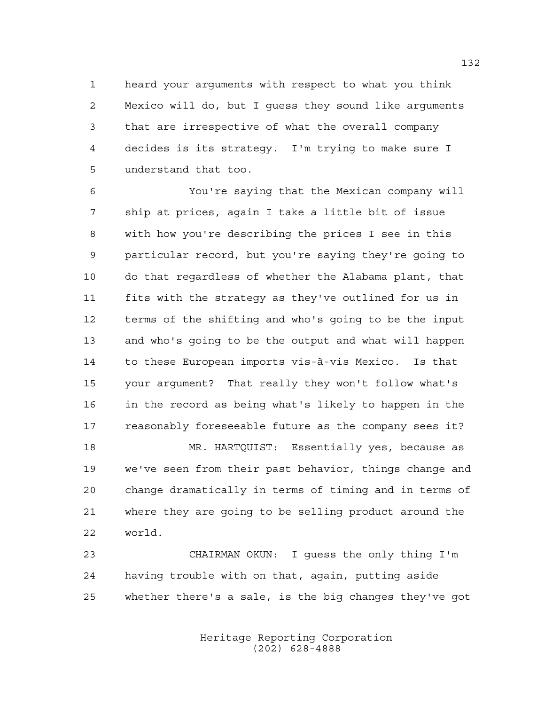heard your arguments with respect to what you think Mexico will do, but I guess they sound like arguments that are irrespective of what the overall company decides is its strategy. I'm trying to make sure I understand that too.

 You're saying that the Mexican company will ship at prices, again I take a little bit of issue with how you're describing the prices I see in this particular record, but you're saying they're going to do that regardless of whether the Alabama plant, that fits with the strategy as they've outlined for us in terms of the shifting and who's going to be the input and who's going to be the output and what will happen to these European imports vis-à-vis Mexico. Is that your argument? That really they won't follow what's in the record as being what's likely to happen in the reasonably foreseeable future as the company sees it? MR. HARTQUIST: Essentially yes, because as

 we've seen from their past behavior, things change and change dramatically in terms of timing and in terms of where they are going to be selling product around the world.

 CHAIRMAN OKUN: I guess the only thing I'm having trouble with on that, again, putting aside whether there's a sale, is the big changes they've got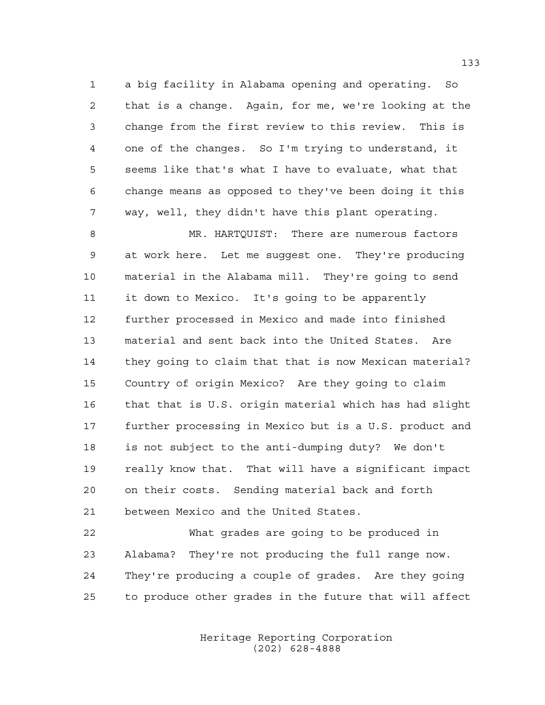a big facility in Alabama opening and operating. So that is a change. Again, for me, we're looking at the change from the first review to this review. This is one of the changes. So I'm trying to understand, it seems like that's what I have to evaluate, what that change means as opposed to they've been doing it this way, well, they didn't have this plant operating.

 MR. HARTQUIST: There are numerous factors at work here. Let me suggest one. They're producing material in the Alabama mill. They're going to send it down to Mexico. It's going to be apparently further processed in Mexico and made into finished material and sent back into the United States. Are they going to claim that that is now Mexican material? Country of origin Mexico? Are they going to claim that that is U.S. origin material which has had slight further processing in Mexico but is a U.S. product and is not subject to the anti-dumping duty? We don't really know that. That will have a significant impact on their costs. Sending material back and forth between Mexico and the United States.

 What grades are going to be produced in Alabama? They're not producing the full range now. They're producing a couple of grades. Are they going to produce other grades in the future that will affect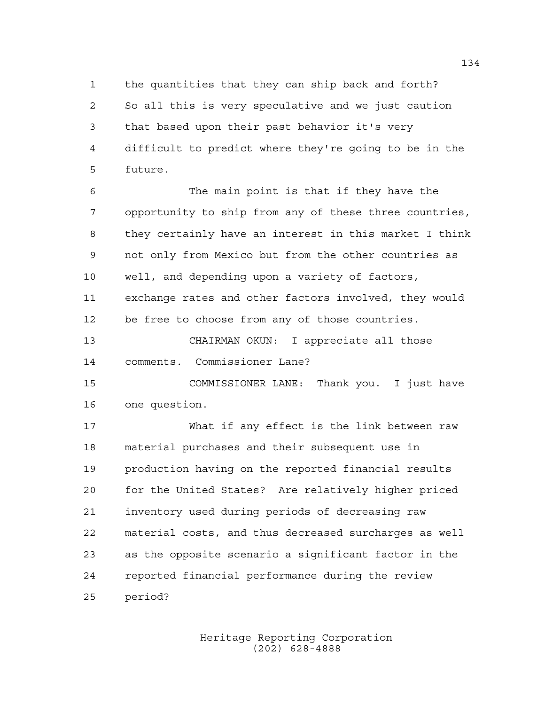the quantities that they can ship back and forth? So all this is very speculative and we just caution that based upon their past behavior it's very difficult to predict where they're going to be in the future.

 The main point is that if they have the opportunity to ship from any of these three countries, they certainly have an interest in this market I think not only from Mexico but from the other countries as well, and depending upon a variety of factors, exchange rates and other factors involved, they would be free to choose from any of those countries.

 CHAIRMAN OKUN: I appreciate all those comments. Commissioner Lane?

 COMMISSIONER LANE: Thank you. I just have one question.

 What if any effect is the link between raw material purchases and their subsequent use in production having on the reported financial results for the United States? Are relatively higher priced inventory used during periods of decreasing raw material costs, and thus decreased surcharges as well as the opposite scenario a significant factor in the reported financial performance during the review period?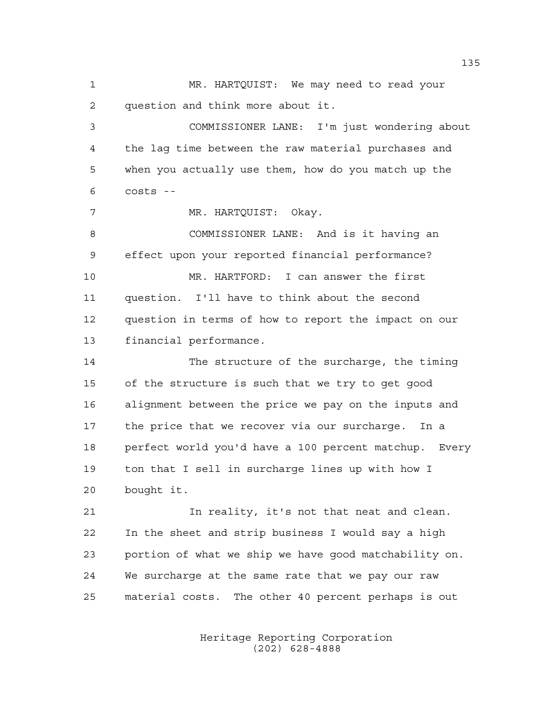MR. HARTQUIST: We may need to read your question and think more about it.

 COMMISSIONER LANE: I'm just wondering about the lag time between the raw material purchases and when you actually use them, how do you match up the costs --

MR. HARTQUIST: Okay.

 COMMISSIONER LANE: And is it having an effect upon your reported financial performance?

 MR. HARTFORD: I can answer the first question. I'll have to think about the second question in terms of how to report the impact on our financial performance.

 The structure of the surcharge, the timing of the structure is such that we try to get good alignment between the price we pay on the inputs and the price that we recover via our surcharge. In a perfect world you'd have a 100 percent matchup. Every ton that I sell in surcharge lines up with how I bought it.

 In reality, it's not that neat and clean. In the sheet and strip business I would say a high portion of what we ship we have good matchability on. We surcharge at the same rate that we pay our raw material costs. The other 40 percent perhaps is out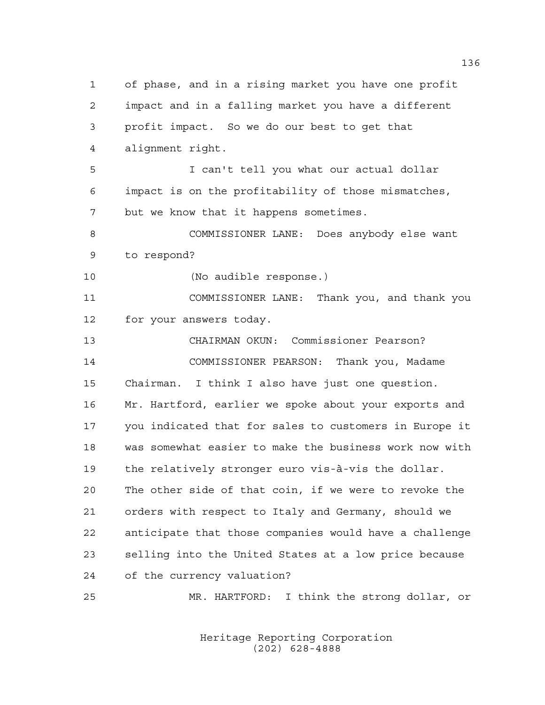of phase, and in a rising market you have one profit impact and in a falling market you have a different profit impact. So we do our best to get that alignment right. I can't tell you what our actual dollar impact is on the profitability of those mismatches, but we know that it happens sometimes. COMMISSIONER LANE: Does anybody else want to respond? (No audible response.) COMMISSIONER LANE: Thank you, and thank you for your answers today. CHAIRMAN OKUN: Commissioner Pearson? COMMISSIONER PEARSON: Thank you, Madame Chairman. I think I also have just one question. Mr. Hartford, earlier we spoke about your exports and you indicated that for sales to customers in Europe it was somewhat easier to make the business work now with the relatively stronger euro vis-à-vis the dollar. The other side of that coin, if we were to revoke the orders with respect to Italy and Germany, should we anticipate that those companies would have a challenge selling into the United States at a low price because of the currency valuation? MR. HARTFORD: I think the strong dollar, or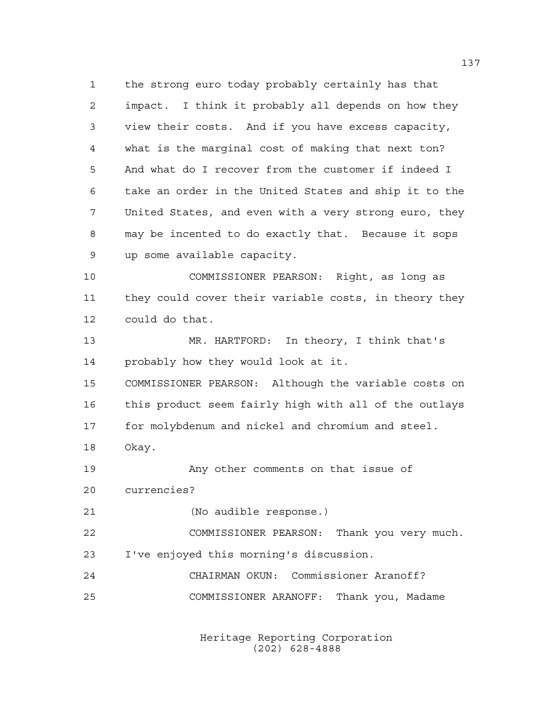the strong euro today probably certainly has that impact. I think it probably all depends on how they view their costs. And if you have excess capacity, what is the marginal cost of making that next ton? And what do I recover from the customer if indeed I take an order in the United States and ship it to the United States, and even with a very strong euro, they may be incented to do exactly that. Because it sops up some available capacity. COMMISSIONER PEARSON: Right, as long as they could cover their variable costs, in theory they could do that. MR. HARTFORD: In theory, I think that's probably how they would look at it. COMMISSIONER PEARSON: Although the variable costs on this product seem fairly high with all of the outlays for molybdenum and nickel and chromium and steel.

Okay.

 Any other comments on that issue of currencies?

(No audible response.)

 COMMISSIONER PEARSON: Thank you very much. I've enjoyed this morning's discussion.

 CHAIRMAN OKUN: Commissioner Aranoff? COMMISSIONER ARANOFF: Thank you, Madame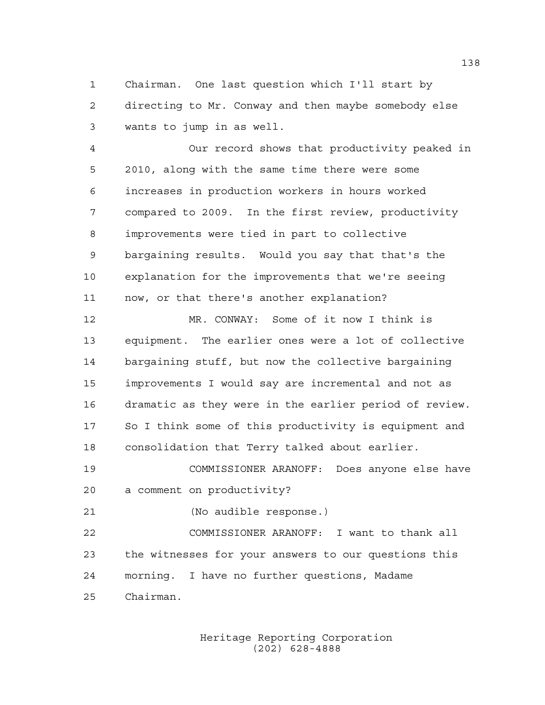Chairman. One last question which I'll start by directing to Mr. Conway and then maybe somebody else wants to jump in as well.

 Our record shows that productivity peaked in 2010, along with the same time there were some increases in production workers in hours worked compared to 2009. In the first review, productivity improvements were tied in part to collective bargaining results. Would you say that that's the explanation for the improvements that we're seeing now, or that there's another explanation?

 MR. CONWAY: Some of it now I think is equipment. The earlier ones were a lot of collective bargaining stuff, but now the collective bargaining improvements I would say are incremental and not as dramatic as they were in the earlier period of review. So I think some of this productivity is equipment and consolidation that Terry talked about earlier.

 COMMISSIONER ARANOFF: Does anyone else have a comment on productivity?

(No audible response.)

 COMMISSIONER ARANOFF: I want to thank all the witnesses for your answers to our questions this morning. I have no further questions, Madame Chairman.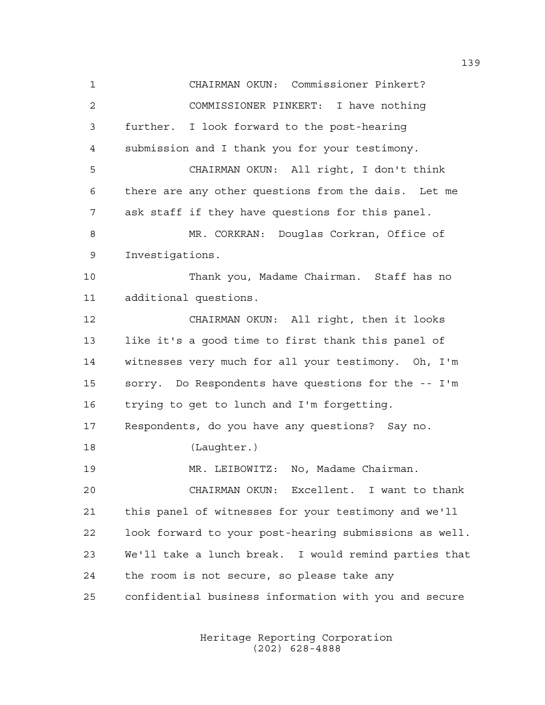CHAIRMAN OKUN: Commissioner Pinkert? COMMISSIONER PINKERT: I have nothing further. I look forward to the post-hearing submission and I thank you for your testimony. CHAIRMAN OKUN: All right, I don't think there are any other questions from the dais. Let me ask staff if they have questions for this panel. MR. CORKRAN: Douglas Corkran, Office of Investigations. Thank you, Madame Chairman. Staff has no additional questions. CHAIRMAN OKUN: All right, then it looks like it's a good time to first thank this panel of witnesses very much for all your testimony. Oh, I'm sorry. Do Respondents have questions for the -- I'm trying to get to lunch and I'm forgetting. Respondents, do you have any questions? Say no. (Laughter.) MR. LEIBOWITZ: No, Madame Chairman. CHAIRMAN OKUN: Excellent. I want to thank this panel of witnesses for your testimony and we'll look forward to your post-hearing submissions as well. We'll take a lunch break. I would remind parties that the room is not secure, so please take any confidential business information with you and secure

> Heritage Reporting Corporation (202) 628-4888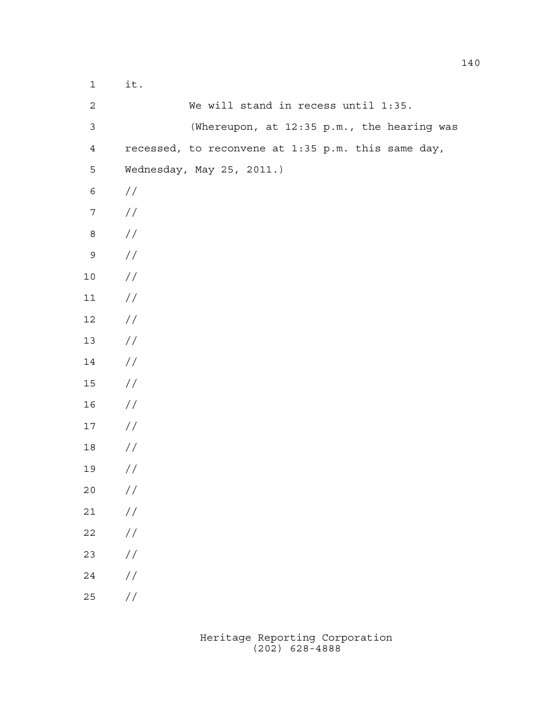| $\mathbf 1$    | it.                                                |
|----------------|----------------------------------------------------|
| $\mathbf{2}$   | We will stand in recess until 1:35.                |
| $\mathfrak{Z}$ | (Whereupon, at 12:35 p.m., the hearing was         |
| $\overline{4}$ | recessed, to reconvene at 1:35 p.m. this same day, |
| 5              | Wednesday, May 25, 2011.)                          |
| $\epsilon$     | $\frac{1}{2}$                                      |
| $\overline{7}$ | $\frac{1}{2}$                                      |
| 8              | //                                                 |
| $\mathsf 9$    | //                                                 |
| 10             | //                                                 |
| 11             | $\frac{1}{2}$                                      |
| 12             | //                                                 |
| 13             | //                                                 |
| 14             | //                                                 |
| 15             | //                                                 |
| 16             | $\frac{1}{2}$                                      |
| 17             | $\frac{1}{2}$                                      |
| 18             | $\frac{1}{2}$                                      |
| 19             | //                                                 |
| $20$           | $\sqrt{}$                                          |
| $2\,1$         | $\sqrt{}$                                          |
| $2\sqrt{2}$    | $\sqrt{}$                                          |
| 23             | $\sqrt{}$                                          |
| 24             | $\sqrt{}$                                          |
| 25             | $\!/\!$                                            |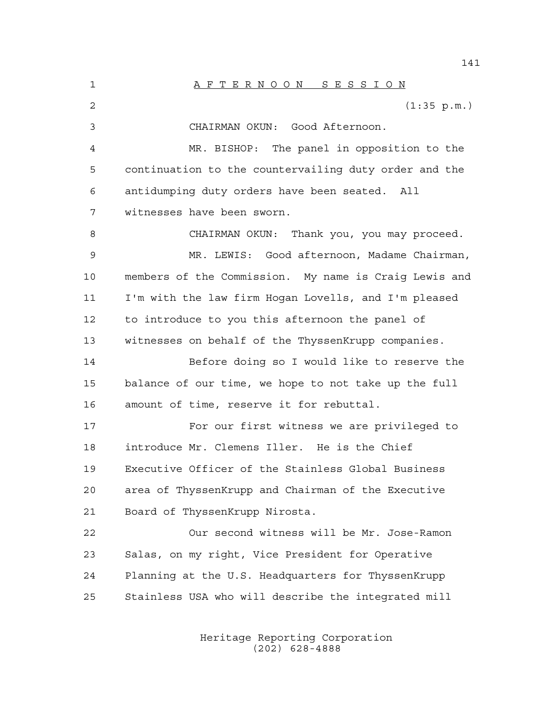1 A F T E R N O O N S E S S I O N 2 (1:35 p.m.) CHAIRMAN OKUN: Good Afternoon. MR. BISHOP: The panel in opposition to the continuation to the countervailing duty order and the antidumping duty orders have been seated. All witnesses have been sworn. CHAIRMAN OKUN: Thank you, you may proceed. MR. LEWIS: Good afternoon, Madame Chairman, members of the Commission. My name is Craig Lewis and I'm with the law firm Hogan Lovells, and I'm pleased to introduce to you this afternoon the panel of witnesses on behalf of the ThyssenKrupp companies. Before doing so I would like to reserve the balance of our time, we hope to not take up the full amount of time, reserve it for rebuttal. For our first witness we are privileged to introduce Mr. Clemens Iller. He is the Chief Executive Officer of the Stainless Global Business area of ThyssenKrupp and Chairman of the Executive Board of ThyssenKrupp Nirosta. Our second witness will be Mr. Jose-Ramon Salas, on my right, Vice President for Operative Planning at the U.S. Headquarters for ThyssenKrupp Stainless USA who will describe the integrated mill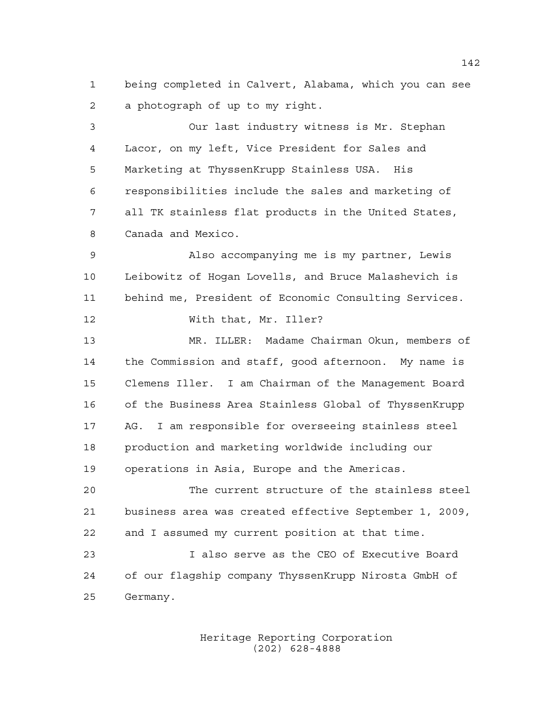being completed in Calvert, Alabama, which you can see a photograph of up to my right.

 Our last industry witness is Mr. Stephan Lacor, on my left, Vice President for Sales and Marketing at ThyssenKrupp Stainless USA. His responsibilities include the sales and marketing of all TK stainless flat products in the United States, Canada and Mexico.

 Also accompanying me is my partner, Lewis Leibowitz of Hogan Lovells, and Bruce Malashevich is behind me, President of Economic Consulting Services.

With that, Mr. Iller?

 MR. ILLER: Madame Chairman Okun, members of the Commission and staff, good afternoon. My name is Clemens Iller. I am Chairman of the Management Board of the Business Area Stainless Global of ThyssenKrupp AG. I am responsible for overseeing stainless steel production and marketing worldwide including our operations in Asia, Europe and the Americas.

 The current structure of the stainless steel business area was created effective September 1, 2009, and I assumed my current position at that time.

 I also serve as the CEO of Executive Board of our flagship company ThyssenKrupp Nirosta GmbH of Germany.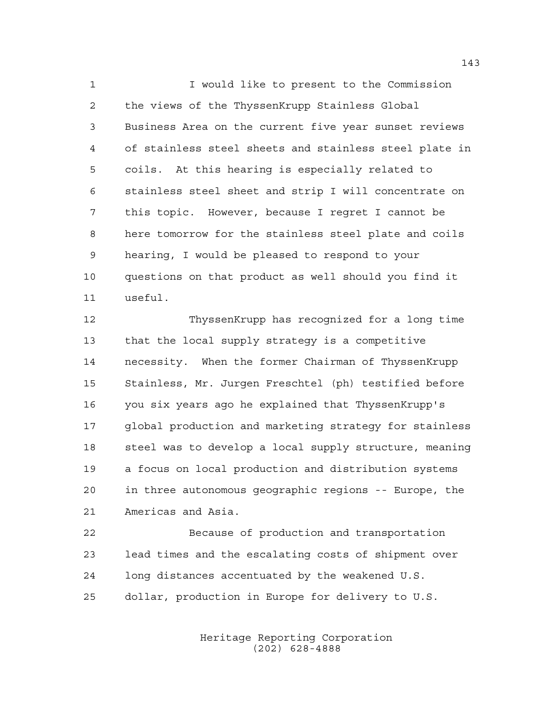I would like to present to the Commission the views of the ThyssenKrupp Stainless Global Business Area on the current five year sunset reviews of stainless steel sheets and stainless steel plate in coils. At this hearing is especially related to stainless steel sheet and strip I will concentrate on this topic. However, because I regret I cannot be here tomorrow for the stainless steel plate and coils hearing, I would be pleased to respond to your questions on that product as well should you find it useful.

 ThyssenKrupp has recognized for a long time that the local supply strategy is a competitive necessity. When the former Chairman of ThyssenKrupp Stainless, Mr. Jurgen Freschtel (ph) testified before you six years ago he explained that ThyssenKrupp's global production and marketing strategy for stainless steel was to develop a local supply structure, meaning a focus on local production and distribution systems in three autonomous geographic regions -- Europe, the Americas and Asia.

 Because of production and transportation lead times and the escalating costs of shipment over long distances accentuated by the weakened U.S. dollar, production in Europe for delivery to U.S.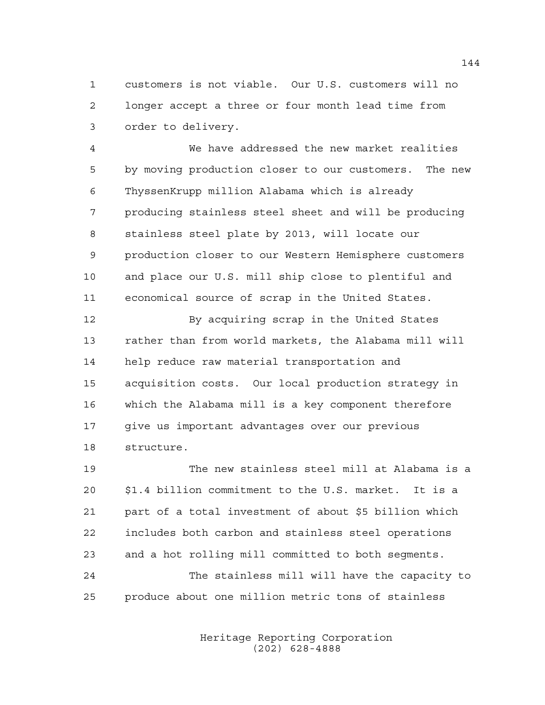customers is not viable. Our U.S. customers will no longer accept a three or four month lead time from order to delivery.

 We have addressed the new market realities by moving production closer to our customers. The new ThyssenKrupp million Alabama which is already producing stainless steel sheet and will be producing stainless steel plate by 2013, will locate our production closer to our Western Hemisphere customers and place our U.S. mill ship close to plentiful and economical source of scrap in the United States.

12 By acquiring scrap in the United States rather than from world markets, the Alabama mill will help reduce raw material transportation and acquisition costs. Our local production strategy in which the Alabama mill is a key component therefore give us important advantages over our previous structure.

 The new stainless steel mill at Alabama is a \$1.4 billion commitment to the U.S. market. It is a part of a total investment of about \$5 billion which includes both carbon and stainless steel operations and a hot rolling mill committed to both segments. The stainless mill will have the capacity to produce about one million metric tons of stainless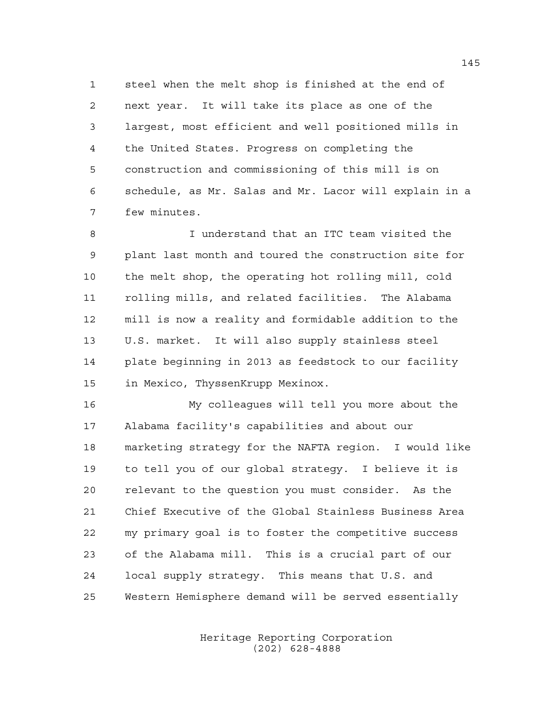steel when the melt shop is finished at the end of next year. It will take its place as one of the largest, most efficient and well positioned mills in the United States. Progress on completing the construction and commissioning of this mill is on schedule, as Mr. Salas and Mr. Lacor will explain in a few minutes.

 I understand that an ITC team visited the plant last month and toured the construction site for the melt shop, the operating hot rolling mill, cold rolling mills, and related facilities. The Alabama mill is now a reality and formidable addition to the U.S. market. It will also supply stainless steel plate beginning in 2013 as feedstock to our facility in Mexico, ThyssenKrupp Mexinox.

 My colleagues will tell you more about the Alabama facility's capabilities and about our marketing strategy for the NAFTA region. I would like to tell you of our global strategy. I believe it is relevant to the question you must consider. As the Chief Executive of the Global Stainless Business Area my primary goal is to foster the competitive success of the Alabama mill. This is a crucial part of our local supply strategy. This means that U.S. and Western Hemisphere demand will be served essentially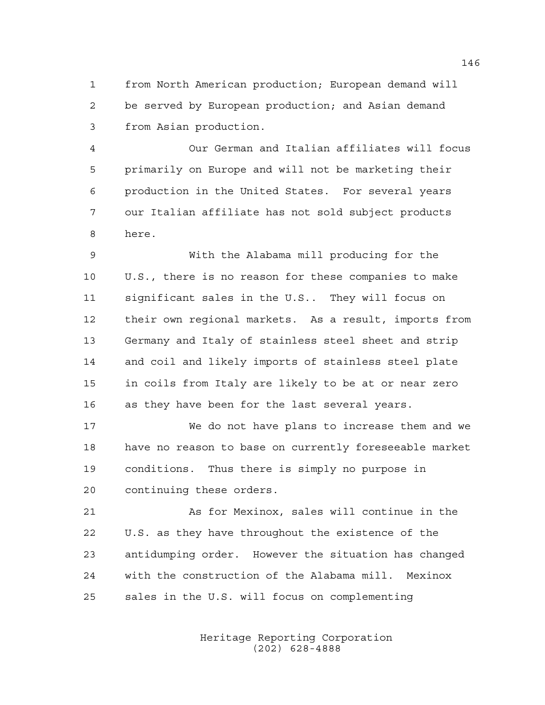from North American production; European demand will be served by European production; and Asian demand from Asian production.

 Our German and Italian affiliates will focus primarily on Europe and will not be marketing their production in the United States. For several years our Italian affiliate has not sold subject products here.

 With the Alabama mill producing for the U.S., there is no reason for these companies to make significant sales in the U.S.. They will focus on their own regional markets. As a result, imports from Germany and Italy of stainless steel sheet and strip and coil and likely imports of stainless steel plate in coils from Italy are likely to be at or near zero as they have been for the last several years.

 We do not have plans to increase them and we have no reason to base on currently foreseeable market conditions. Thus there is simply no purpose in continuing these orders.

 As for Mexinox, sales will continue in the U.S. as they have throughout the existence of the antidumping order. However the situation has changed with the construction of the Alabama mill. Mexinox sales in the U.S. will focus on complementing

> Heritage Reporting Corporation (202) 628-4888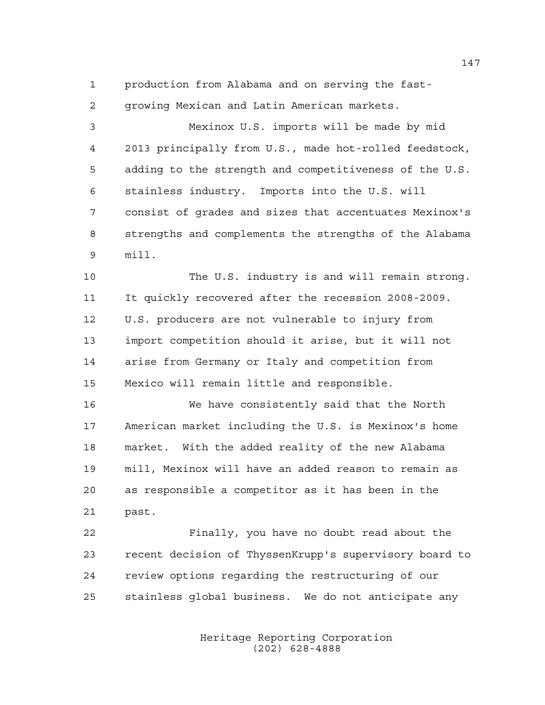production from Alabama and on serving the fast-

growing Mexican and Latin American markets.

 Mexinox U.S. imports will be made by mid 2013 principally from U.S., made hot-rolled feedstock, adding to the strength and competitiveness of the U.S. stainless industry. Imports into the U.S. will consist of grades and sizes that accentuates Mexinox's strengths and complements the strengths of the Alabama mill.

 The U.S. industry is and will remain strong. It quickly recovered after the recession 2008-2009. U.S. producers are not vulnerable to injury from import competition should it arise, but it will not arise from Germany or Italy and competition from Mexico will remain little and responsible.

 We have consistently said that the North American market including the U.S. is Mexinox's home market. With the added reality of the new Alabama mill, Mexinox will have an added reason to remain as as responsible a competitor as it has been in the past.

 Finally, you have no doubt read about the recent decision of ThyssenKrupp's supervisory board to review options regarding the restructuring of our stainless global business. We do not anticipate any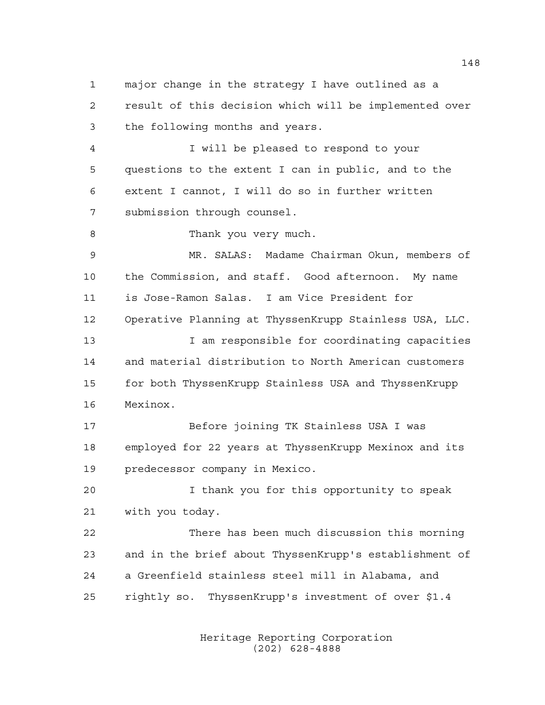major change in the strategy I have outlined as a result of this decision which will be implemented over the following months and years.

 I will be pleased to respond to your questions to the extent I can in public, and to the extent I cannot, I will do so in further written submission through counsel.

Thank you very much.

 MR. SALAS: Madame Chairman Okun, members of the Commission, and staff. Good afternoon. My name is Jose-Ramon Salas. I am Vice President for Operative Planning at ThyssenKrupp Stainless USA, LLC. 13 13 I am responsible for coordinating capacities

 and material distribution to North American customers for both ThyssenKrupp Stainless USA and ThyssenKrupp Mexinox.

 Before joining TK Stainless USA I was employed for 22 years at ThyssenKrupp Mexinox and its predecessor company in Mexico.

 I thank you for this opportunity to speak with you today.

 There has been much discussion this morning and in the brief about ThyssenKrupp's establishment of a Greenfield stainless steel mill in Alabama, and rightly so. ThyssenKrupp's investment of over \$1.4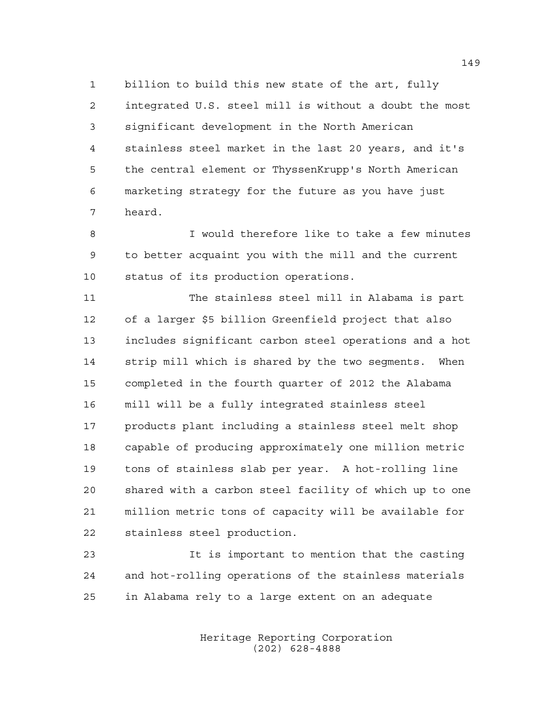billion to build this new state of the art, fully integrated U.S. steel mill is without a doubt the most significant development in the North American stainless steel market in the last 20 years, and it's the central element or ThyssenKrupp's North American marketing strategy for the future as you have just heard.

 I would therefore like to take a few minutes to better acquaint you with the mill and the current status of its production operations.

 The stainless steel mill in Alabama is part of a larger \$5 billion Greenfield project that also includes significant carbon steel operations and a hot strip mill which is shared by the two segments. When completed in the fourth quarter of 2012 the Alabama mill will be a fully integrated stainless steel products plant including a stainless steel melt shop capable of producing approximately one million metric tons of stainless slab per year. A hot-rolling line shared with a carbon steel facility of which up to one million metric tons of capacity will be available for stainless steel production.

 It is important to mention that the casting and hot-rolling operations of the stainless materials in Alabama rely to a large extent on an adequate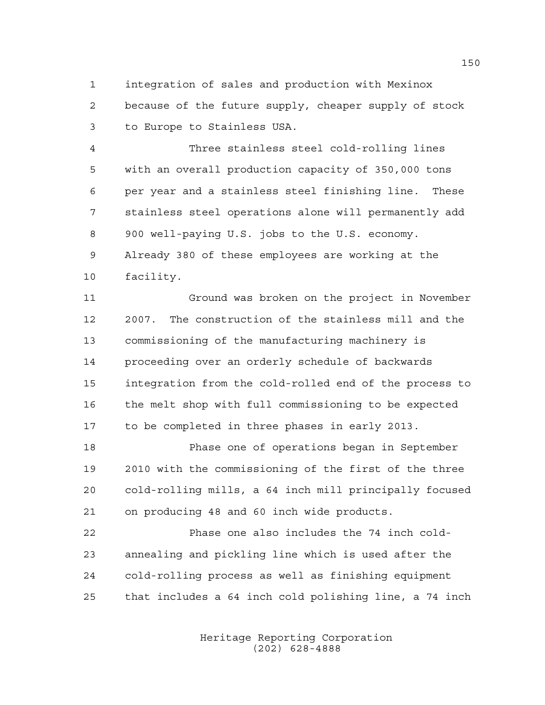integration of sales and production with Mexinox because of the future supply, cheaper supply of stock to Europe to Stainless USA.

 Three stainless steel cold-rolling lines with an overall production capacity of 350,000 tons per year and a stainless steel finishing line. These stainless steel operations alone will permanently add 900 well-paying U.S. jobs to the U.S. economy. Already 380 of these employees are working at the facility.

 Ground was broken on the project in November 2007. The construction of the stainless mill and the commissioning of the manufacturing machinery is proceeding over an orderly schedule of backwards integration from the cold-rolled end of the process to the melt shop with full commissioning to be expected to be completed in three phases in early 2013.

 Phase one of operations began in September 2010 with the commissioning of the first of the three cold-rolling mills, a 64 inch mill principally focused on producing 48 and 60 inch wide products.

 Phase one also includes the 74 inch cold- annealing and pickling line which is used after the cold-rolling process as well as finishing equipment that includes a 64 inch cold polishing line, a 74 inch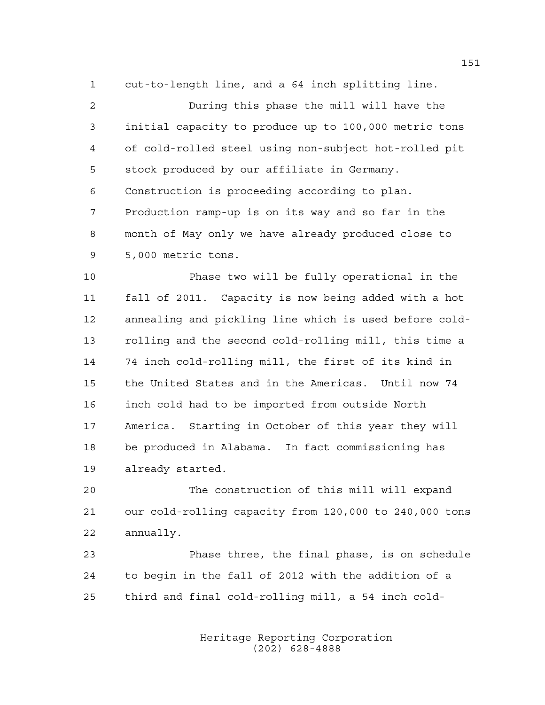cut-to-length line, and a 64 inch splitting line.

 During this phase the mill will have the initial capacity to produce up to 100,000 metric tons of cold-rolled steel using non-subject hot-rolled pit stock produced by our affiliate in Germany. Construction is proceeding according to plan. Production ramp-up is on its way and so far in the month of May only we have already produced close to 5,000 metric tons.

 Phase two will be fully operational in the fall of 2011. Capacity is now being added with a hot annealing and pickling line which is used before cold- rolling and the second cold-rolling mill, this time a 74 inch cold-rolling mill, the first of its kind in the United States and in the Americas. Until now 74 inch cold had to be imported from outside North America. Starting in October of this year they will be produced in Alabama. In fact commissioning has already started.

 The construction of this mill will expand our cold-rolling capacity from 120,000 to 240,000 tons annually.

 Phase three, the final phase, is on schedule to begin in the fall of 2012 with the addition of a third and final cold-rolling mill, a 54 inch cold-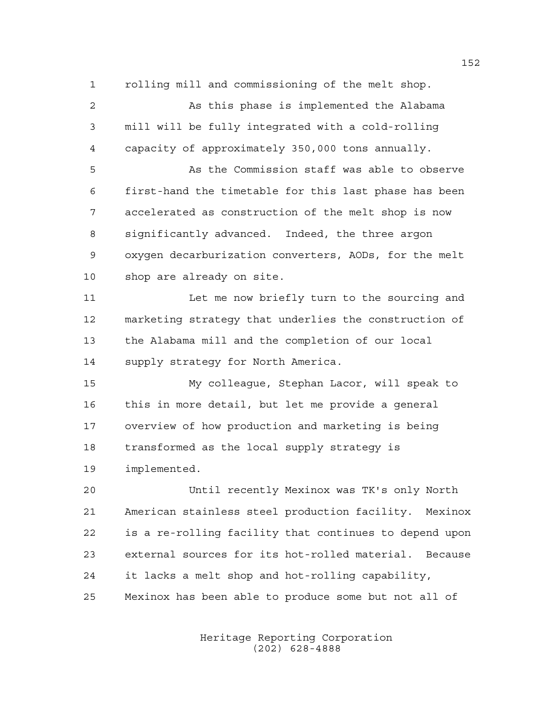rolling mill and commissioning of the melt shop. As this phase is implemented the Alabama mill will be fully integrated with a cold-rolling capacity of approximately 350,000 tons annually. As the Commission staff was able to observe first-hand the timetable for this last phase has been accelerated as construction of the melt shop is now significantly advanced. Indeed, the three argon oxygen decarburization converters, AODs, for the melt shop are already on site. Let me now briefly turn to the sourcing and marketing strategy that underlies the construction of the Alabama mill and the completion of our local supply strategy for North America. My colleague, Stephan Lacor, will speak to this in more detail, but let me provide a general overview of how production and marketing is being transformed as the local supply strategy is implemented. Until recently Mexinox was TK's only North American stainless steel production facility. Mexinox is a re-rolling facility that continues to depend upon external sources for its hot-rolled material. Because it lacks a melt shop and hot-rolling capability, Mexinox has been able to produce some but not all of

> Heritage Reporting Corporation (202) 628-4888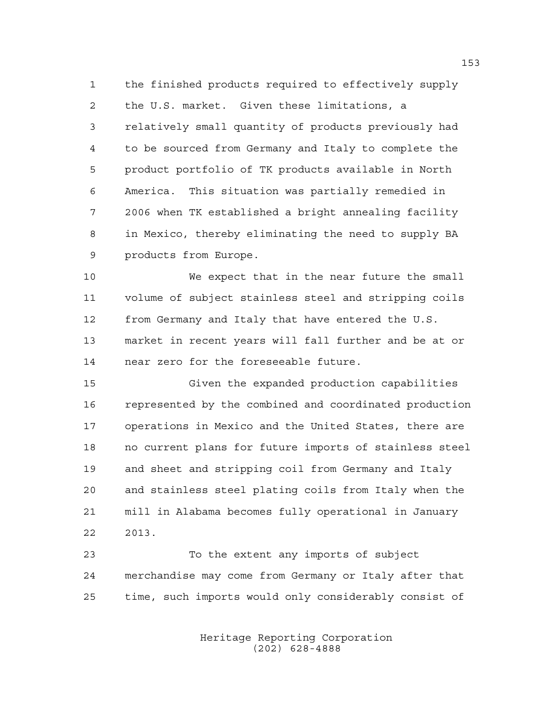the finished products required to effectively supply the U.S. market. Given these limitations, a relatively small quantity of products previously had to be sourced from Germany and Italy to complete the product portfolio of TK products available in North America. This situation was partially remedied in 2006 when TK established a bright annealing facility in Mexico, thereby eliminating the need to supply BA products from Europe.

 We expect that in the near future the small volume of subject stainless steel and stripping coils from Germany and Italy that have entered the U.S. market in recent years will fall further and be at or near zero for the foreseeable future.

 Given the expanded production capabilities represented by the combined and coordinated production operations in Mexico and the United States, there are no current plans for future imports of stainless steel and sheet and stripping coil from Germany and Italy and stainless steel plating coils from Italy when the mill in Alabama becomes fully operational in January 2013.

 To the extent any imports of subject merchandise may come from Germany or Italy after that time, such imports would only considerably consist of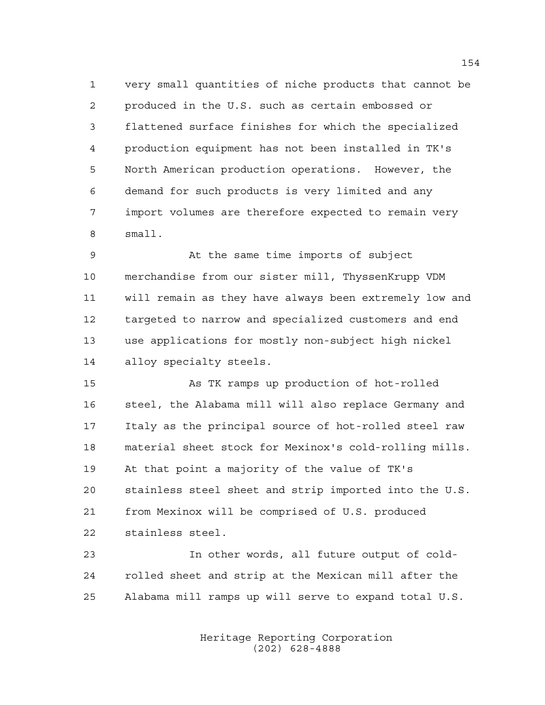very small quantities of niche products that cannot be produced in the U.S. such as certain embossed or flattened surface finishes for which the specialized production equipment has not been installed in TK's North American production operations. However, the demand for such products is very limited and any import volumes are therefore expected to remain very small.

 At the same time imports of subject merchandise from our sister mill, ThyssenKrupp VDM will remain as they have always been extremely low and targeted to narrow and specialized customers and end use applications for mostly non-subject high nickel alloy specialty steels.

 As TK ramps up production of hot-rolled steel, the Alabama mill will also replace Germany and Italy as the principal source of hot-rolled steel raw material sheet stock for Mexinox's cold-rolling mills. At that point a majority of the value of TK's stainless steel sheet and strip imported into the U.S. from Mexinox will be comprised of U.S. produced stainless steel.

 In other words, all future output of cold- rolled sheet and strip at the Mexican mill after the Alabama mill ramps up will serve to expand total U.S.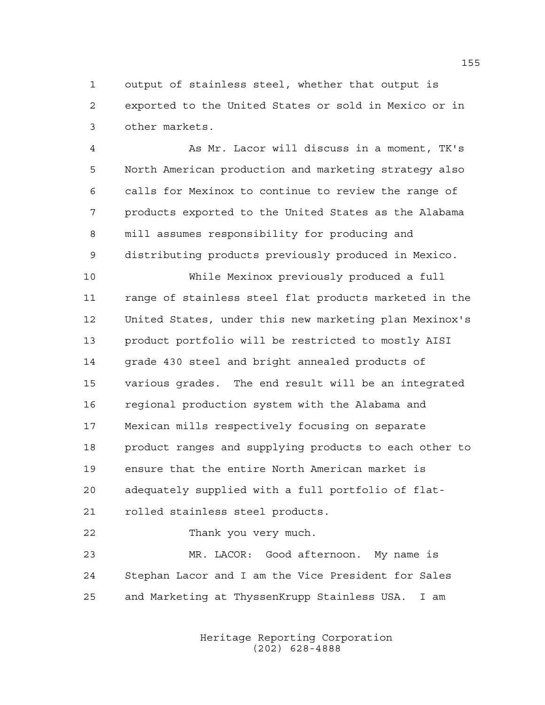output of stainless steel, whether that output is exported to the United States or sold in Mexico or in other markets.

 As Mr. Lacor will discuss in a moment, TK's North American production and marketing strategy also calls for Mexinox to continue to review the range of products exported to the United States as the Alabama mill assumes responsibility for producing and distributing products previously produced in Mexico.

 While Mexinox previously produced a full range of stainless steel flat products marketed in the United States, under this new marketing plan Mexinox's product portfolio will be restricted to mostly AISI grade 430 steel and bright annealed products of various grades. The end result will be an integrated regional production system with the Alabama and Mexican mills respectively focusing on separate product ranges and supplying products to each other to ensure that the entire North American market is adequately supplied with a full portfolio of flat-rolled stainless steel products.

Thank you very much.

 MR. LACOR: Good afternoon. My name is Stephan Lacor and I am the Vice President for Sales and Marketing at ThyssenKrupp Stainless USA. I am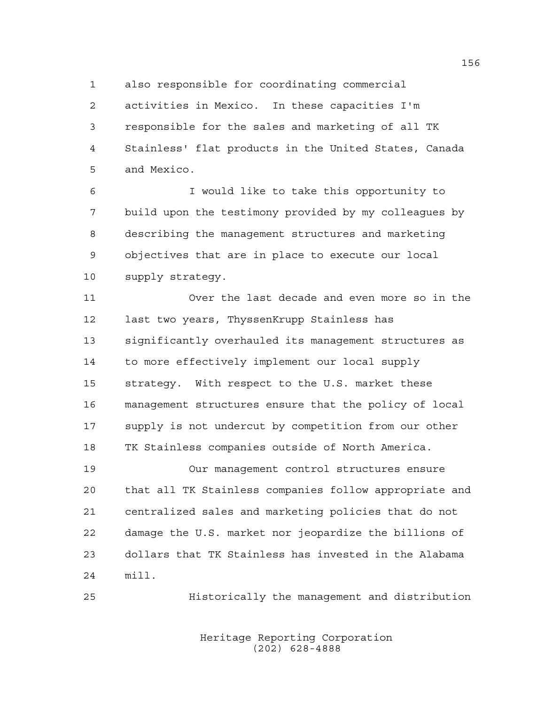also responsible for coordinating commercial

 activities in Mexico. In these capacities I'm responsible for the sales and marketing of all TK Stainless' flat products in the United States, Canada and Mexico.

 I would like to take this opportunity to build upon the testimony provided by my colleagues by describing the management structures and marketing objectives that are in place to execute our local supply strategy.

 Over the last decade and even more so in the last two years, ThyssenKrupp Stainless has significantly overhauled its management structures as to more effectively implement our local supply strategy. With respect to the U.S. market these management structures ensure that the policy of local supply is not undercut by competition from our other TK Stainless companies outside of North America.

 Our management control structures ensure that all TK Stainless companies follow appropriate and centralized sales and marketing policies that do not damage the U.S. market nor jeopardize the billions of dollars that TK Stainless has invested in the Alabama mill.

Historically the management and distribution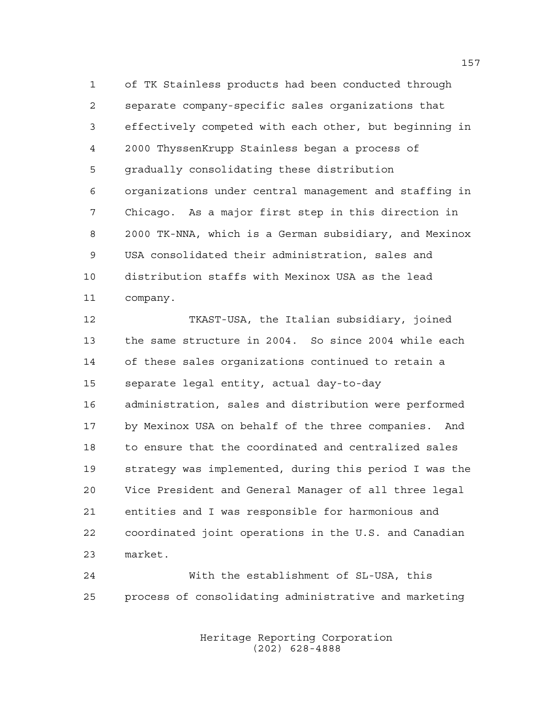of TK Stainless products had been conducted through separate company-specific sales organizations that effectively competed with each other, but beginning in 2000 ThyssenKrupp Stainless began a process of gradually consolidating these distribution organizations under central management and staffing in Chicago. As a major first step in this direction in 2000 TK-NNA, which is a German subsidiary, and Mexinox USA consolidated their administration, sales and distribution staffs with Mexinox USA as the lead company.

 TKAST-USA, the Italian subsidiary, joined the same structure in 2004. So since 2004 while each of these sales organizations continued to retain a separate legal entity, actual day-to-day administration, sales and distribution were performed by Mexinox USA on behalf of the three companies. And to ensure that the coordinated and centralized sales strategy was implemented, during this period I was the Vice President and General Manager of all three legal entities and I was responsible for harmonious and coordinated joint operations in the U.S. and Canadian market.

 With the establishment of SL-USA, this process of consolidating administrative and marketing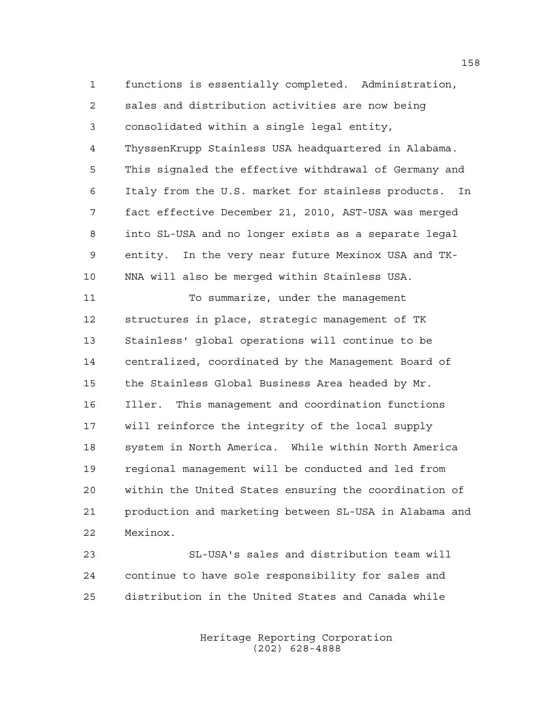functions is essentially completed. Administration, sales and distribution activities are now being consolidated within a single legal entity, ThyssenKrupp Stainless USA headquartered in Alabama. This signaled the effective withdrawal of Germany and Italy from the U.S. market for stainless products. In fact effective December 21, 2010, AST-USA was merged into SL-USA and no longer exists as a separate legal entity. In the very near future Mexinox USA and TK-NNA will also be merged within Stainless USA.

 To summarize, under the management structures in place, strategic management of TK Stainless' global operations will continue to be centralized, coordinated by the Management Board of the Stainless Global Business Area headed by Mr. Iller. This management and coordination functions will reinforce the integrity of the local supply system in North America. While within North America regional management will be conducted and led from within the United States ensuring the coordination of production and marketing between SL-USA in Alabama and Mexinox.

 SL-USA's sales and distribution team will continue to have sole responsibility for sales and distribution in the United States and Canada while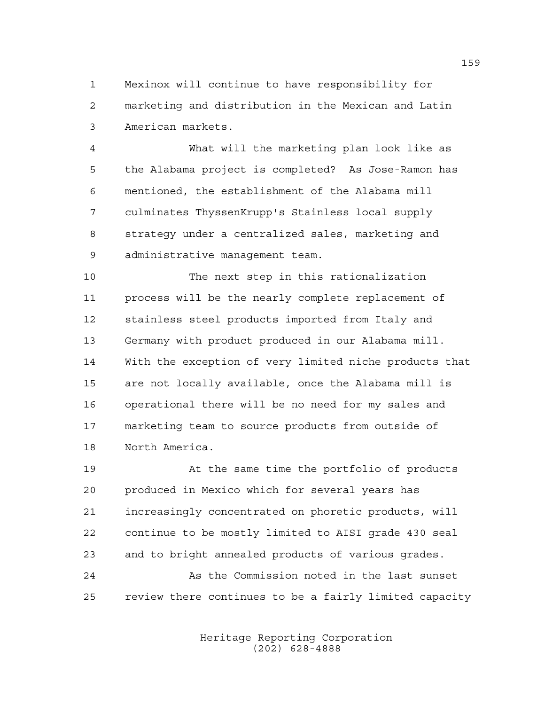Mexinox will continue to have responsibility for marketing and distribution in the Mexican and Latin American markets.

 What will the marketing plan look like as the Alabama project is completed? As Jose-Ramon has mentioned, the establishment of the Alabama mill culminates ThyssenKrupp's Stainless local supply strategy under a centralized sales, marketing and administrative management team.

 The next step in this rationalization process will be the nearly complete replacement of stainless steel products imported from Italy and Germany with product produced in our Alabama mill. With the exception of very limited niche products that are not locally available, once the Alabama mill is operational there will be no need for my sales and marketing team to source products from outside of North America.

 At the same time the portfolio of products produced in Mexico which for several years has increasingly concentrated on phoretic products, will continue to be mostly limited to AISI grade 430 seal and to bright annealed products of various grades. 24 As the Commission noted in the last sunset

review there continues to be a fairly limited capacity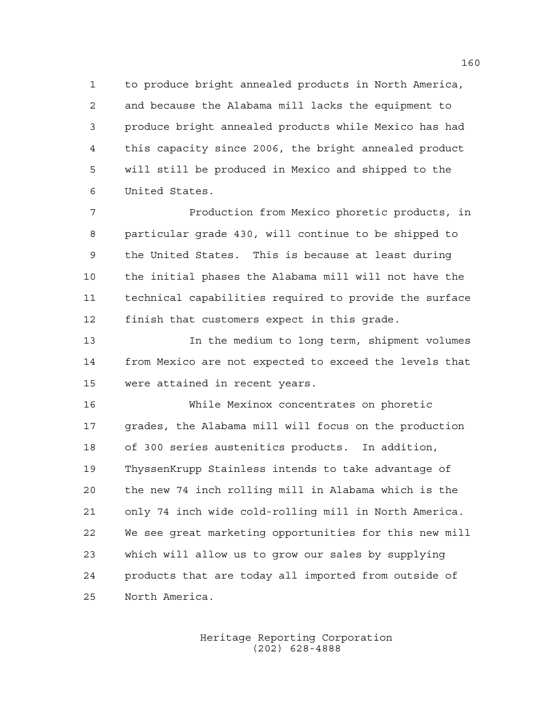to produce bright annealed products in North America, and because the Alabama mill lacks the equipment to produce bright annealed products while Mexico has had this capacity since 2006, the bright annealed product will still be produced in Mexico and shipped to the United States.

 Production from Mexico phoretic products, in particular grade 430, will continue to be shipped to the United States. This is because at least during the initial phases the Alabama mill will not have the technical capabilities required to provide the surface finish that customers expect in this grade.

 In the medium to long term, shipment volumes from Mexico are not expected to exceed the levels that were attained in recent years.

 While Mexinox concentrates on phoretic grades, the Alabama mill will focus on the production of 300 series austenitics products. In addition, ThyssenKrupp Stainless intends to take advantage of the new 74 inch rolling mill in Alabama which is the only 74 inch wide cold-rolling mill in North America. We see great marketing opportunities for this new mill which will allow us to grow our sales by supplying products that are today all imported from outside of North America.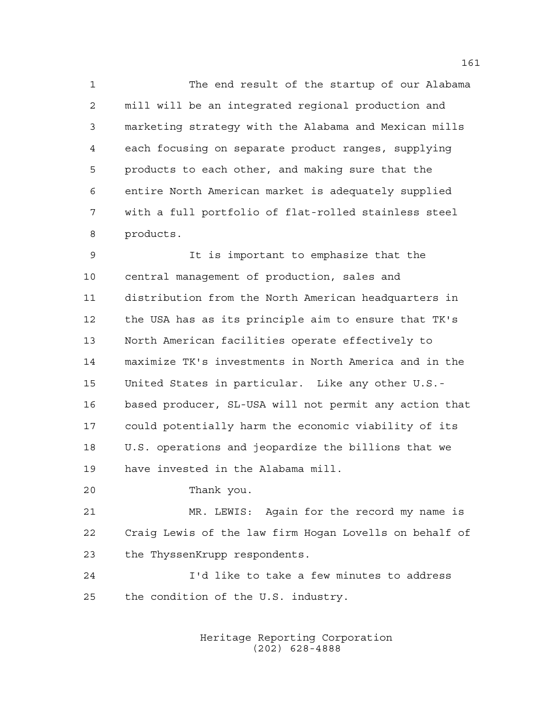The end result of the startup of our Alabama mill will be an integrated regional production and marketing strategy with the Alabama and Mexican mills each focusing on separate product ranges, supplying products to each other, and making sure that the entire North American market is adequately supplied with a full portfolio of flat-rolled stainless steel products.

 It is important to emphasize that the central management of production, sales and distribution from the North American headquarters in the USA has as its principle aim to ensure that TK's North American facilities operate effectively to maximize TK's investments in North America and in the United States in particular. Like any other U.S.- based producer, SL-USA will not permit any action that could potentially harm the economic viability of its U.S. operations and jeopardize the billions that we have invested in the Alabama mill.

Thank you.

 MR. LEWIS: Again for the record my name is Craig Lewis of the law firm Hogan Lovells on behalf of the ThyssenKrupp respondents.

 I'd like to take a few minutes to address the condition of the U.S. industry.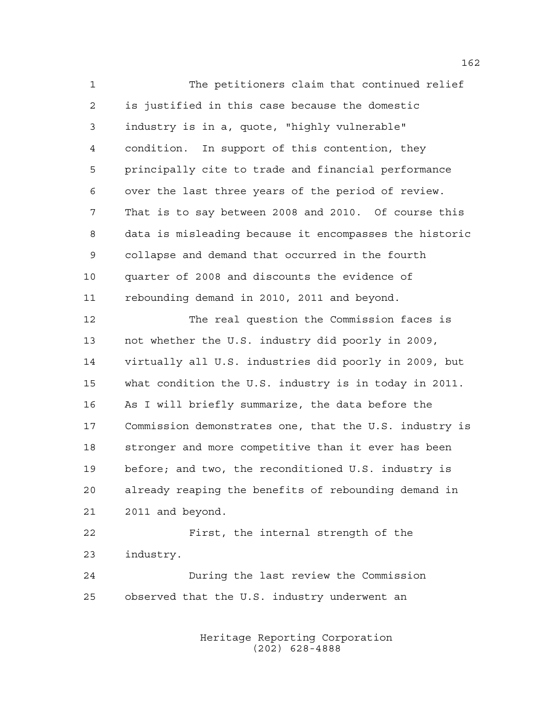The petitioners claim that continued relief is justified in this case because the domestic industry is in a, quote, "highly vulnerable" condition. In support of this contention, they principally cite to trade and financial performance over the last three years of the period of review. That is to say between 2008 and 2010. Of course this data is misleading because it encompasses the historic collapse and demand that occurred in the fourth quarter of 2008 and discounts the evidence of rebounding demand in 2010, 2011 and beyond. The real question the Commission faces is not whether the U.S. industry did poorly in 2009, virtually all U.S. industries did poorly in 2009, but what condition the U.S. industry is in today in 2011. As I will briefly summarize, the data before the Commission demonstrates one, that the U.S. industry is stronger and more competitive than it ever has been before; and two, the reconditioned U.S. industry is already reaping the benefits of rebounding demand in 2011 and beyond. First, the internal strength of the industry.

 During the last review the Commission observed that the U.S. industry underwent an

> Heritage Reporting Corporation (202) 628-4888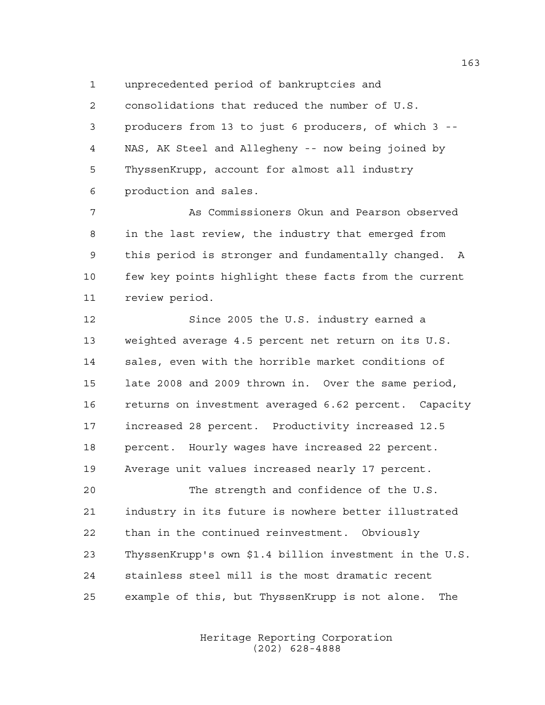unprecedented period of bankruptcies and

 consolidations that reduced the number of U.S. producers from 13 to just 6 producers, of which 3 -- NAS, AK Steel and Allegheny -- now being joined by ThyssenKrupp, account for almost all industry production and sales.

 As Commissioners Okun and Pearson observed in the last review, the industry that emerged from this period is stronger and fundamentally changed. A few key points highlight these facts from the current review period.

 Since 2005 the U.S. industry earned a weighted average 4.5 percent net return on its U.S. sales, even with the horrible market conditions of late 2008 and 2009 thrown in. Over the same period, returns on investment averaged 6.62 percent. Capacity increased 28 percent. Productivity increased 12.5 percent. Hourly wages have increased 22 percent. Average unit values increased nearly 17 percent. The strength and confidence of the U.S. industry in its future is nowhere better illustrated than in the continued reinvestment. Obviously ThyssenKrupp's own \$1.4 billion investment in the U.S.

example of this, but ThyssenKrupp is not alone. The

stainless steel mill is the most dramatic recent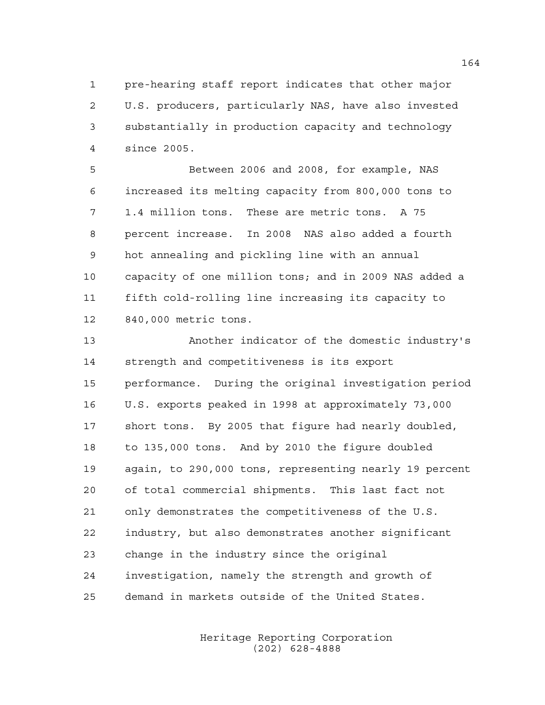pre-hearing staff report indicates that other major U.S. producers, particularly NAS, have also invested substantially in production capacity and technology since 2005.

 Between 2006 and 2008, for example, NAS increased its melting capacity from 800,000 tons to 1.4 million tons. These are metric tons. A 75 percent increase. In 2008 NAS also added a fourth hot annealing and pickling line with an annual capacity of one million tons; and in 2009 NAS added a fifth cold-rolling line increasing its capacity to 840,000 metric tons.

 Another indicator of the domestic industry's strength and competitiveness is its export performance. During the original investigation period U.S. exports peaked in 1998 at approximately 73,000 short tons. By 2005 that figure had nearly doubled, to 135,000 tons. And by 2010 the figure doubled again, to 290,000 tons, representing nearly 19 percent of total commercial shipments. This last fact not only demonstrates the competitiveness of the U.S. industry, but also demonstrates another significant change in the industry since the original investigation, namely the strength and growth of demand in markets outside of the United States.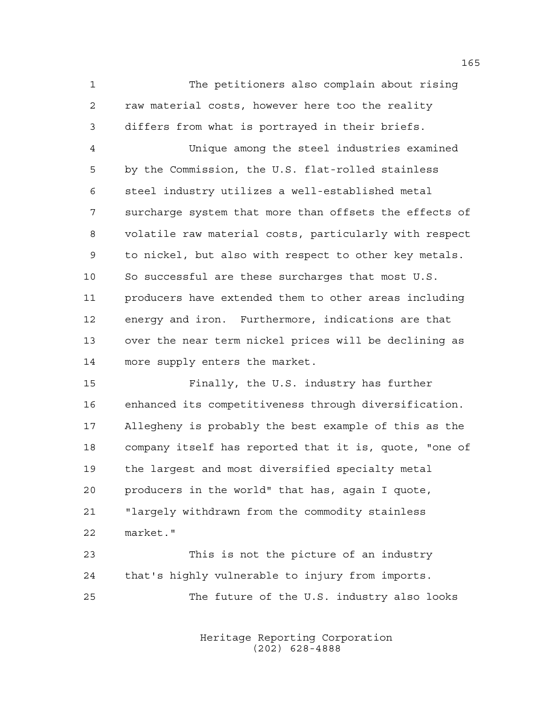The petitioners also complain about rising raw material costs, however here too the reality differs from what is portrayed in their briefs.

 Unique among the steel industries examined by the Commission, the U.S. flat-rolled stainless steel industry utilizes a well-established metal surcharge system that more than offsets the effects of volatile raw material costs, particularly with respect to nickel, but also with respect to other key metals. So successful are these surcharges that most U.S. producers have extended them to other areas including energy and iron. Furthermore, indications are that over the near term nickel prices will be declining as more supply enters the market.

 Finally, the U.S. industry has further enhanced its competitiveness through diversification. Allegheny is probably the best example of this as the company itself has reported that it is, quote, "one of the largest and most diversified specialty metal producers in the world" that has, again I quote, "largely withdrawn from the commodity stainless market."

 This is not the picture of an industry that's highly vulnerable to injury from imports. The future of the U.S. industry also looks

> Heritage Reporting Corporation (202) 628-4888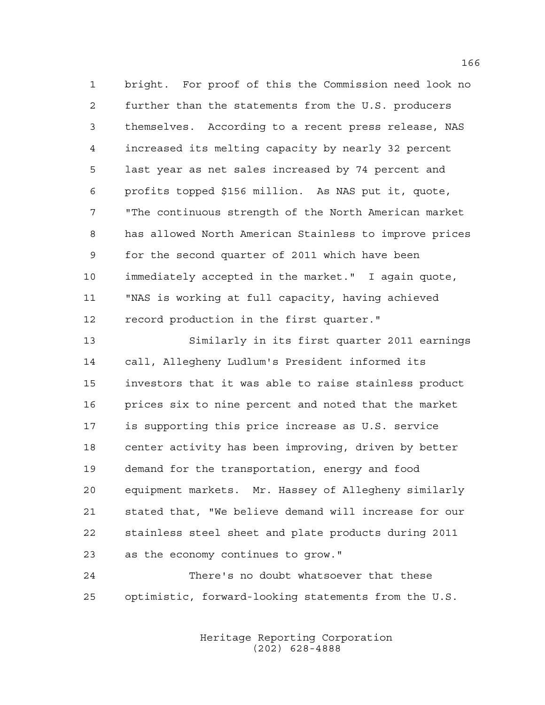bright. For proof of this the Commission need look no further than the statements from the U.S. producers themselves. According to a recent press release, NAS increased its melting capacity by nearly 32 percent last year as net sales increased by 74 percent and profits topped \$156 million. As NAS put it, quote, "The continuous strength of the North American market has allowed North American Stainless to improve prices for the second quarter of 2011 which have been immediately accepted in the market." I again quote, "NAS is working at full capacity, having achieved record production in the first quarter."

 Similarly in its first quarter 2011 earnings call, Allegheny Ludlum's President informed its investors that it was able to raise stainless product prices six to nine percent and noted that the market is supporting this price increase as U.S. service center activity has been improving, driven by better demand for the transportation, energy and food equipment markets. Mr. Hassey of Allegheny similarly stated that, "We believe demand will increase for our stainless steel sheet and plate products during 2011 as the economy continues to grow."

 There's no doubt whatsoever that these optimistic, forward-looking statements from the U.S.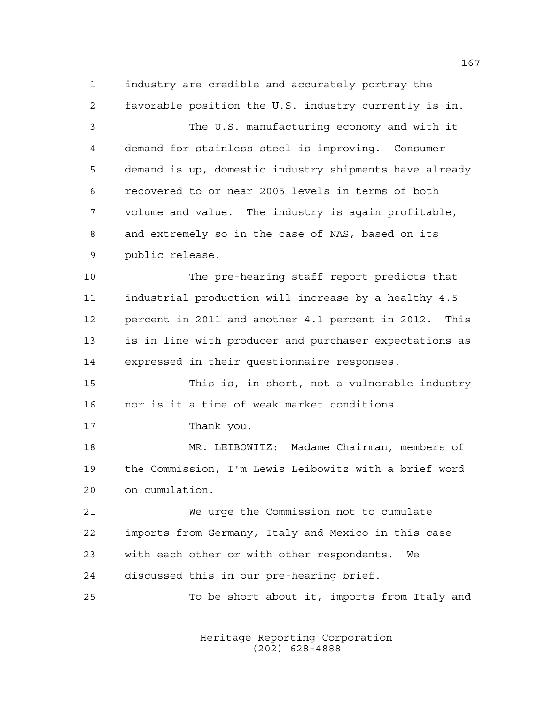industry are credible and accurately portray the favorable position the U.S. industry currently is in. The U.S. manufacturing economy and with it demand for stainless steel is improving. Consumer demand is up, domestic industry shipments have already recovered to or near 2005 levels in terms of both volume and value. The industry is again profitable, and extremely so in the case of NAS, based on its public release. The pre-hearing staff report predicts that industrial production will increase by a healthy 4.5 percent in 2011 and another 4.1 percent in 2012. This is in line with producer and purchaser expectations as expressed in their questionnaire responses. This is, in short, not a vulnerable industry nor is it a time of weak market conditions. 17 Thank you. MR. LEIBOWITZ: Madame Chairman, members of the Commission, I'm Lewis Leibowitz with a brief word on cumulation. We urge the Commission not to cumulate imports from Germany, Italy and Mexico in this case with each other or with other respondents. We discussed this in our pre-hearing brief. To be short about it, imports from Italy and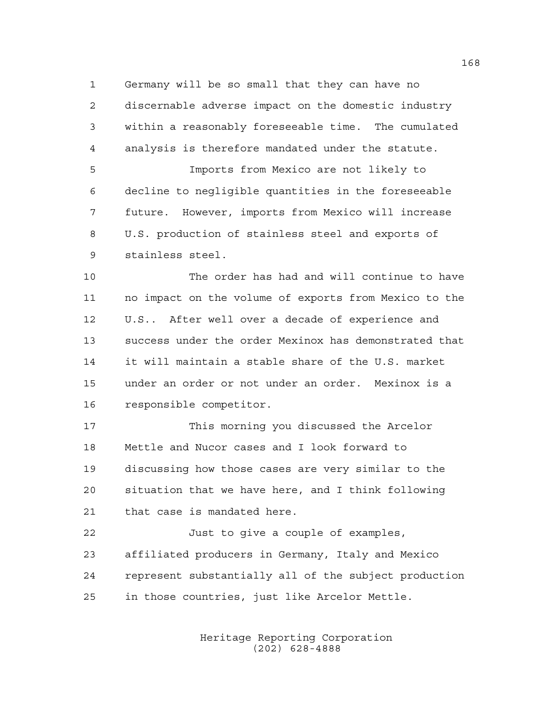Germany will be so small that they can have no discernable adverse impact on the domestic industry within a reasonably foreseeable time. The cumulated analysis is therefore mandated under the statute.

 Imports from Mexico are not likely to decline to negligible quantities in the foreseeable future. However, imports from Mexico will increase U.S. production of stainless steel and exports of stainless steel.

 The order has had and will continue to have no impact on the volume of exports from Mexico to the U.S.. After well over a decade of experience and success under the order Mexinox has demonstrated that it will maintain a stable share of the U.S. market under an order or not under an order. Mexinox is a responsible competitor.

 This morning you discussed the Arcelor Mettle and Nucor cases and I look forward to discussing how those cases are very similar to the situation that we have here, and I think following that case is mandated here.

 Just to give a couple of examples, affiliated producers in Germany, Italy and Mexico represent substantially all of the subject production in those countries, just like Arcelor Mettle.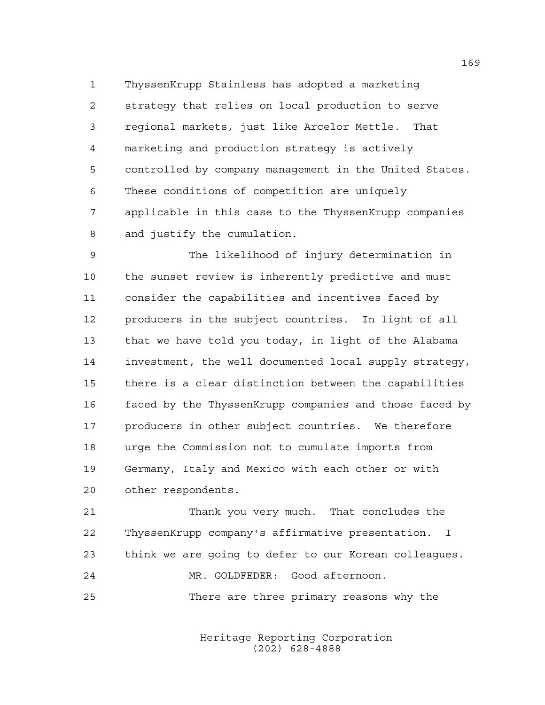ThyssenKrupp Stainless has adopted a marketing strategy that relies on local production to serve regional markets, just like Arcelor Mettle. That marketing and production strategy is actively controlled by company management in the United States. These conditions of competition are uniquely applicable in this case to the ThyssenKrupp companies and justify the cumulation.

 The likelihood of injury determination in the sunset review is inherently predictive and must consider the capabilities and incentives faced by producers in the subject countries. In light of all that we have told you today, in light of the Alabama investment, the well documented local supply strategy, there is a clear distinction between the capabilities faced by the ThyssenKrupp companies and those faced by producers in other subject countries. We therefore urge the Commission not to cumulate imports from Germany, Italy and Mexico with each other or with other respondents.

 Thank you very much. That concludes the ThyssenKrupp company's affirmative presentation. I think we are going to defer to our Korean colleagues. MR. GOLDFEDER: Good afternoon. There are three primary reasons why the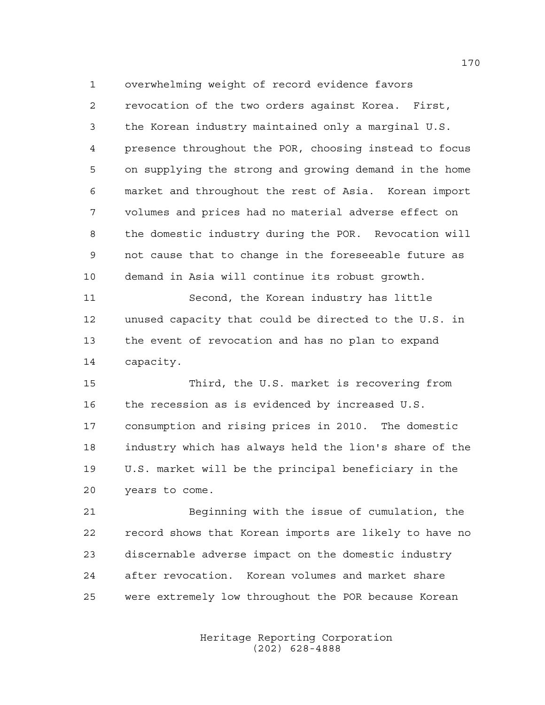revocation of the two orders against Korea. First, the Korean industry maintained only a marginal U.S. presence throughout the POR, choosing instead to focus on supplying the strong and growing demand in the home market and throughout the rest of Asia. Korean import volumes and prices had no material adverse effect on the domestic industry during the POR. Revocation will not cause that to change in the foreseeable future as demand in Asia will continue its robust growth.

overwhelming weight of record evidence favors

 Second, the Korean industry has little unused capacity that could be directed to the U.S. in the event of revocation and has no plan to expand capacity.

 Third, the U.S. market is recovering from the recession as is evidenced by increased U.S. consumption and rising prices in 2010. The domestic industry which has always held the lion's share of the U.S. market will be the principal beneficiary in the years to come.

 Beginning with the issue of cumulation, the record shows that Korean imports are likely to have no discernable adverse impact on the domestic industry after revocation. Korean volumes and market share were extremely low throughout the POR because Korean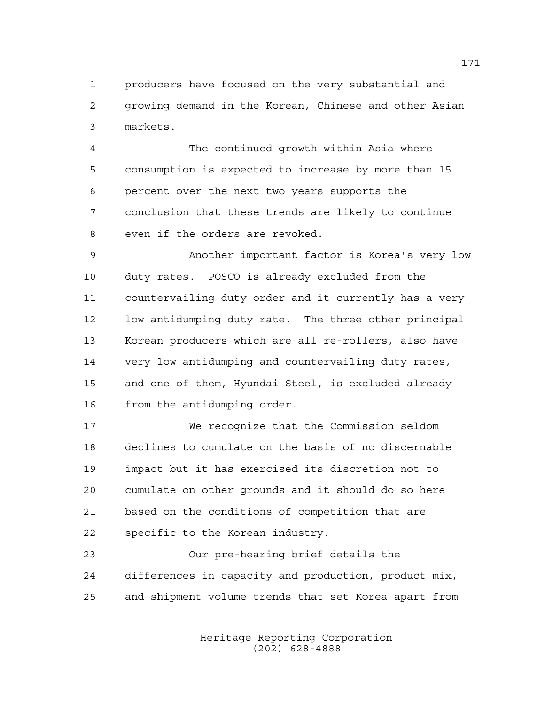producers have focused on the very substantial and growing demand in the Korean, Chinese and other Asian markets.

 The continued growth within Asia where consumption is expected to increase by more than 15 percent over the next two years supports the conclusion that these trends are likely to continue even if the orders are revoked.

 Another important factor is Korea's very low duty rates. POSCO is already excluded from the countervailing duty order and it currently has a very low antidumping duty rate. The three other principal Korean producers which are all re-rollers, also have very low antidumping and countervailing duty rates, and one of them, Hyundai Steel, is excluded already from the antidumping order.

 We recognize that the Commission seldom declines to cumulate on the basis of no discernable impact but it has exercised its discretion not to cumulate on other grounds and it should do so here based on the conditions of competition that are specific to the Korean industry.

 Our pre-hearing brief details the differences in capacity and production, product mix, and shipment volume trends that set Korea apart from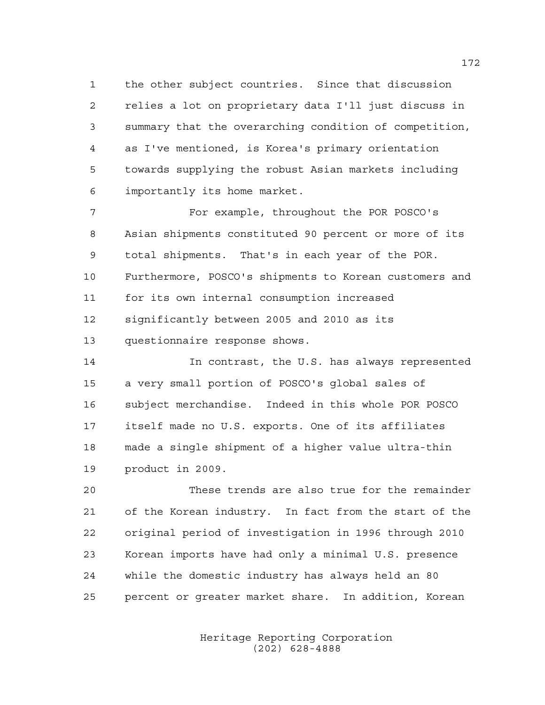the other subject countries. Since that discussion relies a lot on proprietary data I'll just discuss in summary that the overarching condition of competition, as I've mentioned, is Korea's primary orientation towards supplying the robust Asian markets including importantly its home market.

 For example, throughout the POR POSCO's Asian shipments constituted 90 percent or more of its total shipments. That's in each year of the POR. Furthermore, POSCO's shipments to Korean customers and for its own internal consumption increased significantly between 2005 and 2010 as its questionnaire response shows.

 In contrast, the U.S. has always represented a very small portion of POSCO's global sales of subject merchandise. Indeed in this whole POR POSCO itself made no U.S. exports. One of its affiliates made a single shipment of a higher value ultra-thin product in 2009.

 These trends are also true for the remainder of the Korean industry. In fact from the start of the original period of investigation in 1996 through 2010 Korean imports have had only a minimal U.S. presence while the domestic industry has always held an 80 percent or greater market share. In addition, Korean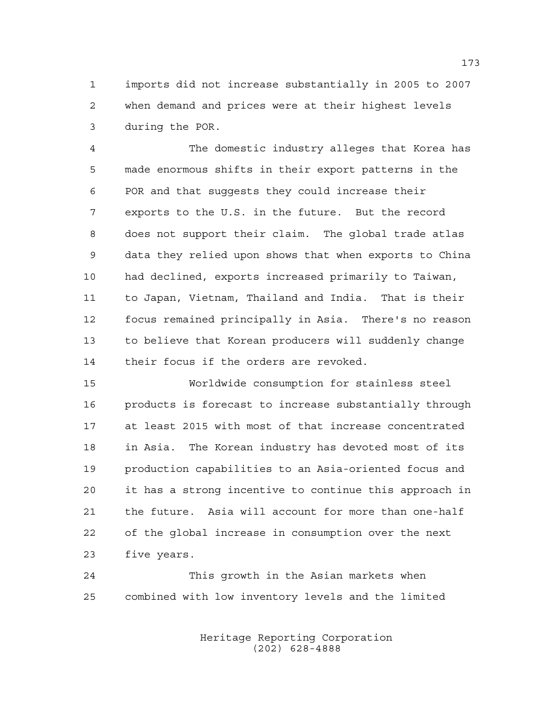imports did not increase substantially in 2005 to 2007 when demand and prices were at their highest levels during the POR.

 The domestic industry alleges that Korea has made enormous shifts in their export patterns in the POR and that suggests they could increase their exports to the U.S. in the future. But the record does not support their claim. The global trade atlas data they relied upon shows that when exports to China had declined, exports increased primarily to Taiwan, to Japan, Vietnam, Thailand and India. That is their focus remained principally in Asia. There's no reason to believe that Korean producers will suddenly change their focus if the orders are revoked.

 Worldwide consumption for stainless steel products is forecast to increase substantially through at least 2015 with most of that increase concentrated in Asia. The Korean industry has devoted most of its production capabilities to an Asia-oriented focus and it has a strong incentive to continue this approach in the future. Asia will account for more than one-half of the global increase in consumption over the next five years.

 This growth in the Asian markets when combined with low inventory levels and the limited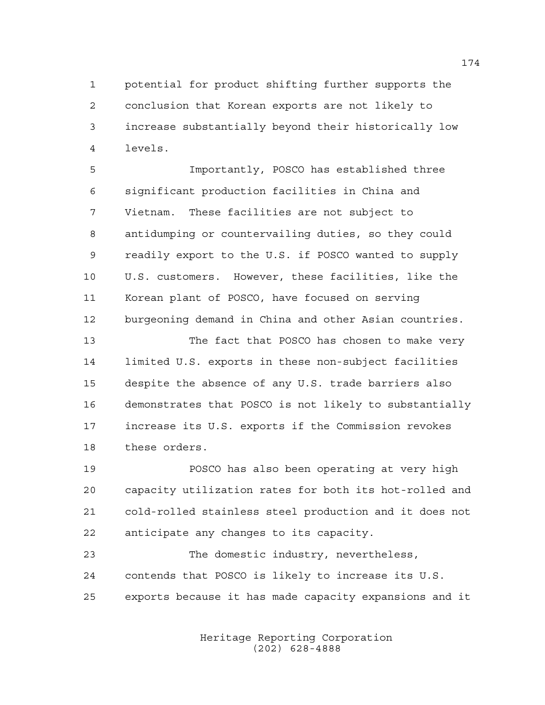potential for product shifting further supports the conclusion that Korean exports are not likely to increase substantially beyond their historically low levels.

 Importantly, POSCO has established three significant production facilities in China and Vietnam. These facilities are not subject to antidumping or countervailing duties, so they could readily export to the U.S. if POSCO wanted to supply U.S. customers. However, these facilities, like the Korean plant of POSCO, have focused on serving burgeoning demand in China and other Asian countries.

 The fact that POSCO has chosen to make very limited U.S. exports in these non-subject facilities despite the absence of any U.S. trade barriers also demonstrates that POSCO is not likely to substantially increase its U.S. exports if the Commission revokes these orders.

 POSCO has also been operating at very high capacity utilization rates for both its hot-rolled and cold-rolled stainless steel production and it does not anticipate any changes to its capacity.

 The domestic industry, nevertheless, contends that POSCO is likely to increase its U.S. exports because it has made capacity expansions and it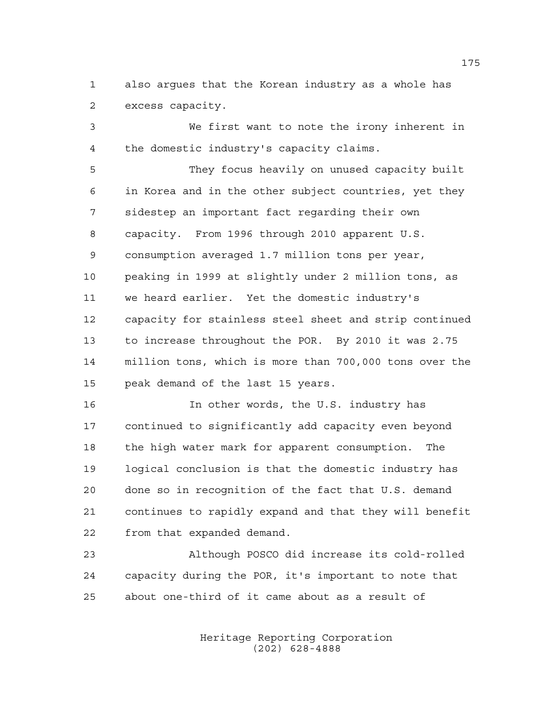also argues that the Korean industry as a whole has excess capacity.

 We first want to note the irony inherent in the domestic industry's capacity claims.

 They focus heavily on unused capacity built in Korea and in the other subject countries, yet they sidestep an important fact regarding their own capacity. From 1996 through 2010 apparent U.S. consumption averaged 1.7 million tons per year, peaking in 1999 at slightly under 2 million tons, as we heard earlier. Yet the domestic industry's capacity for stainless steel sheet and strip continued to increase throughout the POR. By 2010 it was 2.75 million tons, which is more than 700,000 tons over the peak demand of the last 15 years.

 In other words, the U.S. industry has continued to significantly add capacity even beyond the high water mark for apparent consumption. The logical conclusion is that the domestic industry has done so in recognition of the fact that U.S. demand continues to rapidly expand and that they will benefit from that expanded demand.

 Although POSCO did increase its cold-rolled capacity during the POR, it's important to note that about one-third of it came about as a result of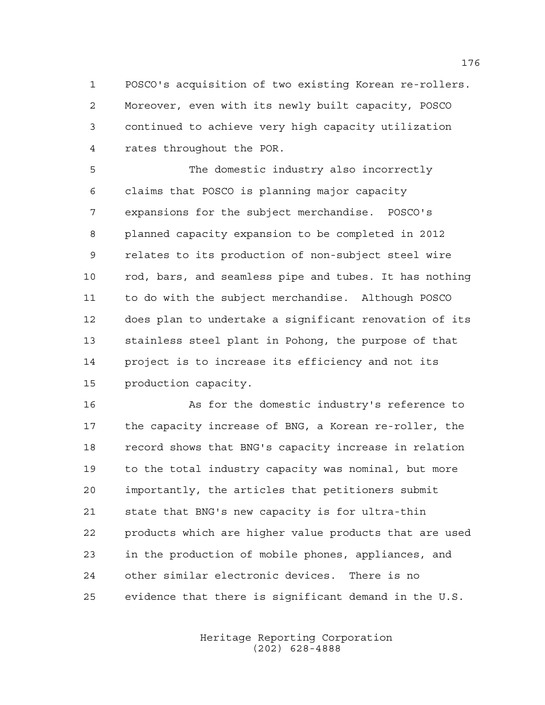POSCO's acquisition of two existing Korean re-rollers. Moreover, even with its newly built capacity, POSCO continued to achieve very high capacity utilization rates throughout the POR.

 The domestic industry also incorrectly claims that POSCO is planning major capacity expansions for the subject merchandise. POSCO's planned capacity expansion to be completed in 2012 relates to its production of non-subject steel wire rod, bars, and seamless pipe and tubes. It has nothing to do with the subject merchandise. Although POSCO does plan to undertake a significant renovation of its stainless steel plant in Pohong, the purpose of that project is to increase its efficiency and not its production capacity.

 As for the domestic industry's reference to the capacity increase of BNG, a Korean re-roller, the record shows that BNG's capacity increase in relation to the total industry capacity was nominal, but more importantly, the articles that petitioners submit state that BNG's new capacity is for ultra-thin products which are higher value products that are used in the production of mobile phones, appliances, and other similar electronic devices. There is no evidence that there is significant demand in the U.S.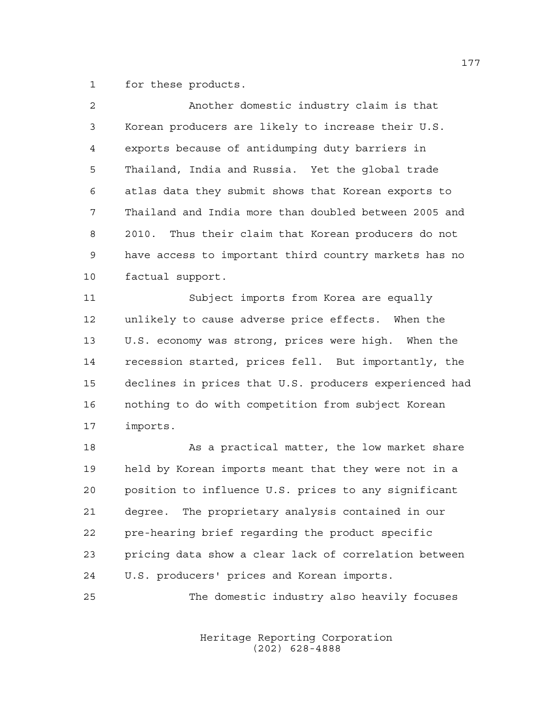for these products.

| $\mathcal{L}$ | Another domestic industry claim is that               |
|---------------|-------------------------------------------------------|
| $\mathbf{3}$  | Korean producers are likely to increase their U.S.    |
| 4             | exports because of antidumping duty barriers in       |
| 5             | Thailand, India and Russia. Yet the global trade      |
| 6             | atlas data they submit shows that Korean exports to   |
| 7             | Thailand and India more than doubled between 2005 and |
| 8             | 2010. Thus their claim that Korean producers do not   |
| 9             | have access to important third country markets has no |
| 10            | factual support.                                      |
| 11            | Subject imports from Korea are equally                |
|               |                                                       |

 unlikely to cause adverse price effects. When the U.S. economy was strong, prices were high. When the recession started, prices fell. But importantly, the declines in prices that U.S. producers experienced had nothing to do with competition from subject Korean imports.

18 As a practical matter, the low market share held by Korean imports meant that they were not in a position to influence U.S. prices to any significant degree. The proprietary analysis contained in our pre-hearing brief regarding the product specific pricing data show a clear lack of correlation between U.S. producers' prices and Korean imports.

The domestic industry also heavily focuses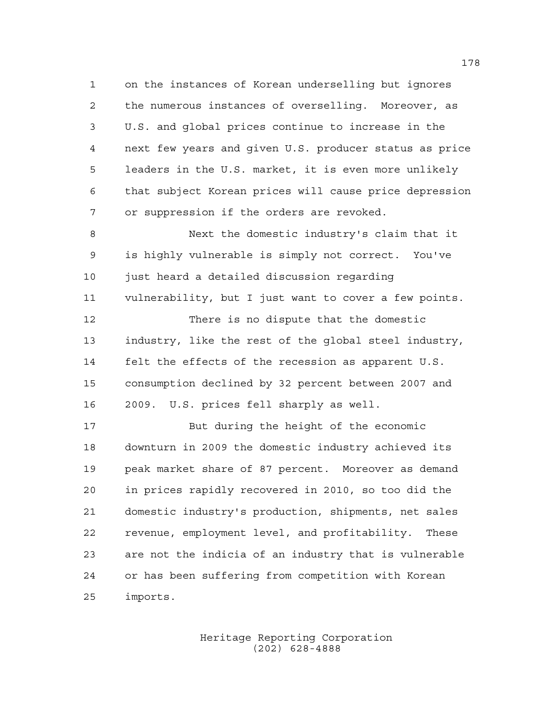on the instances of Korean underselling but ignores the numerous instances of overselling. Moreover, as U.S. and global prices continue to increase in the next few years and given U.S. producer status as price leaders in the U.S. market, it is even more unlikely that subject Korean prices will cause price depression or suppression if the orders are revoked.

 Next the domestic industry's claim that it is highly vulnerable is simply not correct. You've just heard a detailed discussion regarding vulnerability, but I just want to cover a few points. There is no dispute that the domestic industry, like the rest of the global steel industry, felt the effects of the recession as apparent U.S. consumption declined by 32 percent between 2007 and 2009. U.S. prices fell sharply as well.

 But during the height of the economic downturn in 2009 the domestic industry achieved its peak market share of 87 percent. Moreover as demand in prices rapidly recovered in 2010, so too did the domestic industry's production, shipments, net sales revenue, employment level, and profitability. These are not the indicia of an industry that is vulnerable or has been suffering from competition with Korean imports.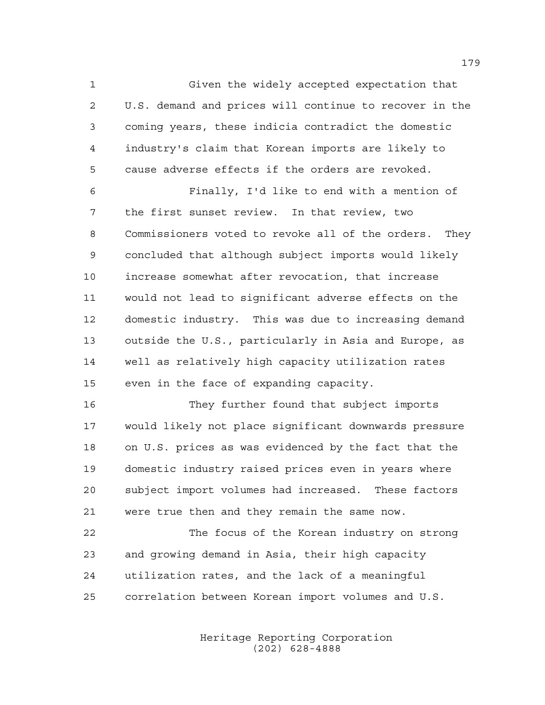Given the widely accepted expectation that U.S. demand and prices will continue to recover in the coming years, these indicia contradict the domestic industry's claim that Korean imports are likely to cause adverse effects if the orders are revoked.

 Finally, I'd like to end with a mention of the first sunset review. In that review, two Commissioners voted to revoke all of the orders. They concluded that although subject imports would likely increase somewhat after revocation, that increase would not lead to significant adverse effects on the domestic industry. This was due to increasing demand outside the U.S., particularly in Asia and Europe, as well as relatively high capacity utilization rates even in the face of expanding capacity.

 They further found that subject imports would likely not place significant downwards pressure on U.S. prices as was evidenced by the fact that the domestic industry raised prices even in years where subject import volumes had increased. These factors were true then and they remain the same now.

 The focus of the Korean industry on strong and growing demand in Asia, their high capacity utilization rates, and the lack of a meaningful correlation between Korean import volumes and U.S.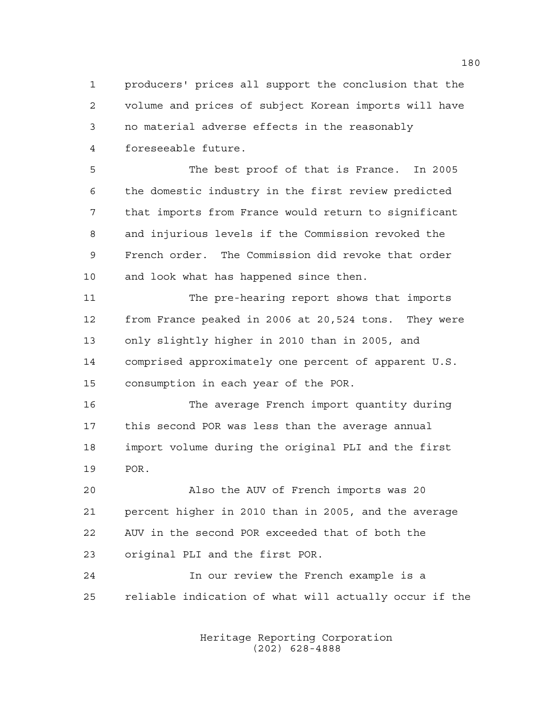producers' prices all support the conclusion that the volume and prices of subject Korean imports will have no material adverse effects in the reasonably foreseeable future.

 The best proof of that is France. In 2005 the domestic industry in the first review predicted that imports from France would return to significant and injurious levels if the Commission revoked the French order. The Commission did revoke that order and look what has happened since then.

 The pre-hearing report shows that imports from France peaked in 2006 at 20,524 tons. They were only slightly higher in 2010 than in 2005, and comprised approximately one percent of apparent U.S. consumption in each year of the POR.

 The average French import quantity during this second POR was less than the average annual import volume during the original PLI and the first POR.

 Also the AUV of French imports was 20 percent higher in 2010 than in 2005, and the average AUV in the second POR exceeded that of both the original PLI and the first POR.

 In our review the French example is a reliable indication of what will actually occur if the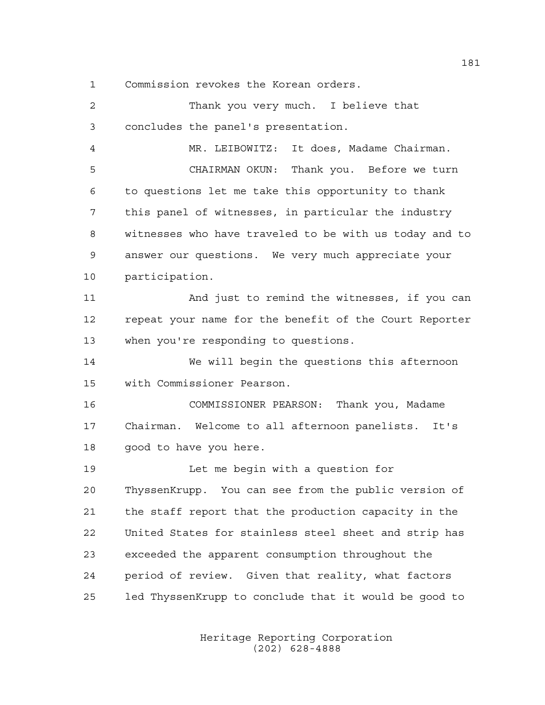Commission revokes the Korean orders.

| $\overline{c}$ | Thank you very much. I believe that                    |
|----------------|--------------------------------------------------------|
| 3              | concludes the panel's presentation.                    |
| 4              | MR. LEIBOWITZ: It does, Madame Chairman.               |
| 5              | Thank you. Before we turn<br>CHAIRMAN OKUN:            |
| 6              | to questions let me take this opportunity to thank     |
| 7              | this panel of witnesses, in particular the industry    |
| 8              | witnesses who have traveled to be with us today and to |
| 9              | answer our questions. We very much appreciate your     |
| 10             | participation.                                         |
| 11             | And just to remind the witnesses, if you can           |
| 12             | repeat your name for the benefit of the Court Reporter |
| 13             | when you're responding to questions.                   |
| 14             | We will begin the questions this afternoon             |
| 15             | with Commissioner Pearson.                             |
| 16             | COMMISSIONER PEARSON: Thank you, Madame                |
| 17             | Chairman. Welcome to all afternoon panelists. It's     |
| 18             | good to have you here.                                 |
| 19             | Let me begin with a question for                       |
| 20             | ThyssenKrupp. You can see from the public version of   |
| 21             | the staff report that the production capacity in the   |
| 22             | United States for stainless steel sheet and strip has  |
| 23             | exceeded the apparent consumption throughout the       |
| 24             | period of review. Given that reality, what factors     |
| 25             | led ThyssenKrupp to conclude that it would be good to  |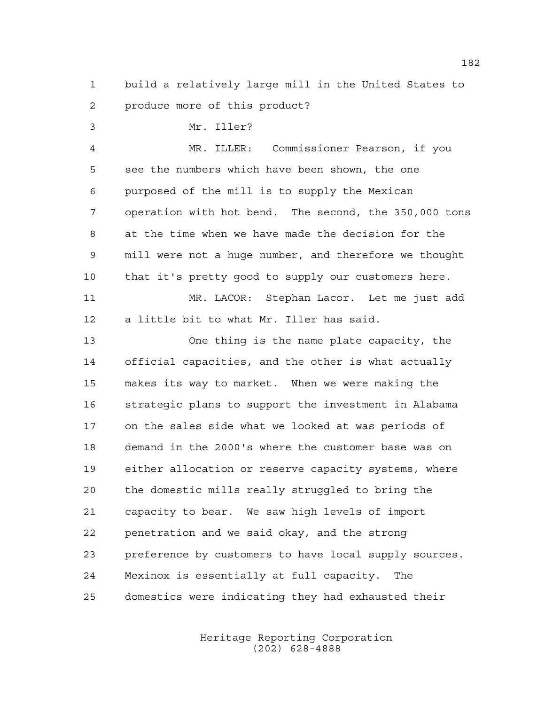build a relatively large mill in the United States to produce more of this product?

Mr. Iller?

 MR. ILLER: Commissioner Pearson, if you see the numbers which have been shown, the one purposed of the mill is to supply the Mexican operation with hot bend. The second, the 350,000 tons at the time when we have made the decision for the mill were not a huge number, and therefore we thought that it's pretty good to supply our customers here. MR. LACOR: Stephan Lacor. Let me just add a little bit to what Mr. Iller has said. One thing is the name plate capacity, the official capacities, and the other is what actually makes its way to market. When we were making the strategic plans to support the investment in Alabama on the sales side what we looked at was periods of demand in the 2000's where the customer base was on either allocation or reserve capacity systems, where the domestic mills really struggled to bring the capacity to bear. We saw high levels of import penetration and we said okay, and the strong preference by customers to have local supply sources. Mexinox is essentially at full capacity. The domestics were indicating they had exhausted their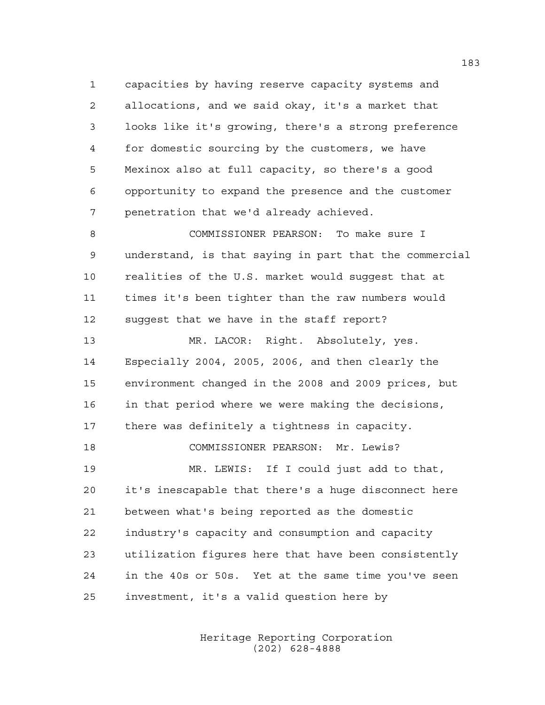capacities by having reserve capacity systems and allocations, and we said okay, it's a market that looks like it's growing, there's a strong preference for domestic sourcing by the customers, we have Mexinox also at full capacity, so there's a good opportunity to expand the presence and the customer penetration that we'd already achieved.

 COMMISSIONER PEARSON: To make sure I understand, is that saying in part that the commercial realities of the U.S. market would suggest that at times it's been tighter than the raw numbers would suggest that we have in the staff report?

 MR. LACOR: Right. Absolutely, yes. Especially 2004, 2005, 2006, and then clearly the environment changed in the 2008 and 2009 prices, but in that period where we were making the decisions, there was definitely a tightness in capacity. COMMISSIONER PEARSON: Mr. Lewis? MR. LEWIS: If I could just add to that, it's inescapable that there's a huge disconnect here between what's being reported as the domestic industry's capacity and consumption and capacity utilization figures here that have been consistently in the 40s or 50s. Yet at the same time you've seen investment, it's a valid question here by

> Heritage Reporting Corporation (202) 628-4888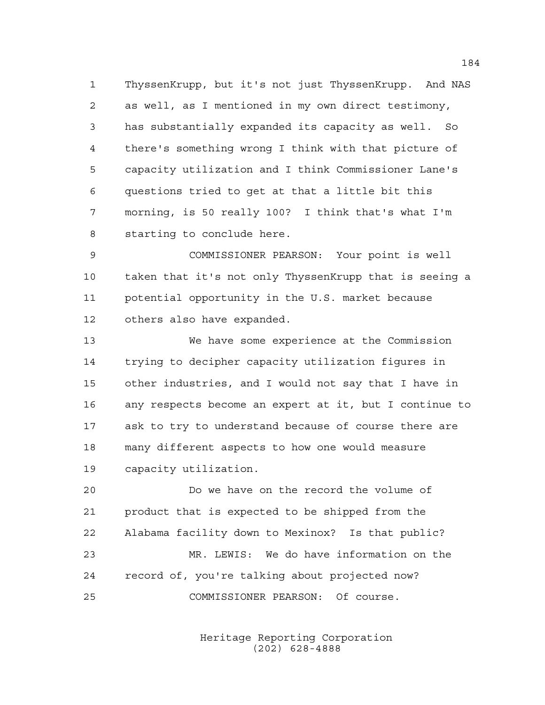ThyssenKrupp, but it's not just ThyssenKrupp. And NAS as well, as I mentioned in my own direct testimony, has substantially expanded its capacity as well. So there's something wrong I think with that picture of capacity utilization and I think Commissioner Lane's questions tried to get at that a little bit this morning, is 50 really 100? I think that's what I'm starting to conclude here.

 COMMISSIONER PEARSON: Your point is well taken that it's not only ThyssenKrupp that is seeing a potential opportunity in the U.S. market because others also have expanded.

 We have some experience at the Commission trying to decipher capacity utilization figures in other industries, and I would not say that I have in any respects become an expert at it, but I continue to ask to try to understand because of course there are many different aspects to how one would measure capacity utilization.

 Do we have on the record the volume of product that is expected to be shipped from the Alabama facility down to Mexinox? Is that public? MR. LEWIS: We do have information on the record of, you're talking about projected now? COMMISSIONER PEARSON: Of course.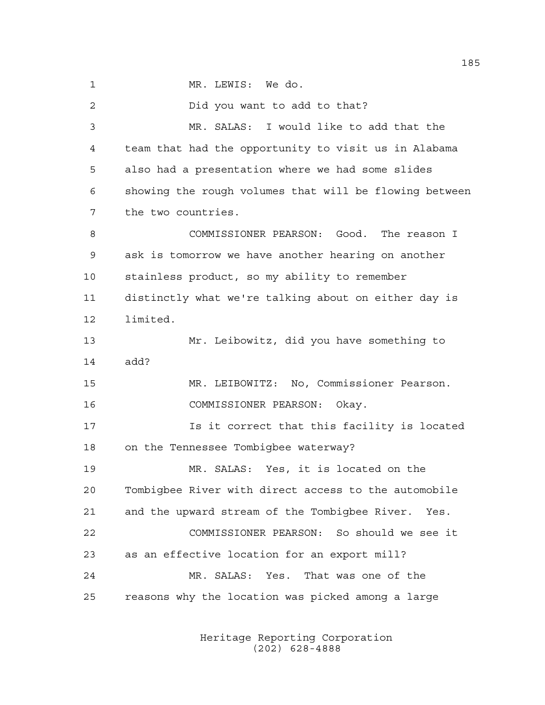MR. LEWIS: We do.

 Did you want to add to that? MR. SALAS: I would like to add that the team that had the opportunity to visit us in Alabama also had a presentation where we had some slides showing the rough volumes that will be flowing between the two countries. COMMISSIONER PEARSON: Good. The reason I ask is tomorrow we have another hearing on another stainless product, so my ability to remember distinctly what we're talking about on either day is limited. Mr. Leibowitz, did you have something to add? MR. LEIBOWITZ: No, Commissioner Pearson. COMMISSIONER PEARSON: Okay. Is it correct that this facility is located on the Tennessee Tombigbee waterway? MR. SALAS: Yes, it is located on the Tombigbee River with direct access to the automobile and the upward stream of the Tombigbee River. Yes. COMMISSIONER PEARSON: So should we see it as an effective location for an export mill? MR. SALAS: Yes. That was one of the reasons why the location was picked among a large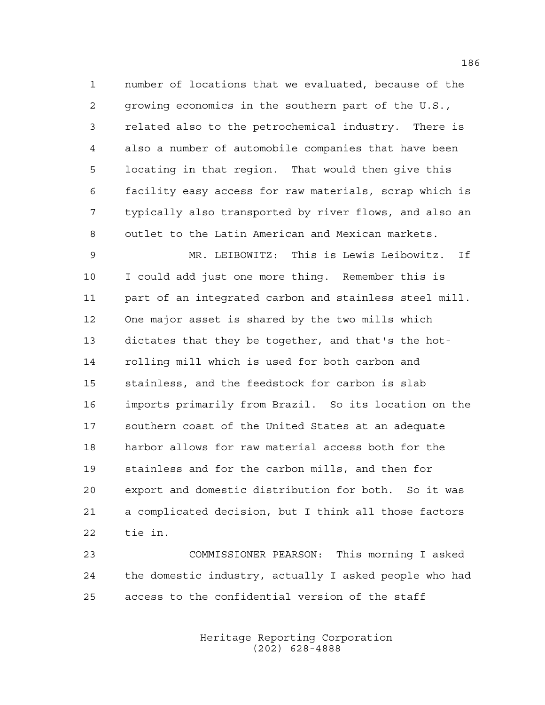number of locations that we evaluated, because of the growing economics in the southern part of the U.S., related also to the petrochemical industry. There is also a number of automobile companies that have been locating in that region. That would then give this facility easy access for raw materials, scrap which is typically also transported by river flows, and also an outlet to the Latin American and Mexican markets.

 MR. LEIBOWITZ: This is Lewis Leibowitz. If I could add just one more thing. Remember this is part of an integrated carbon and stainless steel mill. One major asset is shared by the two mills which dictates that they be together, and that's the hot- rolling mill which is used for both carbon and stainless, and the feedstock for carbon is slab imports primarily from Brazil. So its location on the southern coast of the United States at an adequate harbor allows for raw material access both for the stainless and for the carbon mills, and then for export and domestic distribution for both. So it was a complicated decision, but I think all those factors tie in.

 COMMISSIONER PEARSON: This morning I asked the domestic industry, actually I asked people who had access to the confidential version of the staff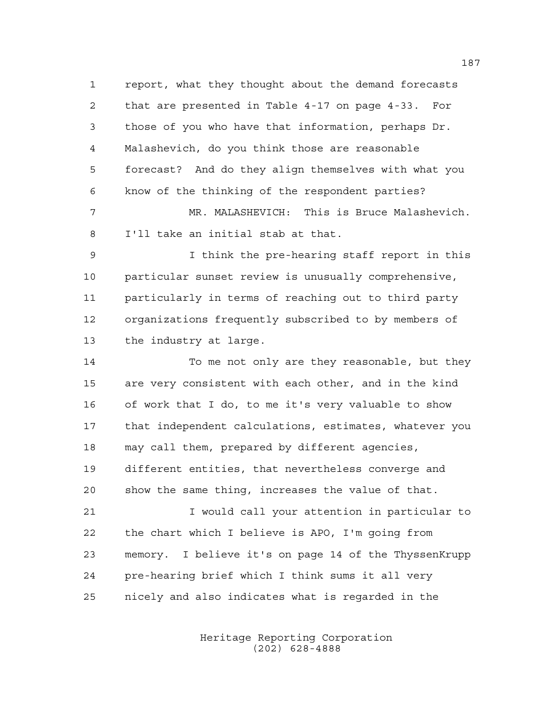report, what they thought about the demand forecasts that are presented in Table 4-17 on page 4-33. For those of you who have that information, perhaps Dr. Malashevich, do you think those are reasonable forecast? And do they align themselves with what you know of the thinking of the respondent parties?

 MR. MALASHEVICH: This is Bruce Malashevich. I'll take an initial stab at that.

 I think the pre-hearing staff report in this particular sunset review is unusually comprehensive, particularly in terms of reaching out to third party organizations frequently subscribed to by members of the industry at large.

 To me not only are they reasonable, but they are very consistent with each other, and in the kind of work that I do, to me it's very valuable to show that independent calculations, estimates, whatever you may call them, prepared by different agencies, different entities, that nevertheless converge and show the same thing, increases the value of that.

 I would call your attention in particular to the chart which I believe is APO, I'm going from memory. I believe it's on page 14 of the ThyssenKrupp pre-hearing brief which I think sums it all very nicely and also indicates what is regarded in the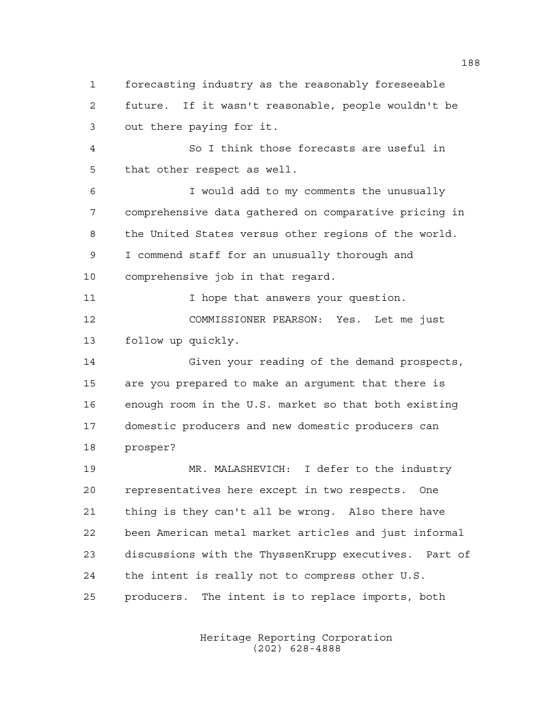forecasting industry as the reasonably foreseeable future. If it wasn't reasonable, people wouldn't be out there paying for it.

 So I think those forecasts are useful in that other respect as well.

 I would add to my comments the unusually comprehensive data gathered on comparative pricing in the United States versus other regions of the world. I commend staff for an unusually thorough and comprehensive job in that regard.

11 11 I hope that answers your question. COMMISSIONER PEARSON: Yes. Let me just follow up quickly.

 Given your reading of the demand prospects, are you prepared to make an argument that there is enough room in the U.S. market so that both existing domestic producers and new domestic producers can prosper?

 MR. MALASHEVICH: I defer to the industry representatives here except in two respects. One thing is they can't all be wrong. Also there have been American metal market articles and just informal discussions with the ThyssenKrupp executives. Part of the intent is really not to compress other U.S. producers. The intent is to replace imports, both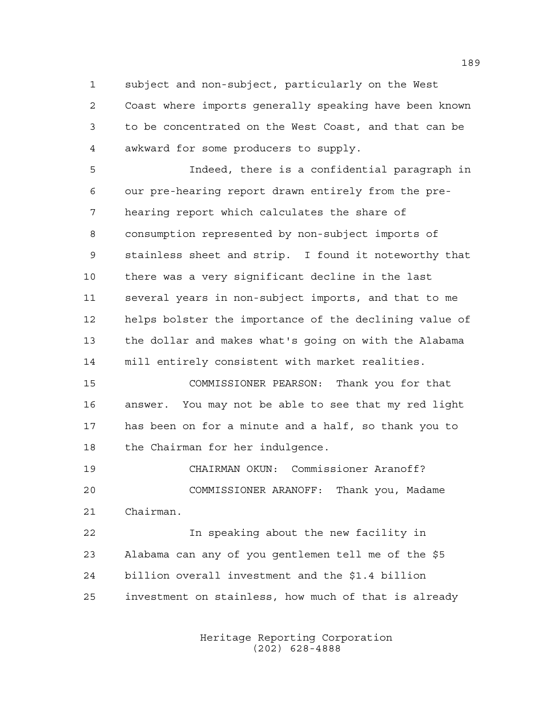subject and non-subject, particularly on the West

 Coast where imports generally speaking have been known to be concentrated on the West Coast, and that can be awkward for some producers to supply.

 Indeed, there is a confidential paragraph in our pre-hearing report drawn entirely from the pre- hearing report which calculates the share of consumption represented by non-subject imports of stainless sheet and strip. I found it noteworthy that there was a very significant decline in the last several years in non-subject imports, and that to me helps bolster the importance of the declining value of the dollar and makes what's going on with the Alabama mill entirely consistent with market realities.

 COMMISSIONER PEARSON: Thank you for that answer. You may not be able to see that my red light has been on for a minute and a half, so thank you to the Chairman for her indulgence.

 CHAIRMAN OKUN: Commissioner Aranoff? COMMISSIONER ARANOFF: Thank you, Madame Chairman.

 In speaking about the new facility in Alabama can any of you gentlemen tell me of the \$5 billion overall investment and the \$1.4 billion investment on stainless, how much of that is already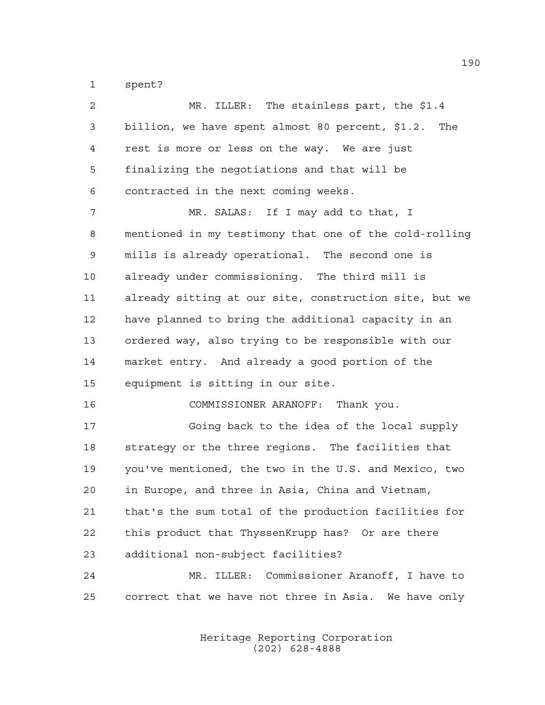spent?

| $\overline{a}$ | MR. ILLER: The stainless part, the \$1.4               |
|----------------|--------------------------------------------------------|
| 3              | billion, we have spent almost 80 percent, \$1.2. The   |
| 4              | rest is more or less on the way. We are just           |
| 5              | finalizing the negotiations and that will be           |
| 6              | contracted in the next coming weeks.                   |
| 7              | MR. SALAS: If I may add to that, I                     |
| 8              | mentioned in my testimony that one of the cold-rolling |
| 9              | mills is already operational. The second one is        |
| 10             | already under commissioning. The third mill is         |
| 11             | already sitting at our site, construction site, but we |
| 12             | have planned to bring the additional capacity in an    |
| 13             | ordered way, also trying to be responsible with our    |
| 14             | market entry. And already a good portion of the        |
| 15             | equipment is sitting in our site.                      |
| 16             | COMMISSIONER ARANOFF: Thank you.                       |
| 17             | Going back to the idea of the local supply             |
| 18             | strategy or the three regions. The facilities that     |
| 19             | you've mentioned, the two in the U.S. and Mexico, two  |
| 20             | in Europe, and three in Asia, China and Vietnam,       |
| 21             | that's the sum total of the production facilities for  |
| 22             | this product that ThyssenKrupp has? Or are there       |
| 23             | additional non-subject facilities?                     |
| 24             | MR. ILLER: Commissioner Aranoff, I have to             |
| 25             | correct that we have not three in Asia. We have only   |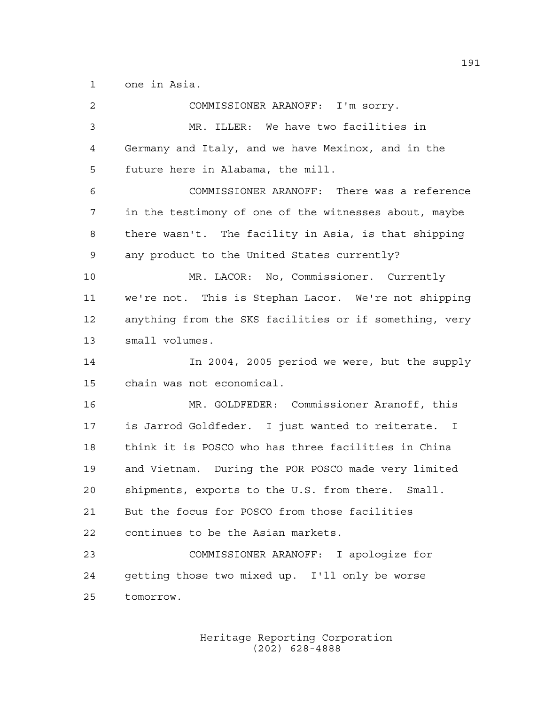one in Asia.

| 2  | COMMISSIONER ARANOFF: I'm sorry.                       |
|----|--------------------------------------------------------|
| 3  | MR. ILLER: We have two facilities in                   |
| 4  | Germany and Italy, and we have Mexinox, and in the     |
| 5  | future here in Alabama, the mill.                      |
| 6  | COMMISSIONER ARANOFF: There was a reference            |
| 7  | in the testimony of one of the witnesses about, maybe  |
| 8  | there wasn't. The facility in Asia, is that shipping   |
| 9  | any product to the United States currently?            |
| 10 | MR. LACOR: No, Commissioner. Currently                 |
| 11 | we're not. This is Stephan Lacor. We're not shipping   |
| 12 | anything from the SKS facilities or if something, very |
| 13 | small volumes.                                         |
| 14 | In 2004, 2005 period we were, but the supply           |
| 15 | chain was not economical.                              |
| 16 | MR. GOLDFEDER: Commissioner Aranoff, this              |
| 17 | is Jarrod Goldfeder. I just wanted to reiterate. I     |
| 18 | think it is POSCO who has three facilities in China    |
| 19 | and Vietnam. During the POR POSCO made very limited    |
| 20 | shipments, exports to the U.S. from there. Small.      |
| 21 | But the focus for POSCO from those facilities          |
| 22 | continues to be the Asian markets.                     |
| 23 | COMMISSIONER ARANOFF: I apologize for                  |
| 24 | getting those two mixed up. I'll only be worse         |
| 25 | tomorrow.                                              |
|    |                                                        |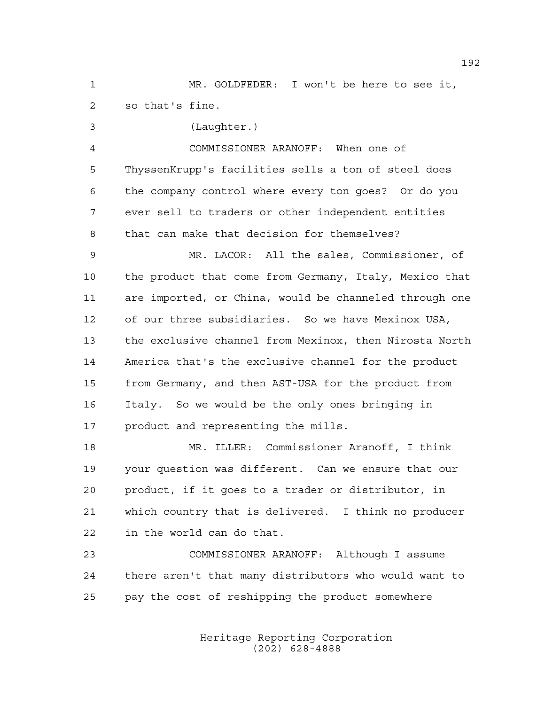MR. GOLDFEDER: I won't be here to see it, so that's fine.

(Laughter.)

 COMMISSIONER ARANOFF: When one of ThyssenKrupp's facilities sells a ton of steel does the company control where every ton goes? Or do you ever sell to traders or other independent entities that can make that decision for themselves?

 MR. LACOR: All the sales, Commissioner, of the product that come from Germany, Italy, Mexico that are imported, or China, would be channeled through one of our three subsidiaries. So we have Mexinox USA, the exclusive channel from Mexinox, then Nirosta North America that's the exclusive channel for the product from Germany, and then AST-USA for the product from Italy. So we would be the only ones bringing in product and representing the mills.

 MR. ILLER: Commissioner Aranoff, I think your question was different. Can we ensure that our product, if it goes to a trader or distributor, in which country that is delivered. I think no producer in the world can do that.

 COMMISSIONER ARANOFF: Although I assume there aren't that many distributors who would want to pay the cost of reshipping the product somewhere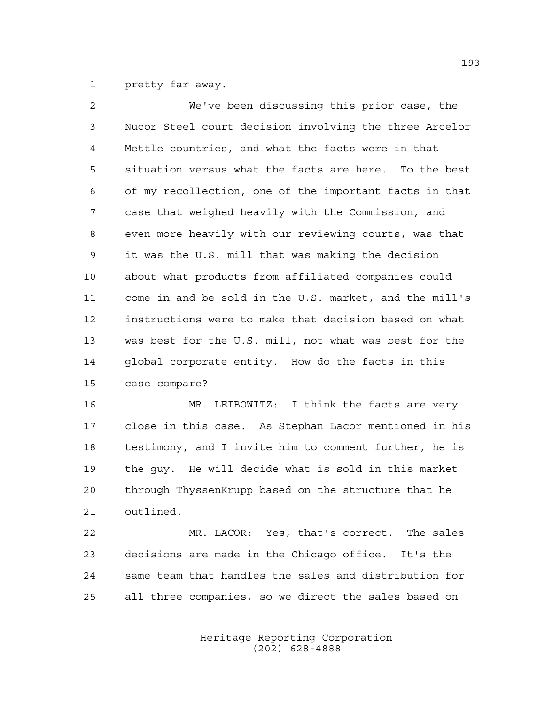pretty far away.

| $\overline{2}$ | We've been discussing this prior case, the             |
|----------------|--------------------------------------------------------|
| $\mathsf{3}$   | Nucor Steel court decision involving the three Arcelor |
| $\overline{4}$ | Mettle countries, and what the facts were in that      |
| 5              | situation versus what the facts are here. To the best  |
| 6              | of my recollection, one of the important facts in that |
| 7              | case that weighed heavily with the Commission, and     |
| 8              | even more heavily with our reviewing courts, was that  |
| 9              | it was the U.S. mill that was making the decision      |
| 10             | about what products from affiliated companies could    |
| 11             | come in and be sold in the U.S. market, and the mill's |
| 12             | instructions were to make that decision based on what  |
| 13             | was best for the U.S. mill, not what was best for the  |
| 14             | global corporate entity. How do the facts in this      |
| 15             | case compare?                                          |

 MR. LEIBOWITZ: I think the facts are very close in this case. As Stephan Lacor mentioned in his testimony, and I invite him to comment further, he is the guy. He will decide what is sold in this market through ThyssenKrupp based on the structure that he outlined.

 MR. LACOR: Yes, that's correct. The sales decisions are made in the Chicago office. It's the same team that handles the sales and distribution for all three companies, so we direct the sales based on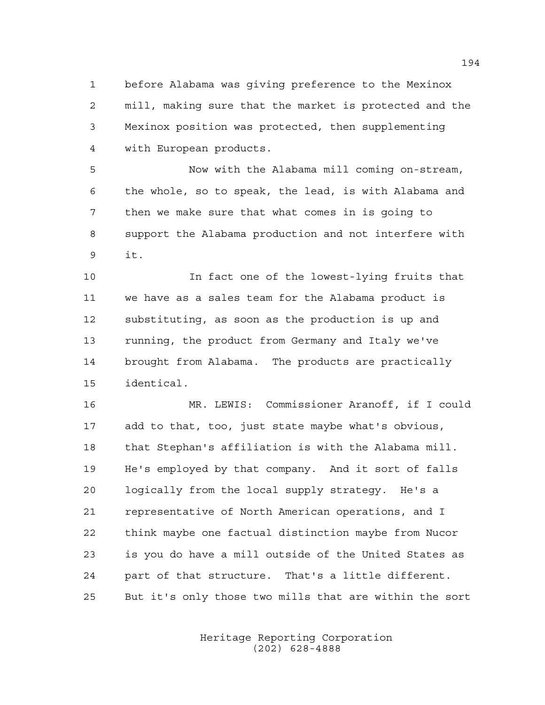before Alabama was giving preference to the Mexinox mill, making sure that the market is protected and the Mexinox position was protected, then supplementing with European products.

 Now with the Alabama mill coming on-stream, the whole, so to speak, the lead, is with Alabama and then we make sure that what comes in is going to support the Alabama production and not interfere with it.

 In fact one of the lowest-lying fruits that we have as a sales team for the Alabama product is substituting, as soon as the production is up and running, the product from Germany and Italy we've brought from Alabama. The products are practically identical.

 MR. LEWIS: Commissioner Aranoff, if I could add to that, too, just state maybe what's obvious, that Stephan's affiliation is with the Alabama mill. He's employed by that company. And it sort of falls logically from the local supply strategy. He's a representative of North American operations, and I think maybe one factual distinction maybe from Nucor is you do have a mill outside of the United States as part of that structure. That's a little different. But it's only those two mills that are within the sort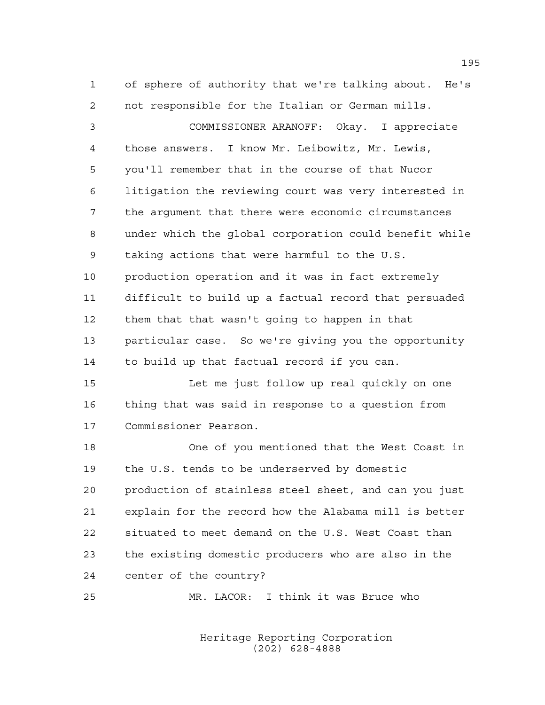of sphere of authority that we're talking about. He's not responsible for the Italian or German mills.

 COMMISSIONER ARANOFF: Okay. I appreciate those answers. I know Mr. Leibowitz, Mr. Lewis, you'll remember that in the course of that Nucor litigation the reviewing court was very interested in the argument that there were economic circumstances under which the global corporation could benefit while taking actions that were harmful to the U.S. production operation and it was in fact extremely difficult to build up a factual record that persuaded them that that wasn't going to happen in that particular case. So we're giving you the opportunity to build up that factual record if you can.

 Let me just follow up real quickly on one thing that was said in response to a question from Commissioner Pearson.

 One of you mentioned that the West Coast in the U.S. tends to be underserved by domestic production of stainless steel sheet, and can you just explain for the record how the Alabama mill is better situated to meet demand on the U.S. West Coast than the existing domestic producers who are also in the center of the country?

MR. LACOR: I think it was Bruce who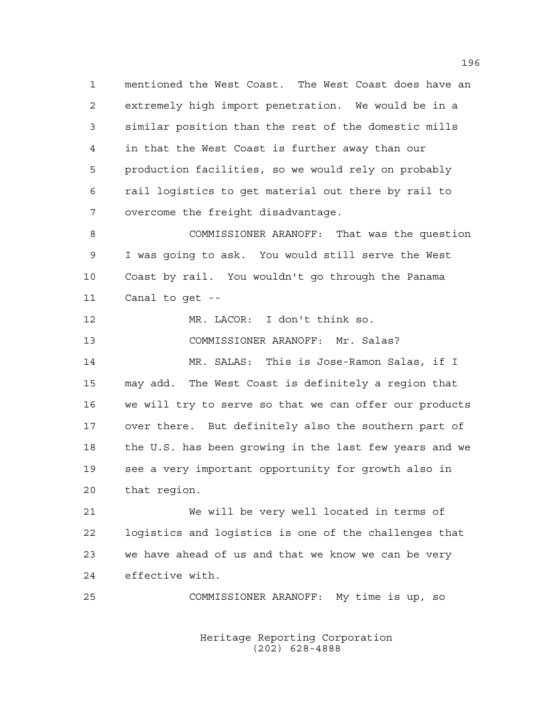mentioned the West Coast. The West Coast does have an extremely high import penetration. We would be in a similar position than the rest of the domestic mills in that the West Coast is further away than our production facilities, so we would rely on probably rail logistics to get material out there by rail to overcome the freight disadvantage.

 COMMISSIONER ARANOFF: That was the question I was going to ask. You would still serve the West Coast by rail. You wouldn't go through the Panama Canal to get --

 MR. LACOR: I don't think so. COMMISSIONER ARANOFF: Mr. Salas? MR. SALAS: This is Jose-Ramon Salas, if I may add. The West Coast is definitely a region that we will try to serve so that we can offer our products over there. But definitely also the southern part of the U.S. has been growing in the last few years and we see a very important opportunity for growth also in that region.

 We will be very well located in terms of logistics and logistics is one of the challenges that we have ahead of us and that we know we can be very effective with.

COMMISSIONER ARANOFF: My time is up, so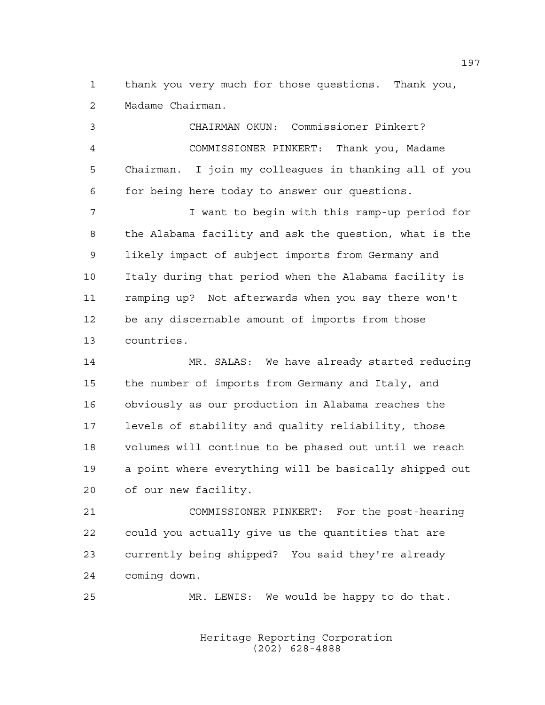thank you very much for those questions. Thank you, Madame Chairman.

 CHAIRMAN OKUN: Commissioner Pinkert? COMMISSIONER PINKERT: Thank you, Madame Chairman. I join my colleagues in thanking all of you for being here today to answer our questions.

 I want to begin with this ramp-up period for the Alabama facility and ask the question, what is the likely impact of subject imports from Germany and Italy during that period when the Alabama facility is ramping up? Not afterwards when you say there won't be any discernable amount of imports from those countries.

 MR. SALAS: We have already started reducing the number of imports from Germany and Italy, and obviously as our production in Alabama reaches the levels of stability and quality reliability, those volumes will continue to be phased out until we reach a point where everything will be basically shipped out of our new facility.

 COMMISSIONER PINKERT: For the post-hearing could you actually give us the quantities that are currently being shipped? You said they're already coming down.

MR. LEWIS: We would be happy to do that.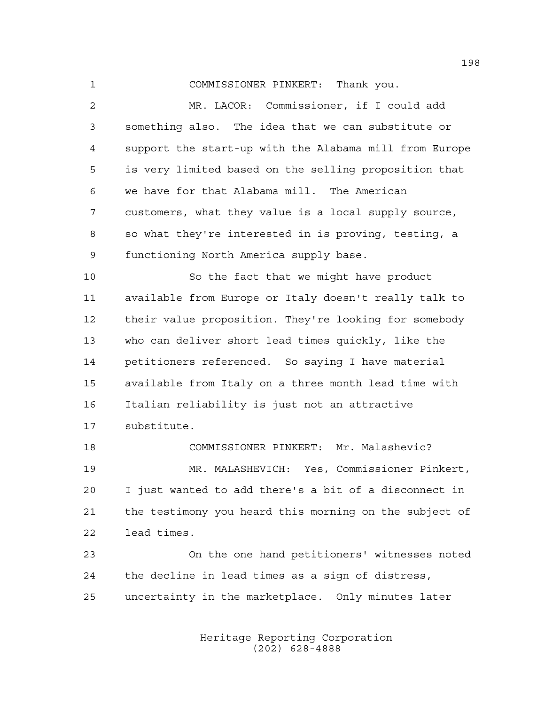COMMISSIONER PINKERT: Thank you.

 MR. LACOR: Commissioner, if I could add something also. The idea that we can substitute or support the start-up with the Alabama mill from Europe is very limited based on the selling proposition that we have for that Alabama mill. The American customers, what they value is a local supply source, so what they're interested in is proving, testing, a functioning North America supply base.

 So the fact that we might have product available from Europe or Italy doesn't really talk to their value proposition. They're looking for somebody who can deliver short lead times quickly, like the petitioners referenced. So saying I have material available from Italy on a three month lead time with Italian reliability is just not an attractive substitute.

 COMMISSIONER PINKERT: Mr. Malashevic? MR. MALASHEVICH: Yes, Commissioner Pinkert, I just wanted to add there's a bit of a disconnect in the testimony you heard this morning on the subject of lead times.

 On the one hand petitioners' witnesses noted the decline in lead times as a sign of distress, uncertainty in the marketplace. Only minutes later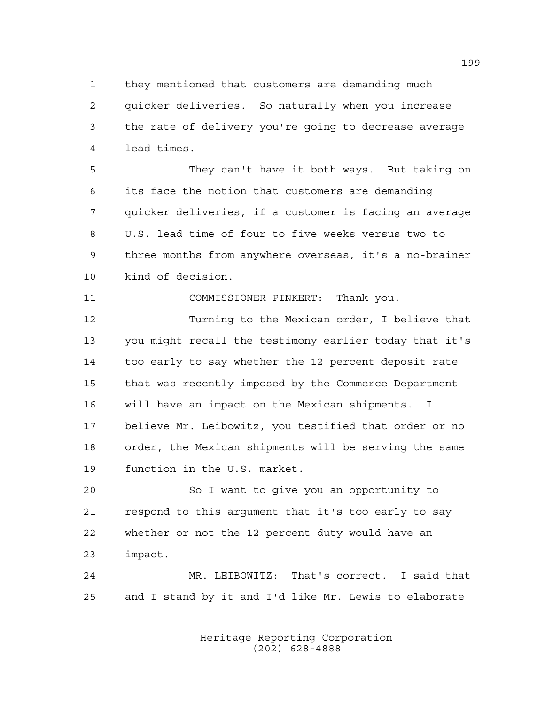they mentioned that customers are demanding much quicker deliveries. So naturally when you increase the rate of delivery you're going to decrease average lead times.

 They can't have it both ways. But taking on its face the notion that customers are demanding quicker deliveries, if a customer is facing an average U.S. lead time of four to five weeks versus two to three months from anywhere overseas, it's a no-brainer kind of decision.

COMMISSIONER PINKERT: Thank you.

 Turning to the Mexican order, I believe that you might recall the testimony earlier today that it's too early to say whether the 12 percent deposit rate that was recently imposed by the Commerce Department will have an impact on the Mexican shipments. I believe Mr. Leibowitz, you testified that order or no order, the Mexican shipments will be serving the same function in the U.S. market.

 So I want to give you an opportunity to respond to this argument that it's too early to say whether or not the 12 percent duty would have an impact.

 MR. LEIBOWITZ: That's correct. I said that and I stand by it and I'd like Mr. Lewis to elaborate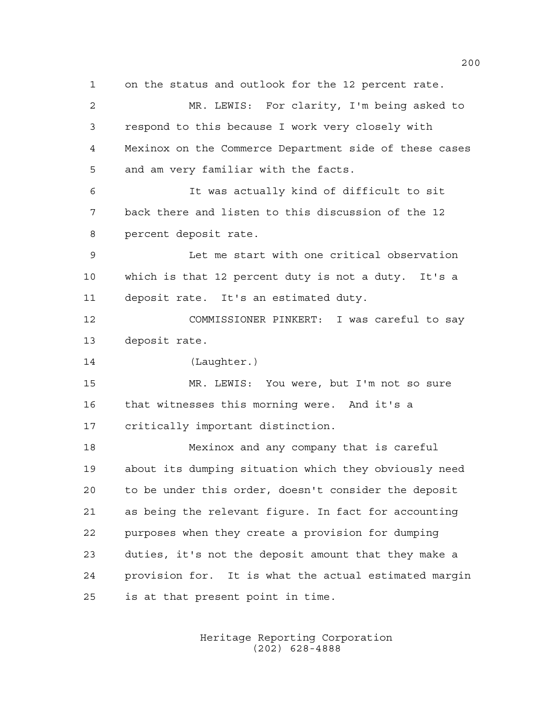on the status and outlook for the 12 percent rate. MR. LEWIS: For clarity, I'm being asked to respond to this because I work very closely with Mexinox on the Commerce Department side of these cases and am very familiar with the facts. It was actually kind of difficult to sit back there and listen to this discussion of the 12 percent deposit rate. Let me start with one critical observation which is that 12 percent duty is not a duty. It's a deposit rate. It's an estimated duty. COMMISSIONER PINKERT: I was careful to say deposit rate. (Laughter.) MR. LEWIS: You were, but I'm not so sure that witnesses this morning were. And it's a critically important distinction. Mexinox and any company that is careful about its dumping situation which they obviously need to be under this order, doesn't consider the deposit as being the relevant figure. In fact for accounting purposes when they create a provision for dumping duties, it's not the deposit amount that they make a provision for. It is what the actual estimated margin is at that present point in time.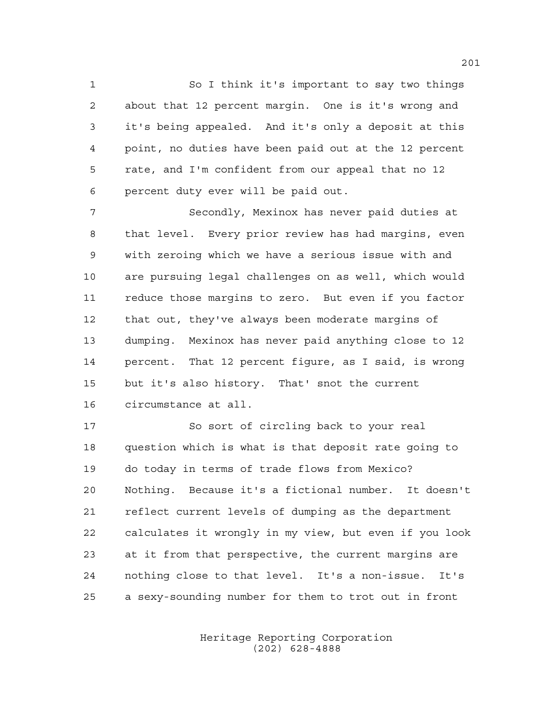So I think it's important to say two things about that 12 percent margin. One is it's wrong and it's being appealed. And it's only a deposit at this point, no duties have been paid out at the 12 percent rate, and I'm confident from our appeal that no 12 percent duty ever will be paid out.

 Secondly, Mexinox has never paid duties at that level. Every prior review has had margins, even with zeroing which we have a serious issue with and are pursuing legal challenges on as well, which would reduce those margins to zero. But even if you factor that out, they've always been moderate margins of dumping. Mexinox has never paid anything close to 12 percent. That 12 percent figure, as I said, is wrong but it's also history. That' snot the current circumstance at all.

 So sort of circling back to your real question which is what is that deposit rate going to do today in terms of trade flows from Mexico? Nothing. Because it's a fictional number. It doesn't reflect current levels of dumping as the department calculates it wrongly in my view, but even if you look at it from that perspective, the current margins are nothing close to that level. It's a non-issue. It's a sexy-sounding number for them to trot out in front

> Heritage Reporting Corporation (202) 628-4888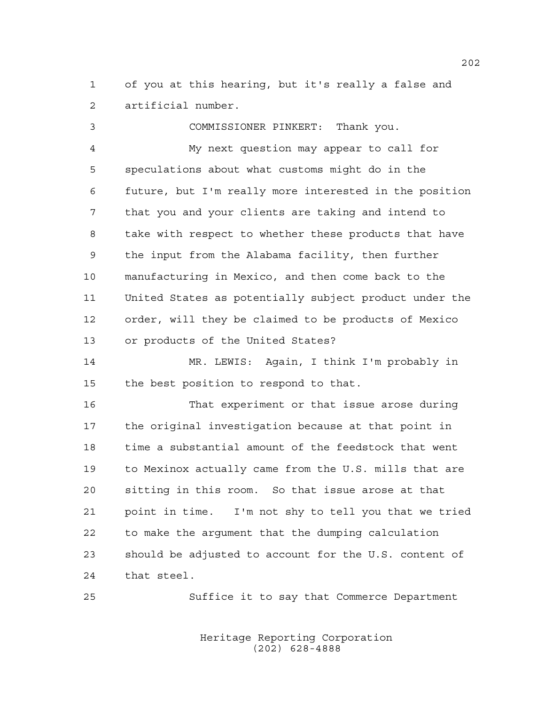of you at this hearing, but it's really a false and artificial number.

 COMMISSIONER PINKERT: Thank you. My next question may appear to call for speculations about what customs might do in the future, but I'm really more interested in the position that you and your clients are taking and intend to take with respect to whether these products that have the input from the Alabama facility, then further manufacturing in Mexico, and then come back to the United States as potentially subject product under the order, will they be claimed to be products of Mexico or products of the United States?

 MR. LEWIS: Again, I think I'm probably in the best position to respond to that.

 That experiment or that issue arose during the original investigation because at that point in time a substantial amount of the feedstock that went to Mexinox actually came from the U.S. mills that are sitting in this room. So that issue arose at that point in time. I'm not shy to tell you that we tried to make the argument that the dumping calculation should be adjusted to account for the U.S. content of that steel.

Suffice it to say that Commerce Department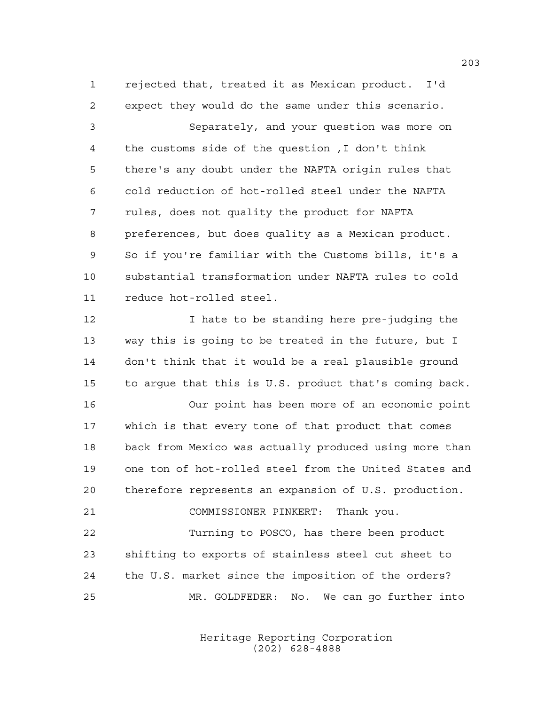rejected that, treated it as Mexican product. I'd expect they would do the same under this scenario.

 Separately, and your question was more on the customs side of the question ,I don't think there's any doubt under the NAFTA origin rules that cold reduction of hot-rolled steel under the NAFTA rules, does not quality the product for NAFTA preferences, but does quality as a Mexican product. So if you're familiar with the Customs bills, it's a substantial transformation under NAFTA rules to cold reduce hot-rolled steel.

12 I hate to be standing here pre-judging the way this is going to be treated in the future, but I don't think that it would be a real plausible ground to argue that this is U.S. product that's coming back.

 Our point has been more of an economic point which is that every tone of that product that comes back from Mexico was actually produced using more than one ton of hot-rolled steel from the United States and therefore represents an expansion of U.S. production.

COMMISSIONER PINKERT: Thank you.

 Turning to POSCO, has there been product shifting to exports of stainless steel cut sheet to the U.S. market since the imposition of the orders? MR. GOLDFEDER: No. We can go further into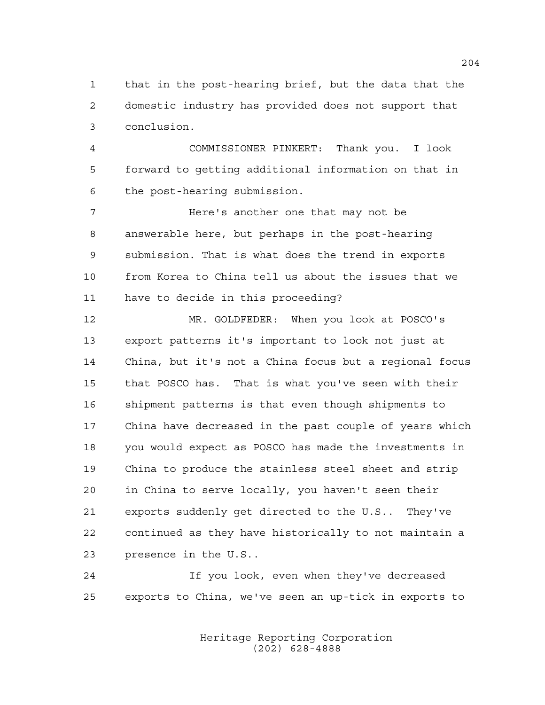that in the post-hearing brief, but the data that the domestic industry has provided does not support that conclusion.

 COMMISSIONER PINKERT: Thank you. I look forward to getting additional information on that in the post-hearing submission.

 Here's another one that may not be answerable here, but perhaps in the post-hearing submission. That is what does the trend in exports from Korea to China tell us about the issues that we have to decide in this proceeding?

 MR. GOLDFEDER: When you look at POSCO's export patterns it's important to look not just at China, but it's not a China focus but a regional focus that POSCO has. That is what you've seen with their shipment patterns is that even though shipments to China have decreased in the past couple of years which you would expect as POSCO has made the investments in China to produce the stainless steel sheet and strip in China to serve locally, you haven't seen their exports suddenly get directed to the U.S.. They've continued as they have historically to not maintain a presence in the U.S..

 If you look, even when they've decreased exports to China, we've seen an up-tick in exports to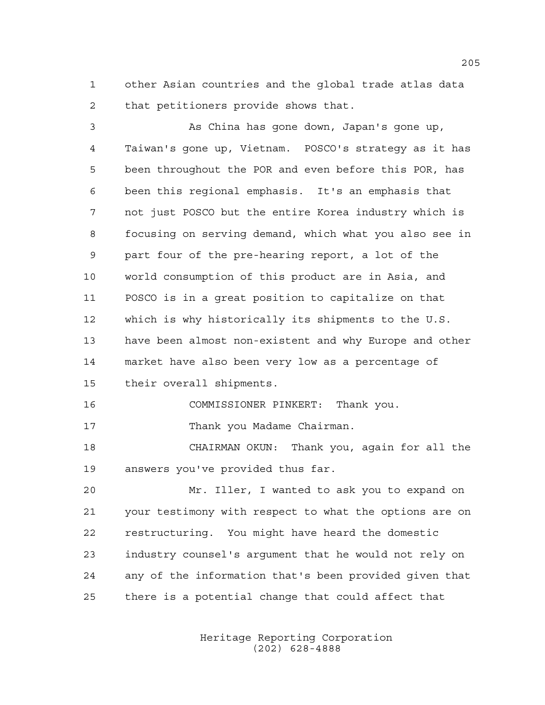other Asian countries and the global trade atlas data that petitioners provide shows that.

 As China has gone down, Japan's gone up, Taiwan's gone up, Vietnam. POSCO's strategy as it has been throughout the POR and even before this POR, has been this regional emphasis. It's an emphasis that not just POSCO but the entire Korea industry which is focusing on serving demand, which what you also see in part four of the pre-hearing report, a lot of the world consumption of this product are in Asia, and POSCO is in a great position to capitalize on that which is why historically its shipments to the U.S. have been almost non-existent and why Europe and other market have also been very low as a percentage of their overall shipments. COMMISSIONER PINKERT: Thank you. 17 Thank you Madame Chairman. CHAIRMAN OKUN: Thank you, again for all the answers you've provided thus far.

 Mr. Iller, I wanted to ask you to expand on your testimony with respect to what the options are on restructuring. You might have heard the domestic industry counsel's argument that he would not rely on any of the information that's been provided given that there is a potential change that could affect that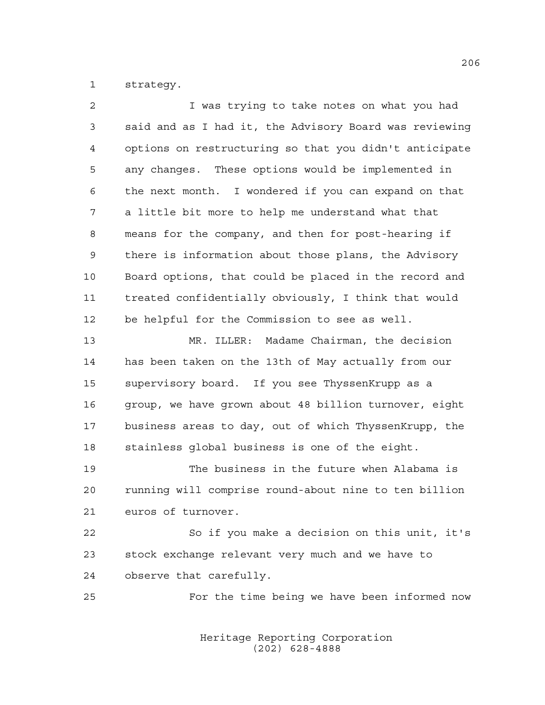strategy.

| 2  | I was trying to take notes on what you had             |
|----|--------------------------------------------------------|
| 3  | said and as I had it, the Advisory Board was reviewing |
| 4  | options on restructuring so that you didn't anticipate |
| 5  | any changes. These options would be implemented in     |
| 6  | the next month. I wondered if you can expand on that   |
| 7  | a little bit more to help me understand what that      |
| 8  | means for the company, and then for post-hearing if    |
| 9  | there is information about those plans, the Advisory   |
| 10 | Board options, that could be placed in the record and  |
| 11 | treated confidentially obviously, I think that would   |
| 12 | be helpful for the Commission to see as well.          |
| 13 | MR. ILLER: Madame Chairman, the decision               |
| 14 | has been taken on the 13th of May actually from our    |
| 15 | supervisory board. If you see ThyssenKrupp as a        |
| 16 | group, we have grown about 48 billion turnover, eight  |
| 17 | business areas to day, out of which ThyssenKrupp, the  |
| 18 | stainless global business is one of the eight.         |
| 19 | The business in the future when Alabama is             |
| 20 | running will comprise round-about nine to ten billion  |
| 21 | euros of turnover.                                     |
| 22 | So if you make a decision on this unit, it's           |
| 23 | stock exchange relevant very much and we have to       |
| 24 | observe that carefully.                                |
| 25 | For the time being we have been informed now           |
|    |                                                        |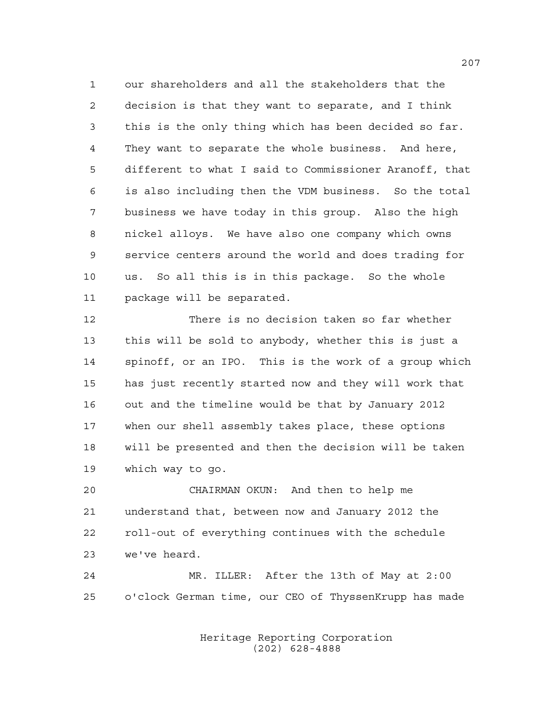our shareholders and all the stakeholders that the decision is that they want to separate, and I think this is the only thing which has been decided so far. They want to separate the whole business. And here, different to what I said to Commissioner Aranoff, that is also including then the VDM business. So the total business we have today in this group. Also the high nickel alloys. We have also one company which owns service centers around the world and does trading for us. So all this is in this package. So the whole package will be separated.

 There is no decision taken so far whether this will be sold to anybody, whether this is just a spinoff, or an IPO. This is the work of a group which has just recently started now and they will work that out and the timeline would be that by January 2012 when our shell assembly takes place, these options will be presented and then the decision will be taken which way to go.

 CHAIRMAN OKUN: And then to help me understand that, between now and January 2012 the roll-out of everything continues with the schedule we've heard.

 MR. ILLER: After the 13th of May at 2:00 o'clock German time, our CEO of ThyssenKrupp has made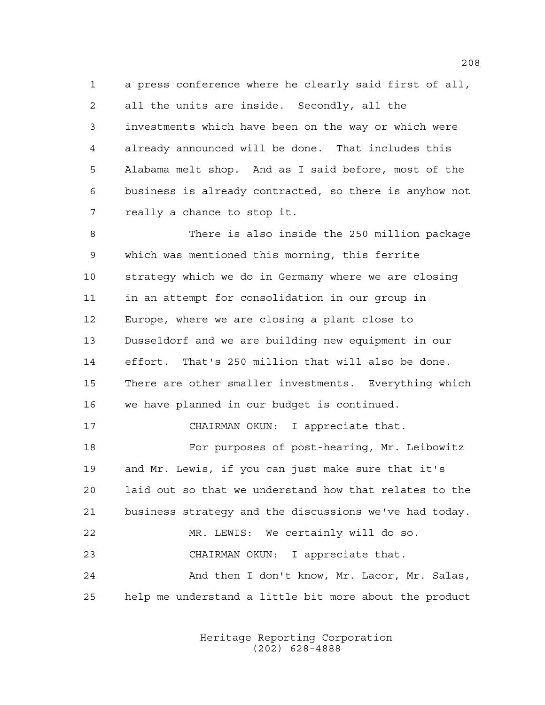a press conference where he clearly said first of all, all the units are inside. Secondly, all the investments which have been on the way or which were already announced will be done. That includes this Alabama melt shop. And as I said before, most of the business is already contracted, so there is anyhow not really a chance to stop it.

 There is also inside the 250 million package which was mentioned this morning, this ferrite strategy which we do in Germany where we are closing in an attempt for consolidation in our group in Europe, where we are closing a plant close to Dusseldorf and we are building new equipment in our effort. That's 250 million that will also be done. There are other smaller investments. Everything which we have planned in our budget is continued. 17 CHAIRMAN OKUN: I appreciate that.

 For purposes of post-hearing, Mr. Leibowitz and Mr. Lewis, if you can just make sure that it's laid out so that we understand how that relates to the business strategy and the discussions we've had today. MR. LEWIS: We certainly will do so. CHAIRMAN OKUN: I appreciate that. And then I don't know, Mr. Lacor, Mr. Salas, help me understand a little bit more about the product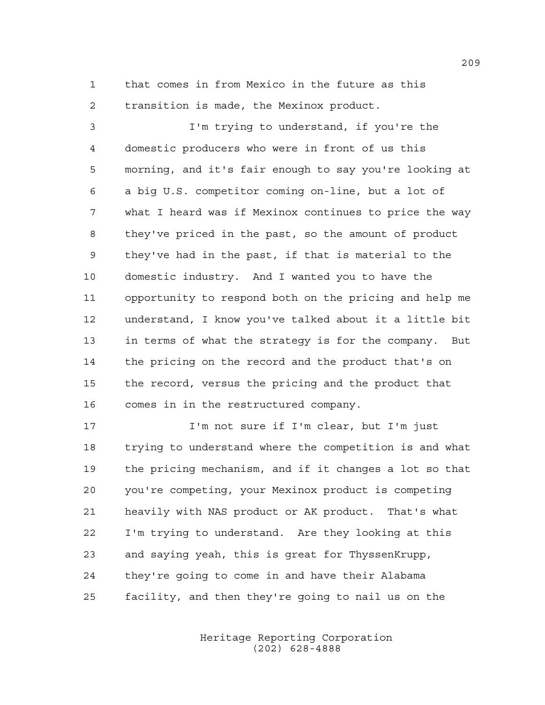that comes in from Mexico in the future as this transition is made, the Mexinox product.

 I'm trying to understand, if you're the domestic producers who were in front of us this morning, and it's fair enough to say you're looking at a big U.S. competitor coming on-line, but a lot of what I heard was if Mexinox continues to price the way they've priced in the past, so the amount of product they've had in the past, if that is material to the domestic industry. And I wanted you to have the opportunity to respond both on the pricing and help me understand, I know you've talked about it a little bit in terms of what the strategy is for the company. But the pricing on the record and the product that's on the record, versus the pricing and the product that comes in in the restructured company.

 I'm not sure if I'm clear, but I'm just trying to understand where the competition is and what the pricing mechanism, and if it changes a lot so that you're competing, your Mexinox product is competing heavily with NAS product or AK product. That's what I'm trying to understand. Are they looking at this and saying yeah, this is great for ThyssenKrupp, they're going to come in and have their Alabama facility, and then they're going to nail us on the

> Heritage Reporting Corporation (202) 628-4888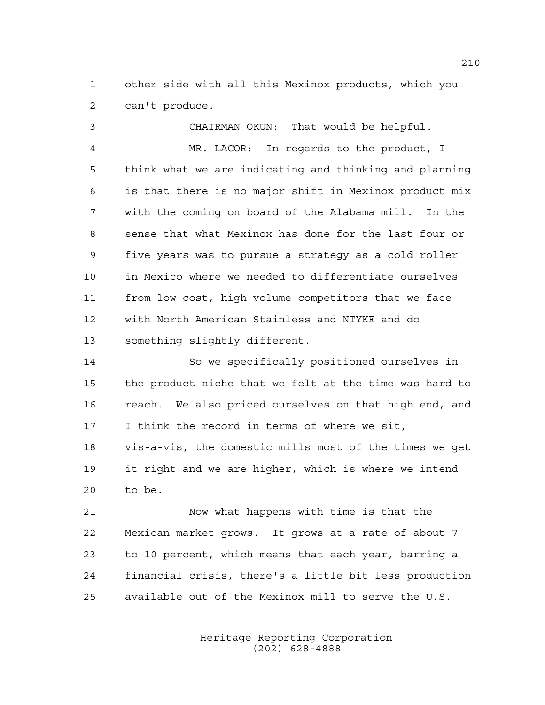other side with all this Mexinox products, which you can't produce.

 CHAIRMAN OKUN: That would be helpful. MR. LACOR: In regards to the product, I think what we are indicating and thinking and planning is that there is no major shift in Mexinox product mix with the coming on board of the Alabama mill. In the sense that what Mexinox has done for the last four or five years was to pursue a strategy as a cold roller in Mexico where we needed to differentiate ourselves from low-cost, high-volume competitors that we face with North American Stainless and NTYKE and do something slightly different.

 So we specifically positioned ourselves in the product niche that we felt at the time was hard to reach. We also priced ourselves on that high end, and I think the record in terms of where we sit, vis-a-vis, the domestic mills most of the times we get it right and we are higher, which is where we intend to be.

 Now what happens with time is that the Mexican market grows. It grows at a rate of about 7 to 10 percent, which means that each year, barring a financial crisis, there's a little bit less production available out of the Mexinox mill to serve the U.S.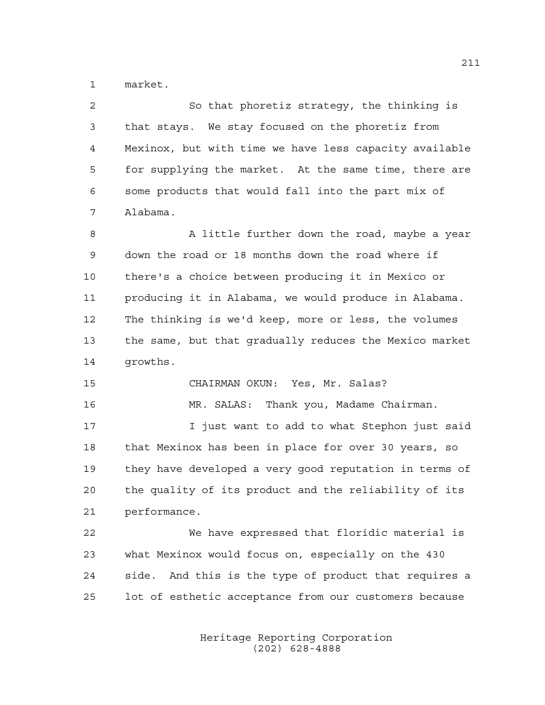market.

| 2  | So that phoretiz strategy, the thinking is             |
|----|--------------------------------------------------------|
| 3  | that stays. We stay focused on the phoretiz from       |
| 4  | Mexinox, but with time we have less capacity available |
| 5  | for supplying the market. At the same time, there are  |
| 6  | some products that would fall into the part mix of     |
| 7  | Alabama.                                               |
| 8  | A little further down the road, maybe a year           |
| 9  | down the road or 18 months down the road where if      |
| 10 | there's a choice between producing it in Mexico or     |
| 11 | producing it in Alabama, we would produce in Alabama.  |
| 12 | The thinking is we'd keep, more or less, the volumes   |
| 13 | the same, but that gradually reduces the Mexico market |
| 14 | growths.                                               |
| 15 | CHAIRMAN OKUN: Yes, Mr. Salas?                         |
| 16 | MR. SALAS: Thank you, Madame Chairman.                 |
| 17 | I just want to add to what Stephon just said           |
| 18 | that Mexinox has been in place for over 30 years, so   |
| 19 | they have developed a very good reputation in terms of |
| 20 | the quality of its product and the reliability of its  |
| 21 | performance.                                           |
| 22 | We have expressed that floridic material is            |
| 23 | what Mexinox would focus on, especially on the 430     |
| 24 | side. And this is the type of product that requires a  |
|    |                                                        |

Heritage Reporting Corporation (202) 628-4888

lot of esthetic acceptance from our customers because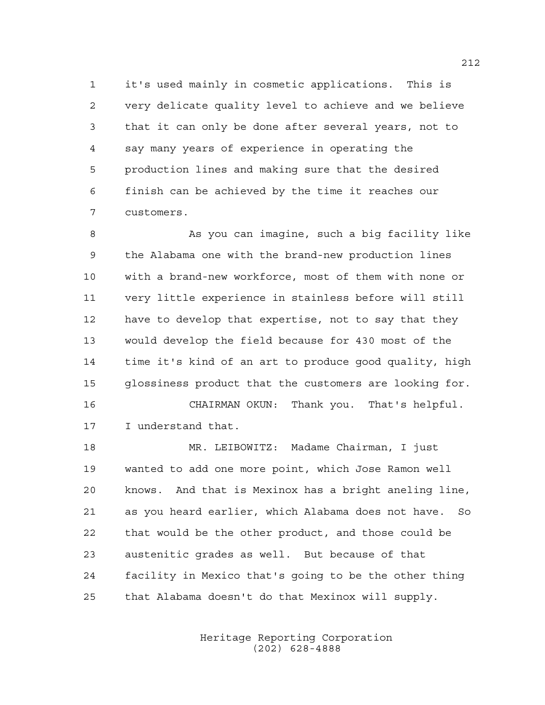it's used mainly in cosmetic applications. This is very delicate quality level to achieve and we believe that it can only be done after several years, not to say many years of experience in operating the production lines and making sure that the desired finish can be achieved by the time it reaches our customers.

8 As you can imagine, such a big facility like the Alabama one with the brand-new production lines with a brand-new workforce, most of them with none or very little experience in stainless before will still have to develop that expertise, not to say that they would develop the field because for 430 most of the time it's kind of an art to produce good quality, high glossiness product that the customers are looking for. CHAIRMAN OKUN: Thank you. That's helpful.

I understand that.

 MR. LEIBOWITZ: Madame Chairman, I just wanted to add one more point, which Jose Ramon well knows. And that is Mexinox has a bright aneling line, as you heard earlier, which Alabama does not have. So that would be the other product, and those could be austenitic grades as well. But because of that facility in Mexico that's going to be the other thing that Alabama doesn't do that Mexinox will supply.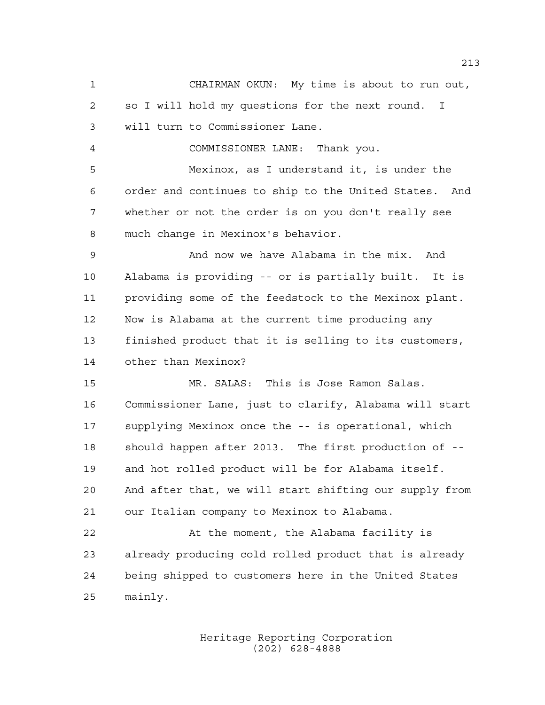CHAIRMAN OKUN: My time is about to run out, so I will hold my questions for the next round. I will turn to Commissioner Lane. COMMISSIONER LANE: Thank you. Mexinox, as I understand it, is under the order and continues to ship to the United States. And whether or not the order is on you don't really see much change in Mexinox's behavior. And now we have Alabama in the mix. And Alabama is providing -- or is partially built. It is providing some of the feedstock to the Mexinox plant. Now is Alabama at the current time producing any finished product that it is selling to its customers, other than Mexinox? MR. SALAS: This is Jose Ramon Salas. Commissioner Lane, just to clarify, Alabama will start supplying Mexinox once the -- is operational, which should happen after 2013. The first production of -- and hot rolled product will be for Alabama itself. And after that, we will start shifting our supply from our Italian company to Mexinox to Alabama. At the moment, the Alabama facility is already producing cold rolled product that is already being shipped to customers here in the United States mainly.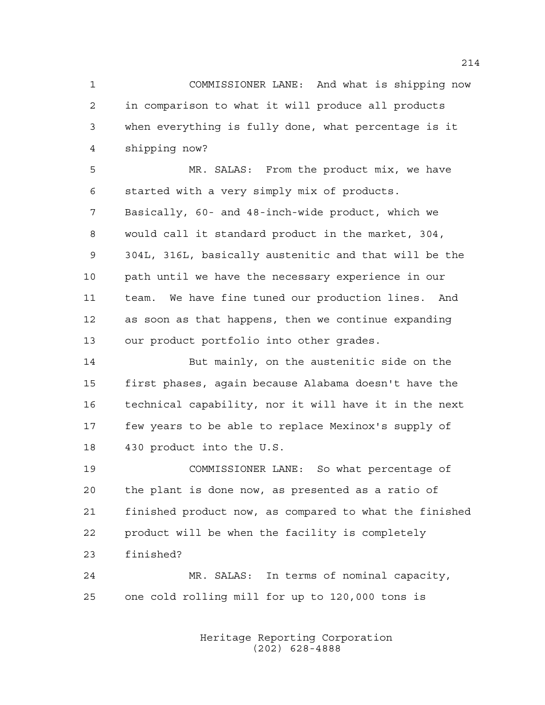COMMISSIONER LANE: And what is shipping now in comparison to what it will produce all products when everything is fully done, what percentage is it shipping now?

 MR. SALAS: From the product mix, we have started with a very simply mix of products. Basically, 60- and 48-inch-wide product, which we would call it standard product in the market, 304, 304L, 316L, basically austenitic and that will be the path until we have the necessary experience in our team. We have fine tuned our production lines. And as soon as that happens, then we continue expanding our product portfolio into other grades.

 But mainly, on the austenitic side on the first phases, again because Alabama doesn't have the technical capability, nor it will have it in the next few years to be able to replace Mexinox's supply of 430 product into the U.S.

 COMMISSIONER LANE: So what percentage of the plant is done now, as presented as a ratio of finished product now, as compared to what the finished product will be when the facility is completely finished?

 MR. SALAS: In terms of nominal capacity, one cold rolling mill for up to 120,000 tons is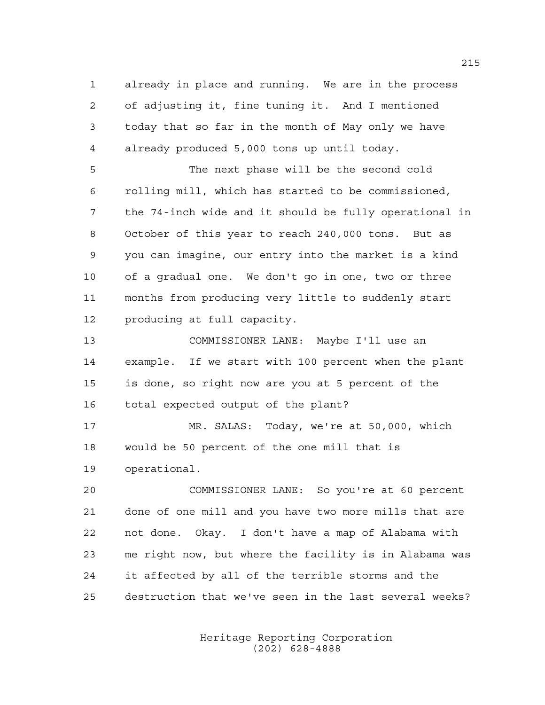already in place and running. We are in the process of adjusting it, fine tuning it. And I mentioned today that so far in the month of May only we have already produced 5,000 tons up until today. The next phase will be the second cold rolling mill, which has started to be commissioned, the 74-inch wide and it should be fully operational in October of this year to reach 240,000 tons. But as you can imagine, our entry into the market is a kind of a gradual one. We don't go in one, two or three months from producing very little to suddenly start producing at full capacity. COMMISSIONER LANE: Maybe I'll use an example. If we start with 100 percent when the plant is done, so right now are you at 5 percent of the total expected output of the plant? MR. SALAS: Today, we're at 50,000, which would be 50 percent of the one mill that is operational. COMMISSIONER LANE: So you're at 60 percent done of one mill and you have two more mills that are not done. Okay. I don't have a map of Alabama with me right now, but where the facility is in Alabama was it affected by all of the terrible storms and the

destruction that we've seen in the last several weeks?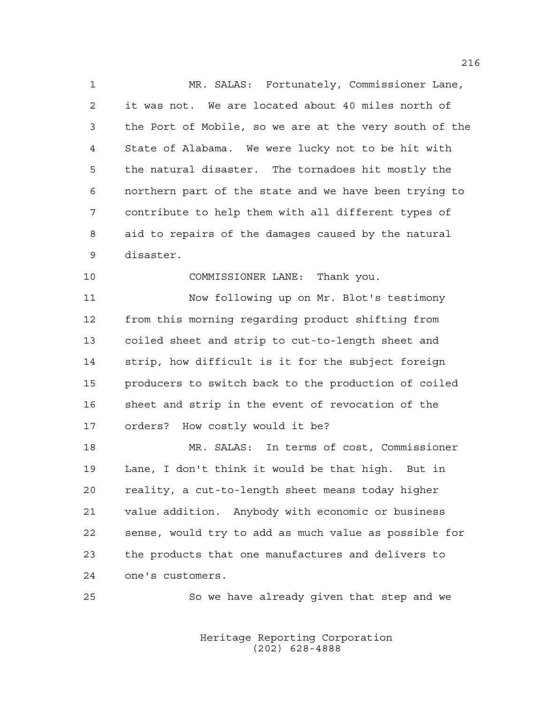MR. SALAS: Fortunately, Commissioner Lane, it was not. We are located about 40 miles north of the Port of Mobile, so we are at the very south of the State of Alabama. We were lucky not to be hit with the natural disaster. The tornadoes hit mostly the northern part of the state and we have been trying to contribute to help them with all different types of aid to repairs of the damages caused by the natural disaster.

COMMISSIONER LANE: Thank you.

 Now following up on Mr. Blot's testimony from this morning regarding product shifting from coiled sheet and strip to cut-to-length sheet and strip, how difficult is it for the subject foreign producers to switch back to the production of coiled sheet and strip in the event of revocation of the orders? How costly would it be?

 MR. SALAS: In terms of cost, Commissioner Lane, I don't think it would be that high. But in reality, a cut-to-length sheet means today higher value addition. Anybody with economic or business sense, would try to add as much value as possible for the products that one manufactures and delivers to one's customers.

So we have already given that step and we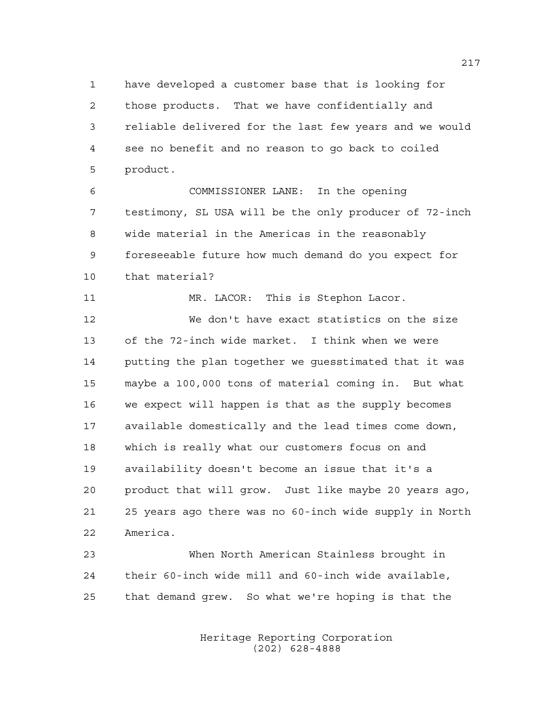have developed a customer base that is looking for those products. That we have confidentially and reliable delivered for the last few years and we would see no benefit and no reason to go back to coiled product.

 COMMISSIONER LANE: In the opening testimony, SL USA will be the only producer of 72-inch wide material in the Americas in the reasonably foreseeable future how much demand do you expect for that material?

11 MR. LACOR: This is Stephon Lacor. We don't have exact statistics on the size of the 72-inch wide market. I think when we were

 putting the plan together we guesstimated that it was maybe a 100,000 tons of material coming in. But what we expect will happen is that as the supply becomes available domestically and the lead times come down, which is really what our customers focus on and availability doesn't become an issue that it's a product that will grow. Just like maybe 20 years ago, 25 years ago there was no 60-inch wide supply in North America.

 When North American Stainless brought in their 60-inch wide mill and 60-inch wide available, that demand grew. So what we're hoping is that the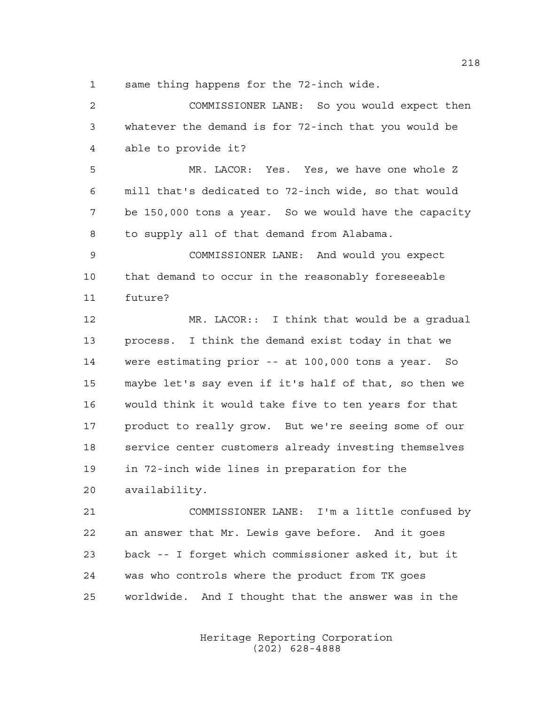same thing happens for the 72-inch wide.

 COMMISSIONER LANE: So you would expect then whatever the demand is for 72-inch that you would be able to provide it? MR. LACOR: Yes. Yes, we have one whole Z mill that's dedicated to 72-inch wide, so that would be 150,000 tons a year. So we would have the capacity to supply all of that demand from Alabama. COMMISSIONER LANE: And would you expect that demand to occur in the reasonably foreseeable future? MR. LACOR:: I think that would be a gradual process. I think the demand exist today in that we were estimating prior -- at 100,000 tons a year. So maybe let's say even if it's half of that, so then we would think it would take five to ten years for that product to really grow. But we're seeing some of our service center customers already investing themselves in 72-inch wide lines in preparation for the availability. COMMISSIONER LANE: I'm a little confused by an answer that Mr. Lewis gave before. And it goes back -- I forget which commissioner asked it, but it

worldwide. And I thought that the answer was in the

was who controls where the product from TK goes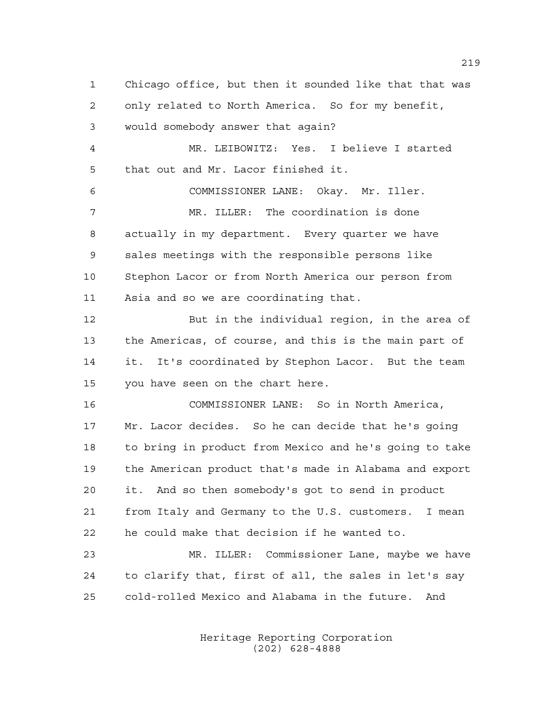Chicago office, but then it sounded like that that was only related to North America. So for my benefit, would somebody answer that again? MR. LEIBOWITZ: Yes. I believe I started that out and Mr. Lacor finished it. COMMISSIONER LANE: Okay. Mr. Iller. MR. ILLER: The coordination is done actually in my department. Every quarter we have sales meetings with the responsible persons like Stephon Lacor or from North America our person from Asia and so we are coordinating that. But in the individual region, in the area of the Americas, of course, and this is the main part of it. It's coordinated by Stephon Lacor. But the team you have seen on the chart here. COMMISSIONER LANE: So in North America, Mr. Lacor decides. So he can decide that he's going to bring in product from Mexico and he's going to take the American product that's made in Alabama and export it. And so then somebody's got to send in product from Italy and Germany to the U.S. customers. I mean he could make that decision if he wanted to. MR. ILLER: Commissioner Lane, maybe we have to clarify that, first of all, the sales in let's say cold-rolled Mexico and Alabama in the future. And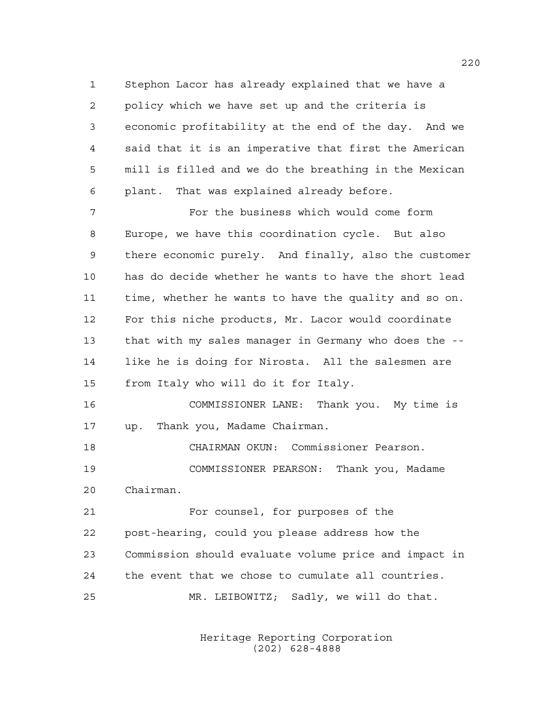Stephon Lacor has already explained that we have a policy which we have set up and the criteria is economic profitability at the end of the day. And we said that it is an imperative that first the American mill is filled and we do the breathing in the Mexican plant. That was explained already before.

 For the business which would come form Europe, we have this coordination cycle. But also there economic purely. And finally, also the customer has do decide whether he wants to have the short lead time, whether he wants to have the quality and so on. For this niche products, Mr. Lacor would coordinate that with my sales manager in Germany who does the -- like he is doing for Nirosta. All the salesmen are from Italy who will do it for Italy.

 COMMISSIONER LANE: Thank you. My time is up. Thank you, Madame Chairman.

 CHAIRMAN OKUN: Commissioner Pearson. COMMISSIONER PEARSON: Thank you, Madame Chairman.

 For counsel, for purposes of the post-hearing, could you please address how the Commission should evaluate volume price and impact in the event that we chose to cumulate all countries. MR. LEIBOWITZ; Sadly, we will do that.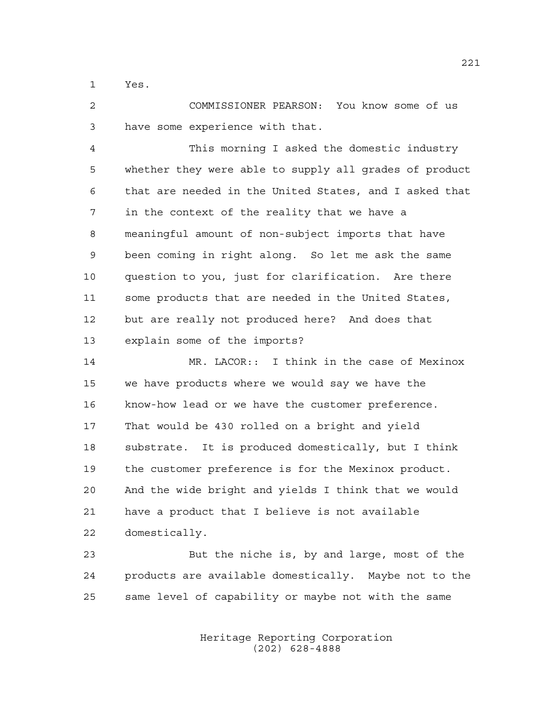Yes.

 COMMISSIONER PEARSON: You know some of us have some experience with that.

 This morning I asked the domestic industry whether they were able to supply all grades of product that are needed in the United States, and I asked that in the context of the reality that we have a meaningful amount of non-subject imports that have been coming in right along. So let me ask the same question to you, just for clarification. Are there some products that are needed in the United States, but are really not produced here? And does that explain some of the imports?

 MR. LACOR:: I think in the case of Mexinox we have products where we would say we have the know-how lead or we have the customer preference. That would be 430 rolled on a bright and yield substrate. It is produced domestically, but I think the customer preference is for the Mexinox product. And the wide bright and yields I think that we would have a product that I believe is not available domestically.

 But the niche is, by and large, most of the products are available domestically. Maybe not to the same level of capability or maybe not with the same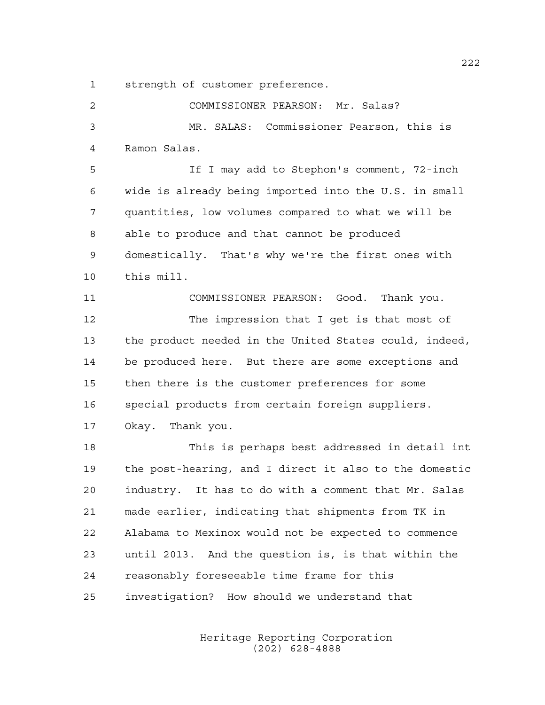strength of customer preference.

| 2           | COMMISSIONER PEARSON: Mr. Salas?                       |
|-------------|--------------------------------------------------------|
| 3           | MR. SALAS: Commissioner Pearson, this is               |
| 4           | Ramon Salas.                                           |
| 5           | If I may add to Stephon's comment, 72-inch             |
| 6           | wide is already being imported into the U.S. in small  |
| 7           | quantities, low volumes compared to what we will be    |
| $\,8\,$     | able to produce and that cannot be produced            |
| $\mathsf 9$ | domestically. That's why we're the first ones with     |
| 10          | this mill.                                             |
| 11          | COMMISSIONER PEARSON: Good. Thank you.                 |
| 12          | The impression that I get is that most of              |
| 13          | the product needed in the United States could, indeed, |
| 14          | be produced here. But there are some exceptions and    |
| 15          | then there is the customer preferences for some        |
| 16          | special products from certain foreign suppliers.       |
| 17          | Okay. Thank you.                                       |
| 18          | This is perhaps best addressed in detail int           |
| 19          | the post-hearing, and I direct it also to the domestic |
| 20          | industry. It has to do with a comment that Mr. Salas   |
| 21          | made earlier, indicating that shipments from TK in     |
| 22          | Alabama to Mexinox would not be expected to commence   |
| 23          | until 2013. And the question is, is that within the    |
| 24          | reasonably foreseeable time frame for this             |
| 25          | investigation? How should we understand that           |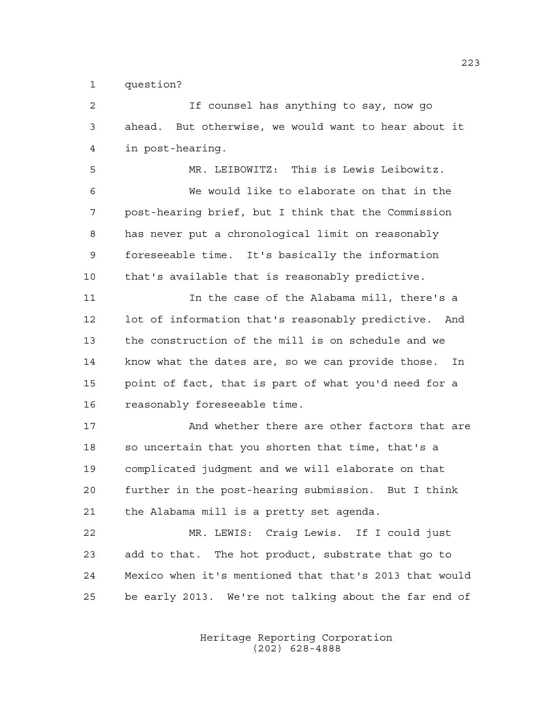question?

 If counsel has anything to say, now go ahead. But otherwise, we would want to hear about it in post-hearing. MR. LEIBOWITZ: This is Lewis Leibowitz. We would like to elaborate on that in the post-hearing brief, but I think that the Commission has never put a chronological limit on reasonably foreseeable time. It's basically the information that's available that is reasonably predictive. 11 11 In the case of the Alabama mill, there's a lot of information that's reasonably predictive. And the construction of the mill is on schedule and we know what the dates are, so we can provide those. In point of fact, that is part of what you'd need for a reasonably foreseeable time. And whether there are other factors that are so uncertain that you shorten that time, that's a complicated judgment and we will elaborate on that further in the post-hearing submission. But I think the Alabama mill is a pretty set agenda. MR. LEWIS: Craig Lewis. If I could just add to that. The hot product, substrate that go to Mexico when it's mentioned that that's 2013 that would

> Heritage Reporting Corporation (202) 628-4888

be early 2013. We're not talking about the far end of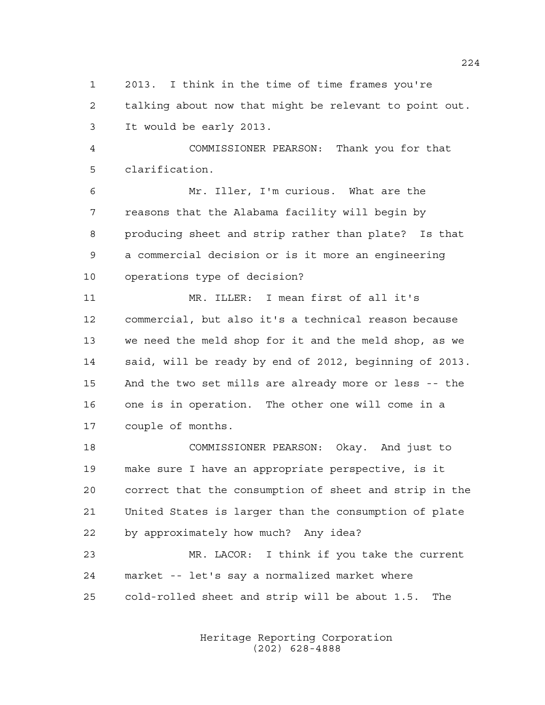2013. I think in the time of time frames you're talking about now that might be relevant to point out. It would be early 2013.

 COMMISSIONER PEARSON: Thank you for that clarification.

 Mr. Iller, I'm curious. What are the reasons that the Alabama facility will begin by producing sheet and strip rather than plate? Is that a commercial decision or is it more an engineering operations type of decision?

 MR. ILLER: I mean first of all it's commercial, but also it's a technical reason because we need the meld shop for it and the meld shop, as we said, will be ready by end of 2012, beginning of 2013. And the two set mills are already more or less -- the one is in operation. The other one will come in a couple of months.

 COMMISSIONER PEARSON: Okay. And just to make sure I have an appropriate perspective, is it correct that the consumption of sheet and strip in the United States is larger than the consumption of plate by approximately how much? Any idea?

 MR. LACOR: I think if you take the current market -- let's say a normalized market where cold-rolled sheet and strip will be about 1.5. The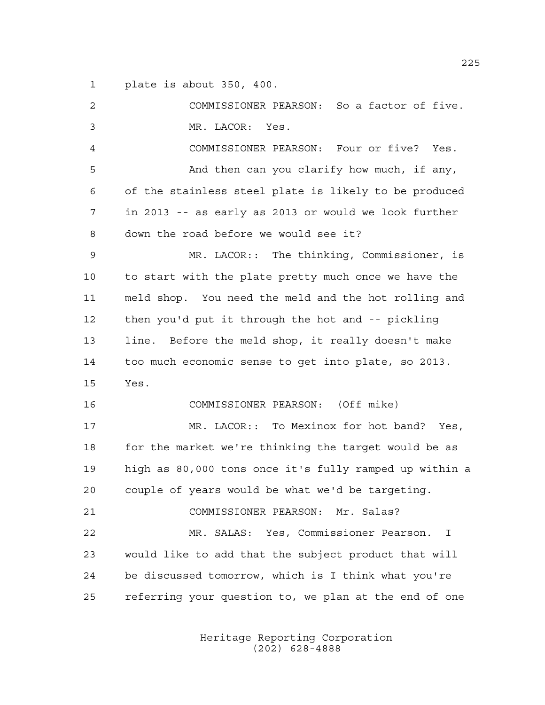plate is about 350, 400.

 COMMISSIONER PEARSON: So a factor of five. MR. LACOR: Yes. COMMISSIONER PEARSON: Four or five? Yes. And then can you clarify how much, if any, of the stainless steel plate is likely to be produced in 2013 -- as early as 2013 or would we look further down the road before we would see it? MR. LACOR:: The thinking, Commissioner, is to start with the plate pretty much once we have the meld shop. You need the meld and the hot rolling and then you'd put it through the hot and -- pickling line. Before the meld shop, it really doesn't make too much economic sense to get into plate, so 2013. Yes. COMMISSIONER PEARSON: (Off mike) MR. LACOR:: To Mexinox for hot band? Yes, for the market we're thinking the target would be as high as 80,000 tons once it's fully ramped up within a couple of years would be what we'd be targeting. COMMISSIONER PEARSON: Mr. Salas? MR. SALAS: Yes, Commissioner Pearson. I would like to add that the subject product that will be discussed tomorrow, which is I think what you're referring your question to, we plan at the end of one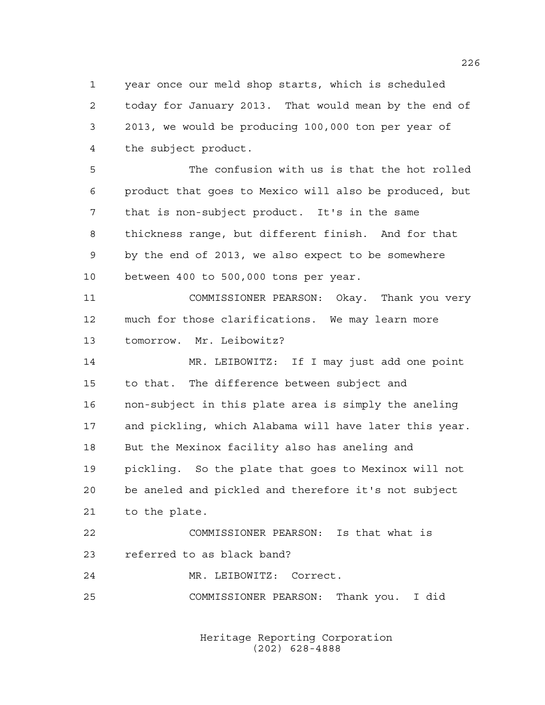year once our meld shop starts, which is scheduled today for January 2013. That would mean by the end of 2013, we would be producing 100,000 ton per year of the subject product.

 The confusion with us is that the hot rolled product that goes to Mexico will also be produced, but that is non-subject product. It's in the same thickness range, but different finish. And for that by the end of 2013, we also expect to be somewhere between 400 to 500,000 tons per year.

 COMMISSIONER PEARSON: Okay. Thank you very much for those clarifications. We may learn more tomorrow. Mr. Leibowitz?

 MR. LEIBOWITZ: If I may just add one point to that. The difference between subject and non-subject in this plate area is simply the aneling and pickling, which Alabama will have later this year. But the Mexinox facility also has aneling and pickling. So the plate that goes to Mexinox will not be aneled and pickled and therefore it's not subject to the plate. COMMISSIONER PEARSON: Is that what is

referred to as black band?

MR. LEIBOWITZ: Correct.

COMMISSIONER PEARSON: Thank you. I did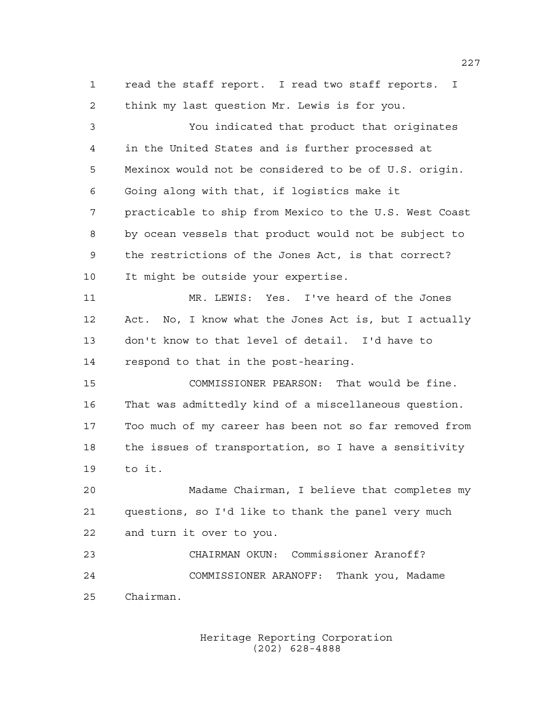read the staff report. I read two staff reports. I think my last question Mr. Lewis is for you.

 You indicated that product that originates in the United States and is further processed at Mexinox would not be considered to be of U.S. origin. Going along with that, if logistics make it practicable to ship from Mexico to the U.S. West Coast by ocean vessels that product would not be subject to the restrictions of the Jones Act, is that correct? It might be outside your expertise. MR. LEWIS: Yes. I've heard of the Jones Act. No, I know what the Jones Act is, but I actually don't know to that level of detail. I'd have to respond to that in the post-hearing. COMMISSIONER PEARSON: That would be fine. That was admittedly kind of a miscellaneous question. Too much of my career has been not so far removed from the issues of transportation, so I have a sensitivity to it. Madame Chairman, I believe that completes my questions, so I'd like to thank the panel very much and turn it over to you. CHAIRMAN OKUN: Commissioner Aranoff? COMMISSIONER ARANOFF: Thank you, Madame Chairman.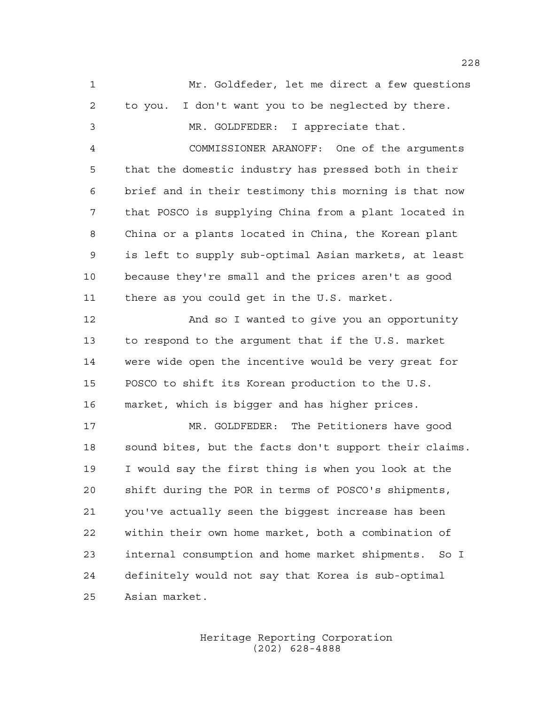Mr. Goldfeder, let me direct a few questions to you. I don't want you to be neglected by there. MR. GOLDFEDER: I appreciate that. COMMISSIONER ARANOFF: One of the arguments that the domestic industry has pressed both in their brief and in their testimony this morning is that now that POSCO is supplying China from a plant located in China or a plants located in China, the Korean plant is left to supply sub-optimal Asian markets, at least because they're small and the prices aren't as good there as you could get in the U.S. market. 12 And so I wanted to give you an opportunity to respond to the argument that if the U.S. market were wide open the incentive would be very great for POSCO to shift its Korean production to the U.S. market, which is bigger and has higher prices. MR. GOLDFEDER: The Petitioners have good sound bites, but the facts don't support their claims. I would say the first thing is when you look at the shift during the POR in terms of POSCO's shipments, you've actually seen the biggest increase has been within their own home market, both a combination of internal consumption and home market shipments. So I definitely would not say that Korea is sub-optimal Asian market.

> Heritage Reporting Corporation (202) 628-4888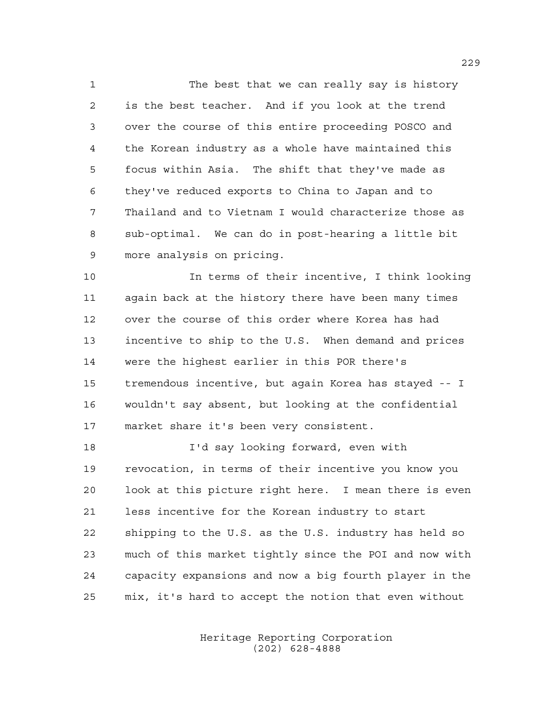The best that we can really say is history is the best teacher. And if you look at the trend over the course of this entire proceeding POSCO and the Korean industry as a whole have maintained this focus within Asia. The shift that they've made as they've reduced exports to China to Japan and to Thailand and to Vietnam I would characterize those as sub-optimal. We can do in post-hearing a little bit more analysis on pricing.

 In terms of their incentive, I think looking again back at the history there have been many times over the course of this order where Korea has had incentive to ship to the U.S. When demand and prices were the highest earlier in this POR there's tremendous incentive, but again Korea has stayed -- I wouldn't say absent, but looking at the confidential market share it's been very consistent.

 I'd say looking forward, even with revocation, in terms of their incentive you know you look at this picture right here. I mean there is even less incentive for the Korean industry to start shipping to the U.S. as the U.S. industry has held so much of this market tightly since the POI and now with capacity expansions and now a big fourth player in the mix, it's hard to accept the notion that even without

> Heritage Reporting Corporation (202) 628-4888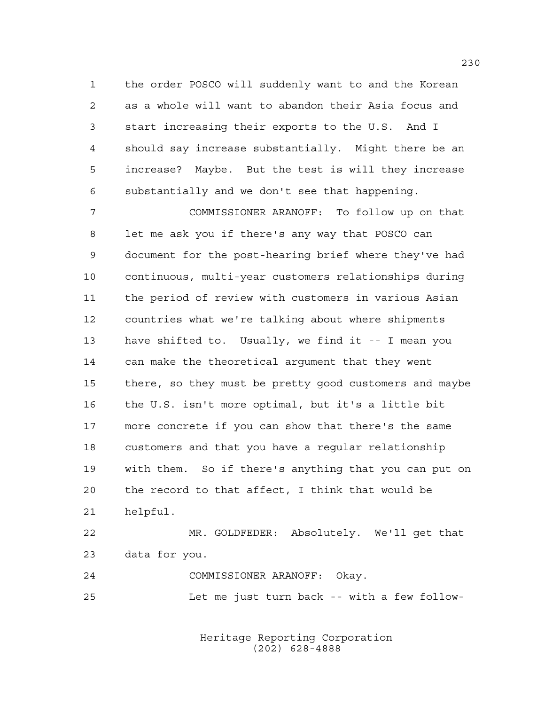the order POSCO will suddenly want to and the Korean as a whole will want to abandon their Asia focus and start increasing their exports to the U.S. And I should say increase substantially. Might there be an increase? Maybe. But the test is will they increase substantially and we don't see that happening.

 COMMISSIONER ARANOFF: To follow up on that let me ask you if there's any way that POSCO can document for the post-hearing brief where they've had continuous, multi-year customers relationships during the period of review with customers in various Asian countries what we're talking about where shipments have shifted to. Usually, we find it -- I mean you can make the theoretical argument that they went there, so they must be pretty good customers and maybe the U.S. isn't more optimal, but it's a little bit more concrete if you can show that there's the same customers and that you have a regular relationship with them. So if there's anything that you can put on the record to that affect, I think that would be helpful.

 MR. GOLDFEDER: Absolutely. We'll get that data for you.

 COMMISSIONER ARANOFF: Okay. Let me just turn back -- with a few follow-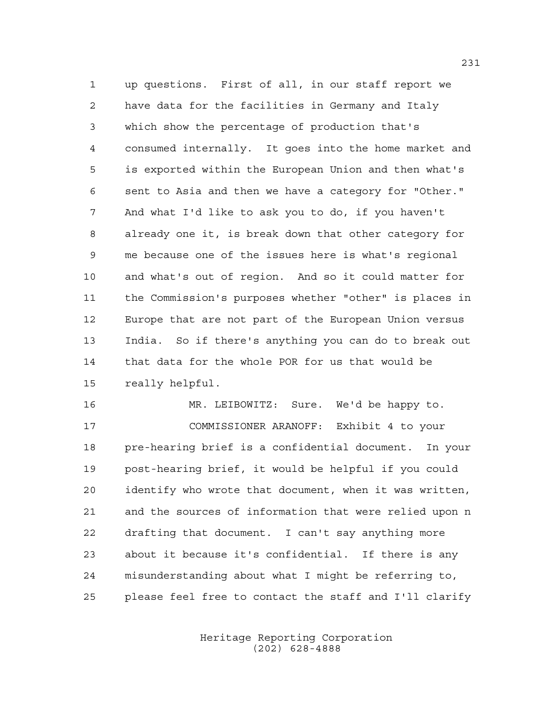up questions. First of all, in our staff report we have data for the facilities in Germany and Italy which show the percentage of production that's consumed internally. It goes into the home market and is exported within the European Union and then what's sent to Asia and then we have a category for "Other." And what I'd like to ask you to do, if you haven't already one it, is break down that other category for me because one of the issues here is what's regional and what's out of region. And so it could matter for the Commission's purposes whether "other" is places in Europe that are not part of the European Union versus India. So if there's anything you can do to break out that data for the whole POR for us that would be really helpful.

 MR. LEIBOWITZ: Sure. We'd be happy to. COMMISSIONER ARANOFF: Exhibit 4 to your pre-hearing brief is a confidential document. In your post-hearing brief, it would be helpful if you could identify who wrote that document, when it was written, and the sources of information that were relied upon n drafting that document. I can't say anything more about it because it's confidential. If there is any misunderstanding about what I might be referring to, please feel free to contact the staff and I'll clarify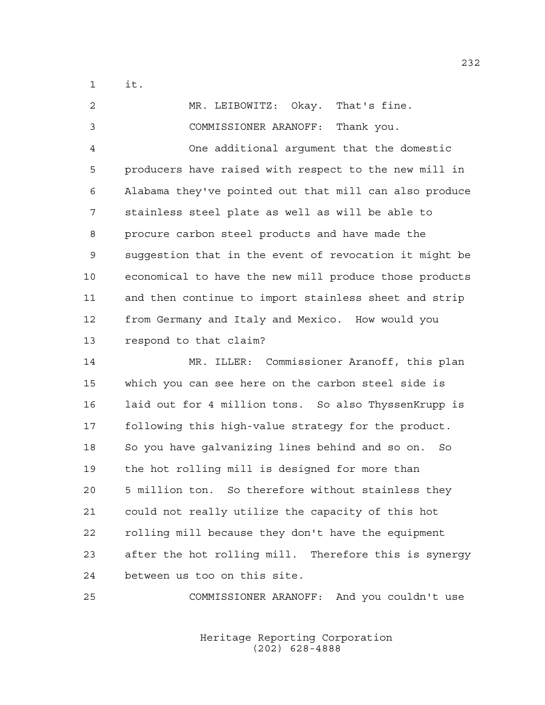it.

 MR. LEIBOWITZ: Okay. That's fine. COMMISSIONER ARANOFF: Thank you. One additional argument that the domestic producers have raised with respect to the new mill in Alabama they've pointed out that mill can also produce stainless steel plate as well as will be able to procure carbon steel products and have made the suggestion that in the event of revocation it might be economical to have the new mill produce those products and then continue to import stainless sheet and strip from Germany and Italy and Mexico. How would you respond to that claim?

 MR. ILLER: Commissioner Aranoff, this plan which you can see here on the carbon steel side is 16 laid out for 4 million tons. So also ThyssenKrupp is following this high-value strategy for the product. So you have galvanizing lines behind and so on. So the hot rolling mill is designed for more than 5 million ton. So therefore without stainless they could not really utilize the capacity of this hot rolling mill because they don't have the equipment after the hot rolling mill. Therefore this is synergy between us too on this site.

COMMISSIONER ARANOFF: And you couldn't use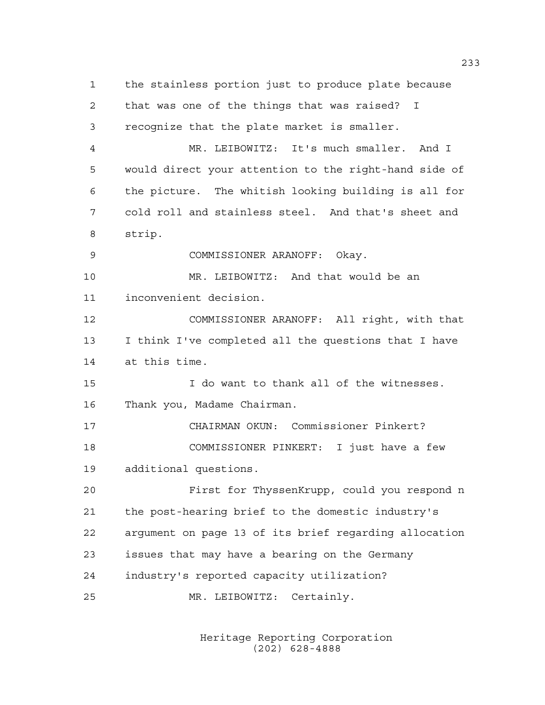the stainless portion just to produce plate because that was one of the things that was raised? I recognize that the plate market is smaller. MR. LEIBOWITZ: It's much smaller. And I would direct your attention to the right-hand side of the picture. The whitish looking building is all for cold roll and stainless steel. And that's sheet and strip. COMMISSIONER ARANOFF: Okay. MR. LEIBOWITZ: And that would be an inconvenient decision. COMMISSIONER ARANOFF: All right, with that I think I've completed all the questions that I have at this time. I do want to thank all of the witnesses. Thank you, Madame Chairman. CHAIRMAN OKUN: Commissioner Pinkert? COMMISSIONER PINKERT: I just have a few additional questions. First for ThyssenKrupp, could you respond n the post-hearing brief to the domestic industry's argument on page 13 of its brief regarding allocation issues that may have a bearing on the Germany industry's reported capacity utilization? MR. LEIBOWITZ: Certainly.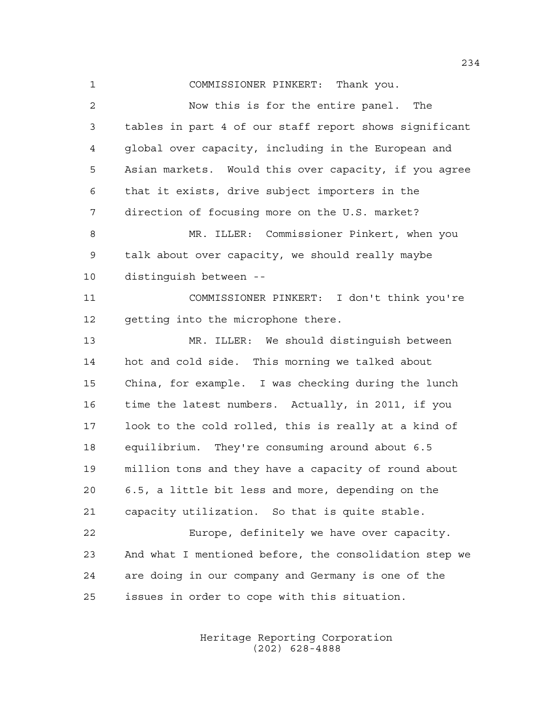COMMISSIONER PINKERT: Thank you. Now this is for the entire panel. The tables in part 4 of our staff report shows significant global over capacity, including in the European and Asian markets. Would this over capacity, if you agree that it exists, drive subject importers in the direction of focusing more on the U.S. market? MR. ILLER: Commissioner Pinkert, when you talk about over capacity, we should really maybe distinguish between -- COMMISSIONER PINKERT: I don't think you're 12 getting into the microphone there. MR. ILLER: We should distinguish between hot and cold side. This morning we talked about China, for example. I was checking during the lunch time the latest numbers. Actually, in 2011, if you look to the cold rolled, this is really at a kind of equilibrium. They're consuming around about 6.5 million tons and they have a capacity of round about 6.5, a little bit less and more, depending on the capacity utilization. So that is quite stable. Europe, definitely we have over capacity. And what I mentioned before, the consolidation step we are doing in our company and Germany is one of the issues in order to cope with this situation.

> Heritage Reporting Corporation (202) 628-4888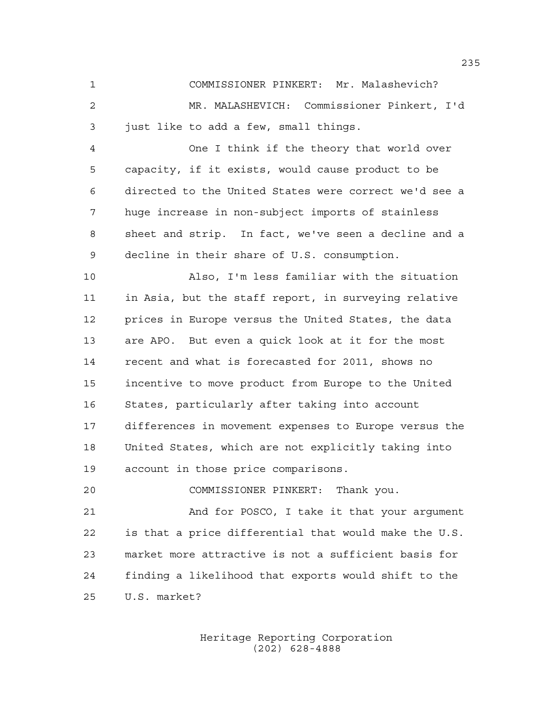COMMISSIONER PINKERT: Mr. Malashevich? MR. MALASHEVICH: Commissioner Pinkert, I'd just like to add a few, small things.

 One I think if the theory that world over capacity, if it exists, would cause product to be directed to the United States were correct we'd see a huge increase in non-subject imports of stainless sheet and strip. In fact, we've seen a decline and a decline in their share of U.S. consumption.

 Also, I'm less familiar with the situation in Asia, but the staff report, in surveying relative prices in Europe versus the United States, the data are APO. But even a quick look at it for the most recent and what is forecasted for 2011, shows no incentive to move product from Europe to the United States, particularly after taking into account differences in movement expenses to Europe versus the United States, which are not explicitly taking into account in those price comparisons.

COMMISSIONER PINKERT: Thank you.

 And for POSCO, I take it that your argument is that a price differential that would make the U.S. market more attractive is not a sufficient basis for finding a likelihood that exports would shift to the U.S. market?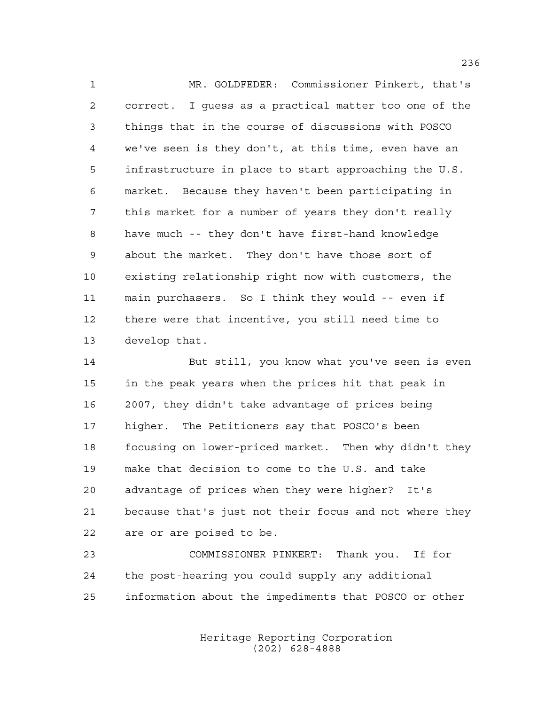MR. GOLDFEDER: Commissioner Pinkert, that's correct. I guess as a practical matter too one of the things that in the course of discussions with POSCO we've seen is they don't, at this time, even have an infrastructure in place to start approaching the U.S. market. Because they haven't been participating in this market for a number of years they don't really have much -- they don't have first-hand knowledge about the market. They don't have those sort of existing relationship right now with customers, the main purchasers. So I think they would -- even if there were that incentive, you still need time to develop that.

 But still, you know what you've seen is even in the peak years when the prices hit that peak in 2007, they didn't take advantage of prices being higher. The Petitioners say that POSCO's been focusing on lower-priced market. Then why didn't they make that decision to come to the U.S. and take advantage of prices when they were higher? It's because that's just not their focus and not where they are or are poised to be.

 COMMISSIONER PINKERT: Thank you. If for the post-hearing you could supply any additional information about the impediments that POSCO or other

> Heritage Reporting Corporation (202) 628-4888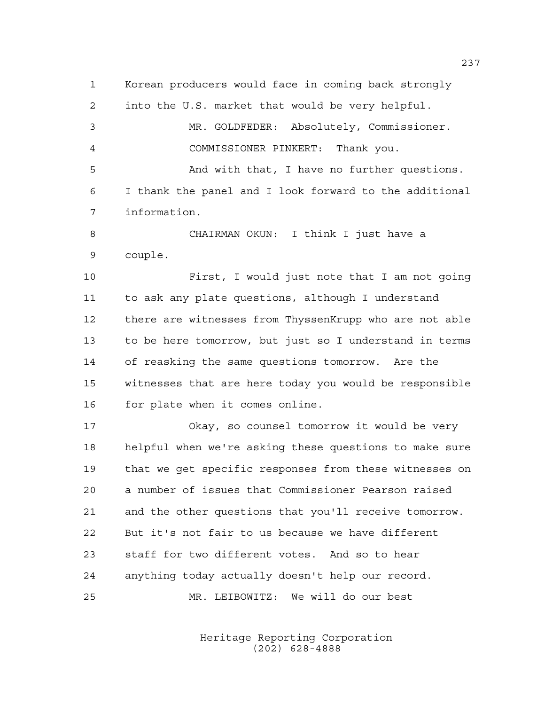Korean producers would face in coming back strongly into the U.S. market that would be very helpful. MR. GOLDFEDER: Absolutely, Commissioner. COMMISSIONER PINKERT: Thank you. And with that, I have no further questions. I thank the panel and I look forward to the additional information. CHAIRMAN OKUN: I think I just have a couple. First, I would just note that I am not going to ask any plate questions, although I understand there are witnesses from ThyssenKrupp who are not able to be here tomorrow, but just so I understand in terms of reasking the same questions tomorrow. Are the witnesses that are here today you would be responsible for plate when it comes online. Okay, so counsel tomorrow it would be very helpful when we're asking these questions to make sure that we get specific responses from these witnesses on a number of issues that Commissioner Pearson raised and the other questions that you'll receive tomorrow. But it's not fair to us because we have different staff for two different votes. And so to hear anything today actually doesn't help our record. MR. LEIBOWITZ: We will do our best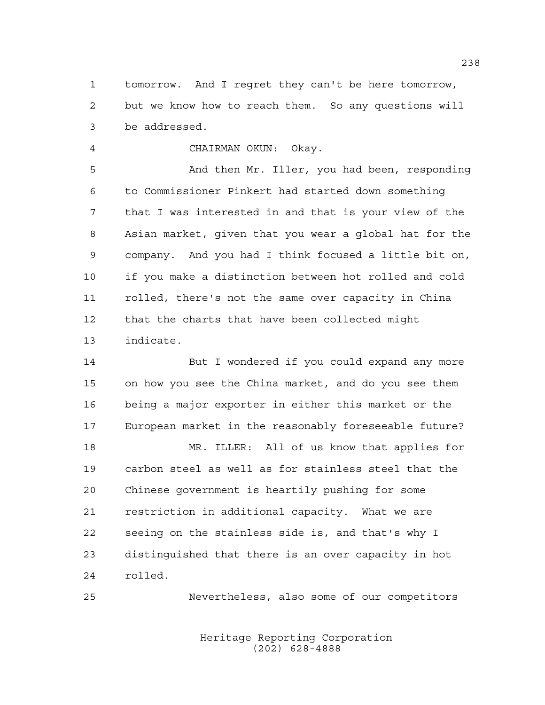tomorrow. And I regret they can't be here tomorrow, but we know how to reach them. So any questions will be addressed.

CHAIRMAN OKUN: Okay.

 And then Mr. Iller, you had been, responding to Commissioner Pinkert had started down something that I was interested in and that is your view of the Asian market, given that you wear a global hat for the company. And you had I think focused a little bit on, if you make a distinction between hot rolled and cold rolled, there's not the same over capacity in China that the charts that have been collected might indicate.

14 But I wondered if you could expand any more on how you see the China market, and do you see them being a major exporter in either this market or the European market in the reasonably foreseeable future? MR. ILLER: All of us know that applies for carbon steel as well as for stainless steel that the Chinese government is heartily pushing for some restriction in additional capacity. What we are seeing on the stainless side is, and that's why I distinguished that there is an over capacity in hot rolled.

Nevertheless, also some of our competitors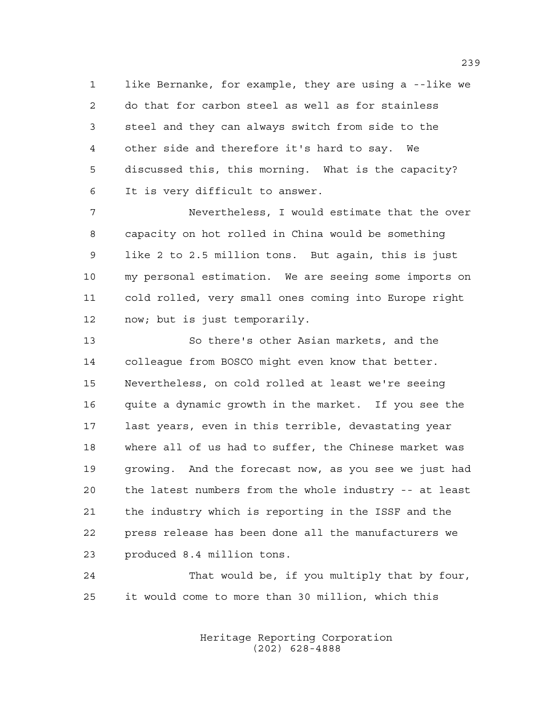like Bernanke, for example, they are using a --like we do that for carbon steel as well as for stainless steel and they can always switch from side to the other side and therefore it's hard to say. We discussed this, this morning. What is the capacity? It is very difficult to answer.

 Nevertheless, I would estimate that the over capacity on hot rolled in China would be something like 2 to 2.5 million tons. But again, this is just my personal estimation. We are seeing some imports on cold rolled, very small ones coming into Europe right now; but is just temporarily.

 So there's other Asian markets, and the colleague from BOSCO might even know that better. Nevertheless, on cold rolled at least we're seeing quite a dynamic growth in the market. If you see the last years, even in this terrible, devastating year where all of us had to suffer, the Chinese market was growing. And the forecast now, as you see we just had the latest numbers from the whole industry -- at least the industry which is reporting in the ISSF and the press release has been done all the manufacturers we produced 8.4 million tons.

 That would be, if you multiply that by four, it would come to more than 30 million, which this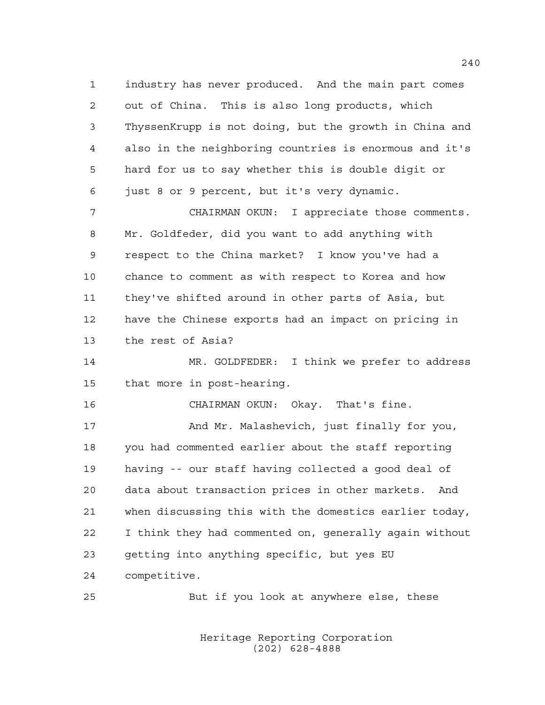industry has never produced. And the main part comes out of China. This is also long products, which ThyssenKrupp is not doing, but the growth in China and also in the neighboring countries is enormous and it's hard for us to say whether this is double digit or just 8 or 9 percent, but it's very dynamic.

 CHAIRMAN OKUN: I appreciate those comments. Mr. Goldfeder, did you want to add anything with respect to the China market? I know you've had a chance to comment as with respect to Korea and how they've shifted around in other parts of Asia, but have the Chinese exports had an impact on pricing in the rest of Asia?

 MR. GOLDFEDER: I think we prefer to address that more in post-hearing.

CHAIRMAN OKUN: Okay. That's fine.

17 And Mr. Malashevich, just finally for you, you had commented earlier about the staff reporting having -- our staff having collected a good deal of data about transaction prices in other markets. And when discussing this with the domestics earlier today, I think they had commented on, generally again without getting into anything specific, but yes EU competitive.

But if you look at anywhere else, these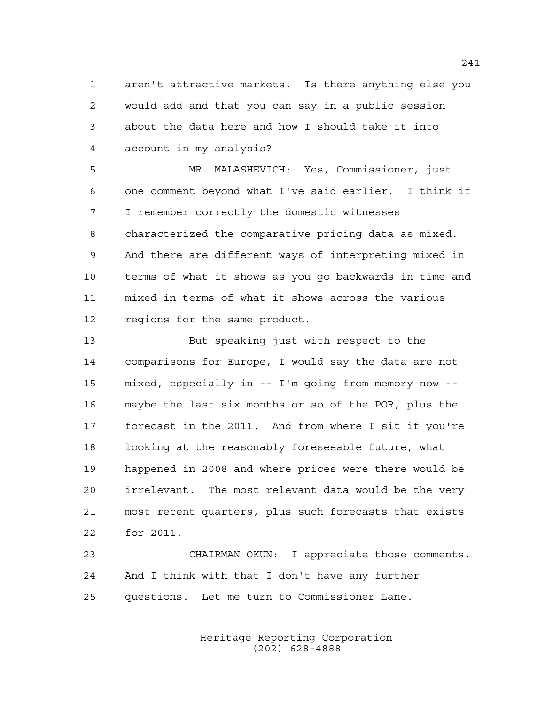aren't attractive markets. Is there anything else you would add and that you can say in a public session about the data here and how I should take it into account in my analysis?

 MR. MALASHEVICH: Yes, Commissioner, just one comment beyond what I've said earlier. I think if I remember correctly the domestic witnesses characterized the comparative pricing data as mixed. And there are different ways of interpreting mixed in terms of what it shows as you go backwards in time and mixed in terms of what it shows across the various regions for the same product.

 But speaking just with respect to the comparisons for Europe, I would say the data are not mixed, especially in -- I'm going from memory now -- maybe the last six months or so of the POR, plus the forecast in the 2011. And from where I sit if you're looking at the reasonably foreseeable future, what happened in 2008 and where prices were there would be irrelevant. The most relevant data would be the very most recent quarters, plus such forecasts that exists for 2011.

 CHAIRMAN OKUN: I appreciate those comments. And I think with that I don't have any further questions. Let me turn to Commissioner Lane.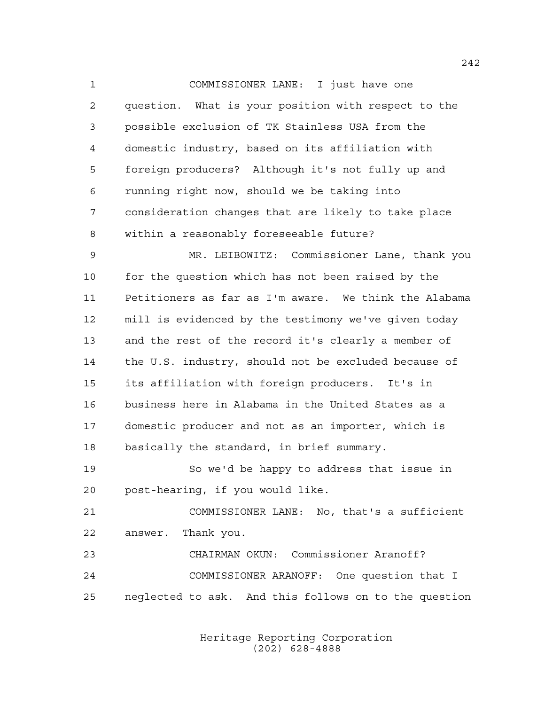COMMISSIONER LANE: I just have one question. What is your position with respect to the possible exclusion of TK Stainless USA from the domestic industry, based on its affiliation with foreign producers? Although it's not fully up and running right now, should we be taking into consideration changes that are likely to take place within a reasonably foreseeable future?

 MR. LEIBOWITZ: Commissioner Lane, thank you for the question which has not been raised by the Petitioners as far as I'm aware. We think the Alabama mill is evidenced by the testimony we've given today and the rest of the record it's clearly a member of the U.S. industry, should not be excluded because of its affiliation with foreign producers. It's in business here in Alabama in the United States as a domestic producer and not as an importer, which is basically the standard, in brief summary.

 So we'd be happy to address that issue in post-hearing, if you would like.

 COMMISSIONER LANE: No, that's a sufficient answer. Thank you.

 CHAIRMAN OKUN: Commissioner Aranoff? COMMISSIONER ARANOFF: One question that I neglected to ask. And this follows on to the question

> Heritage Reporting Corporation (202) 628-4888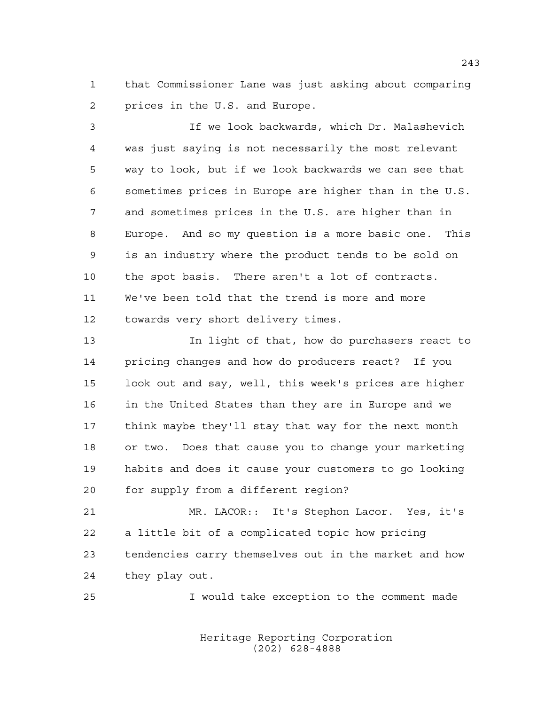that Commissioner Lane was just asking about comparing prices in the U.S. and Europe.

 If we look backwards, which Dr. Malashevich was just saying is not necessarily the most relevant way to look, but if we look backwards we can see that sometimes prices in Europe are higher than in the U.S. and sometimes prices in the U.S. are higher than in Europe. And so my question is a more basic one. This is an industry where the product tends to be sold on the spot basis. There aren't a lot of contracts. We've been told that the trend is more and more towards very short delivery times.

 In light of that, how do purchasers react to pricing changes and how do producers react? If you look out and say, well, this week's prices are higher in the United States than they are in Europe and we think maybe they'll stay that way for the next month or two. Does that cause you to change your marketing habits and does it cause your customers to go looking for supply from a different region?

 MR. LACOR:: It's Stephon Lacor. Yes, it's a little bit of a complicated topic how pricing tendencies carry themselves out in the market and how they play out.

I would take exception to the comment made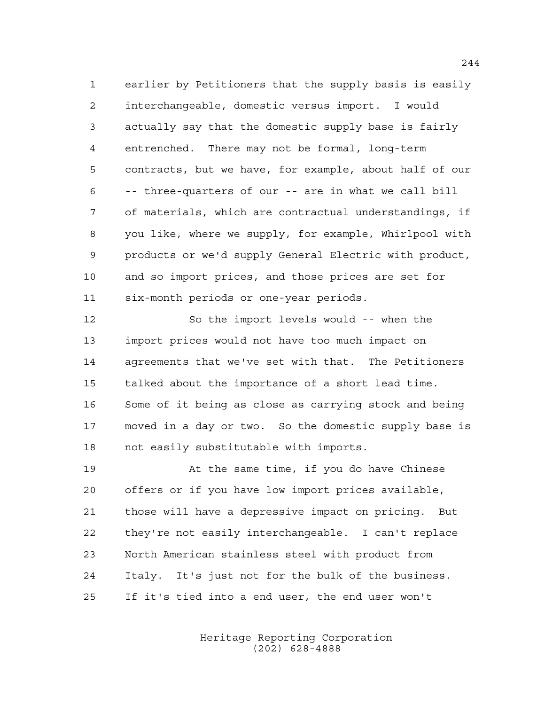earlier by Petitioners that the supply basis is easily interchangeable, domestic versus import. I would actually say that the domestic supply base is fairly entrenched. There may not be formal, long-term contracts, but we have, for example, about half of our -- three-quarters of our -- are in what we call bill of materials, which are contractual understandings, if you like, where we supply, for example, Whirlpool with products or we'd supply General Electric with product, and so import prices, and those prices are set for six-month periods or one-year periods.

 So the import levels would -- when the import prices would not have too much impact on agreements that we've set with that. The Petitioners talked about the importance of a short lead time. Some of it being as close as carrying stock and being moved in a day or two. So the domestic supply base is not easily substitutable with imports.

 At the same time, if you do have Chinese offers or if you have low import prices available, those will have a depressive impact on pricing. But they're not easily interchangeable. I can't replace North American stainless steel with product from Italy. It's just not for the bulk of the business. If it's tied into a end user, the end user won't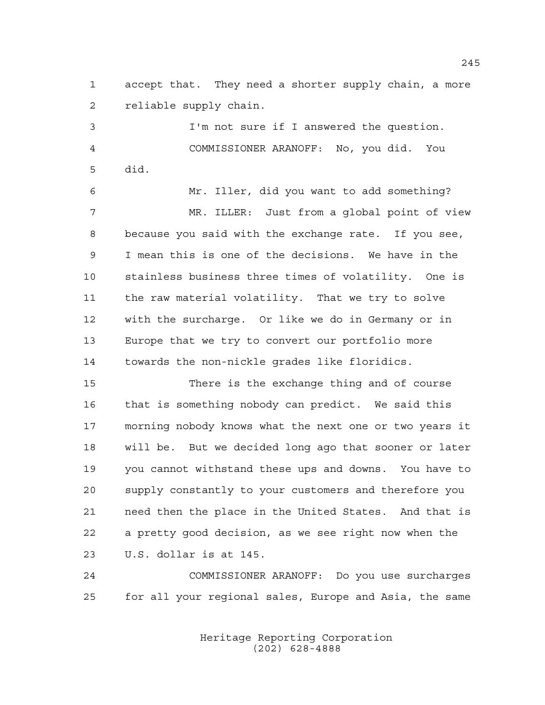accept that. They need a shorter supply chain, a more reliable supply chain.

 I'm not sure if I answered the question. COMMISSIONER ARANOFF: No, you did. You did.

 Mr. Iller, did you want to add something? MR. ILLER: Just from a global point of view because you said with the exchange rate. If you see, I mean this is one of the decisions. We have in the stainless business three times of volatility. One is the raw material volatility. That we try to solve with the surcharge. Or like we do in Germany or in Europe that we try to convert our portfolio more towards the non-nickle grades like floridics.

 There is the exchange thing and of course that is something nobody can predict. We said this morning nobody knows what the next one or two years it will be. But we decided long ago that sooner or later you cannot withstand these ups and downs. You have to supply constantly to your customers and therefore you need then the place in the United States. And that is a pretty good decision, as we see right now when the U.S. dollar is at 145.

 COMMISSIONER ARANOFF: Do you use surcharges for all your regional sales, Europe and Asia, the same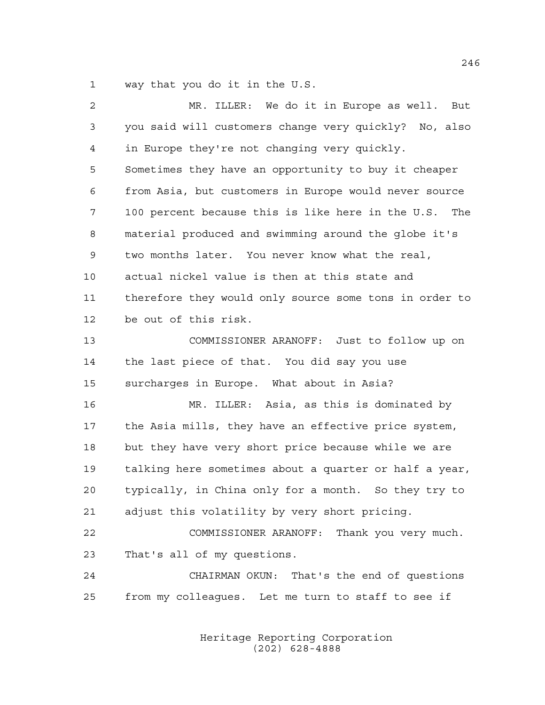way that you do it in the U.S.

 MR. ILLER: We do it in Europe as well. But you said will customers change very quickly? No, also in Europe they're not changing very quickly. Sometimes they have an opportunity to buy it cheaper from Asia, but customers in Europe would never source 100 percent because this is like here in the U.S. The material produced and swimming around the globe it's two months later. You never know what the real, actual nickel value is then at this state and therefore they would only source some tons in order to be out of this risk. COMMISSIONER ARANOFF: Just to follow up on the last piece of that. You did say you use surcharges in Europe. What about in Asia? MR. ILLER: Asia, as this is dominated by the Asia mills, they have an effective price system, but they have very short price because while we are talking here sometimes about a quarter or half a year, typically, in China only for a month. So they try to adjust this volatility by very short pricing. COMMISSIONER ARANOFF: Thank you very much. That's all of my questions. CHAIRMAN OKUN: That's the end of questions from my colleagues. Let me turn to staff to see if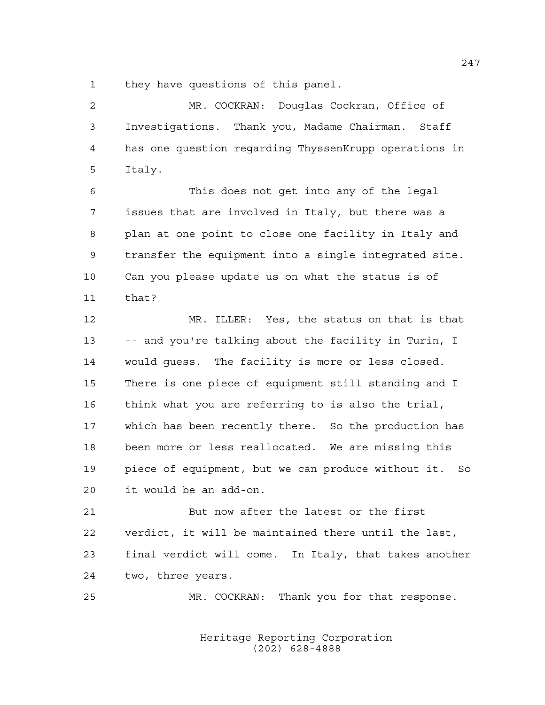they have questions of this panel.

 MR. COCKRAN: Douglas Cockran, Office of Investigations. Thank you, Madame Chairman. Staff has one question regarding ThyssenKrupp operations in Italy.

 This does not get into any of the legal issues that are involved in Italy, but there was a plan at one point to close one facility in Italy and transfer the equipment into a single integrated site. Can you please update us on what the status is of that?

 MR. ILLER: Yes, the status on that is that -- and you're talking about the facility in Turin, I would guess. The facility is more or less closed. There is one piece of equipment still standing and I think what you are referring to is also the trial, which has been recently there. So the production has been more or less reallocated. We are missing this piece of equipment, but we can produce without it. So it would be an add-on.

 But now after the latest or the first verdict, it will be maintained there until the last, final verdict will come. In Italy, that takes another two, three years.

MR. COCKRAN: Thank you for that response.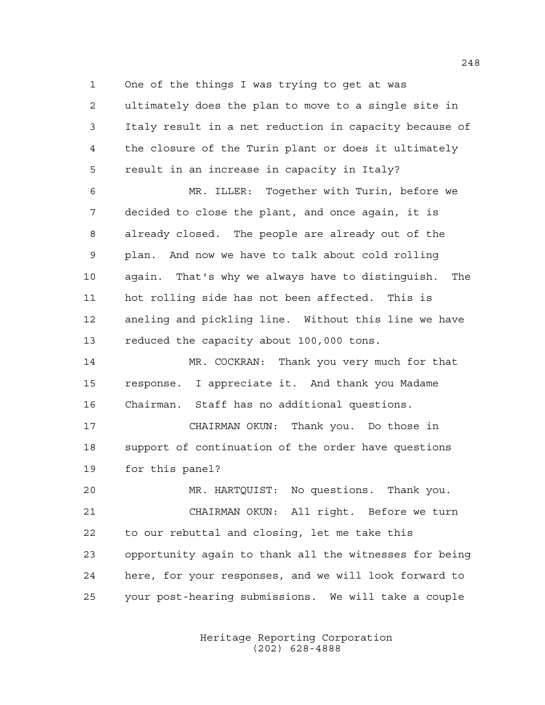One of the things I was trying to get at was ultimately does the plan to move to a single site in Italy result in a net reduction in capacity because of the closure of the Turin plant or does it ultimately result in an increase in capacity in Italy?

 MR. ILLER: Together with Turin, before we decided to close the plant, and once again, it is already closed. The people are already out of the plan. And now we have to talk about cold rolling again. That's why we always have to distinguish. The hot rolling side has not been affected. This is aneling and pickling line. Without this line we have 13 reduced the capacity about 100,000 tons.

 MR. COCKRAN: Thank you very much for that response. I appreciate it. And thank you Madame Chairman. Staff has no additional questions.

 CHAIRMAN OKUN: Thank you. Do those in support of continuation of the order have questions for this panel?

 MR. HARTQUIST: No questions. Thank you. CHAIRMAN OKUN: All right. Before we turn to our rebuttal and closing, let me take this opportunity again to thank all the witnesses for being here, for your responses, and we will look forward to your post-hearing submissions. We will take a couple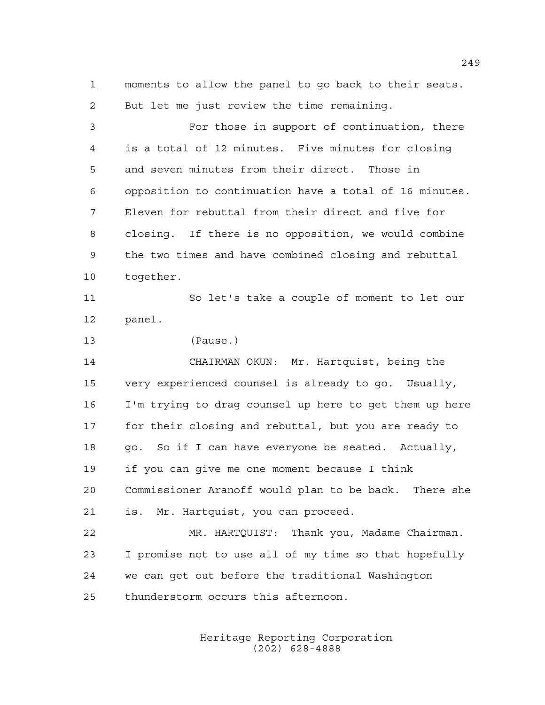moments to allow the panel to go back to their seats. But let me just review the time remaining.

 For those in support of continuation, there is a total of 12 minutes. Five minutes for closing and seven minutes from their direct. Those in opposition to continuation have a total of 16 minutes. Eleven for rebuttal from their direct and five for closing. If there is no opposition, we would combine the two times and have combined closing and rebuttal together.

 So let's take a couple of moment to let our panel.

(Pause.)

 CHAIRMAN OKUN: Mr. Hartquist, being the very experienced counsel is already to go. Usually, I'm trying to drag counsel up here to get them up here for their closing and rebuttal, but you are ready to 18 go. So if I can have everyone be seated. Actually, if you can give me one moment because I think Commissioner Aranoff would plan to be back. There she is. Mr. Hartquist, you can proceed.

 MR. HARTQUIST: Thank you, Madame Chairman. I promise not to use all of my time so that hopefully we can get out before the traditional Washington thunderstorm occurs this afternoon.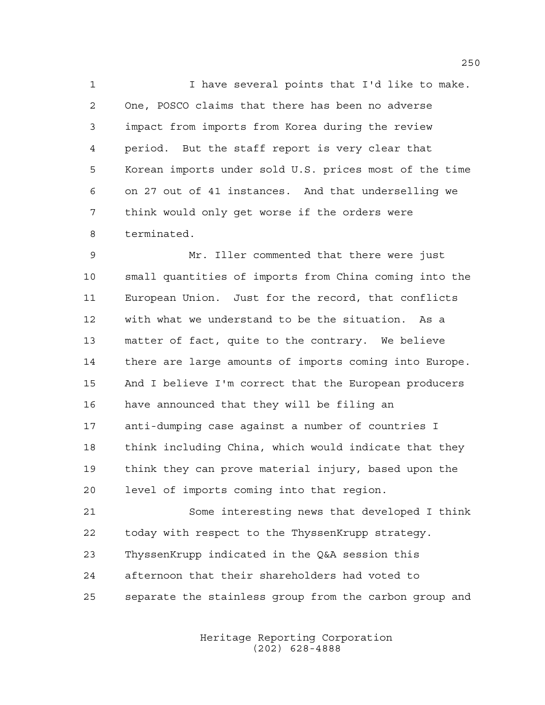I have several points that I'd like to make. One, POSCO claims that there has been no adverse impact from imports from Korea during the review period. But the staff report is very clear that Korean imports under sold U.S. prices most of the time on 27 out of 41 instances. And that underselling we think would only get worse if the orders were terminated.

 Mr. Iller commented that there were just small quantities of imports from China coming into the European Union. Just for the record, that conflicts with what we understand to be the situation. As a matter of fact, quite to the contrary. We believe there are large amounts of imports coming into Europe. And I believe I'm correct that the European producers have announced that they will be filing an anti-dumping case against a number of countries I think including China, which would indicate that they think they can prove material injury, based upon the level of imports coming into that region.

 Some interesting news that developed I think today with respect to the ThyssenKrupp strategy. ThyssenKrupp indicated in the Q&A session this afternoon that their shareholders had voted to separate the stainless group from the carbon group and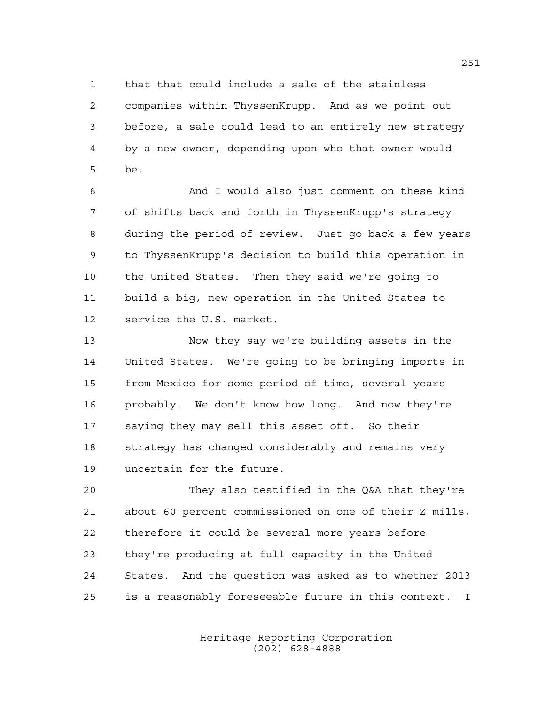that that could include a sale of the stainless companies within ThyssenKrupp. And as we point out before, a sale could lead to an entirely new strategy by a new owner, depending upon who that owner would be.

 And I would also just comment on these kind of shifts back and forth in ThyssenKrupp's strategy during the period of review. Just go back a few years to ThyssenKrupp's decision to build this operation in the United States. Then they said we're going to build a big, new operation in the United States to service the U.S. market.

 Now they say we're building assets in the United States. We're going to be bringing imports in from Mexico for some period of time, several years probably. We don't know how long. And now they're saying they may sell this asset off. So their strategy has changed considerably and remains very uncertain for the future.

 They also testified in the Q&A that they're about 60 percent commissioned on one of their Z mills, therefore it could be several more years before they're producing at full capacity in the United States. And the question was asked as to whether 2013 is a reasonably foreseeable future in this context. I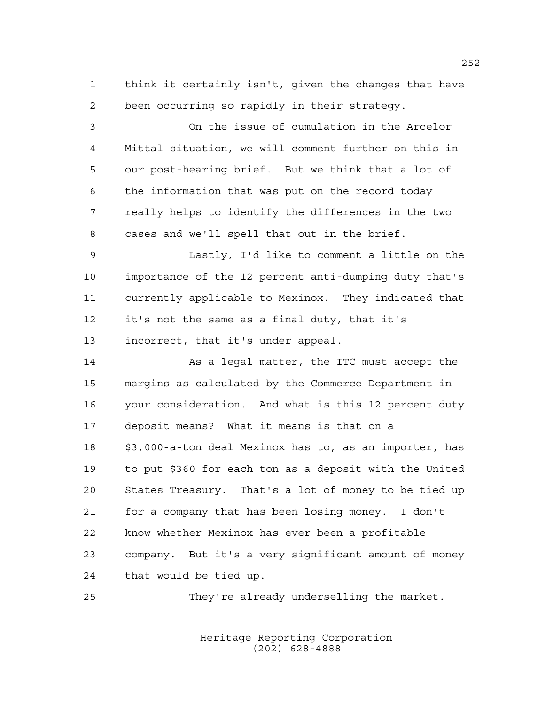think it certainly isn't, given the changes that have been occurring so rapidly in their strategy.

 On the issue of cumulation in the Arcelor Mittal situation, we will comment further on this in our post-hearing brief. But we think that a lot of the information that was put on the record today really helps to identify the differences in the two cases and we'll spell that out in the brief. Lastly, I'd like to comment a little on the

 importance of the 12 percent anti-dumping duty that's currently applicable to Mexinox. They indicated that it's not the same as a final duty, that it's incorrect, that it's under appeal.

14 As a legal matter, the ITC must accept the margins as calculated by the Commerce Department in your consideration. And what is this 12 percent duty deposit means? What it means is that on a \$3,000-a-ton deal Mexinox has to, as an importer, has to put \$360 for each ton as a deposit with the United States Treasury. That's a lot of money to be tied up for a company that has been losing money. I don't know whether Mexinox has ever been a profitable company. But it's a very significant amount of money that would be tied up.

They're already underselling the market.

Heritage Reporting Corporation (202) 628-4888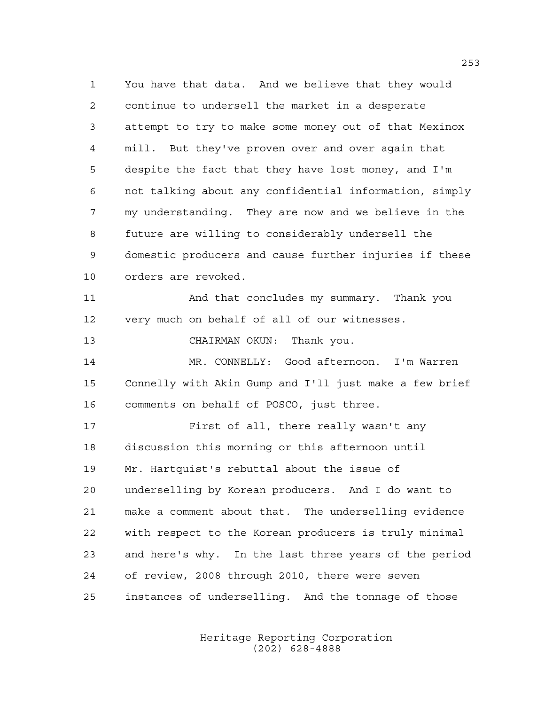You have that data. And we believe that they would continue to undersell the market in a desperate attempt to try to make some money out of that Mexinox mill. But they've proven over and over again that despite the fact that they have lost money, and I'm not talking about any confidential information, simply my understanding. They are now and we believe in the future are willing to considerably undersell the domestic producers and cause further injuries if these orders are revoked. And that concludes my summary. Thank you very much on behalf of all of our witnesses.

CHAIRMAN OKUN: Thank you.

 MR. CONNELLY: Good afternoon. I'm Warren Connelly with Akin Gump and I'll just make a few brief comments on behalf of POSCO, just three.

 First of all, there really wasn't any discussion this morning or this afternoon until Mr. Hartquist's rebuttal about the issue of underselling by Korean producers. And I do want to make a comment about that. The underselling evidence with respect to the Korean producers is truly minimal and here's why. In the last three years of the period of review, 2008 through 2010, there were seven instances of underselling. And the tonnage of those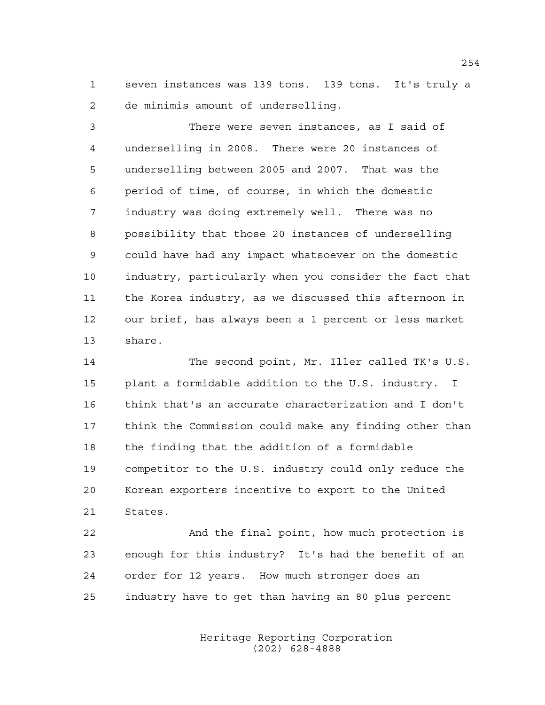seven instances was 139 tons. 139 tons. It's truly a de minimis amount of underselling.

 There were seven instances, as I said of underselling in 2008. There were 20 instances of underselling between 2005 and 2007. That was the period of time, of course, in which the domestic industry was doing extremely well. There was no possibility that those 20 instances of underselling could have had any impact whatsoever on the domestic industry, particularly when you consider the fact that the Korea industry, as we discussed this afternoon in our brief, has always been a 1 percent or less market share.

 The second point, Mr. Iller called TK's U.S. plant a formidable addition to the U.S. industry. I think that's an accurate characterization and I don't think the Commission could make any finding other than the finding that the addition of a formidable competitor to the U.S. industry could only reduce the Korean exporters incentive to export to the United States.

 And the final point, how much protection is enough for this industry? It's had the benefit of an order for 12 years. How much stronger does an industry have to get than having an 80 plus percent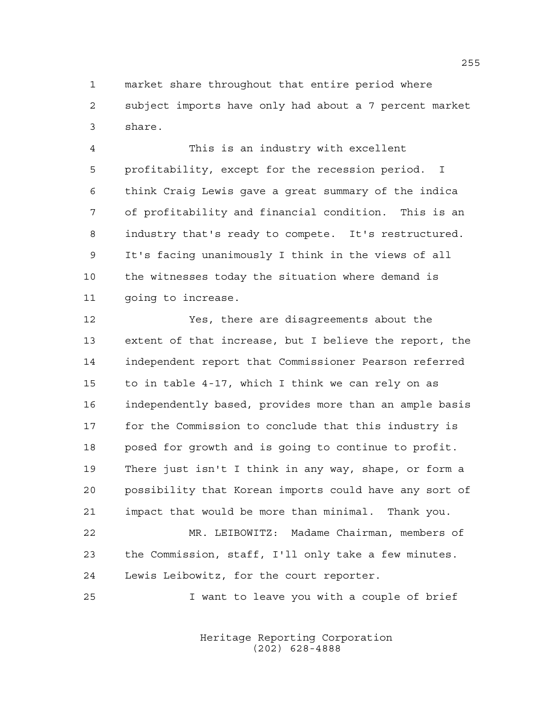market share throughout that entire period where subject imports have only had about a 7 percent market share.

 This is an industry with excellent profitability, except for the recession period. I think Craig Lewis gave a great summary of the indica of profitability and financial condition. This is an industry that's ready to compete. It's restructured. It's facing unanimously I think in the views of all the witnesses today the situation where demand is going to increase.

 Yes, there are disagreements about the extent of that increase, but I believe the report, the independent report that Commissioner Pearson referred to in table 4-17, which I think we can rely on as independently based, provides more than an ample basis for the Commission to conclude that this industry is posed for growth and is going to continue to profit. There just isn't I think in any way, shape, or form a possibility that Korean imports could have any sort of impact that would be more than minimal. Thank you.

 MR. LEIBOWITZ: Madame Chairman, members of the Commission, staff, I'll only take a few minutes. Lewis Leibowitz, for the court reporter.

I want to leave you with a couple of brief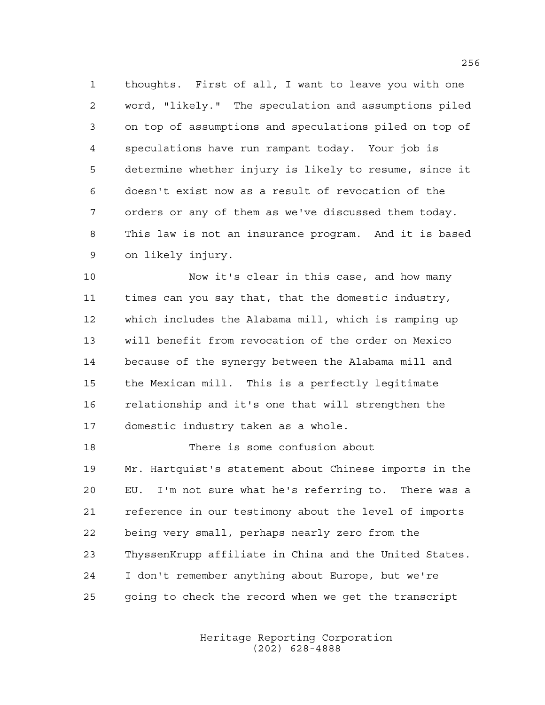thoughts. First of all, I want to leave you with one word, "likely." The speculation and assumptions piled on top of assumptions and speculations piled on top of speculations have run rampant today. Your job is determine whether injury is likely to resume, since it doesn't exist now as a result of revocation of the orders or any of them as we've discussed them today. This law is not an insurance program. And it is based on likely injury.

 Now it's clear in this case, and how many times can you say that, that the domestic industry, which includes the Alabama mill, which is ramping up will benefit from revocation of the order on Mexico because of the synergy between the Alabama mill and the Mexican mill. This is a perfectly legitimate relationship and it's one that will strengthen the domestic industry taken as a whole.

 There is some confusion about Mr. Hartquist's statement about Chinese imports in the EU. I'm not sure what he's referring to. There was a reference in our testimony about the level of imports being very small, perhaps nearly zero from the ThyssenKrupp affiliate in China and the United States. I don't remember anything about Europe, but we're going to check the record when we get the transcript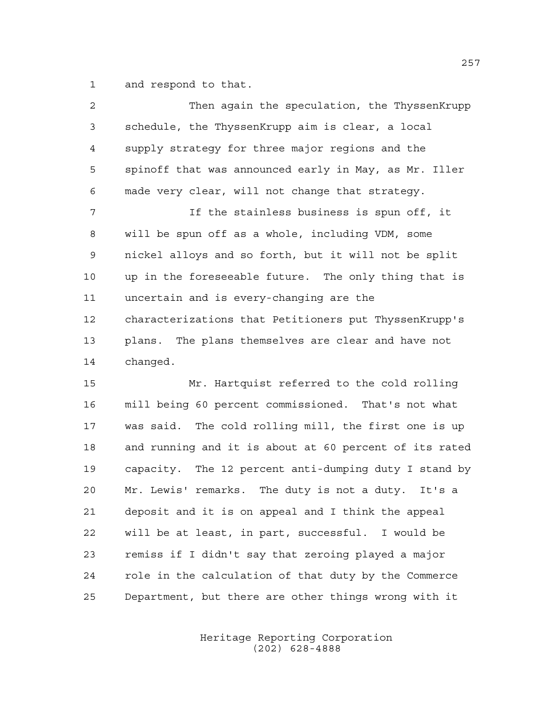and respond to that.

| 2              | Then again the speculation, the ThyssenKrupp           |
|----------------|--------------------------------------------------------|
| $\mathfrak{Z}$ | schedule, the ThyssenKrupp aim is clear, a local       |
| $\overline{4}$ | supply strategy for three major regions and the        |
| 5              | spinoff that was announced early in May, as Mr. Iller  |
| 6              | made very clear, will not change that strategy.        |
| 7              | If the stainless business is spun off, it              |
| 8              | will be spun off as a whole, including VDM, some       |
| 9              | nickel alloys and so forth, but it will not be split   |
| 10             | up in the foreseeable future. The only thing that is   |
| 11             | uncertain and is every-changing are the                |
| 12             | characterizations that Petitioners put ThyssenKrupp's  |
| 13             | plans. The plans themselves are clear and have not     |
| 14             | changed.                                               |
| 15             | Mr. Hartquist referred to the cold rolling             |
| 16             | mill being 60 percent commissioned. That's not what    |
| 17             | was said. The cold rolling mill, the first one is up   |
| 18             | and running and it is about at 60 percent of its rated |
| 19             | capacity. The 12 percent anti-dumping duty I stand by  |
| 20             | Mr. Lewis' remarks. The duty is not a duty. It's a     |
| 21             | deposit and it is on appeal and I think the appeal     |
| 22             | will be at least, in part, successful. I would be      |
| 23             | remiss if I didn't say that zeroing played a major     |

Department, but there are other things wrong with it

role in the calculation of that duty by the Commerce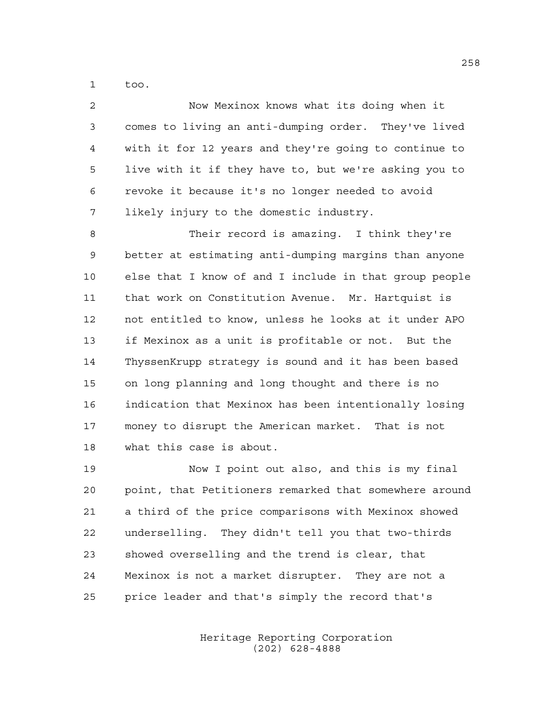too.

| $\overline{2}$ | Now Mexinox knows what its doing when it               |
|----------------|--------------------------------------------------------|
| 3              | comes to living an anti-dumping order. They've lived   |
| 4              | with it for 12 years and they're going to continue to  |
| 5              | live with it if they have to, but we're asking you to  |
| 6              | revoke it because it's no longer needed to avoid       |
| 7              | likely injury to the domestic industry.                |
| 8              | Their record is amazing. I think they're               |
| 9              | better at estimating anti-dumping margins than anyone  |
| 10             | else that I know of and I include in that group people |
| 11             | that work on Constitution Avenue. Mr. Hartquist is     |
| 12             | not entitled to know, unless he looks at it under APO  |
| 13             | if Mexinox as a unit is profitable or not. But the     |
| 14             | ThyssenKrupp strategy is sound and it has been based   |
| 15             | on long planning and long thought and there is no      |
| 16             | indication that Mexinox has been intentionally losing  |
| 17             | money to disrupt the American market. That is not      |
| 18             | what this case is about.                               |
|                |                                                        |

 Now I point out also, and this is my final point, that Petitioners remarked that somewhere around a third of the price comparisons with Mexinox showed underselling. They didn't tell you that two-thirds showed overselling and the trend is clear, that Mexinox is not a market disrupter. They are not a price leader and that's simply the record that's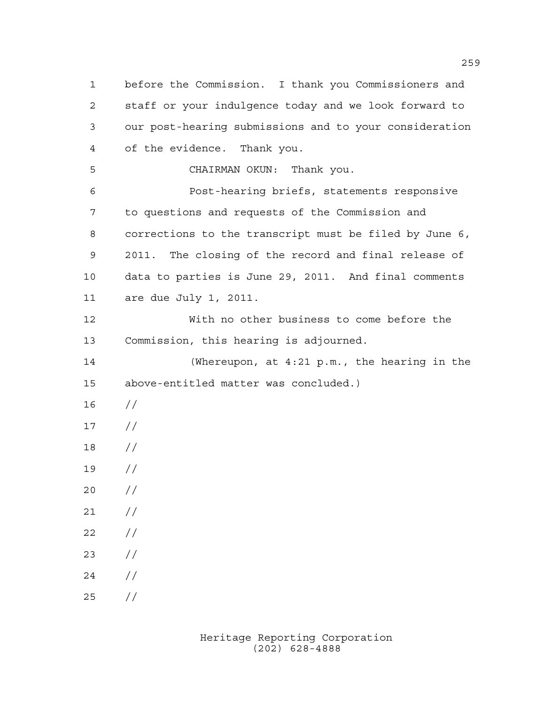before the Commission. I thank you Commissioners and staff or your indulgence today and we look forward to our post-hearing submissions and to your consideration of the evidence. Thank you. CHAIRMAN OKUN: Thank you. Post-hearing briefs, statements responsive to questions and requests of the Commission and corrections to the transcript must be filed by June 6, 2011. The closing of the record and final release of data to parties is June 29, 2011. And final comments are due July 1, 2011. With no other business to come before the Commission, this hearing is adjourned. (Whereupon, at 4:21 p.m., the hearing in the above-entitled matter was concluded.) //  $17 /$  // //  $20 /$  $21 /$  $22 / /$  //  $24 /$ //